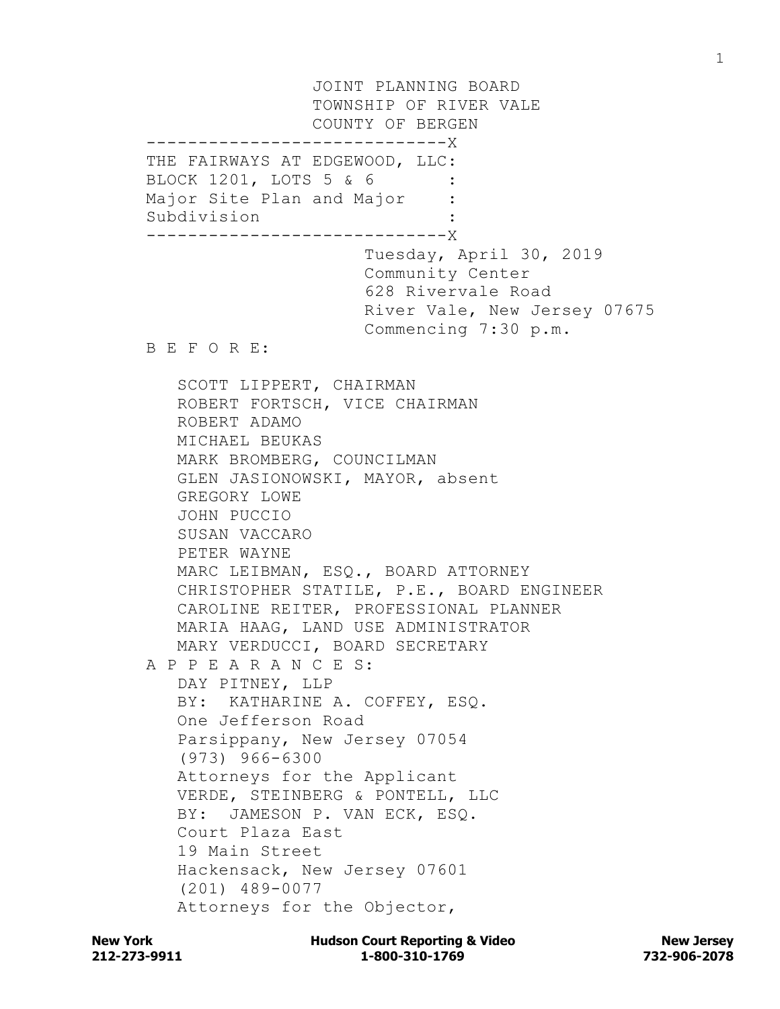JOINT PLANNING BOARD TOWNSHIP OF RIVER VALE COUNTY OF BERGEN ------------------------X THE FAIRWAYS AT EDGEWOOD, LLC: BLOCK 1201, LOTS 5 & 6 : Major Site Plan and Major : Subdivision : -----------------------------X Tuesday, April 30, 2019 Community Center 628 Rivervale Road River Vale, New Jersey 07675 Commencing 7:30 p.m. B E F O R E: SCOTT LIPPERT, CHAIRMAN ROBERT FORTSCH, VICE CHAIRMAN ROBERT ADAMO MICHAEL BEUKAS MARK BROMBERG, COUNCILMAN GLEN JASIONOWSKI, MAYOR, absent GREGORY LOWE JOHN PUCCIO SUSAN VACCARO PETER WAYNE MARC LEIBMAN, ESQ., BOARD ATTORNEY CHRISTOPHER STATILE, P.E., BOARD ENGINEER CAROLINE REITER, PROFESSIONAL PLANNER MARIA HAAG, LAND USE ADMINISTRATOR MARY VERDUCCI, BOARD SECRETARY A P P E A R A N C E S: DAY PITNEY, LLP BY: KATHARINE A. COFFEY, ESQ. One Jefferson Road Parsippany, New Jersey 07054 (973) 966-6300 Attorneys for the Applicant VERDE, STEINBERG & PONTELL, LLC BY: JAMESON P. VAN ECK, ESQ. Court Plaza East 19 Main Street Hackensack, New Jersey 07601 (201) 489-0077 Attorneys for the Objector,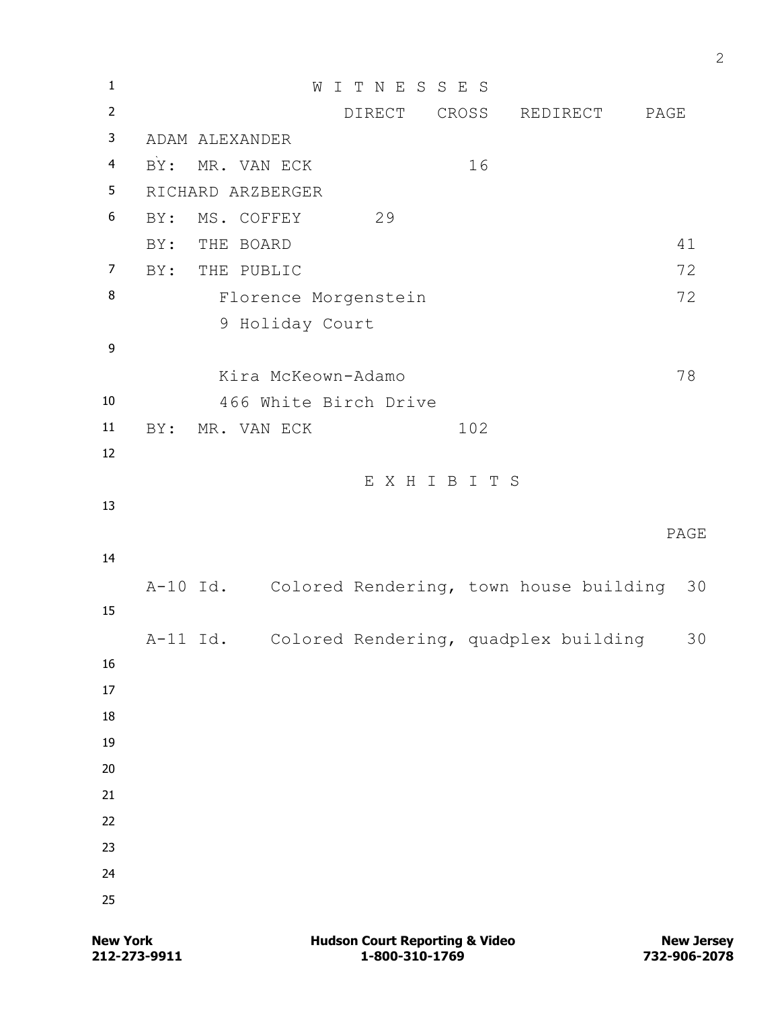| $\mathbf{1}$     |                   |                    | WITNESSES                                       |     |                       |      |
|------------------|-------------------|--------------------|-------------------------------------------------|-----|-----------------------|------|
| $\overline{2}$   |                   |                    |                                                 |     | DIRECT CROSS REDIRECT | PAGE |
| 3                |                   | ADAM ALEXANDER     |                                                 |     |                       |      |
| $\overline{4}$   | BY:               | MR. VAN ECK        |                                                 | 16  |                       |      |
| 5                | RICHARD ARZBERGER |                    |                                                 |     |                       |      |
| 6                | BY:               | MS. COFFEY         | 29                                              |     |                       |      |
|                  | BY:               | THE BOARD          |                                                 |     |                       | 41   |
| $\overline{7}$   | BY:               | THE PUBLIC         |                                                 |     |                       | 72   |
| 8                |                   |                    | Florence Morgenstein                            |     |                       | 72   |
|                  |                   | 9 Holiday Court    |                                                 |     |                       |      |
| $\boldsymbol{9}$ |                   |                    |                                                 |     |                       |      |
|                  |                   | Kira McKeown-Adamo |                                                 |     |                       | 78   |
| 10               |                   |                    | 466 White Birch Drive                           |     |                       |      |
| $11\,$           | BY:               | MR. VAN ECK        |                                                 | 102 |                       |      |
| 12               |                   |                    |                                                 |     |                       |      |
|                  |                   |                    | EXHIBITS                                        |     |                       |      |
| 13               |                   |                    |                                                 |     |                       |      |
|                  |                   |                    |                                                 |     |                       |      |
|                  |                   |                    |                                                 |     |                       | PAGE |
| 14               |                   |                    |                                                 |     |                       |      |
|                  |                   |                    | A-10 Id. Colored Rendering, town house building |     |                       | 30   |
| 15               |                   |                    |                                                 |     |                       |      |
|                  | A-11 Id.          |                    | Colored Rendering, quadplex building            |     |                       | 30   |
| 16               |                   |                    |                                                 |     |                       |      |
| 17               |                   |                    |                                                 |     |                       |      |
| 18               |                   |                    |                                                 |     |                       |      |
| 19               |                   |                    |                                                 |     |                       |      |
| 20               |                   |                    |                                                 |     |                       |      |
| 21               |                   |                    |                                                 |     |                       |      |
| 22               |                   |                    |                                                 |     |                       |      |
| 23               |                   |                    |                                                 |     |                       |      |
| 24<br>25         |                   |                    |                                                 |     |                       |      |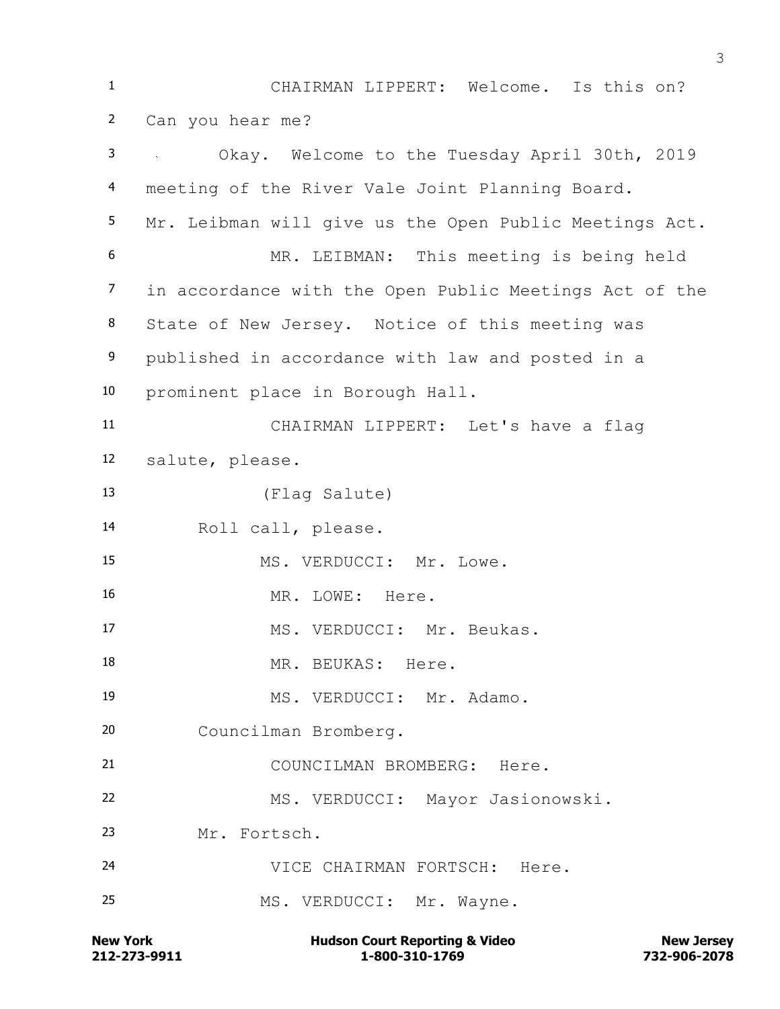CHAIRMAN LIPPERT: Welcome. Is this on? Can you hear me? Okay. Welcome to the Tuesday April 30th, 2019 meeting of the River Vale Joint Planning Board. Mr. Leibman will give us the Open Public Meetings Act. MR. LEIBMAN: This meeting is being held in accordance with the Open Public Meetings Act of the State of New Jersey. Notice of this meeting was published in accordance with law and posted in a prominent place in Borough Hall. CHAIRMAN LIPPERT: Let's have a flag salute, please. (Flag Salute) Roll call, please. 15 MS. VERDUCCI: Mr. Lowe. 16 MR. LOWE: Here. 17 MS. VERDUCCI: Mr. Beukas. 18 MR. BEUKAS: Here. 19 MS. VERDUCCI: Mr. Adamo. Councilman Bromberg. COUNCILMAN BROMBERG: Here. MS. VERDUCCI: Mayor Jasionowski. Mr. Fortsch. VICE CHAIRMAN FORTSCH: Here. MS. VERDUCCI: Mr. Wayne.

**212-273-9911 1-800-310-1769 732-906-2078 New York Communist Court Reporting & Video New Jersey Rew Jersey**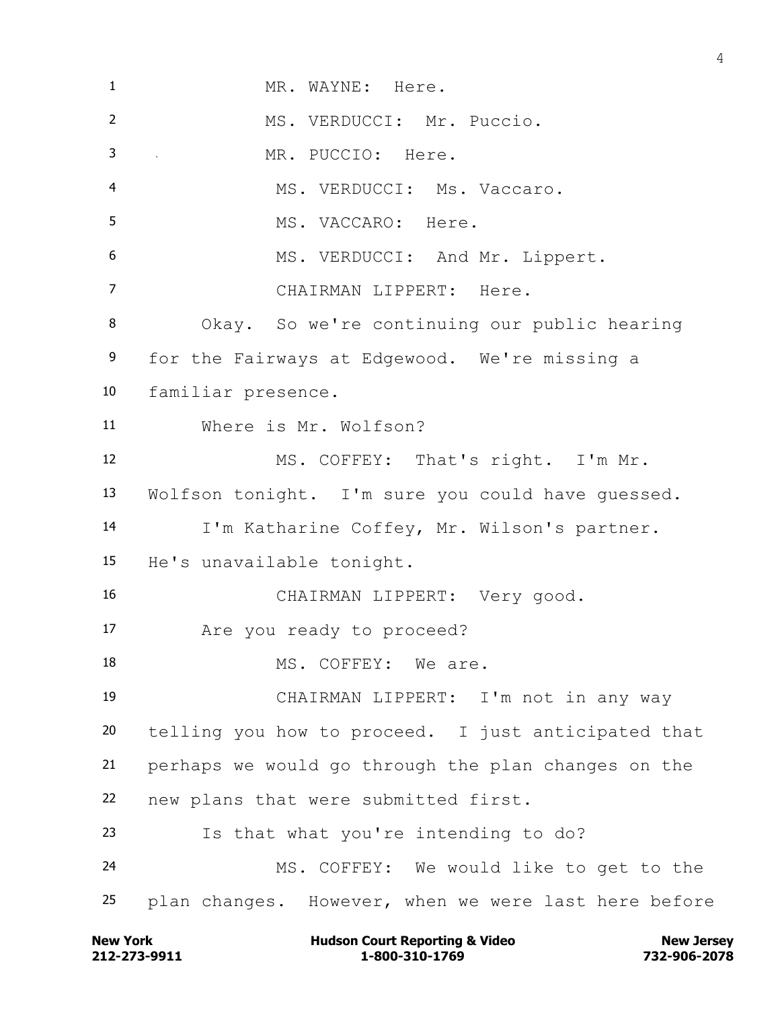MR. WAYNE: Here. MS. VERDUCCI: Mr. Puccio. MR. PUCCIO: Here. MS. VERDUCCI: Ms. Vaccaro. MS. VACCARO: Here. 6 MS. VERDUCCI: And Mr. Lippert. CHAIRMAN LIPPERT: Here. Okay. So we're continuing our public hearing for the Fairways at Edgewood. We're missing a familiar presence. Where is Mr. Wolfson? MS. COFFEY: That's right. I'm Mr. Wolfson tonight. I'm sure you could have guessed. I'm Katharine Coffey, Mr. Wilson's partner. He's unavailable tonight. CHAIRMAN LIPPERT: Very good. Are you ready to proceed? 18 MS. COFFEY: We are. CHAIRMAN LIPPERT: I'm not in any way telling you how to proceed. I just anticipated that perhaps we would go through the plan changes on the new plans that were submitted first. Is that what you're intending to do? MS. COFFEY: We would like to get to the plan changes. However, when we were last here before

**212-273-9911 1-800-310-1769 732-906-2078 New York Communist Court Reporting & Video New Jersey Rew Jersey**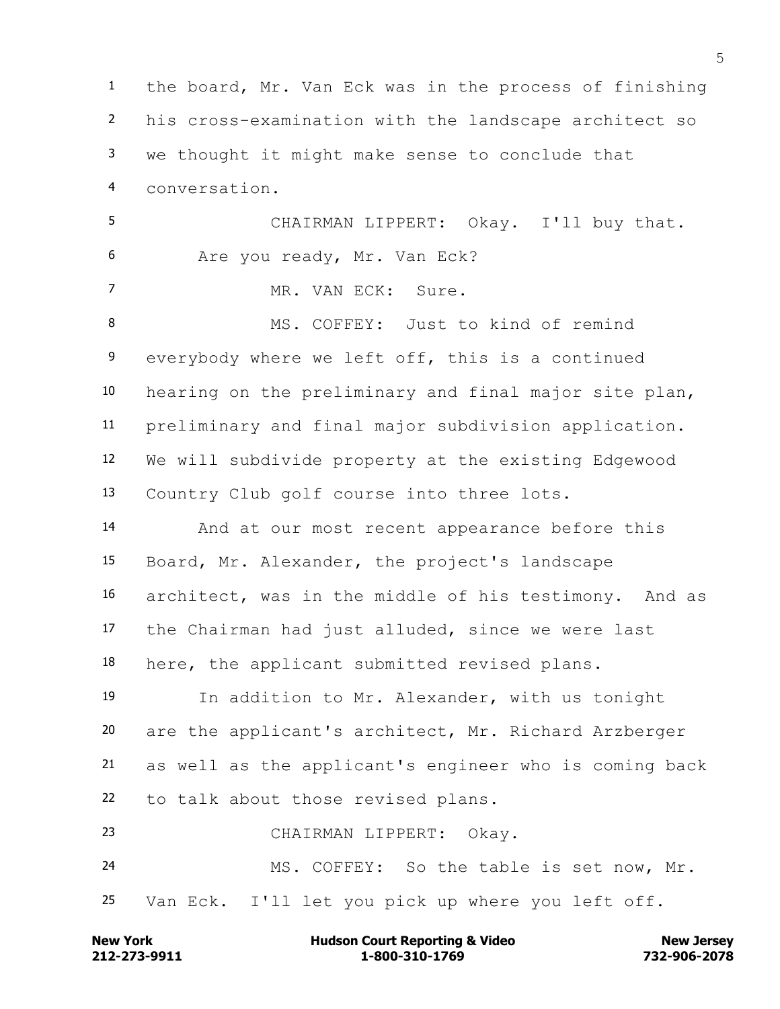the board, Mr. Van Eck was in the process of finishing his cross-examination with the landscape architect so we thought it might make sense to conclude that conversation. CHAIRMAN LIPPERT: Okay. I'll buy that. Are you ready, Mr. Van Eck? MR. VAN ECK: Sure. MS. COFFEY: Just to kind of remind everybody where we left off, this is a continued hearing on the preliminary and final major site plan, preliminary and final major subdivision application. We will subdivide property at the existing Edgewood Country Club golf course into three lots. And at our most recent appearance before this Board, Mr. Alexander, the project's landscape architect, was in the middle of his testimony. And as the Chairman had just alluded, since we were last here, the applicant submitted revised plans. In addition to Mr. Alexander, with us tonight are the applicant's architect, Mr. Richard Arzberger as well as the applicant's engineer who is coming back to talk about those revised plans. CHAIRMAN LIPPERT: Okay. MS. COFFEY: So the table is set now, Mr. Van Eck. I'll let you pick up where you left off.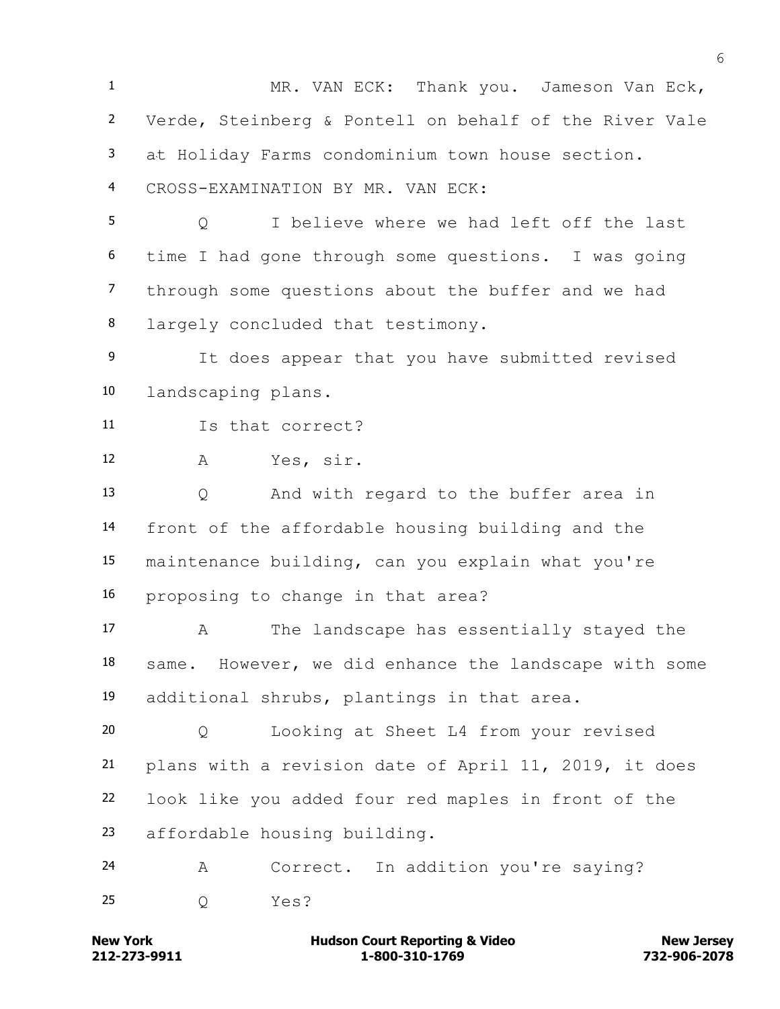MR. VAN ECK: Thank you. Jameson Van Eck, Verde, Steinberg & Pontell on behalf of the River Vale at Holiday Farms condominium town house section. CROSS-EXAMINATION BY MR. VAN ECK: Q I believe where we had left off the last time I had gone through some questions. I was going through some questions about the buffer and we had largely concluded that testimony. It does appear that you have submitted revised landscaping plans. Is that correct? A Yes, sir. Q And with regard to the buffer area in front of the affordable housing building and the maintenance building, can you explain what you're proposing to change in that area? A The landscape has essentially stayed the same. However, we did enhance the landscape with some additional shrubs, plantings in that area. Q Looking at Sheet L4 from your revised plans with a revision date of April 11, 2019, it does look like you added four red maples in front of the affordable housing building. A Correct. In addition you're saying? Q Yes?

**212-273-9911 1-800-310-1769 732-906-2078 New York Communist Court Reporting & Video New Jersey Rew Jersey**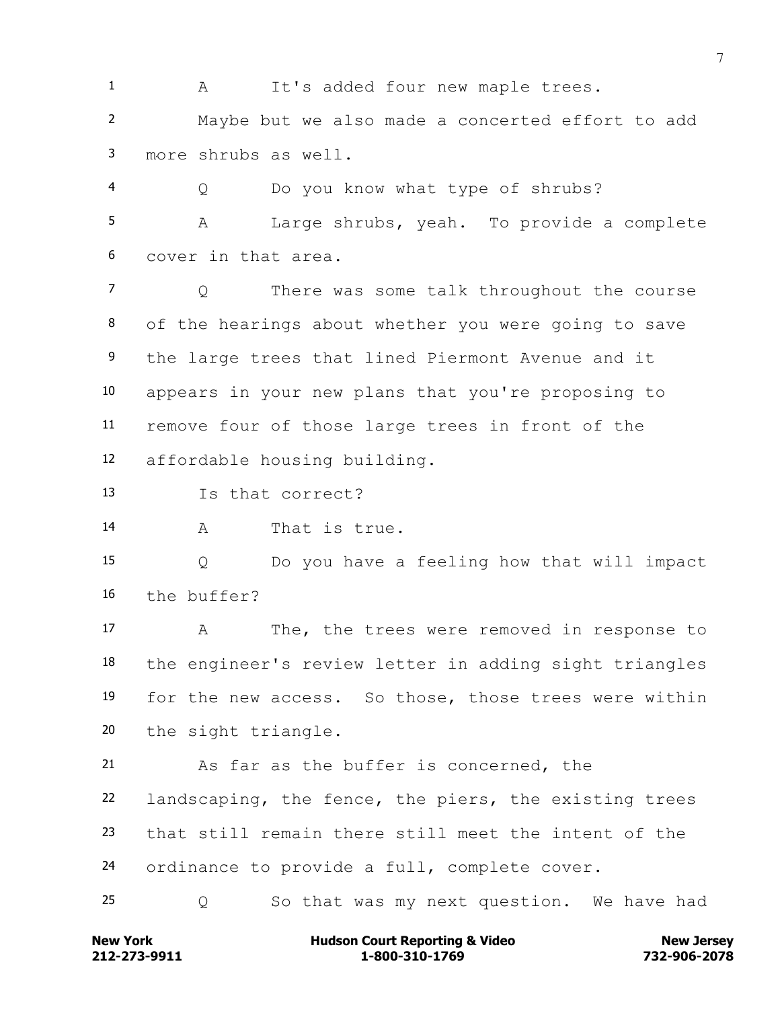1 A It's added four new maple trees. Maybe but we also made a concerted effort to add more shrubs as well.

 Q Do you know what type of shrubs? A Large shrubs, yeah. To provide a complete cover in that area.

 Q There was some talk throughout the course of the hearings about whether you were going to save the large trees that lined Piermont Avenue and it appears in your new plans that you're proposing to remove four of those large trees in front of the affordable housing building.

Is that correct?

A That is true.

 Q Do you have a feeling how that will impact the buffer?

 A The, the trees were removed in response to the engineer's review letter in adding sight triangles for the new access. So those, those trees were within the sight triangle.

 As far as the buffer is concerned, the landscaping, the fence, the piers, the existing trees that still remain there still meet the intent of the ordinance to provide a full, complete cover.

Q So that was my next question. We have had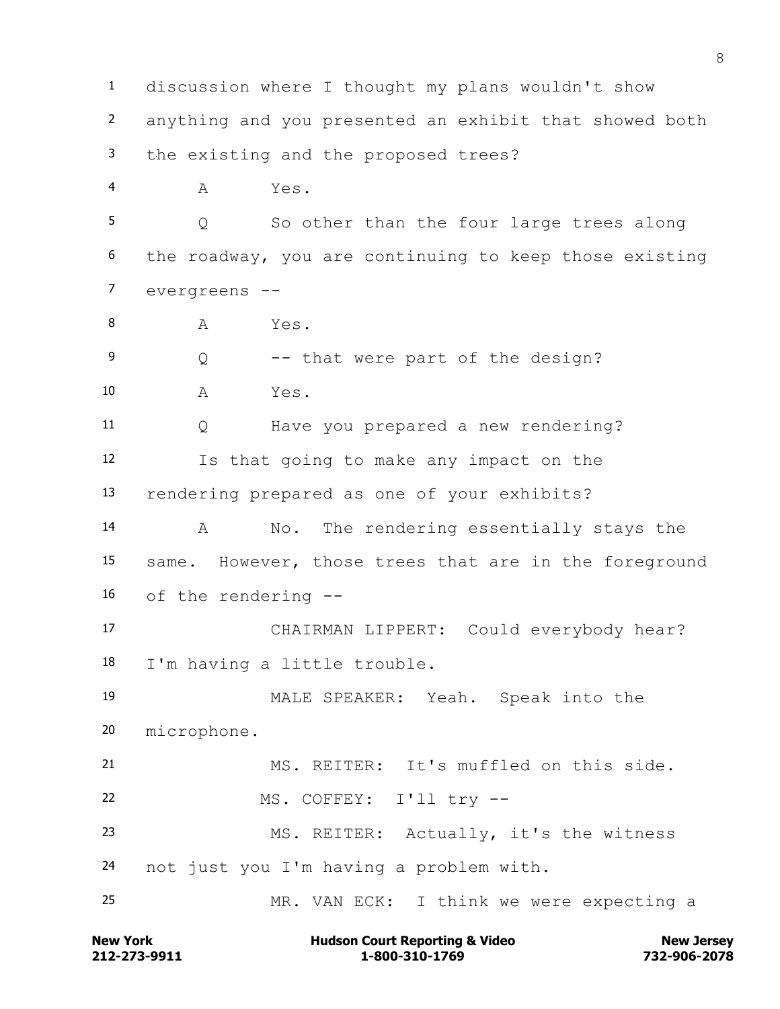discussion where I thought my plans wouldn't show anything and you presented an exhibit that showed both the existing and the proposed trees? A Yes. Q So other than the four large trees along the roadway, you are continuing to keep those existing evergreens -- 8 A Yes. Q -- that were part of the design? A Yes. Q Have you prepared a new rendering? Is that going to make any impact on the rendering prepared as one of your exhibits? A No. The rendering essentially stays the same. However, those trees that are in the foreground of the rendering -- CHAIRMAN LIPPERT: Could everybody hear? I'm having a little trouble. MALE SPEAKER: Yeah. Speak into the microphone. MS. REITER: It's muffled on this side. MS. COFFEY: I'll try -- MS. REITER: Actually, it's the witness not just you I'm having a problem with. MR. VAN ECK: I think we were expecting a

**212-273-9911 1-800-310-1769 732-906-2078 New York Communist Court Reporting & Video New Jersey Rew Jersey**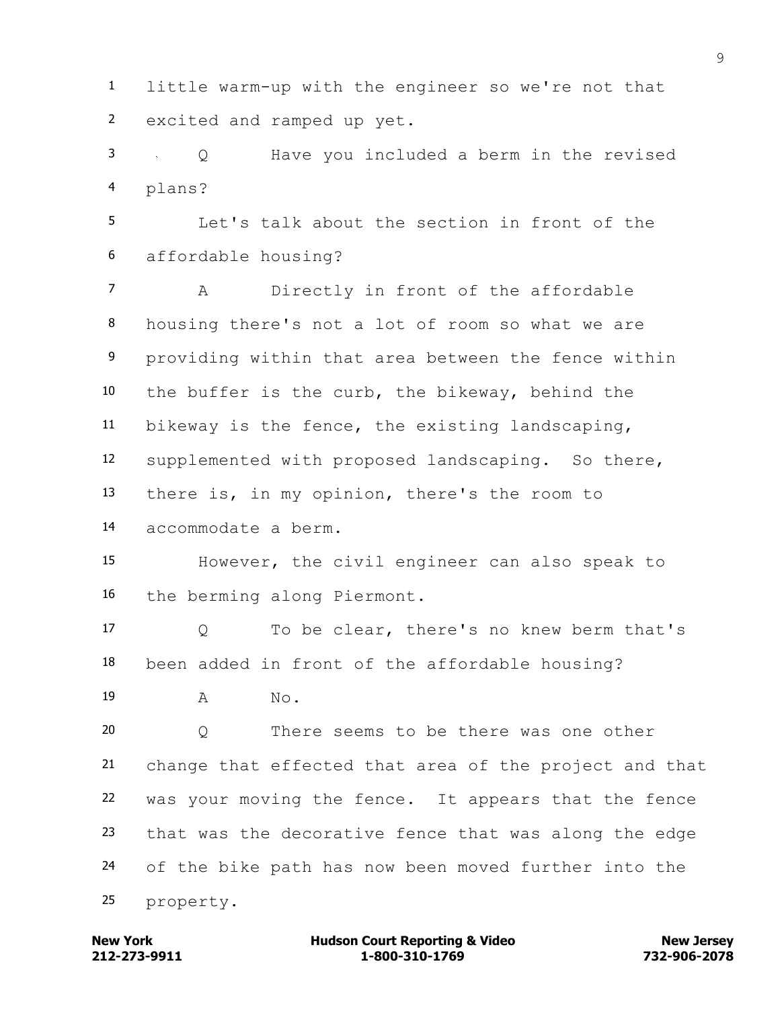little warm-up with the engineer so we're not that excited and ramped up yet.

 Q Have you included a berm in the revised plans?

 Let's talk about the section in front of the affordable housing?

 A Directly in front of the affordable housing there's not a lot of room so what we are providing within that area between the fence within the buffer is the curb, the bikeway, behind the bikeway is the fence, the existing landscaping, supplemented with proposed landscaping. So there, there is, in my opinion, there's the room to accommodate a berm.

 However, the civil engineer can also speak to the berming along Piermont.

 Q To be clear, there's no knew berm that's been added in front of the affordable housing?

19 A No.

 Q There seems to be there was one other change that effected that area of the project and that was your moving the fence. It appears that the fence that was the decorative fence that was along the edge of the bike path has now been moved further into the property.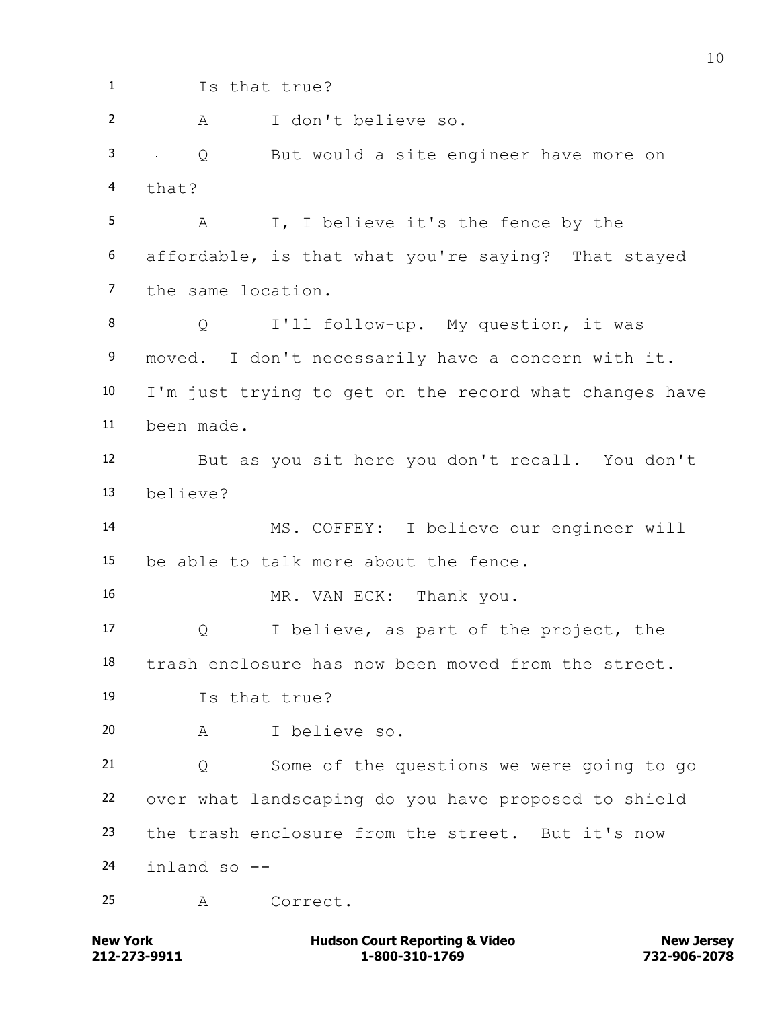Is that true? A I don't believe so. Q But would a site engineer have more on that? A I, I believe it's the fence by the affordable, is that what you're saying? That stayed the same location. Q I'll follow-up. My question, it was moved. I don't necessarily have a concern with it. I'm just trying to get on the record what changes have been made. But as you sit here you don't recall. You don't believe? MS. COFFEY: I believe our engineer will be able to talk more about the fence. MR. VAN ECK: Thank you. Q I believe, as part of the project, the trash enclosure has now been moved from the street. Is that true? A I believe so. Q Some of the questions we were going to go over what landscaping do you have proposed to shield the trash enclosure from the street. But it's now inland so -- A Correct.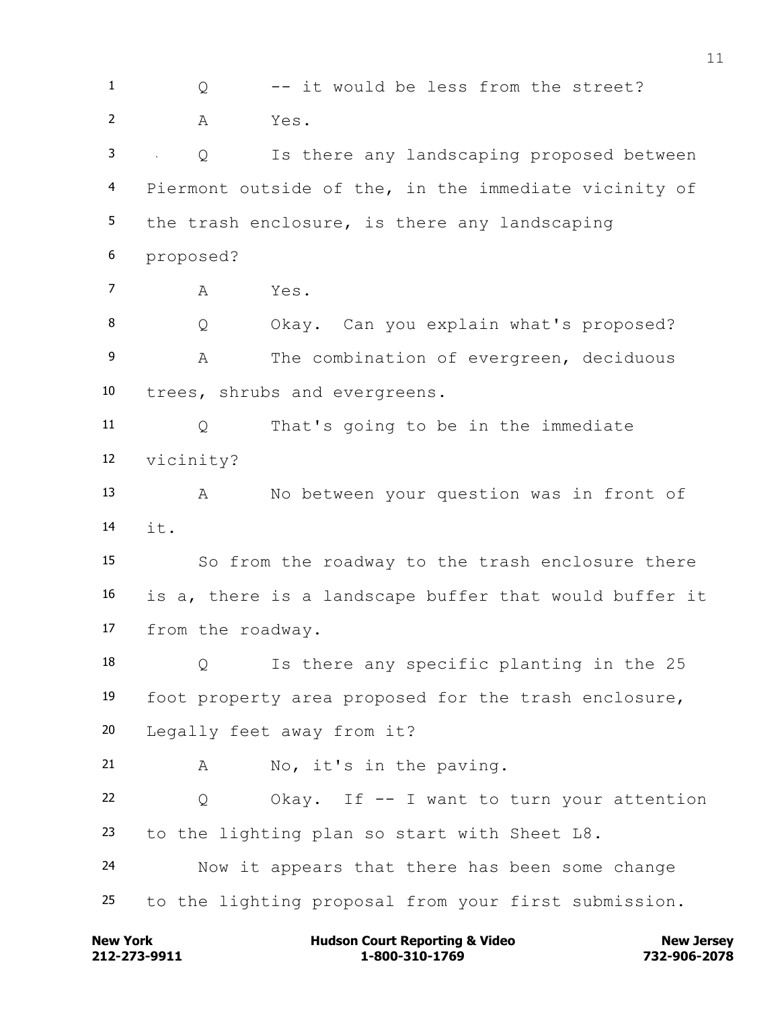1 0 -- it would be less from the street? A Yes. Q Is there any landscaping proposed between Piermont outside of the, in the immediate vicinity of the trash enclosure, is there any landscaping proposed? A Yes. Q Okay. Can you explain what's proposed? A The combination of evergreen, deciduous trees, shrubs and evergreens. Q That's going to be in the immediate vicinity? A No between your question was in front of it. So from the roadway to the trash enclosure there is a, there is a landscape buffer that would buffer it from the roadway. Q Is there any specific planting in the 25 foot property area proposed for the trash enclosure, Legally feet away from it? A No, it's in the paving. Q Okay. If -- I want to turn your attention to the lighting plan so start with Sheet L8. Now it appears that there has been some change to the lighting proposal from your first submission.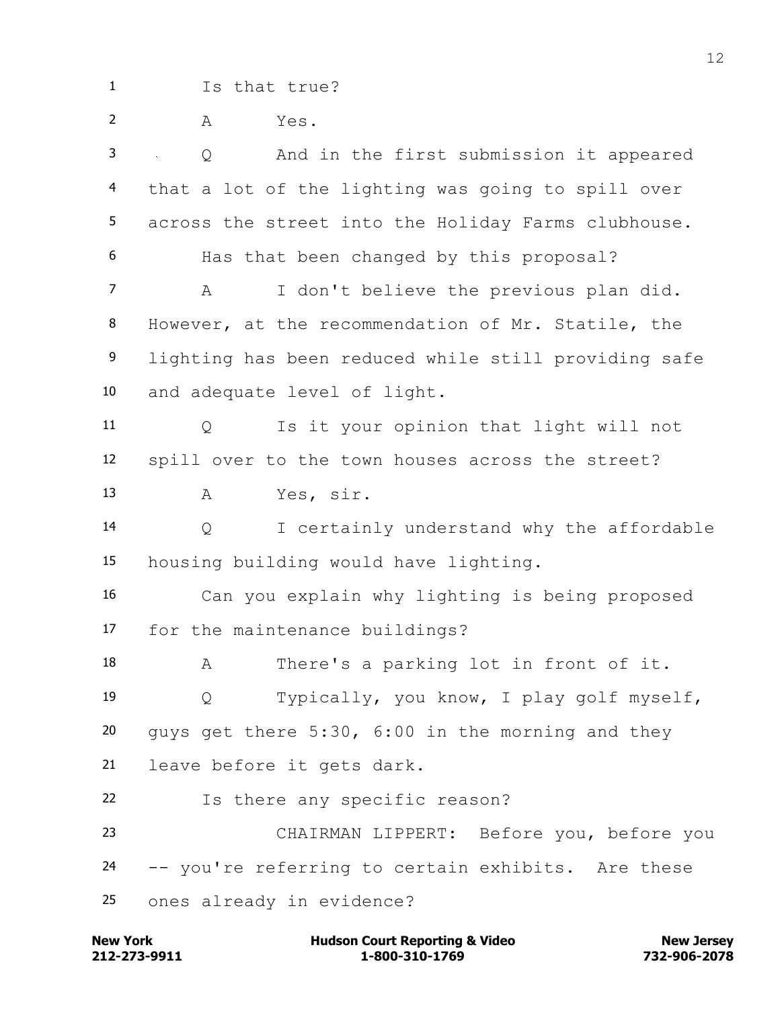Is that true? A Yes. Q And in the first submission it appeared that a lot of the lighting was going to spill over across the street into the Holiday Farms clubhouse. Has that been changed by this proposal? A I don't believe the previous plan did. However, at the recommendation of Mr. Statile, the lighting has been reduced while still providing safe and adequate level of light. Q Is it your opinion that light will not spill over to the town houses across the street? A Yes, sir. Q I certainly understand why the affordable housing building would have lighting. Can you explain why lighting is being proposed for the maintenance buildings? A There's a parking lot in front of it. Q Typically, you know, I play golf myself, guys get there 5:30, 6:00 in the morning and they leave before it gets dark. Is there any specific reason? CHAIRMAN LIPPERT: Before you, before you -- you're referring to certain exhibits. Are these ones already in evidence?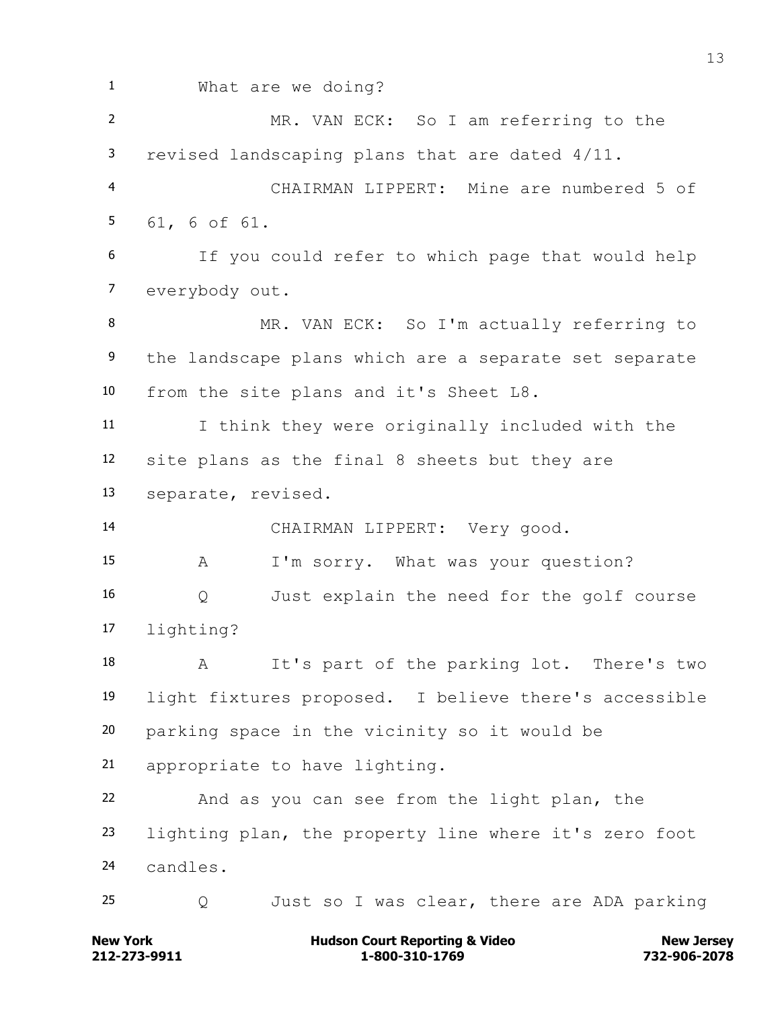What are we doing? MR. VAN ECK: So I am referring to the revised landscaping plans that are dated 4/11. CHAIRMAN LIPPERT: Mine are numbered 5 of 61, 6 of 61. If you could refer to which page that would help everybody out. 8 MR. VAN ECK: So I'm actually referring to the landscape plans which are a separate set separate from the site plans and it's Sheet L8. I think they were originally included with the site plans as the final 8 sheets but they are separate, revised. CHAIRMAN LIPPERT: Very good. A I'm sorry. What was your question? Q Just explain the need for the golf course lighting? A It's part of the parking lot. There's two light fixtures proposed. I believe there's accessible parking space in the vicinity so it would be appropriate to have lighting. And as you can see from the light plan, the lighting plan, the property line where it's zero foot candles. Q Just so I was clear, there are ADA parking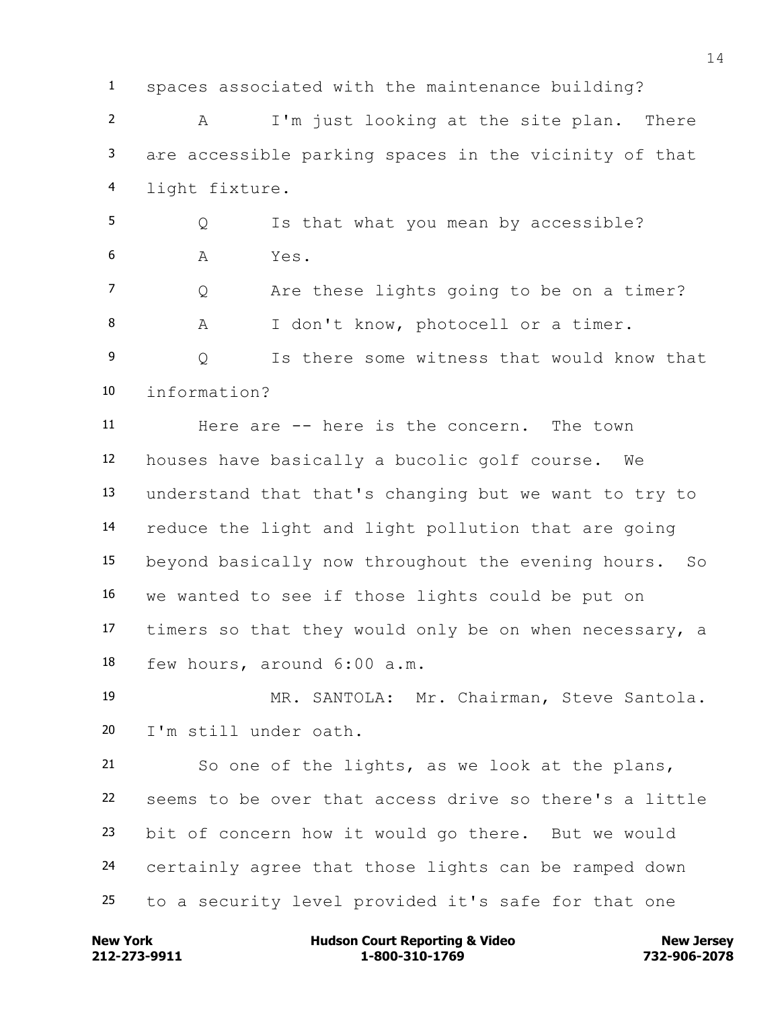spaces associated with the maintenance building? A I'm just looking at the site plan. There are accessible parking spaces in the vicinity of that light fixture.

5 Q Is that what you mean by accessible? A Yes.

7 Q Are these lights going to be on a timer? A I don't know, photocell or a timer. Q Is there some witness that would know that

information?

 Here are -- here is the concern. The town houses have basically a bucolic golf course. We understand that that's changing but we want to try to reduce the light and light pollution that are going beyond basically now throughout the evening hours. So we wanted to see if those lights could be put on timers so that they would only be on when necessary, a few hours, around 6:00 a.m.

 MR. SANTOLA: Mr. Chairman, Steve Santola. I'm still under oath.

 So one of the lights, as we look at the plans, seems to be over that access drive so there's a little bit of concern how it would go there. But we would certainly agree that those lights can be ramped down to a security level provided it's safe for that one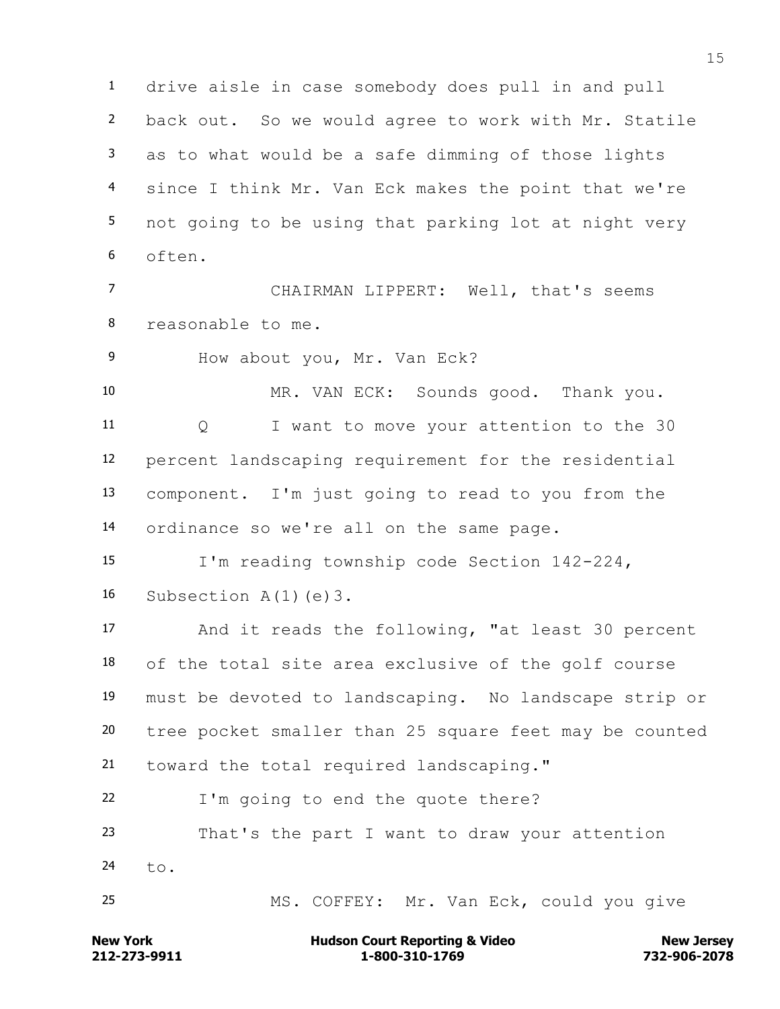drive aisle in case somebody does pull in and pull back out. So we would agree to work with Mr. Statile as to what would be a safe dimming of those lights since I think Mr. Van Eck makes the point that we're not going to be using that parking lot at night very often.

 CHAIRMAN LIPPERT: Well, that's seems reasonable to me.

How about you, Mr. Van Eck?

 MR. VAN ECK: Sounds good. Thank you. Q I want to move your attention to the 30 percent landscaping requirement for the residential component. I'm just going to read to you from the ordinance so we're all on the same page.

 I'm reading township code Section 142-224, Subsection A(1)(e)3.

 And it reads the following, "at least 30 percent of the total site area exclusive of the golf course must be devoted to landscaping. No landscape strip or tree pocket smaller than 25 square feet may be counted toward the total required landscaping."

I'm going to end the quote there?

 That's the part I want to draw your attention to.

MS. COFFEY: Mr. Van Eck, could you give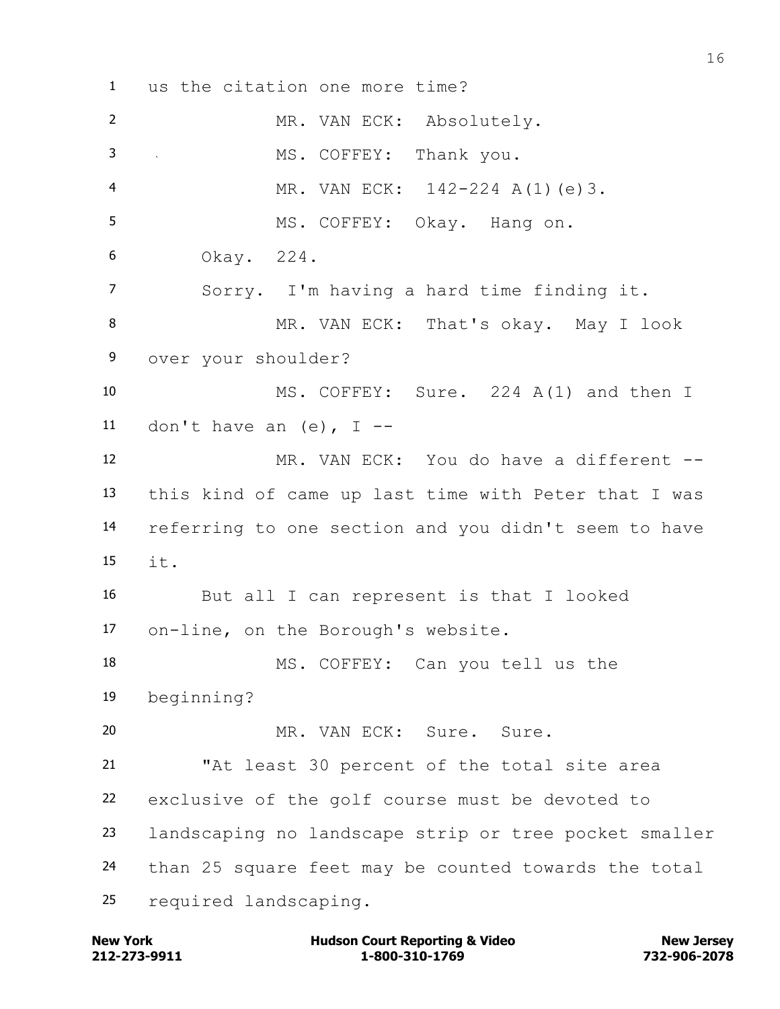us the citation one more time? MR. VAN ECK: Absolutely. MS. COFFEY: Thank you. MR. VAN ECK: 142-224 A(1)(e)3. MS. COFFEY: Okay. Hang on. Okay. 224. Sorry. I'm having a hard time finding it. 8 MR. VAN ECK: That's okay. May I look over your shoulder? MS. COFFEY: Sure. 224 A(1) and then I 11 don't have an  $(e)$ , I -- MR. VAN ECK: You do have a different -- this kind of came up last time with Peter that I was referring to one section and you didn't seem to have it. But all I can represent is that I looked on-line, on the Borough's website. MS. COFFEY: Can you tell us the beginning? MR. VAN ECK: Sure. Sure. "At least 30 percent of the total site area exclusive of the golf course must be devoted to landscaping no landscape strip or tree pocket smaller than 25 square feet may be counted towards the total required landscaping.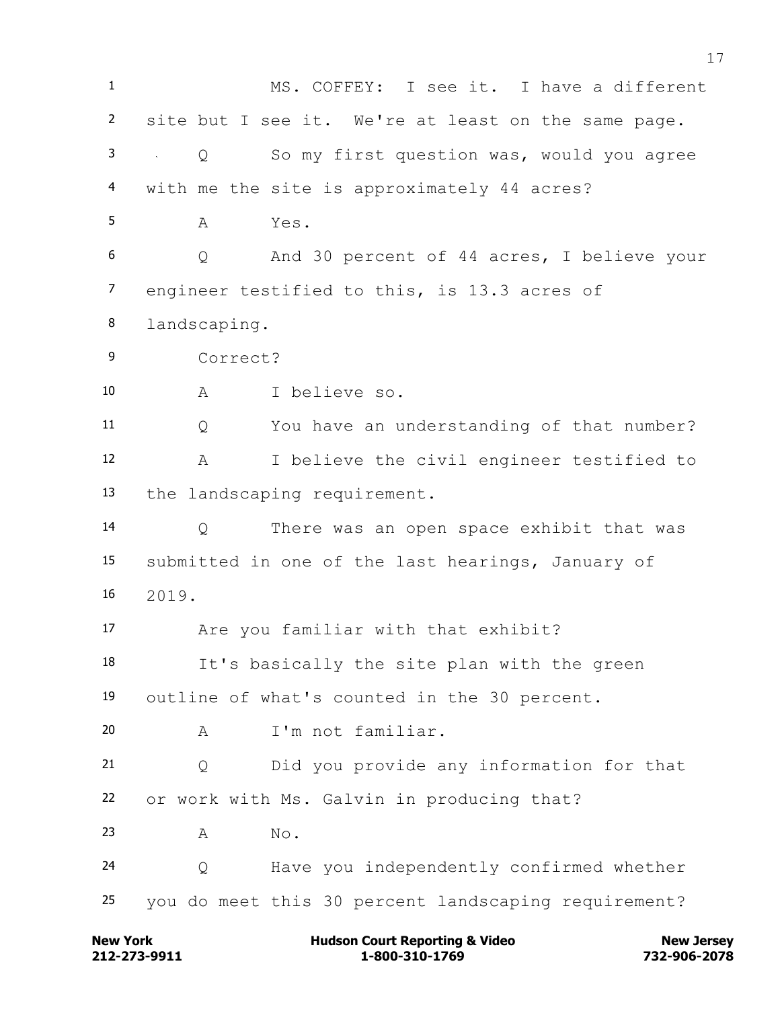MS. COFFEY: I see it. I have a different site but I see it. We're at least on the same page. Q So my first question was, would you agree with me the site is approximately 44 acres? A Yes. Q And 30 percent of 44 acres, I believe your engineer testified to this, is 13.3 acres of landscaping. Correct? A I believe so. Q You have an understanding of that number? A I believe the civil engineer testified to the landscaping requirement. Q There was an open space exhibit that was submitted in one of the last hearings, January of 2019. Are you familiar with that exhibit? It's basically the site plan with the green outline of what's counted in the 30 percent. A I'm not familiar. Q Did you provide any information for that or work with Ms. Galvin in producing that? A No. Q Have you independently confirmed whether you do meet this 30 percent landscaping requirement?

**212-273-9911 1-800-310-1769 732-906-2078 New York Communist Court Reporting & Video New Jersey Rew Jersey**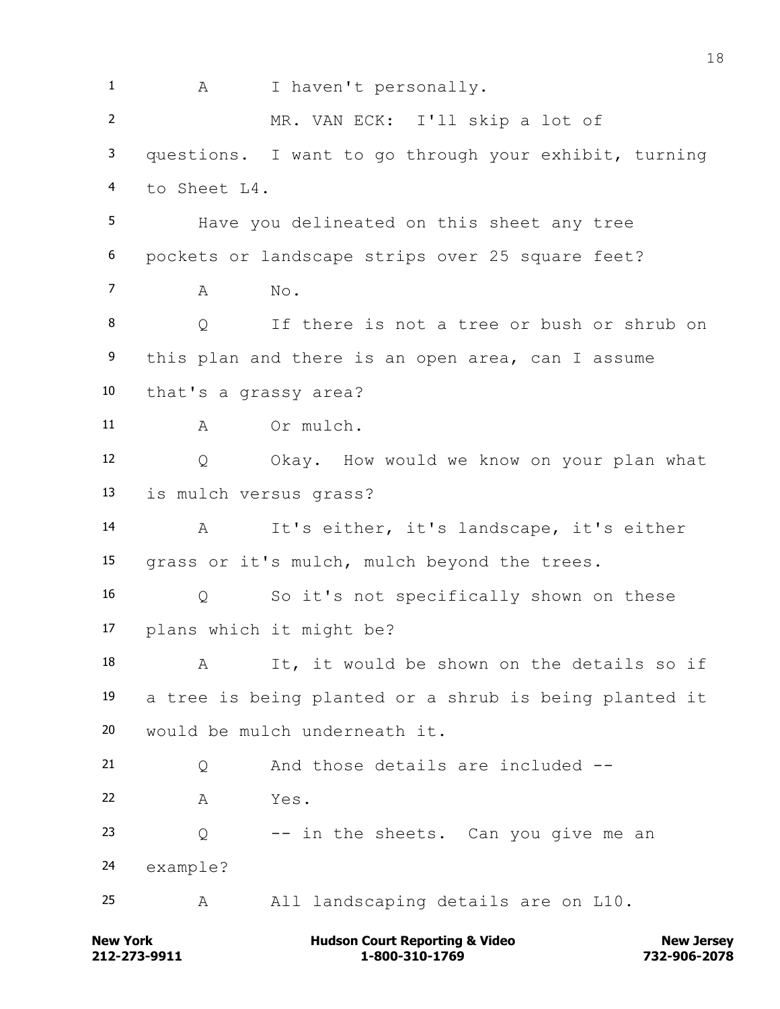1 A I haven't personally. MR. VAN ECK: I'll skip a lot of questions. I want to go through your exhibit, turning to Sheet L4. Have you delineated on this sheet any tree pockets or landscape strips over 25 square feet?  $7 \qquad A \qquad No.$  Q If there is not a tree or bush or shrub on this plan and there is an open area, can I assume that's a grassy area? 11 A Or mulch. Q Okay. How would we know on your plan what is mulch versus grass? A It's either, it's landscape, it's either grass or it's mulch, mulch beyond the trees. Q So it's not specifically shown on these plans which it might be? 18 A It, it would be shown on the details so if a tree is being planted or a shrub is being planted it would be mulch underneath it. 21 O And those details are included -- A Yes. Q  $-$  in the sheets. Can you give me an example? A All landscaping details are on L10.

**212-273-9911 1-800-310-1769 732-906-2078 New York Communist Court Reporting & Video New Jersey Rew Jersey**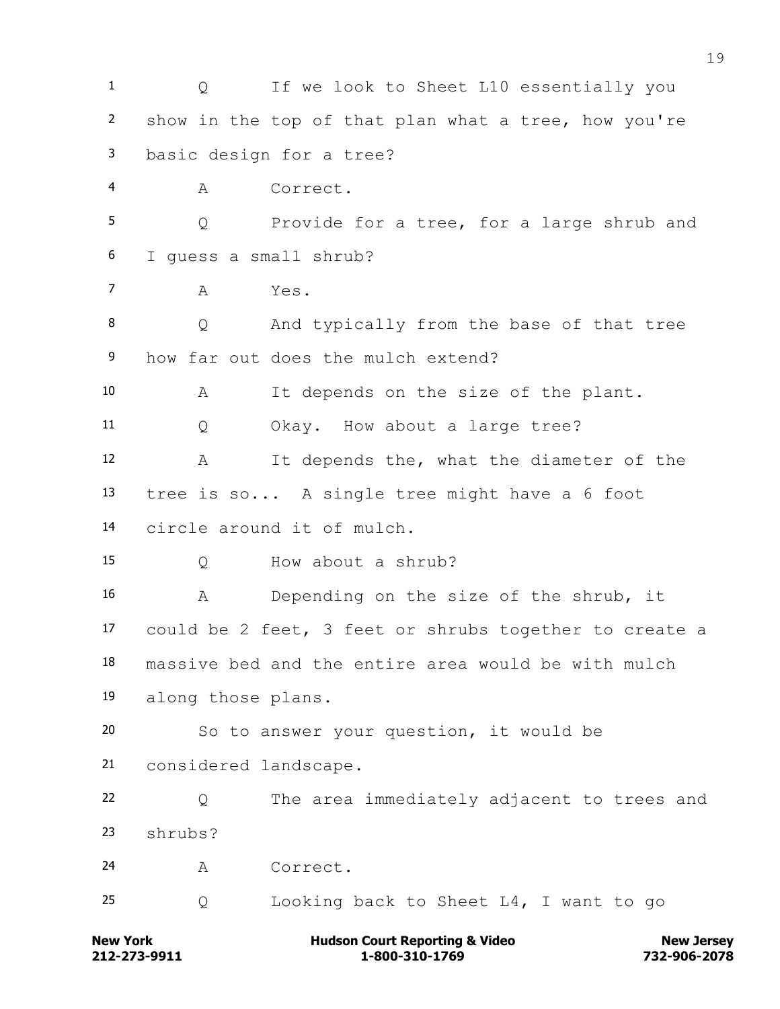1 Q If we look to Sheet L10 essentially you show in the top of that plan what a tree, how you're basic design for a tree? A Correct. Q Provide for a tree, for a large shrub and I guess a small shrub? A Yes. Q And typically from the base of that tree how far out does the mulch extend? A It depends on the size of the plant. Q Okay. How about a large tree? A It depends the, what the diameter of the tree is so... A single tree might have a 6 foot circle around it of mulch. Q How about a shrub? A Depending on the size of the shrub, it could be 2 feet, 3 feet or shrubs together to create a massive bed and the entire area would be with mulch along those plans. So to answer your question, it would be considered landscape. Q The area immediately adjacent to trees and shrubs? A Correct. Q Looking back to Sheet L4, I want to go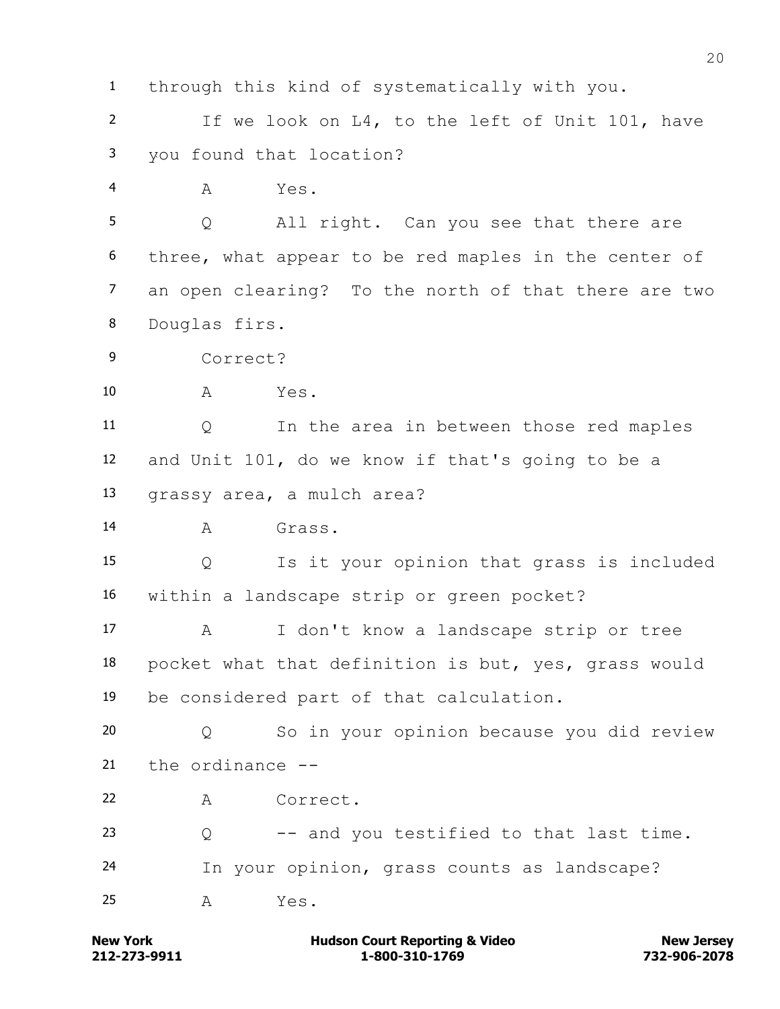through this kind of systematically with you. If we look on L4, to the left of Unit 101, have you found that location? A Yes. Q All right. Can you see that there are three, what appear to be red maples in the center of an open clearing? To the north of that there are two Douglas firs. Correct? A Yes. Q In the area in between those red maples and Unit 101, do we know if that's going to be a grassy area, a mulch area? A Grass. Q Is it your opinion that grass is included within a landscape strip or green pocket? A I don't know a landscape strip or tree pocket what that definition is but, yes, grass would be considered part of that calculation. Q So in your opinion because you did review the ordinance -- A Correct. Q -- and you testified to that last time. In your opinion, grass counts as landscape? A Yes.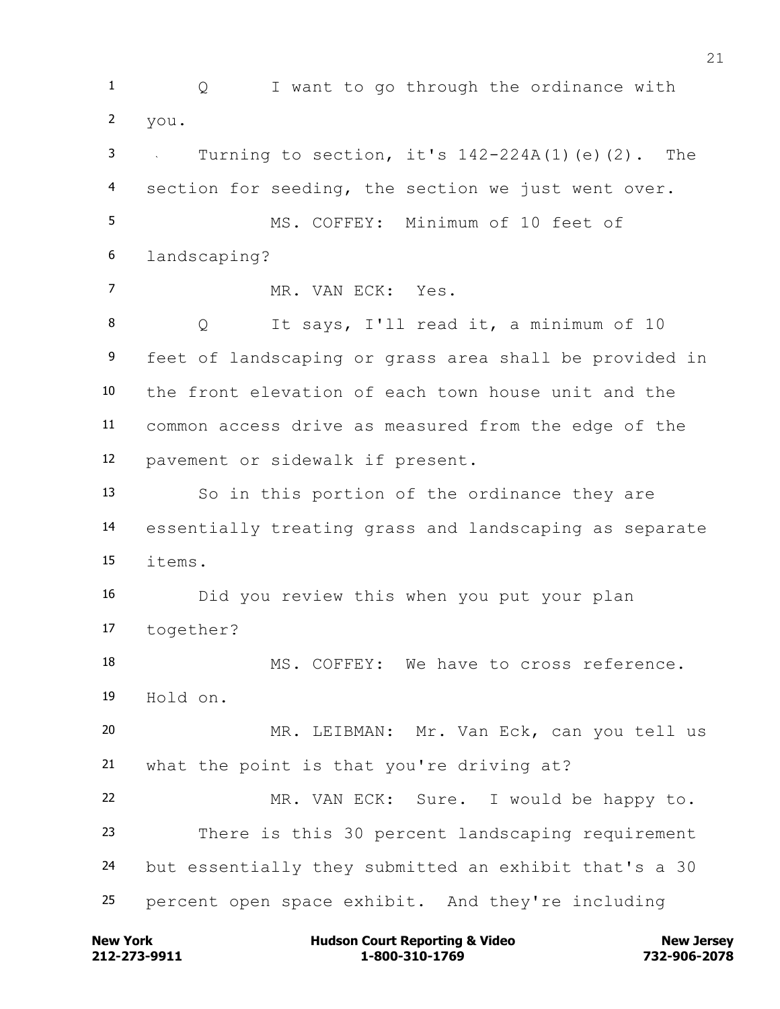1 Q I want to go through the ordinance with you. Turning to section, it's 142-224A(1)(e)(2). The section for seeding, the section we just went over. MS. COFFEY: Minimum of 10 feet of landscaping? MR. VAN ECK: Yes. Q It says, I'll read it, a minimum of 10 feet of landscaping or grass area shall be provided in the front elevation of each town house unit and the common access drive as measured from the edge of the pavement or sidewalk if present. So in this portion of the ordinance they are essentially treating grass and landscaping as separate items. Did you review this when you put your plan together? 18 MS. COFFEY: We have to cross reference. Hold on. MR. LEIBMAN: Mr. Van Eck, can you tell us what the point is that you're driving at? MR. VAN ECK: Sure. I would be happy to. There is this 30 percent landscaping requirement but essentially they submitted an exhibit that's a 30 percent open space exhibit. And they're including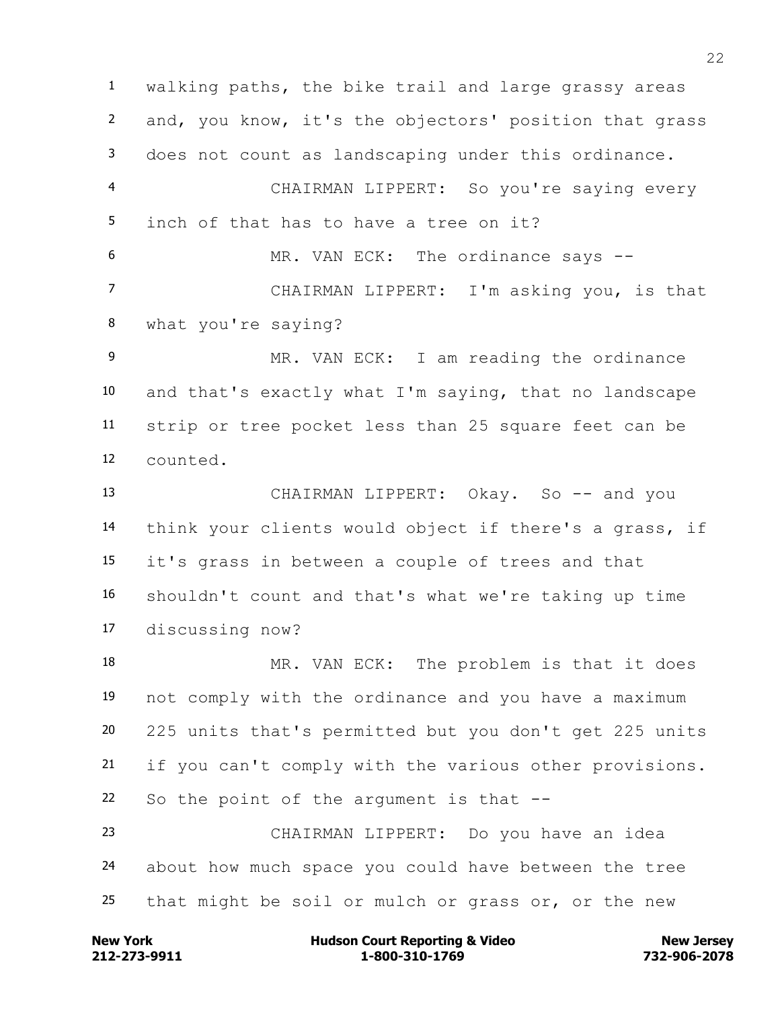walking paths, the bike trail and large grassy areas and, you know, it's the objectors' position that grass does not count as landscaping under this ordinance. CHAIRMAN LIPPERT: So you're saying every inch of that has to have a tree on it? 6 MR. VAN ECK: The ordinance says -- CHAIRMAN LIPPERT: I'm asking you, is that what you're saying? MR. VAN ECK: I am reading the ordinance and that's exactly what I'm saying, that no landscape strip or tree pocket less than 25 square feet can be counted. 13 CHAIRMAN LIPPERT: Okay. So -- and you think your clients would object if there's a grass, if it's grass in between a couple of trees and that shouldn't count and that's what we're taking up time discussing now? 18 MR. VAN ECK: The problem is that it does not comply with the ordinance and you have a maximum 225 units that's permitted but you don't get 225 units if you can't comply with the various other provisions. So the point of the argument is that -- CHAIRMAN LIPPERT: Do you have an idea about how much space you could have between the tree that might be soil or mulch or grass or, or the new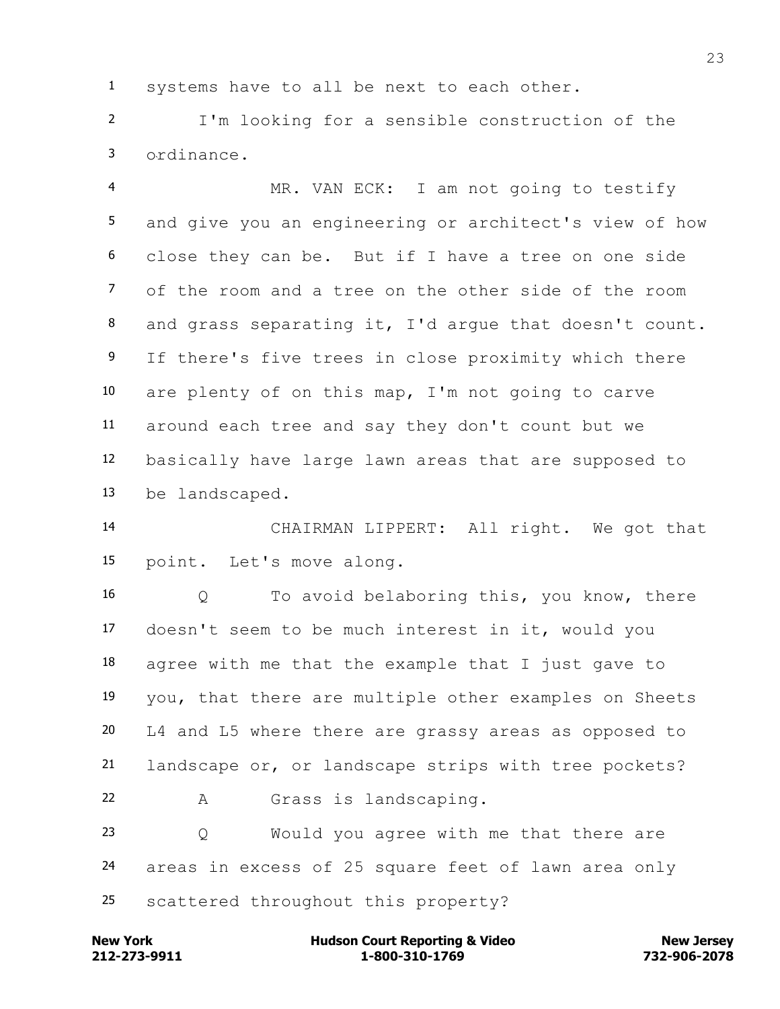systems have to all be next to each other.

 I'm looking for a sensible construction of the ordinance.

 MR. VAN ECK: I am not going to testify and give you an engineering or architect's view of how close they can be. But if I have a tree on one side of the room and a tree on the other side of the room and grass separating it, I'd argue that doesn't count. 9 If there's five trees in close proximity which there are plenty of on this map, I'm not going to carve around each tree and say they don't count but we basically have large lawn areas that are supposed to be landscaped.

 CHAIRMAN LIPPERT: All right. We got that point. Let's move along.

 Q To avoid belaboring this, you know, there doesn't seem to be much interest in it, would you agree with me that the example that I just gave to you, that there are multiple other examples on Sheets L4 and L5 where there are grassy areas as opposed to landscape or, or landscape strips with tree pockets? A Grass is landscaping. Q Would you agree with me that there are areas in excess of 25 square feet of lawn area only

scattered throughout this property?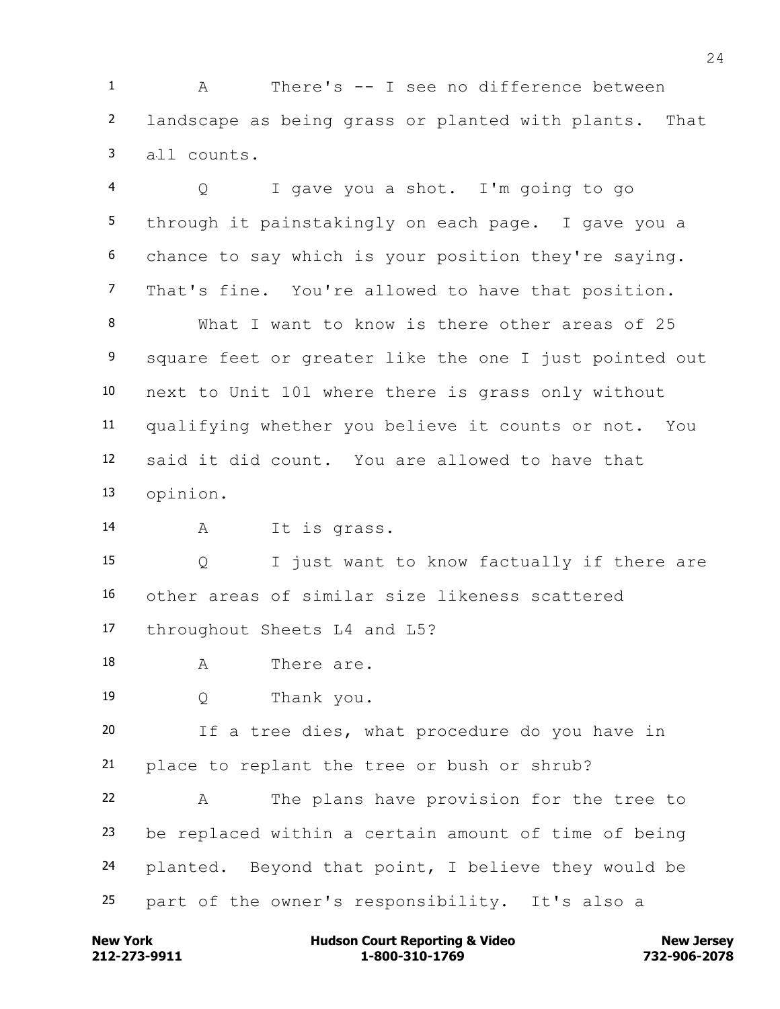A There's -- I see no difference between landscape as being grass or planted with plants. That all counts.

 Q I gave you a shot. I'm going to go through it painstakingly on each page. I gave you a chance to say which is your position they're saying. That's fine. You're allowed to have that position. What I want to know is there other areas of 25 9 square feet or greater like the one I just pointed out next to Unit 101 where there is grass only without

 qualifying whether you believe it counts or not. You said it did count. You are allowed to have that opinion.

A It is grass.

 Q I just want to know factually if there are other areas of similar size likeness scattered throughout Sheets L4 and L5?

- 18 A There are.
- Q Thank you.

 If a tree dies, what procedure do you have in place to replant the tree or bush or shrub?

 A The plans have provision for the tree to be replaced within a certain amount of time of being planted. Beyond that point, I believe they would be part of the owner's responsibility. It's also a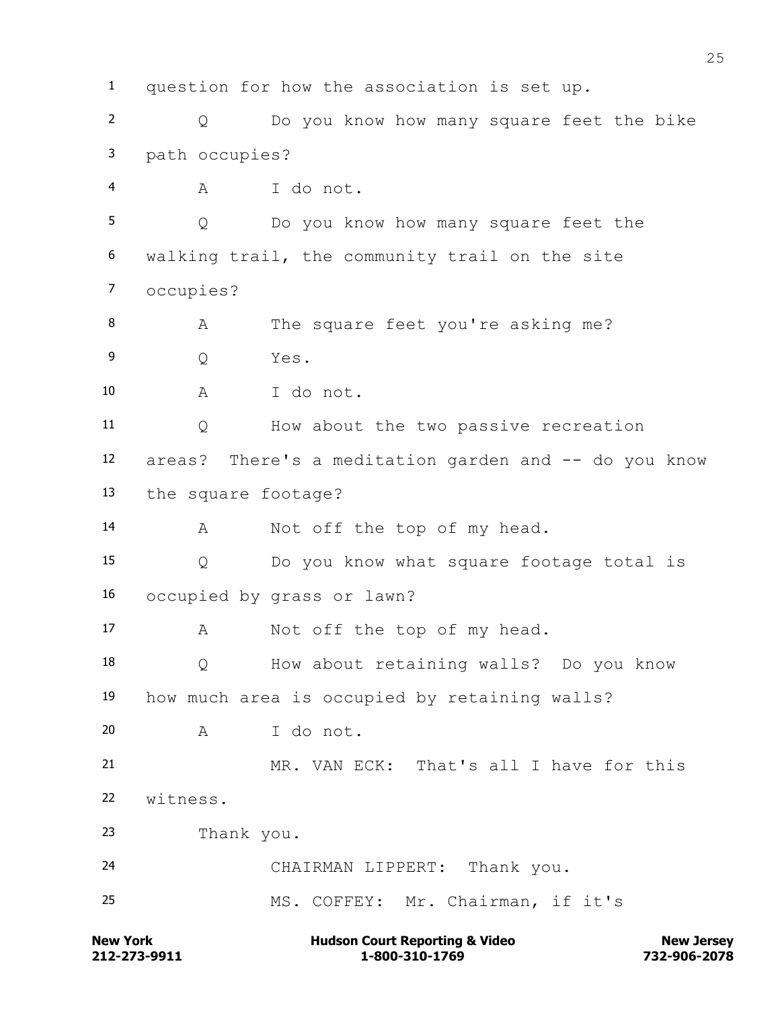question for how the association is set up. Q Do you know how many square feet the bike path occupies? A I do not. Q Do you know how many square feet the walking trail, the community trail on the site occupies? 8 A The square feet you're asking me? Q Yes. A I do not. Q How about the two passive recreation areas? There's a meditation garden and -- do you know the square footage? 14 A Not off the top of my head. Q Do you know what square footage total is occupied by grass or lawn? 17 A Not off the top of my head. Q How about retaining walls? Do you know how much area is occupied by retaining walls? A I do not. MR. VAN ECK: That's all I have for this witness. Thank you. CHAIRMAN LIPPERT: Thank you. MS. COFFEY: Mr. Chairman, if it's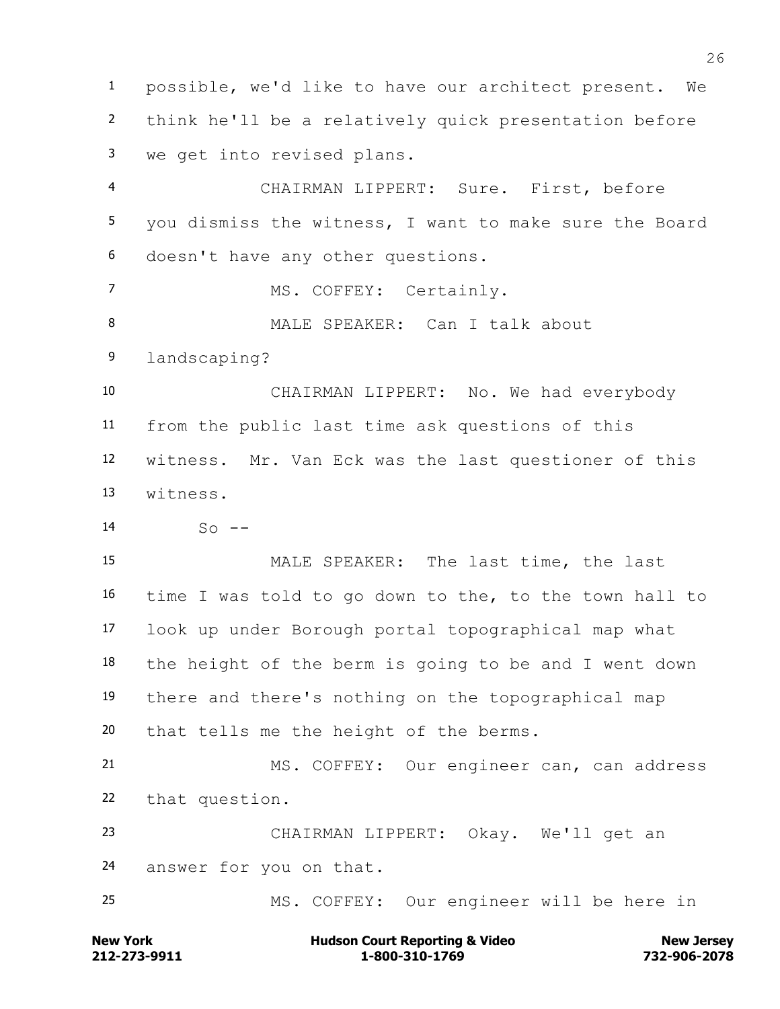possible, we'd like to have our architect present. We think he'll be a relatively quick presentation before we get into revised plans. CHAIRMAN LIPPERT: Sure. First, before you dismiss the witness, I want to make sure the Board doesn't have any other questions. 7 MS. COFFEY: Certainly. 8 MALE SPEAKER: Can I talk about landscaping? CHAIRMAN LIPPERT: No. We had everybody from the public last time ask questions of this witness. Mr. Van Eck was the last questioner of this witness.  $14 \qquad \qquad$  So  $-$  MALE SPEAKER: The last time, the last time I was told to go down to the, to the town hall to look up under Borough portal topographical map what the height of the berm is going to be and I went down there and there's nothing on the topographical map that tells me the height of the berms. MS. COFFEY: Our engineer can, can address that question. CHAIRMAN LIPPERT: Okay. We'll get an answer for you on that. MS. COFFEY: Our engineer will be here in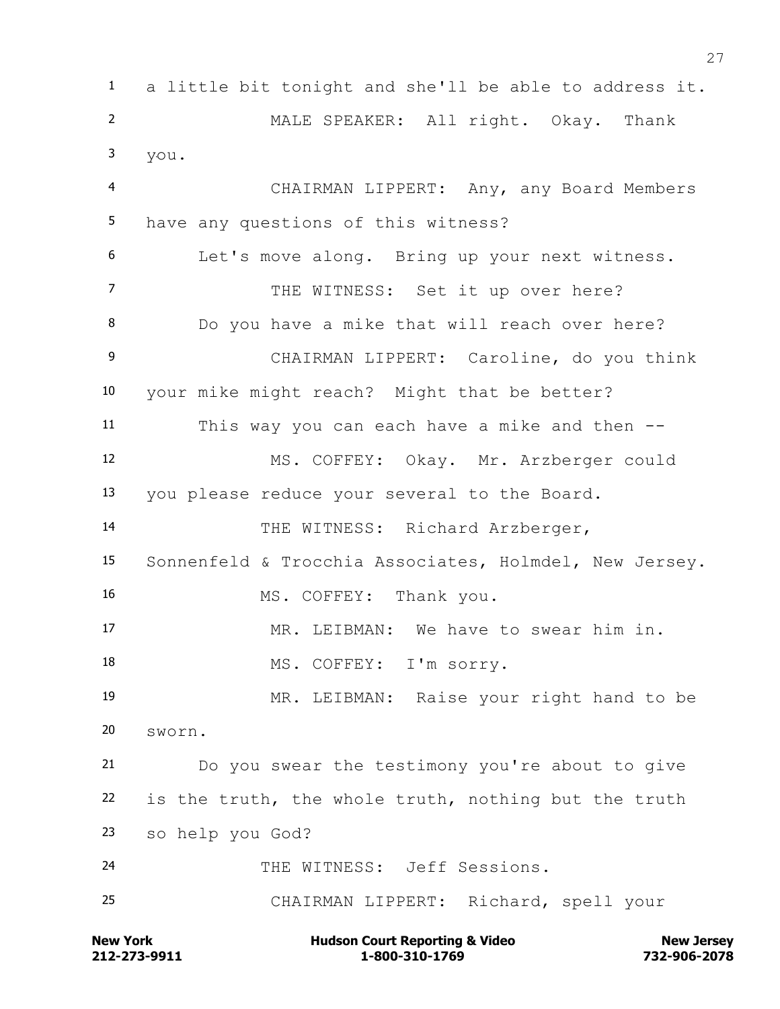**New York Communist Court Reporting & Video New Jersey Rew Jersey**  a little bit tonight and she'll be able to address it. MALE SPEAKER: All right. Okay. Thank you. CHAIRMAN LIPPERT: Any, any Board Members have any questions of this witness? Let's move along. Bring up your next witness. 7 THE WITNESS: Set it up over here? Do you have a mike that will reach over here? CHAIRMAN LIPPERT: Caroline, do you think your mike might reach? Might that be better? This way you can each have a mike and then -- MS. COFFEY: Okay. Mr. Arzberger could you please reduce your several to the Board. THE WITNESS: Richard Arzberger, Sonnenfeld & Trocchia Associates, Holmdel, New Jersey. MS. COFFEY: Thank you. MR. LEIBMAN: We have to swear him in. 18 MS. COFFEY: I'm sorry. MR. LEIBMAN: Raise your right hand to be sworn. Do you swear the testimony you're about to give is the truth, the whole truth, nothing but the truth so help you God? THE WITNESS: Jeff Sessions. CHAIRMAN LIPPERT: Richard, spell your

**212-273-9911 1-800-310-1769 732-906-2078**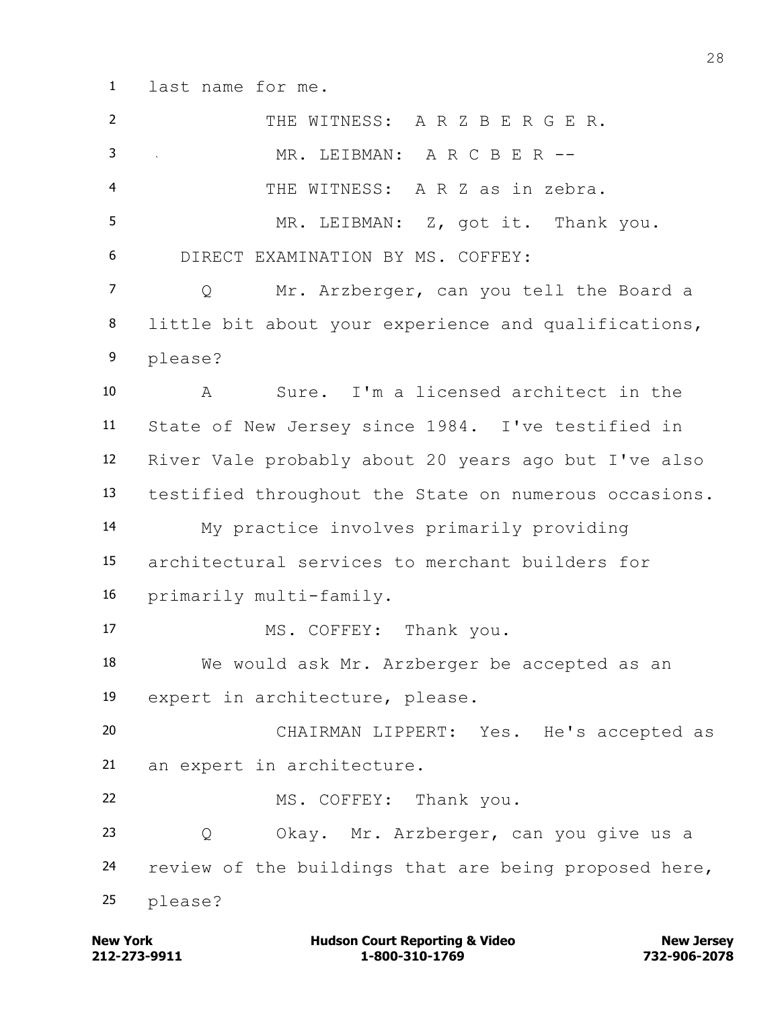last name for me.

| $\overline{2}$ | THE WITNESS: A R Z B E R G E R.                       |
|----------------|-------------------------------------------------------|
| 3              | MR. LEIBMAN: A R C B E R --                           |
| 4              | THE WITNESS: A R Z as in zebra.                       |
| 5              | MR. LEIBMAN: Z, got it. Thank you.                    |
| 6              | DIRECT EXAMINATION BY MS. COFFEY:                     |
| $\overline{7}$ | Mr. Arzberger, can you tell the Board a<br>Q          |
| 8              | little bit about your experience and qualifications,  |
| 9              | please?                                               |
| 10             | Sure. I'm a licensed architect in the<br>A            |
| 11             | State of New Jersey since 1984. I've testified in     |
| 12             | River Vale probably about 20 years ago but I've also  |
| 13             | testified throughout the State on numerous occasions. |
| 14             | My practice involves primarily providing              |
| 15             | architectural services to merchant builders for       |
| 16             | primarily multi-family.                               |
| 17             | MS. COFFEY: Thank you.                                |
| 18             | We would ask Mr. Arzberger be accepted as an          |
| 19             | expert in architecture, please.                       |
| 20             | CHAIRMAN LIPPERT: Yes. He's accepted as               |
| 21             | an expert in architecture.                            |
| 22             | MS. COFFEY: Thank you.                                |
| 23             | Okay. Mr. Arzberger, can you give us a<br>Q           |
| 24             | review of the buildings that are being proposed here, |
| 25             | please?                                               |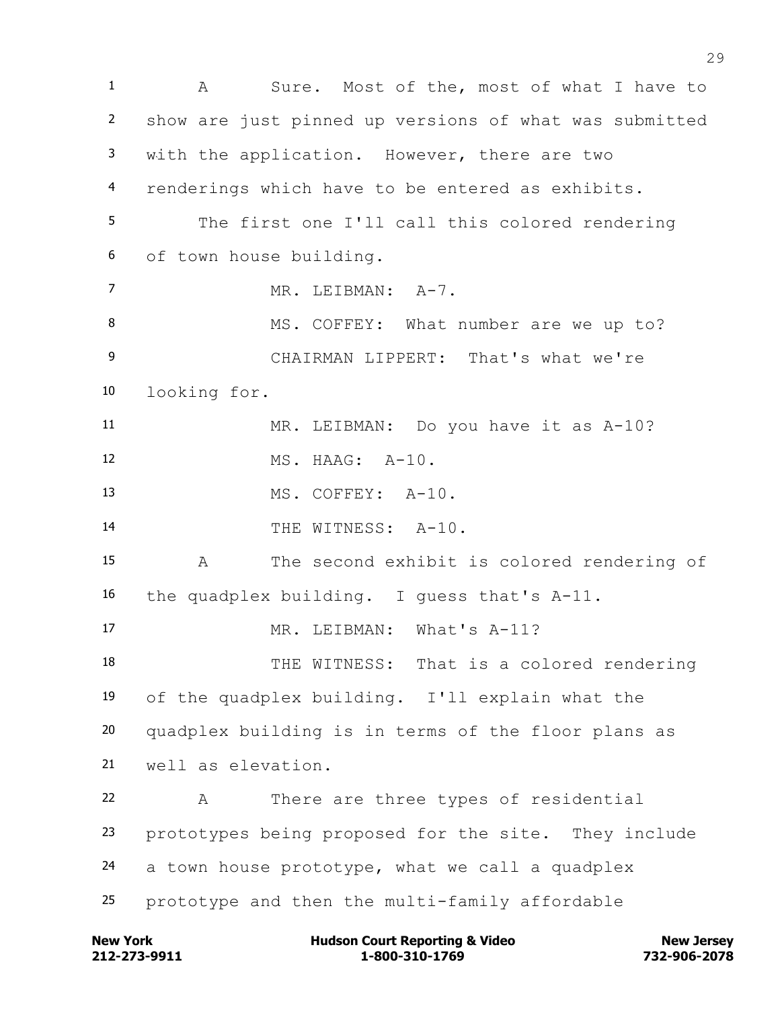A Sure. Most of the, most of what I have to show are just pinned up versions of what was submitted with the application. However, there are two renderings which have to be entered as exhibits. The first one I'll call this colored rendering of town house building. 7 MR. LEIBMAN: A-7. 8 MS. COFFEY: What number are we up to? CHAIRMAN LIPPERT: That's what we're looking for. MR. LEIBMAN: Do you have it as A-10? MS. HAAG: A-10. MS. COFFEY: A-10. THE WITNESS: A-10. A The second exhibit is colored rendering of the quadplex building. I guess that's A-11. 17 MR. LEIBMAN: What's A-11? THE WITNESS: That is a colored rendering of the quadplex building. I'll explain what the quadplex building is in terms of the floor plans as well as elevation. A There are three types of residential prototypes being proposed for the site. They include a town house prototype, what we call a quadplex prototype and then the multi-family affordable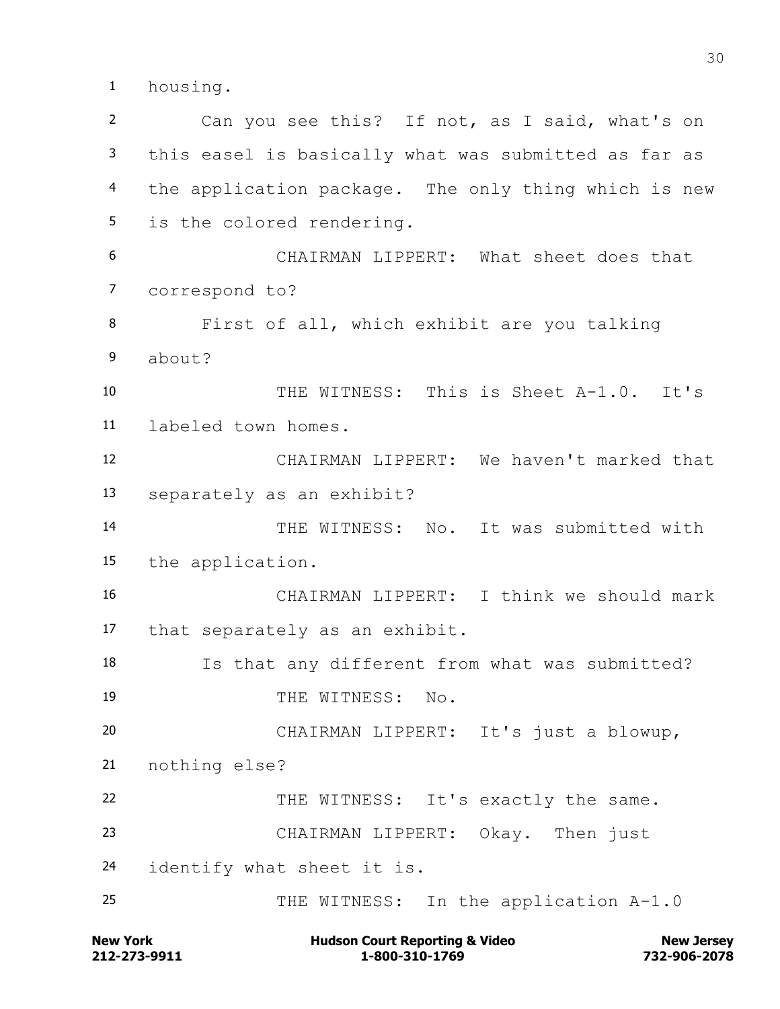housing.

 Can you see this? If not, as I said, what's on this easel is basically what was submitted as far as the application package. The only thing which is new is the colored rendering. CHAIRMAN LIPPERT: What sheet does that correspond to? First of all, which exhibit are you talking about? THE WITNESS: This is Sheet A-1.0. It's labeled town homes. CHAIRMAN LIPPERT: We haven't marked that separately as an exhibit? THE WITNESS: No. It was submitted with the application. CHAIRMAN LIPPERT: I think we should mark that separately as an exhibit. Is that any different from what was submitted? 19 THE WITNESS: No. CHAIRMAN LIPPERT: It's just a blowup, nothing else? 22 THE WITNESS: It's exactly the same. CHAIRMAN LIPPERT: Okay. Then just identify what sheet it is. 25 THE WITNESS: In the application A-1.0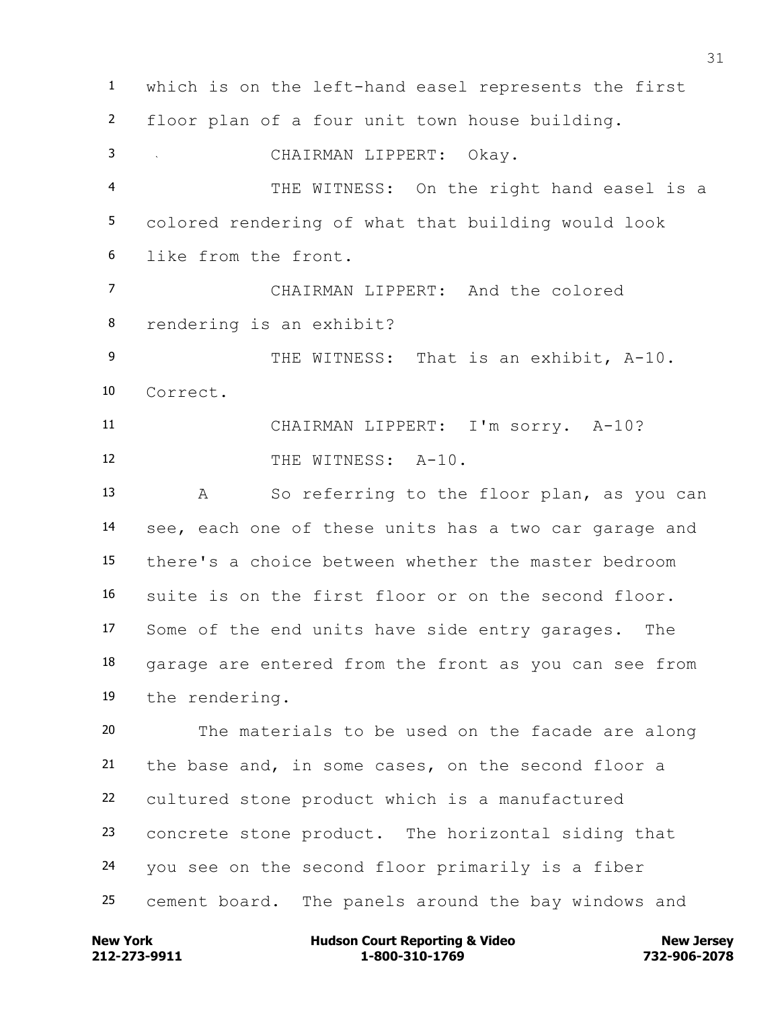which is on the left-hand easel represents the first floor plan of a four unit town house building. CHAIRMAN LIPPERT: Okay. THE WITNESS: On the right hand easel is a colored rendering of what that building would look like from the front. CHAIRMAN LIPPERT: And the colored rendering is an exhibit? 9 THE WITNESS: That is an exhibit, A-10. Correct. CHAIRMAN LIPPERT: I'm sorry. A-10? 12 THE WITNESS: A-10. A So referring to the floor plan, as you can see, each one of these units has a two car garage and there's a choice between whether the master bedroom suite is on the first floor or on the second floor. Some of the end units have side entry garages. The garage are entered from the front as you can see from the rendering. The materials to be used on the facade are along the base and, in some cases, on the second floor a cultured stone product which is a manufactured concrete stone product. The horizontal siding that you see on the second floor primarily is a fiber cement board. The panels around the bay windows and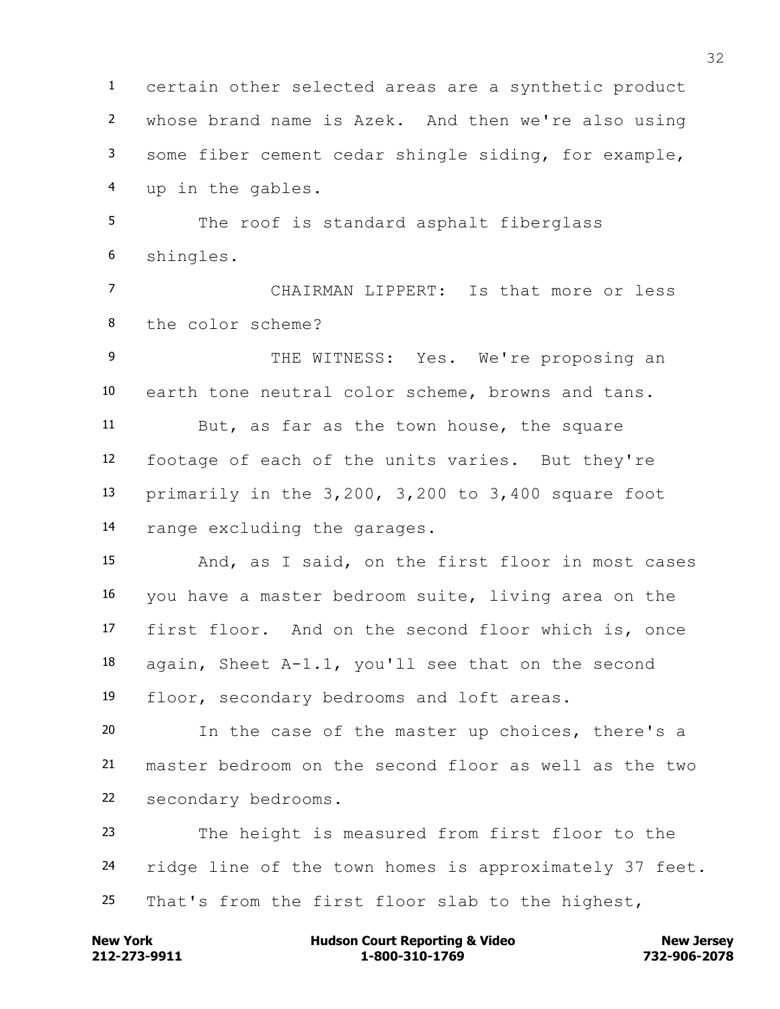certain other selected areas are a synthetic product whose brand name is Azek. And then we're also using some fiber cement cedar shingle siding, for example, up in the gables. The roof is standard asphalt fiberglass shingles. CHAIRMAN LIPPERT: Is that more or less the color scheme? 9 THE WITNESS: Yes. We're proposing an earth tone neutral color scheme, browns and tans. But, as far as the town house, the square footage of each of the units varies. But they're primarily in the 3,200, 3,200 to 3,400 square foot range excluding the garages. And, as I said, on the first floor in most cases you have a master bedroom suite, living area on the first floor. And on the second floor which is, once again, Sheet A-1.1, you'll see that on the second floor, secondary bedrooms and loft areas. In the case of the master up choices, there's a master bedroom on the second floor as well as the two secondary bedrooms. The height is measured from first floor to the ridge line of the town homes is approximately 37 feet. That's from the first floor slab to the highest,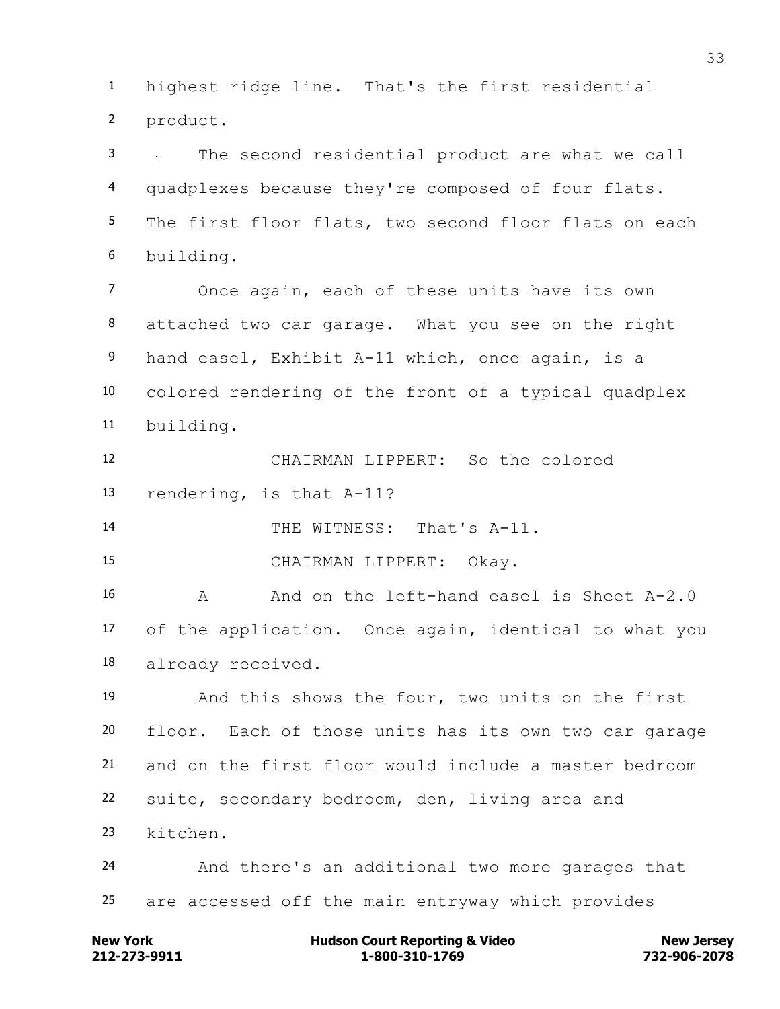highest ridge line. That's the first residential product.

 The second residential product are what we call quadplexes because they're composed of four flats. 5 The first floor flats, two second floor flats on each building.

 Once again, each of these units have its own attached two car garage. What you see on the right hand easel, Exhibit A-11 which, once again, is a colored rendering of the front of a typical quadplex building.

 CHAIRMAN LIPPERT: So the colored rendering, is that A-11?

THE WITNESS: That's A-11.

CHAIRMAN LIPPERT: Okay.

 A And on the left-hand easel is Sheet A-2.0 of the application. Once again, identical to what you already received.

 And this shows the four, two units on the first floor. Each of those units has its own two car garage and on the first floor would include a master bedroom suite, secondary bedroom, den, living area and kitchen.

 And there's an additional two more garages that are accessed off the main entryway which provides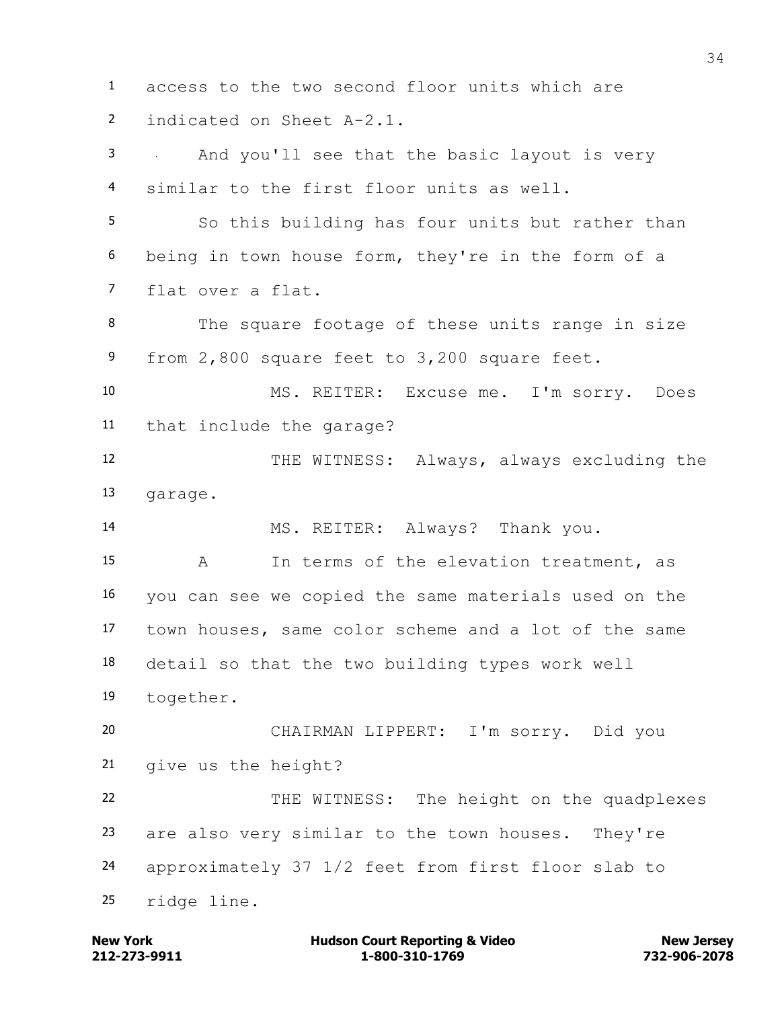access to the two second floor units which are indicated on Sheet A-2.1. And you'll see that the basic layout is very similar to the first floor units as well. So this building has four units but rather than being in town house form, they're in the form of a flat over a flat. The square footage of these units range in size from 2,800 square feet to 3,200 square feet. MS. REITER: Excuse me. I'm sorry. Does that include the garage? 12 THE WITNESS: Always, always excluding the garage. MS. REITER: Always? Thank you. A In terms of the elevation treatment, as you can see we copied the same materials used on the town houses, same color scheme and a lot of the same detail so that the two building types work well together. CHAIRMAN LIPPERT: I'm sorry. Did you give us the height? 22 THE WITNESS: The height on the quadplexes are also very similar to the town houses. They're approximately 37 1/2 feet from first floor slab to ridge line.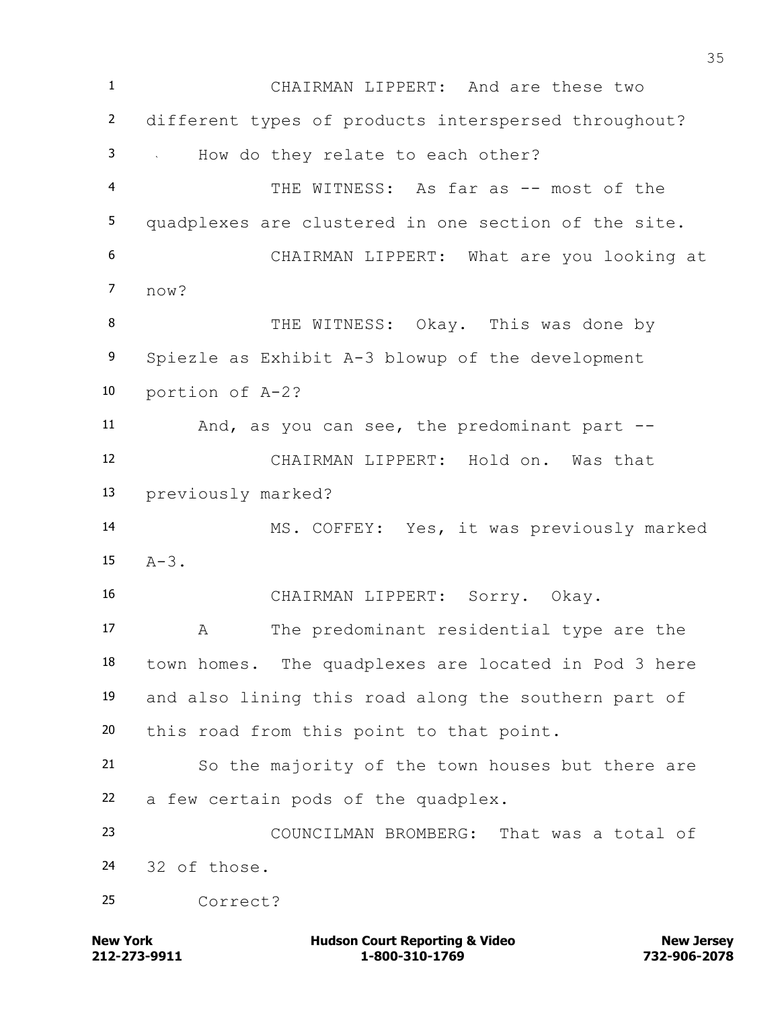CHAIRMAN LIPPERT: And are these two different types of products interspersed throughout? How do they relate to each other? 4 THE WITNESS: As far as -- most of the quadplexes are clustered in one section of the site. CHAIRMAN LIPPERT: What are you looking at now? 8 THE WITNESS: Okay. This was done by Spiezle as Exhibit A-3 blowup of the development portion of A-2? And, as you can see, the predominant part -- CHAIRMAN LIPPERT: Hold on. Was that previously marked? MS. COFFEY: Yes, it was previously marked  $15 \tA-3$ . CHAIRMAN LIPPERT: Sorry. Okay. A The predominant residential type are the town homes. The quadplexes are located in Pod 3 here and also lining this road along the southern part of this road from this point to that point. So the majority of the town houses but there are a few certain pods of the quadplex. COUNCILMAN BROMBERG: That was a total of 32 of those. Correct?

**212-273-9911 1-800-310-1769 732-906-2078 New York Communist Court Reporting & Video New Jersey Rew Jersey**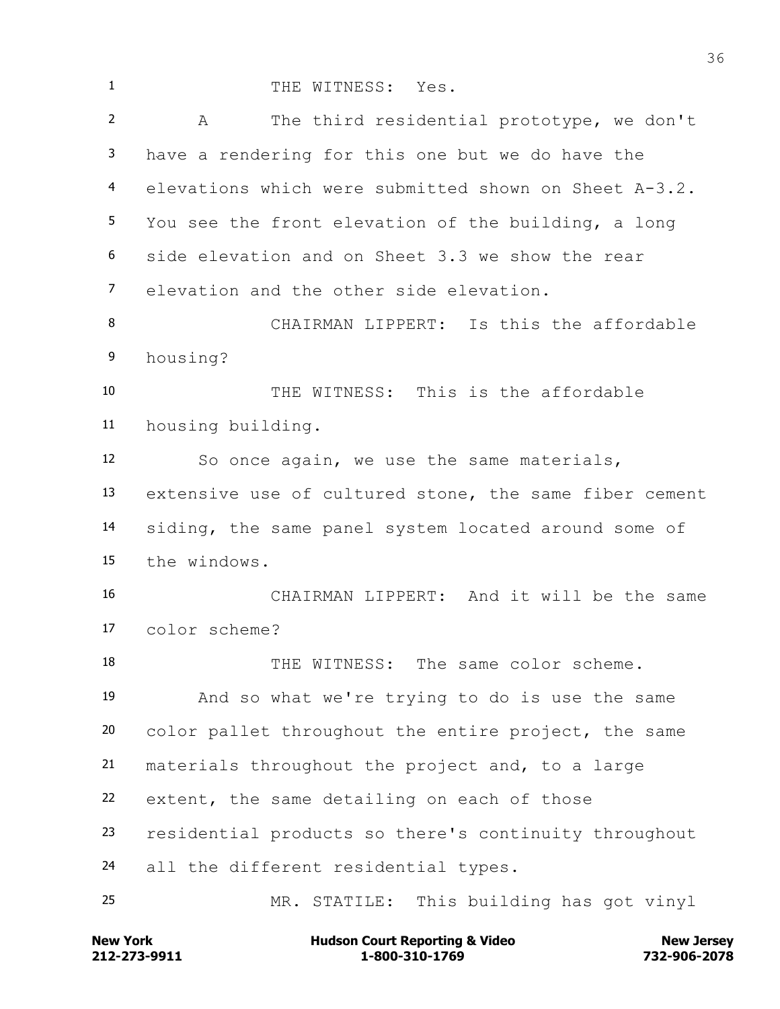1 THE WITNESS: Yes. A The third residential prototype, we don't have a rendering for this one but we do have the elevations which were submitted shown on Sheet A-3.2. You see the front elevation of the building, a long side elevation and on Sheet 3.3 we show the rear elevation and the other side elevation. CHAIRMAN LIPPERT: Is this the affordable housing? THE WITNESS: This is the affordable housing building. So once again, we use the same materials, extensive use of cultured stone, the same fiber cement siding, the same panel system located around some of the windows. CHAIRMAN LIPPERT: And it will be the same color scheme? THE WITNESS: The same color scheme. And so what we're trying to do is use the same color pallet throughout the entire project, the same materials throughout the project and, to a large extent, the same detailing on each of those residential products so there's continuity throughout all the different residential types. MR. STATILE: This building has got vinyl

**212-273-9911 1-800-310-1769 732-906-2078 New York Communist Court Reporting & Video New Jersey Rew Jersey**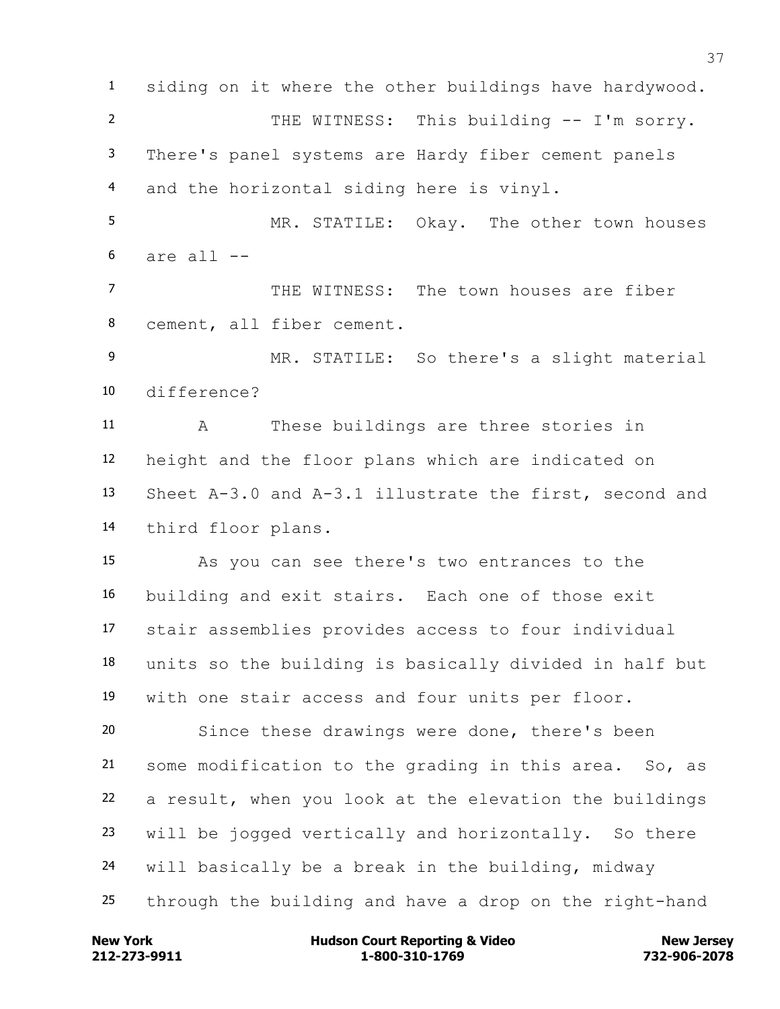siding on it where the other buildings have hardywood. 2 THE WITNESS: This building -- I'm sorry. There's panel systems are Hardy fiber cement panels and the horizontal siding here is vinyl. MR. STATILE: Okay. The other town houses are all  $-$  THE WITNESS: The town houses are fiber cement, all fiber cement. MR. STATILE: So there's a slight material difference? A These buildings are three stories in height and the floor plans which are indicated on Sheet A-3.0 and A-3.1 illustrate the first, second and third floor plans. As you can see there's two entrances to the building and exit stairs. Each one of those exit stair assemblies provides access to four individual units so the building is basically divided in half but with one stair access and four units per floor. Since these drawings were done, there's been some modification to the grading in this area. So, as a result, when you look at the elevation the buildings will be jogged vertically and horizontally. So there will basically be a break in the building, midway through the building and have a drop on the right-hand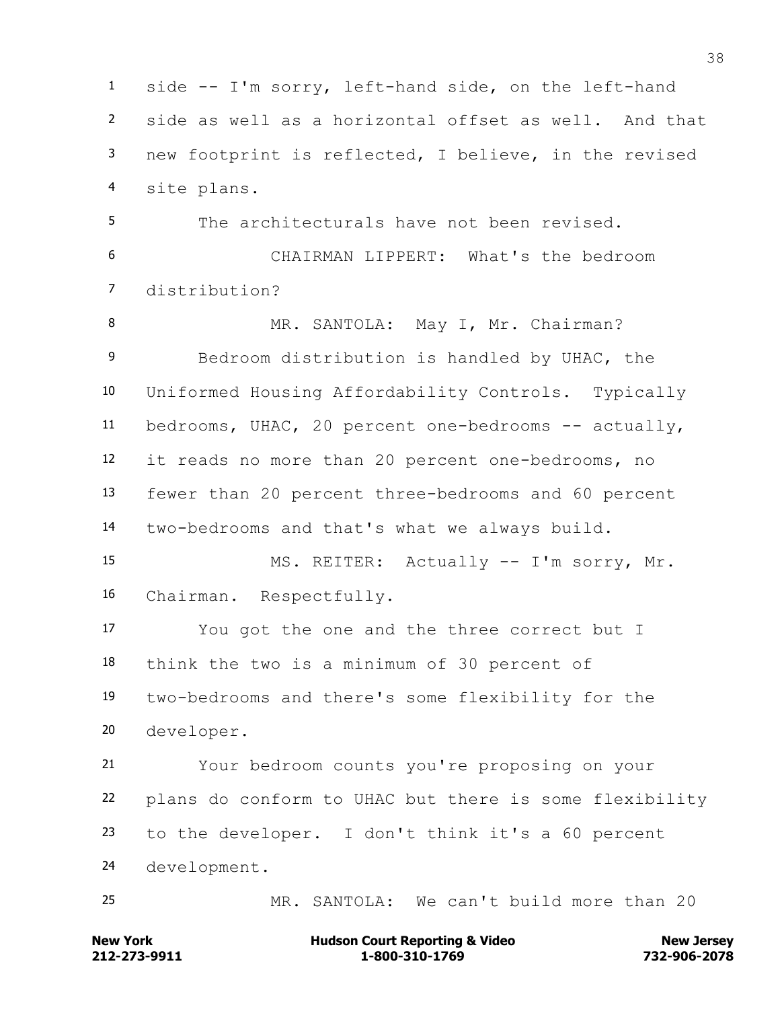side -- I'm sorry, left-hand side, on the left-hand side as well as a horizontal offset as well. And that new footprint is reflected, I believe, in the revised site plans. The architecturals have not been revised. CHAIRMAN LIPPERT: What's the bedroom distribution? 8 MR. SANTOLA: May I, Mr. Chairman? Bedroom distribution is handled by UHAC, the Uniformed Housing Affordability Controls. Typically bedrooms, UHAC, 20 percent one-bedrooms -- actually, it reads no more than 20 percent one-bedrooms, no fewer than 20 percent three-bedrooms and 60 percent two-bedrooms and that's what we always build. MS. REITER: Actually -- I'm sorry, Mr. Chairman. Respectfully. You got the one and the three correct but I think the two is a minimum of 30 percent of two-bedrooms and there's some flexibility for the developer. Your bedroom counts you're proposing on your plans do conform to UHAC but there is some flexibility to the developer. I don't think it's a 60 percent development. MR. SANTOLA: We can't build more than 20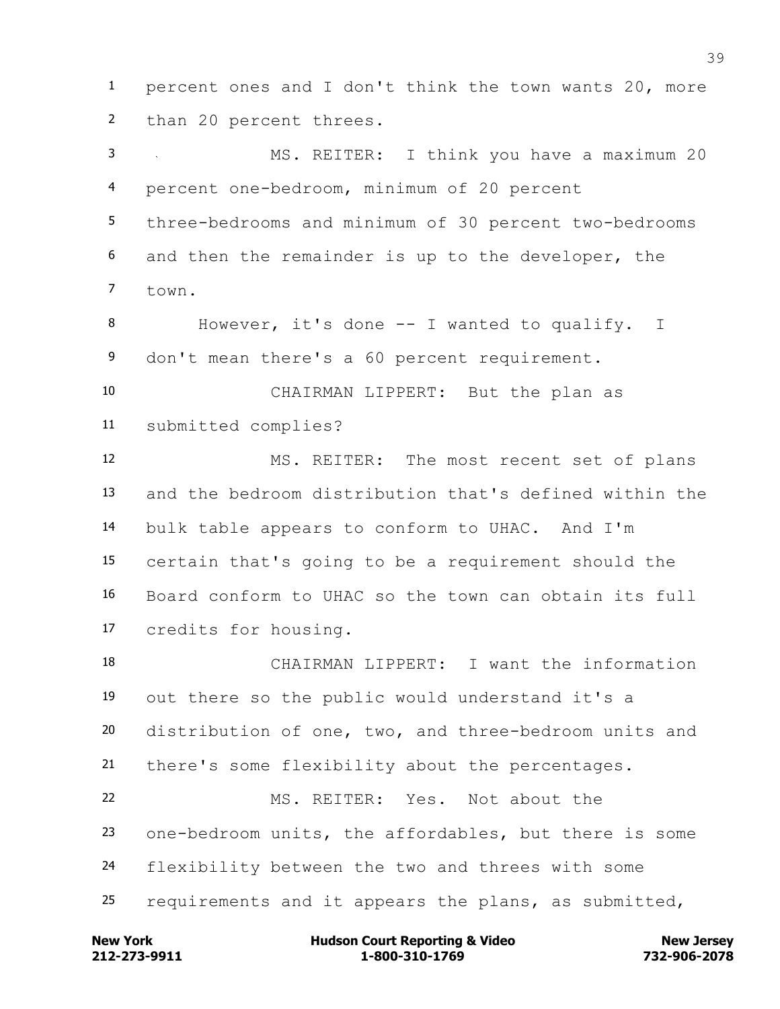percent ones and I don't think the town wants 20, more than 20 percent threes.

 MS. REITER: I think you have a maximum 20 percent one-bedroom, minimum of 20 percent three-bedrooms and minimum of 30 percent two-bedrooms and then the remainder is up to the developer, the  $7 + \alpha$ 

 However, it's done -- I wanted to qualify. I don't mean there's a 60 percent requirement.

 CHAIRMAN LIPPERT: But the plan as submitted complies?

 MS. REITER: The most recent set of plans and the bedroom distribution that's defined within the bulk table appears to conform to UHAC. And I'm certain that's going to be a requirement should the Board conform to UHAC so the town can obtain its full credits for housing.

 CHAIRMAN LIPPERT: I want the information out there so the public would understand it's a distribution of one, two, and three-bedroom units and there's some flexibility about the percentages. MS. REITER: Yes. Not about the one-bedroom units, the affordables, but there is some

flexibility between the two and threes with some

requirements and it appears the plans, as submitted,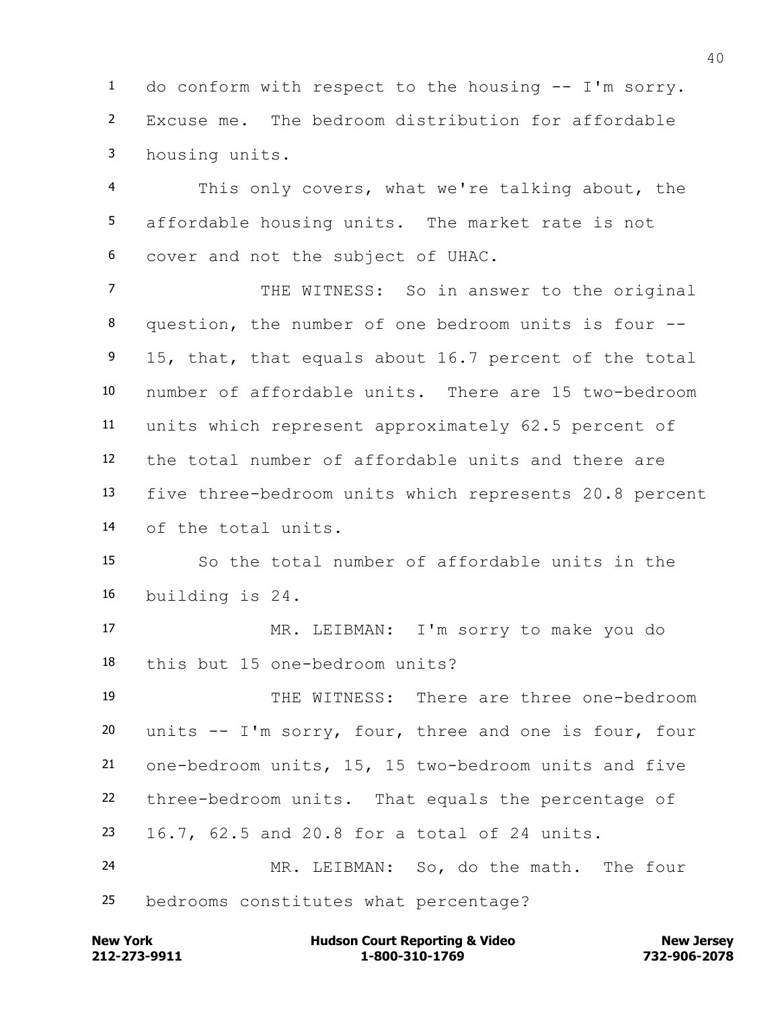do conform with respect to the housing -- I'm sorry. Excuse me. The bedroom distribution for affordable housing units.

 This only covers, what we're talking about, the affordable housing units. The market rate is not cover and not the subject of UHAC.

7 THE WITNESS: So in answer to the original question, the number of one bedroom units is four -- 9 15, that, that equals about 16.7 percent of the total number of affordable units. There are 15 two-bedroom units which represent approximately 62.5 percent of the total number of affordable units and there are five three-bedroom units which represents 20.8 percent of the total units.

 So the total number of affordable units in the building is 24.

 MR. LEIBMAN: I'm sorry to make you do this but 15 one-bedroom units?

 THE WITNESS: There are three one-bedroom units -- I'm sorry, four, three and one is four, four one-bedroom units, 15, 15 two-bedroom units and five three-bedroom units. That equals the percentage of 16.7, 62.5 and 20.8 for a total of 24 units. MR. LEIBMAN: So, do the math. The four

bedrooms constitutes what percentage?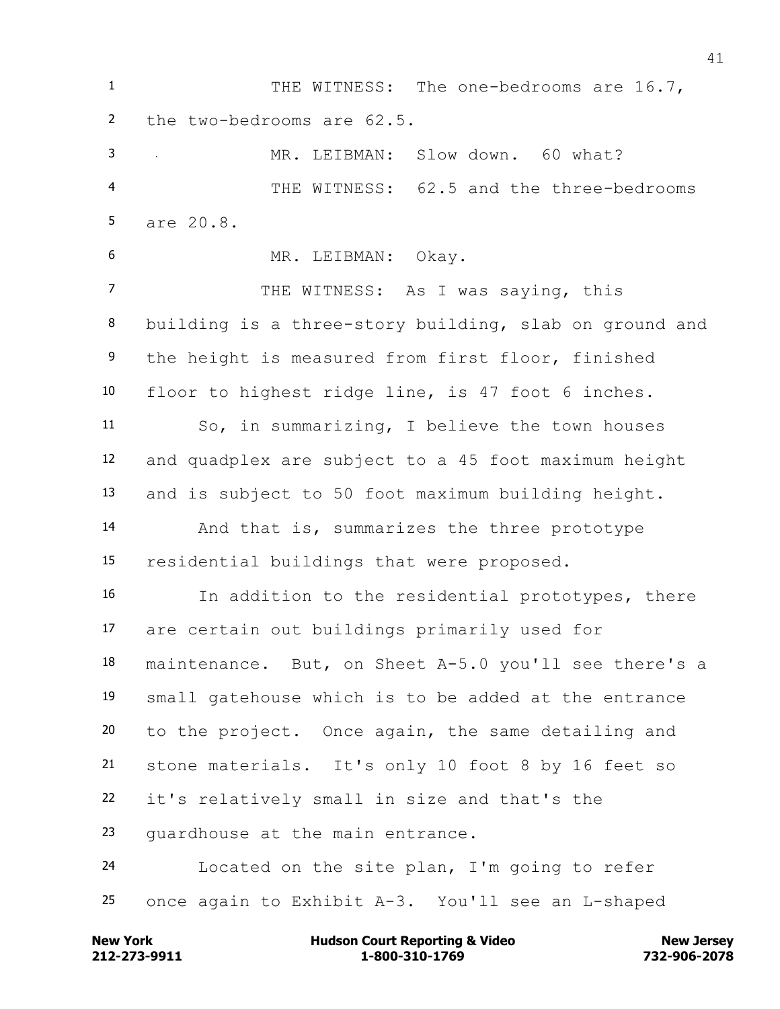THE WITNESS: The one-bedrooms are 16.7, the two-bedrooms are 62.5. MR. LEIBMAN: Slow down. 60 what? THE WITNESS: 62.5 and the three-bedrooms are 20.8. MR. LEIBMAN: Okay. 7 THE WITNESS: As I was saying, this building is a three-story building, slab on ground and the height is measured from first floor, finished floor to highest ridge line, is 47 foot 6 inches. So, in summarizing, I believe the town houses and quadplex are subject to a 45 foot maximum height and is subject to 50 foot maximum building height. And that is, summarizes the three prototype residential buildings that were proposed. In addition to the residential prototypes, there are certain out buildings primarily used for maintenance. But, on Sheet A-5.0 you'll see there's a small gatehouse which is to be added at the entrance to the project. Once again, the same detailing and stone materials. It's only 10 foot 8 by 16 feet so it's relatively small in size and that's the guardhouse at the main entrance. Located on the site plan, I'm going to refer once again to Exhibit A-3. You'll see an L-shaped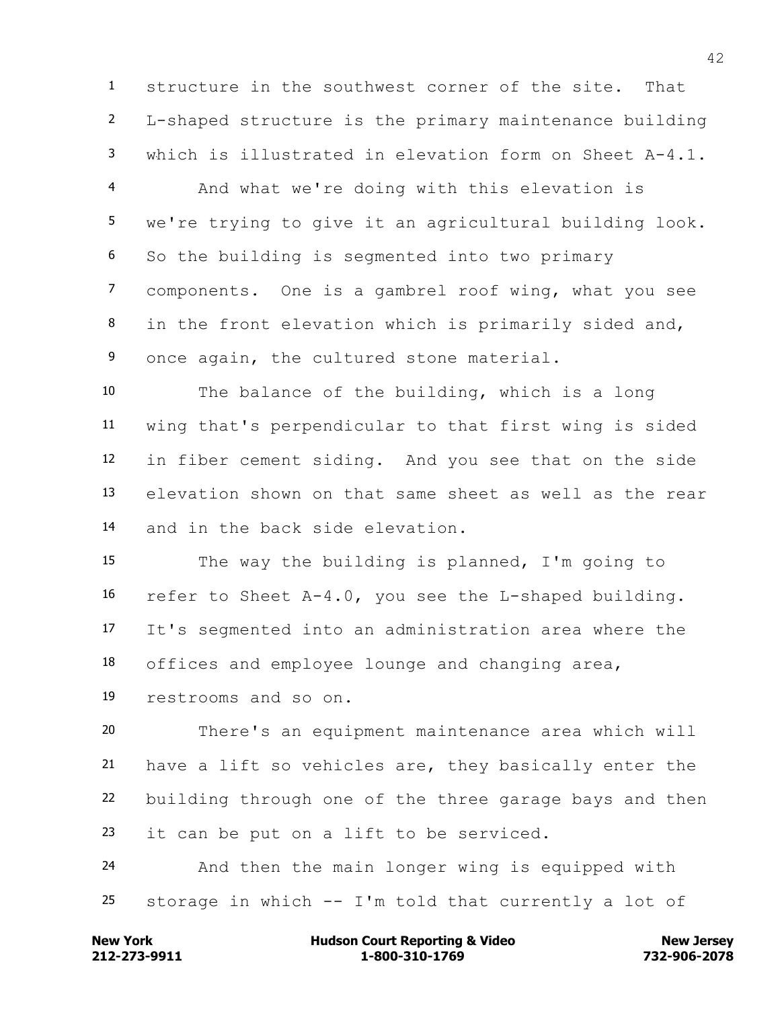structure in the southwest corner of the site. That L-shaped structure is the primary maintenance building which is illustrated in elevation form on Sheet A-4.1.

 And what we're doing with this elevation is we're trying to give it an agricultural building look. So the building is segmented into two primary components. One is a gambrel roof wing, what you see in the front elevation which is primarily sided and, 9 once again, the cultured stone material.

 The balance of the building, which is a long wing that's perpendicular to that first wing is sided in fiber cement siding. And you see that on the side elevation shown on that same sheet as well as the rear and in the back side elevation.

 The way the building is planned, I'm going to refer to Sheet A-4.0, you see the L-shaped building. It's segmented into an administration area where the offices and employee lounge and changing area, restrooms and so on.

 There's an equipment maintenance area which will have a lift so vehicles are, they basically enter the building through one of the three garage bays and then 23 it can be put on a lift to be serviced.

 And then the main longer wing is equipped with 25 storage in which  $--$  I'm told that currently a lot of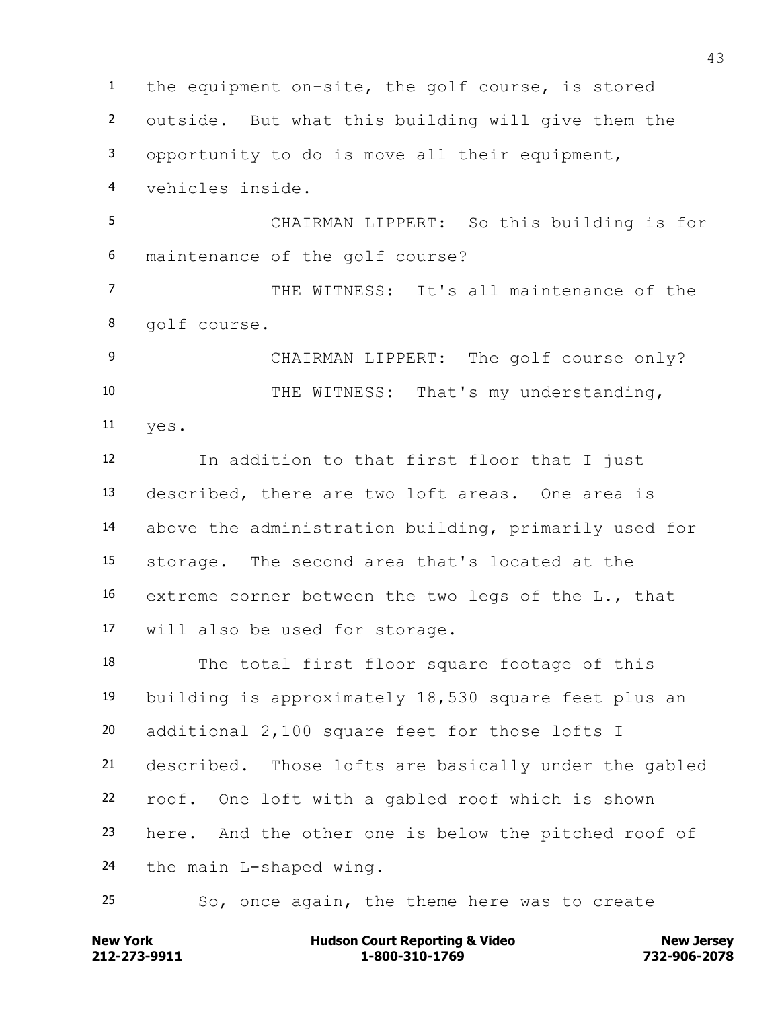the equipment on-site, the golf course, is stored outside. But what this building will give them the opportunity to do is move all their equipment, vehicles inside. CHAIRMAN LIPPERT: So this building is for maintenance of the golf course? THE WITNESS: It's all maintenance of the golf course. CHAIRMAN LIPPERT: The golf course only? THE WITNESS: That's my understanding, yes. In addition to that first floor that I just described, there are two loft areas. One area is above the administration building, primarily used for storage. The second area that's located at the extreme corner between the two legs of the L., that will also be used for storage. The total first floor square footage of this building is approximately 18,530 square feet plus an additional 2,100 square feet for those lofts I described. Those lofts are basically under the gabled roof. One loft with a gabled roof which is shown here. And the other one is below the pitched roof of the main L-shaped wing. So, once again, the theme here was to create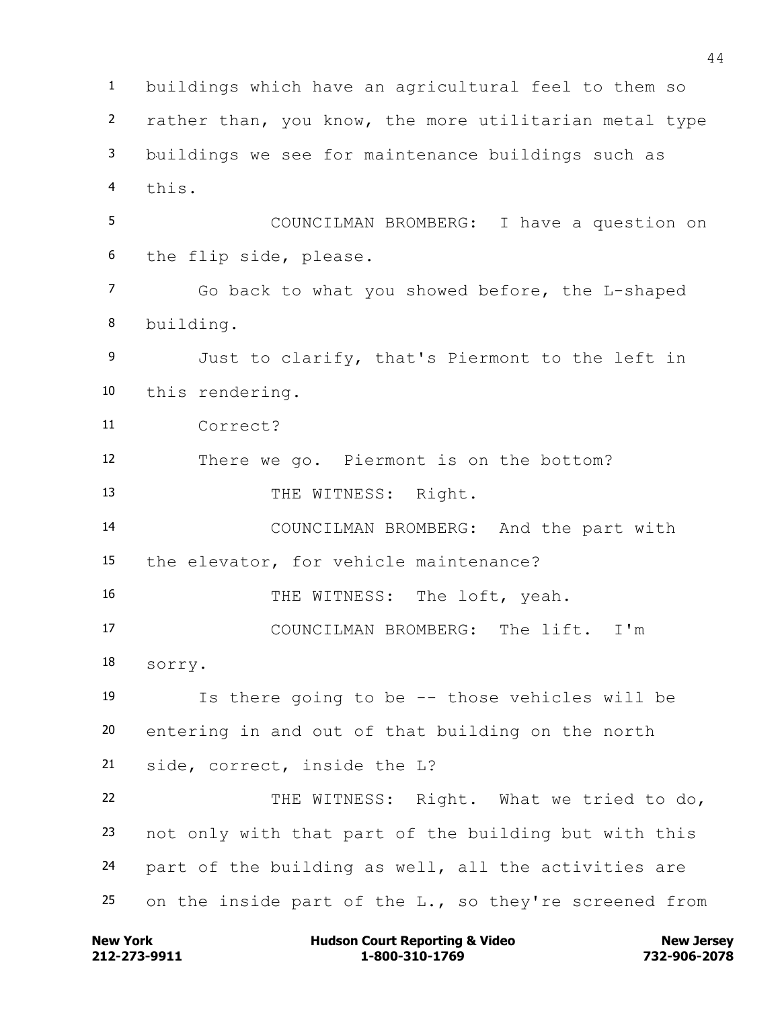buildings which have an agricultural feel to them so rather than, you know, the more utilitarian metal type buildings we see for maintenance buildings such as this. COUNCILMAN BROMBERG: I have a question on the flip side, please. Go back to what you showed before, the L-shaped building. Just to clarify, that's Piermont to the left in this rendering. Correct? There we go. Piermont is on the bottom? 13 THE WITNESS: Right. COUNCILMAN BROMBERG: And the part with the elevator, for vehicle maintenance? 16 THE WITNESS: The loft, yeah. COUNCILMAN BROMBERG: The lift. I'm sorry. Is there going to be -- those vehicles will be entering in and out of that building on the north side, correct, inside the L? THE WITNESS: Right. What we tried to do, not only with that part of the building but with this part of the building as well, all the activities are 25 on the inside part of the  $L_{\bullet}$ , so they're screened from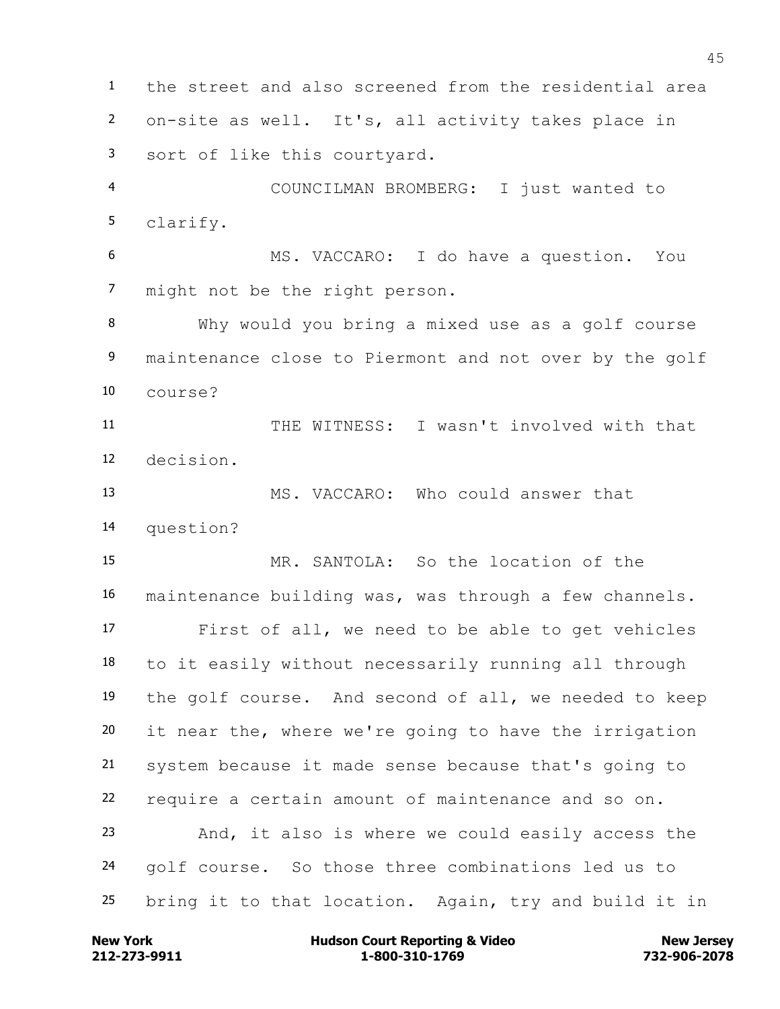the street and also screened from the residential area on-site as well. It's, all activity takes place in sort of like this courtyard. COUNCILMAN BROMBERG: I just wanted to clarify. MS. VACCARO: I do have a question. You might not be the right person. Why would you bring a mixed use as a golf course 9 maintenance close to Piermont and not over by the golf course? THE WITNESS: I wasn't involved with that decision. MS. VACCARO: Who could answer that question? MR. SANTOLA: So the location of the maintenance building was, was through a few channels. First of all, we need to be able to get vehicles to it easily without necessarily running all through the golf course. And second of all, we needed to keep it near the, where we're going to have the irrigation system because it made sense because that's going to require a certain amount of maintenance and so on. And, it also is where we could easily access the golf course. So those three combinations led us to bring it to that location. Again, try and build it in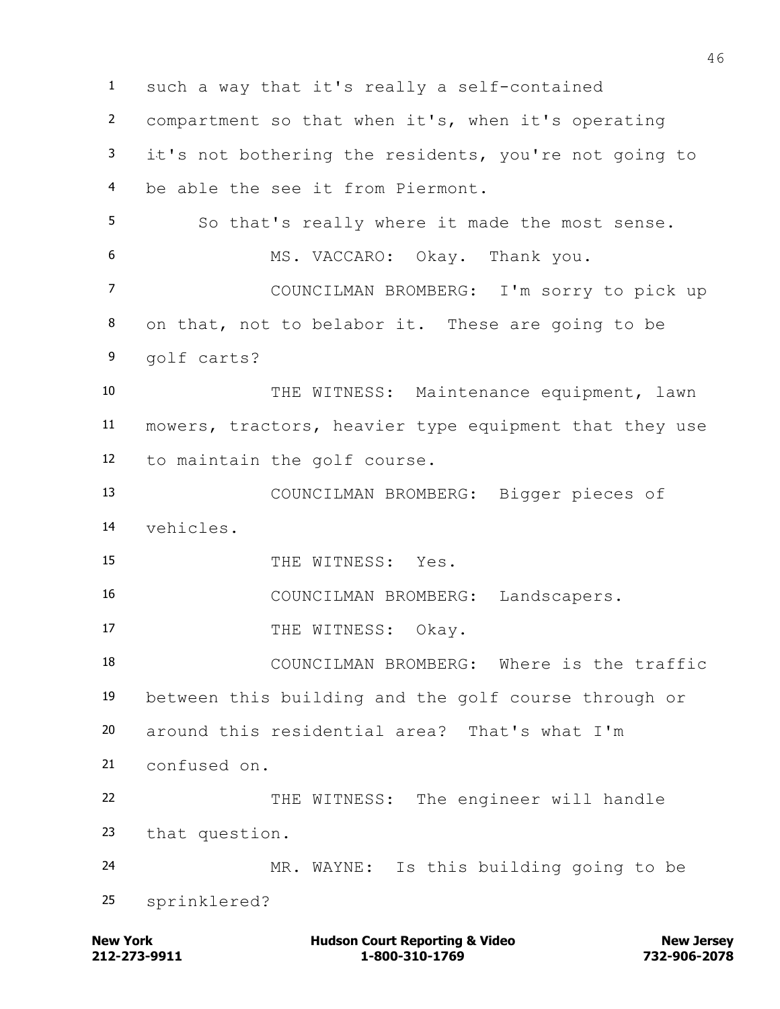such a way that it's really a self-contained compartment so that when it's, when it's operating it's not bothering the residents, you're not going to be able the see it from Piermont. So that's really where it made the most sense. MS. VACCARO: Okay. Thank you. COUNCILMAN BROMBERG: I'm sorry to pick up on that, not to belabor it. These are going to be golf carts? 10 THE WITNESS: Maintenance equipment, lawn mowers, tractors, heavier type equipment that they use to maintain the golf course. COUNCILMAN BROMBERG: Bigger pieces of vehicles. 15 THE WITNESS: Yes. COUNCILMAN BROMBERG: Landscapers. 17 THE WITNESS: Okay. COUNCILMAN BROMBERG: Where is the traffic between this building and the golf course through or around this residential area? That's what I'm confused on. THE WITNESS: The engineer will handle that question. MR. WAYNE: Is this building going to be sprinklered?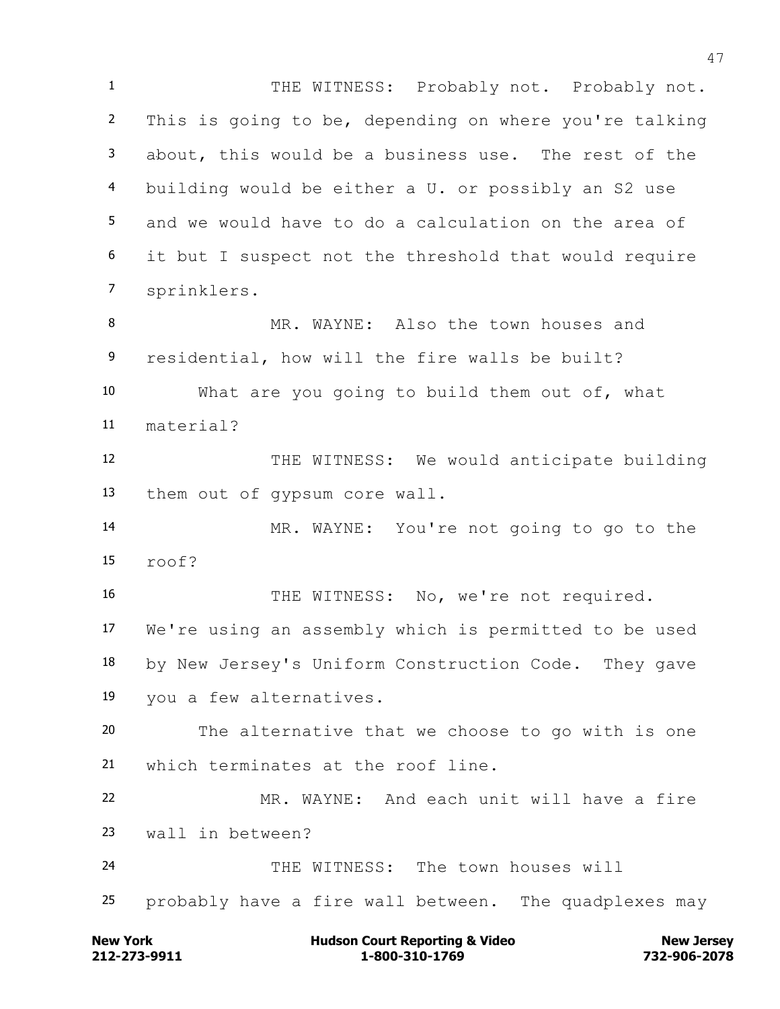1 THE WITNESS: Probably not. Probably not. This is going to be, depending on where you're talking about, this would be a business use. The rest of the building would be either a U. or possibly an S2 use and we would have to do a calculation on the area of it but I suspect not the threshold that would require sprinklers. MR. WAYNE: Also the town houses and residential, how will the fire walls be built? What are you going to build them out of, what material? THE WITNESS: We would anticipate building them out of gypsum core wall. MR. WAYNE: You're not going to go to the roof? 16 THE WITNESS: No, we're not required. We're using an assembly which is permitted to be used by New Jersey's Uniform Construction Code. They gave you a few alternatives. The alternative that we choose to go with is one which terminates at the roof line. MR. WAYNE: And each unit will have a fire wall in between? THE WITNESS: The town houses will probably have a fire wall between. The quadplexes may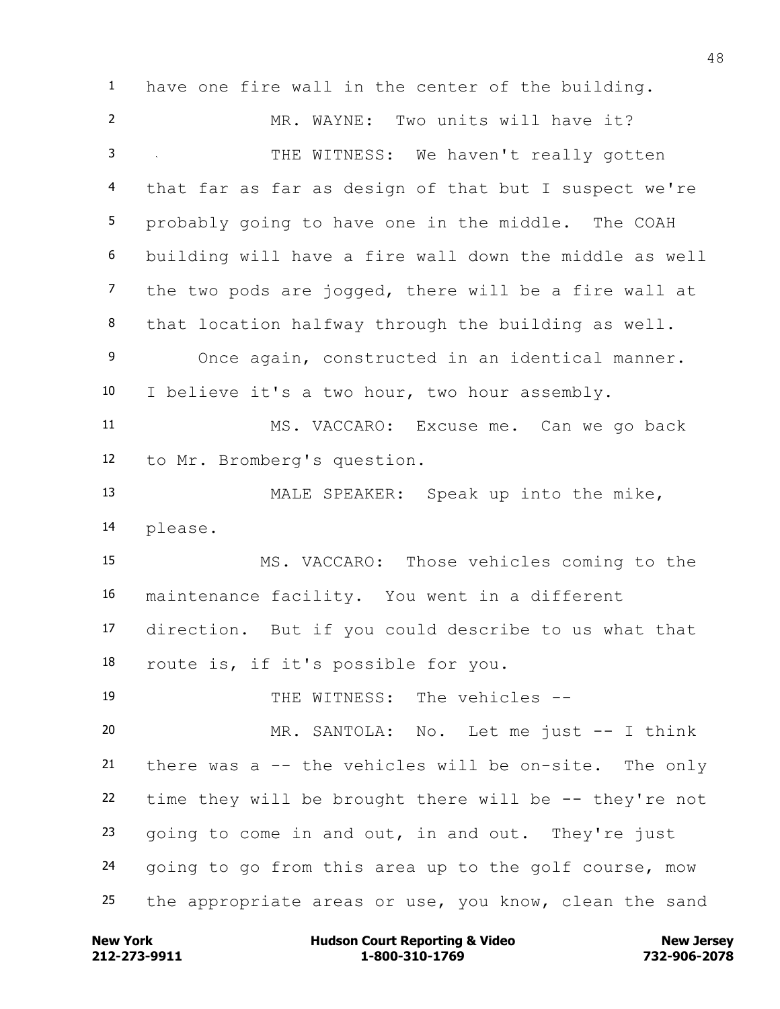have one fire wall in the center of the building. MR. WAYNE: Two units will have it? THE WITNESS: We haven't really gotten that far as far as design of that but I suspect we're probably going to have one in the middle. The COAH building will have a fire wall down the middle as well the two pods are jogged, there will be a fire wall at that location halfway through the building as well. Once again, constructed in an identical manner. I believe it's a two hour, two hour assembly. MS. VACCARO: Excuse me. Can we go back to Mr. Bromberg's question. MALE SPEAKER: Speak up into the mike, please. MS. VACCARO: Those vehicles coming to the maintenance facility. You went in a different direction. But if you could describe to us what that route is, if it's possible for you. THE WITNESS: The vehicles -- MR. SANTOLA: No. Let me just -- I think there was a -- the vehicles will be on-site. The only time they will be brought there will be -- they're not going to come in and out, in and out. They're just going to go from this area up to the golf course, mow the appropriate areas or use, you know, clean the sand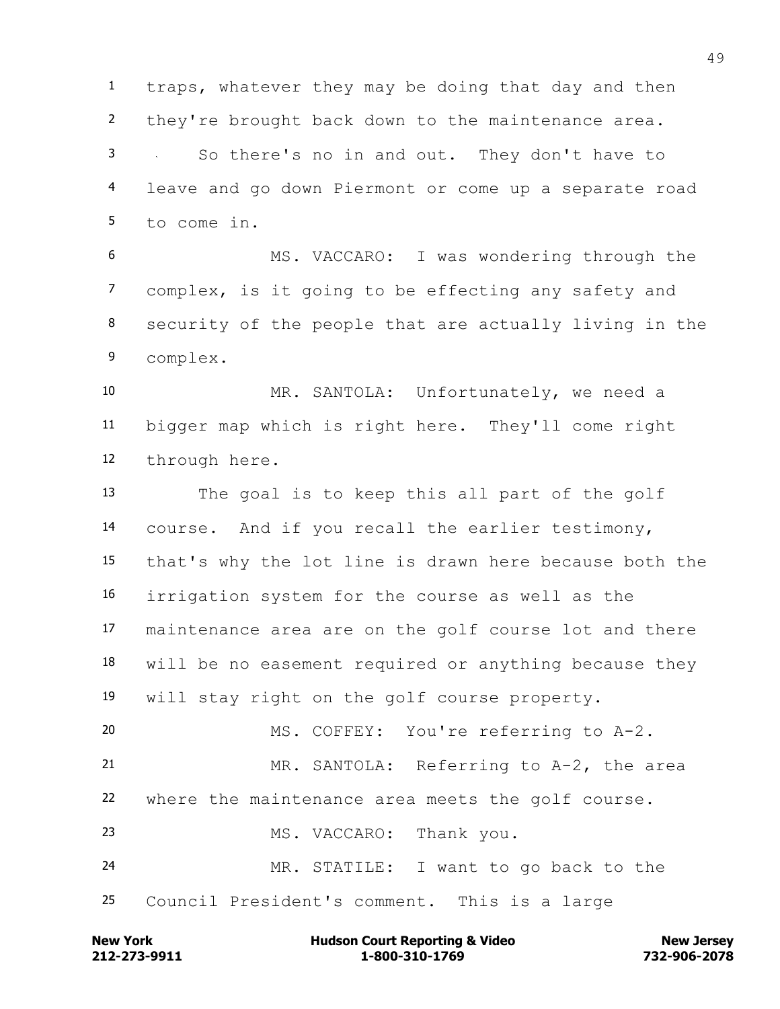traps, whatever they may be doing that day and then they're brought back down to the maintenance area. So there's no in and out. They don't have to leave and go down Piermont or come up a separate road to come in.

 MS. VACCARO: I was wondering through the complex, is it going to be effecting any safety and security of the people that are actually living in the complex.

 MR. SANTOLA: Unfortunately, we need a bigger map which is right here. They'll come right through here.

 The goal is to keep this all part of the golf course. And if you recall the earlier testimony, that's why the lot line is drawn here because both the irrigation system for the course as well as the maintenance area are on the golf course lot and there will be no easement required or anything because they will stay right on the golf course property. MS. COFFEY: You're referring to A-2. MR. SANTOLA: Referring to A-2, the area where the maintenance area meets the golf course. 23 MS. VACCARO: Thank you.

 MR. STATILE: I want to go back to the Council President's comment. This is a large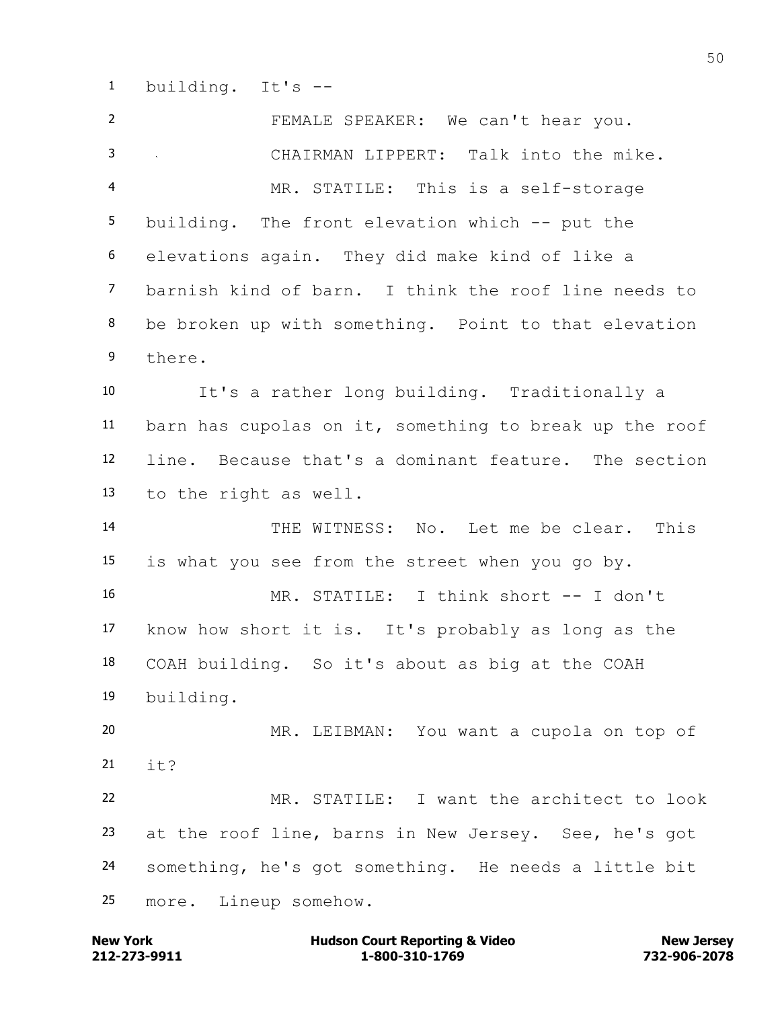building. It's --

 FEMALE SPEAKER: We can't hear you. CHAIRMAN LIPPERT: Talk into the mike. MR. STATILE: This is a self-storage building. The front elevation which -- put the elevations again. They did make kind of like a barnish kind of barn. I think the roof line needs to be broken up with something. Point to that elevation there. It's a rather long building. Traditionally a barn has cupolas on it, something to break up the roof line. Because that's a dominant feature. The section to the right as well. THE WITNESS: No. Let me be clear. This is what you see from the street when you go by. MR. STATILE: I think short -- I don't know how short it is. It's probably as long as the COAH building. So it's about as big at the COAH building. MR. LEIBMAN: You want a cupola on top of 21  $i+2$  MR. STATILE: I want the architect to look at the roof line, barns in New Jersey. See, he's got something, he's got something. He needs a little bit more. Lineup somehow.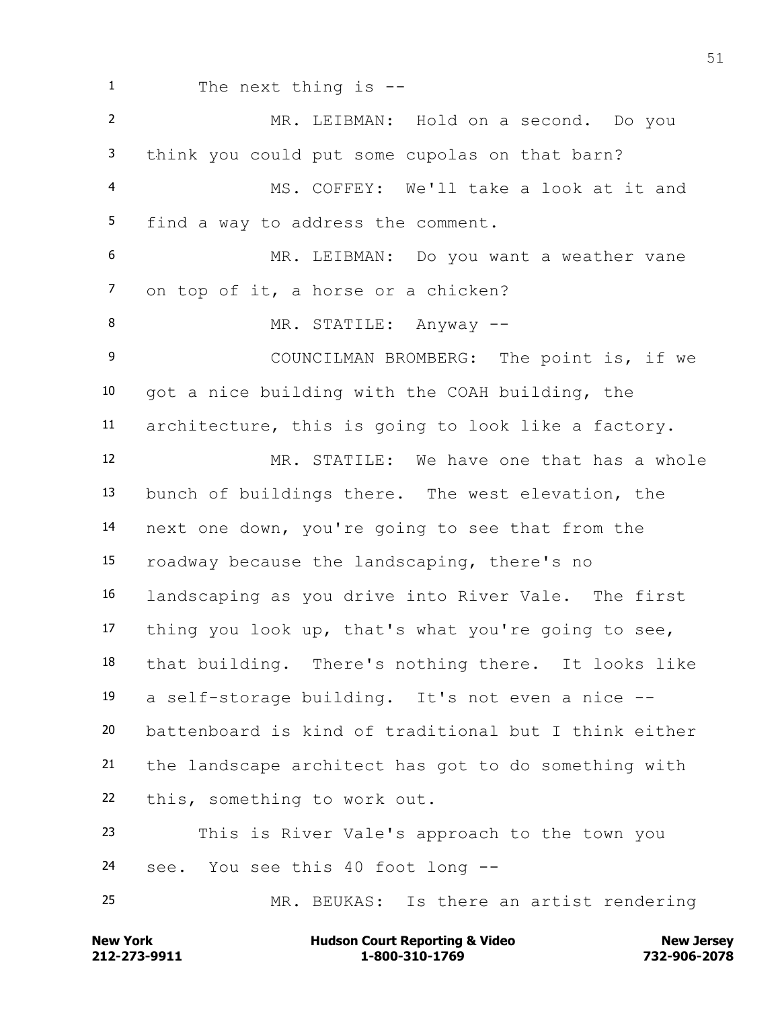The next thing is -- MR. LEIBMAN: Hold on a second. Do you think you could put some cupolas on that barn? MS. COFFEY: We'll take a look at it and find a way to address the comment. MR. LEIBMAN: Do you want a weather vane on top of it, a horse or a chicken? 8 MR. STATILE: Anyway -- COUNCILMAN BROMBERG: The point is, if we got a nice building with the COAH building, the architecture, this is going to look like a factory. MR. STATILE: We have one that has a whole bunch of buildings there. The west elevation, the next one down, you're going to see that from the roadway because the landscaping, there's no landscaping as you drive into River Vale. The first thing you look up, that's what you're going to see, that building. There's nothing there. It looks like a self-storage building. It's not even a nice -- battenboard is kind of traditional but I think either the landscape architect has got to do something with this, something to work out. This is River Vale's approach to the town you see. You see this 40 foot long -- MR. BEUKAS: Is there an artist rendering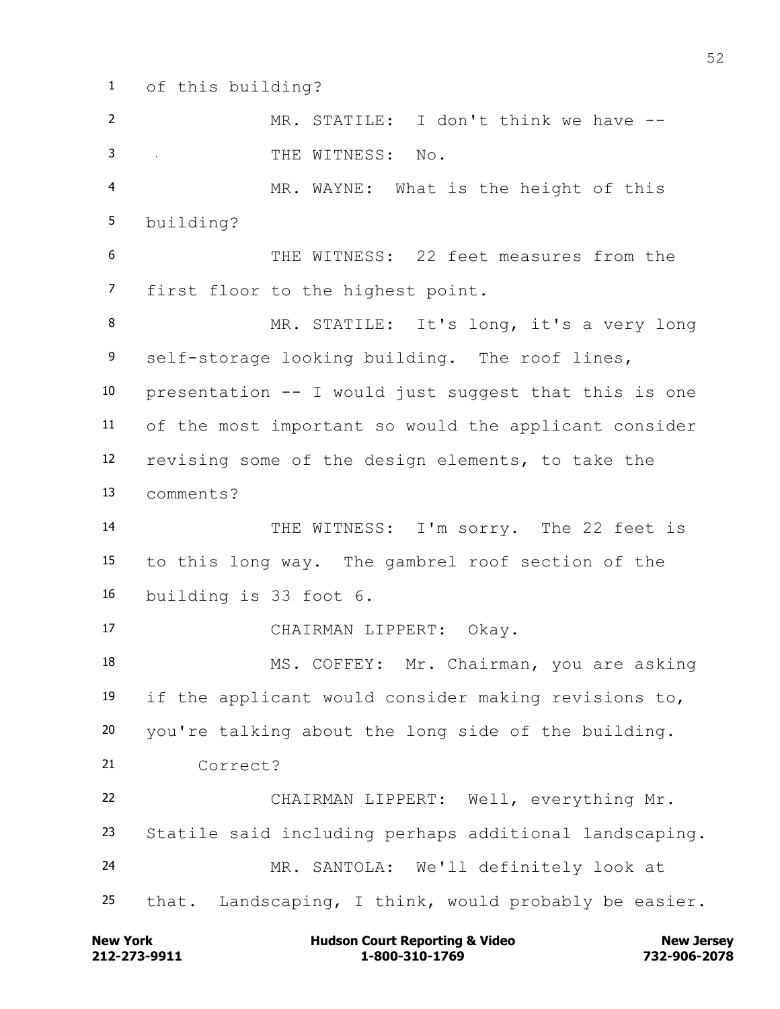of this building?

 MR. STATILE: I don't think we have -- THE WITNESS: No. MR. WAYNE: What is the height of this building? THE WITNESS: 22 feet measures from the first floor to the highest point. MR. STATILE: It's long, it's a very long self-storage looking building. The roof lines, presentation -- I would just suggest that this is one of the most important so would the applicant consider revising some of the design elements, to take the comments? THE WITNESS: I'm sorry. The 22 feet is to this long way. The gambrel roof section of the building is 33 foot 6. CHAIRMAN LIPPERT: Okay. MS. COFFEY: Mr. Chairman, you are asking if the applicant would consider making revisions to, you're talking about the long side of the building. Correct? CHAIRMAN LIPPERT: Well, everything Mr. Statile said including perhaps additional landscaping. MR. SANTOLA: We'll definitely look at that. Landscaping, I think, would probably be easier.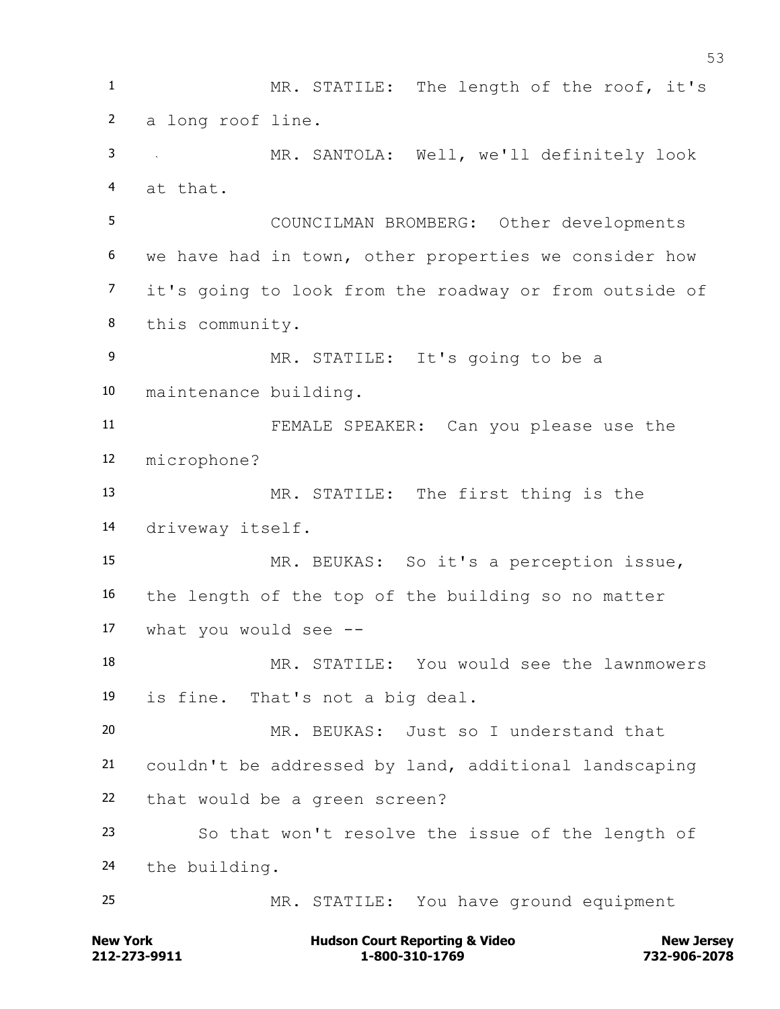MR. STATILE: The length of the roof, it's a long roof line. MR. SANTOLA: Well, we'll definitely look at that. COUNCILMAN BROMBERG: Other developments we have had in town, other properties we consider how it's going to look from the roadway or from outside of this community. MR. STATILE: It's going to be a maintenance building. FEMALE SPEAKER: Can you please use the microphone? MR. STATILE: The first thing is the driveway itself. MR. BEUKAS: So it's a perception issue, the length of the top of the building so no matter what you would see -- MR. STATILE: You would see the lawnmowers is fine. That's not a big deal. MR. BEUKAS: Just so I understand that couldn't be addressed by land, additional landscaping that would be a green screen? So that won't resolve the issue of the length of the building. MR. STATILE: You have ground equipment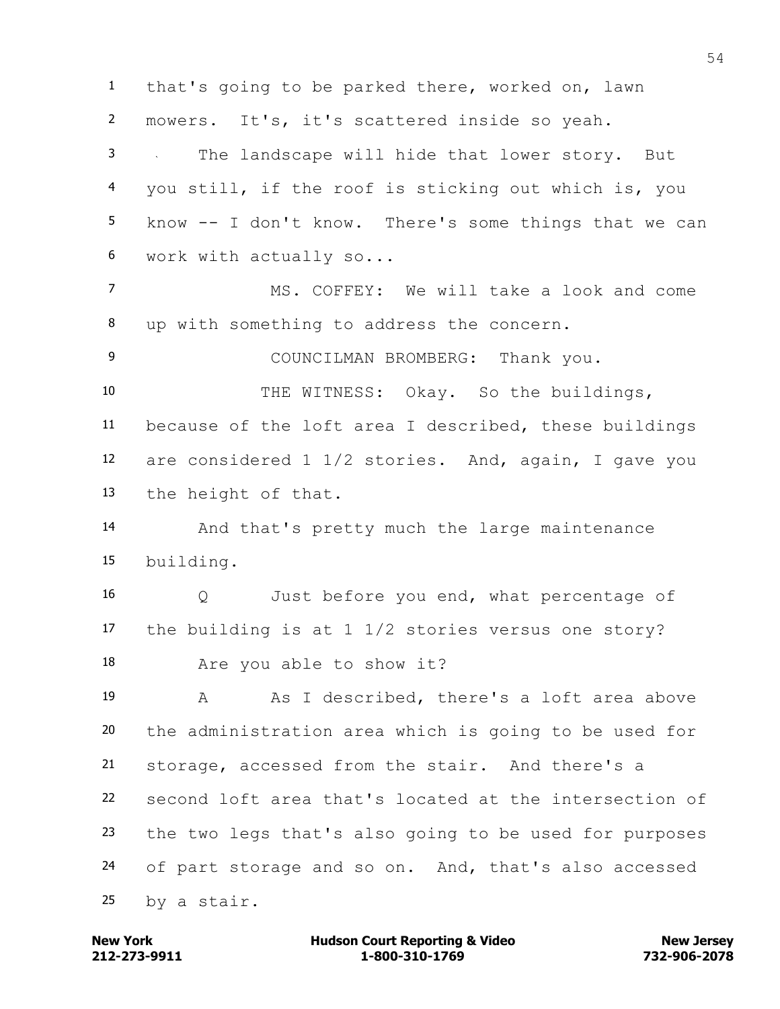that's going to be parked there, worked on, lawn mowers. It's, it's scattered inside so yeah. The landscape will hide that lower story. But you still, if the roof is sticking out which is, you know -- I don't know. There's some things that we can work with actually so... MS. COFFEY: We will take a look and come up with something to address the concern. COUNCILMAN BROMBERG: Thank you. THE WITNESS: Okay. So the buildings, because of the loft area I described, these buildings are considered 1 1/2 stories. And, again, I gave you the height of that. And that's pretty much the large maintenance building. Q Just before you end, what percentage of the building is at 1 1/2 stories versus one story? Are you able to show it? 19 A As I described, there's a loft area above the administration area which is going to be used for storage, accessed from the stair. And there's a second loft area that's located at the intersection of the two legs that's also going to be used for purposes of part storage and so on. And, that's also accessed by a stair.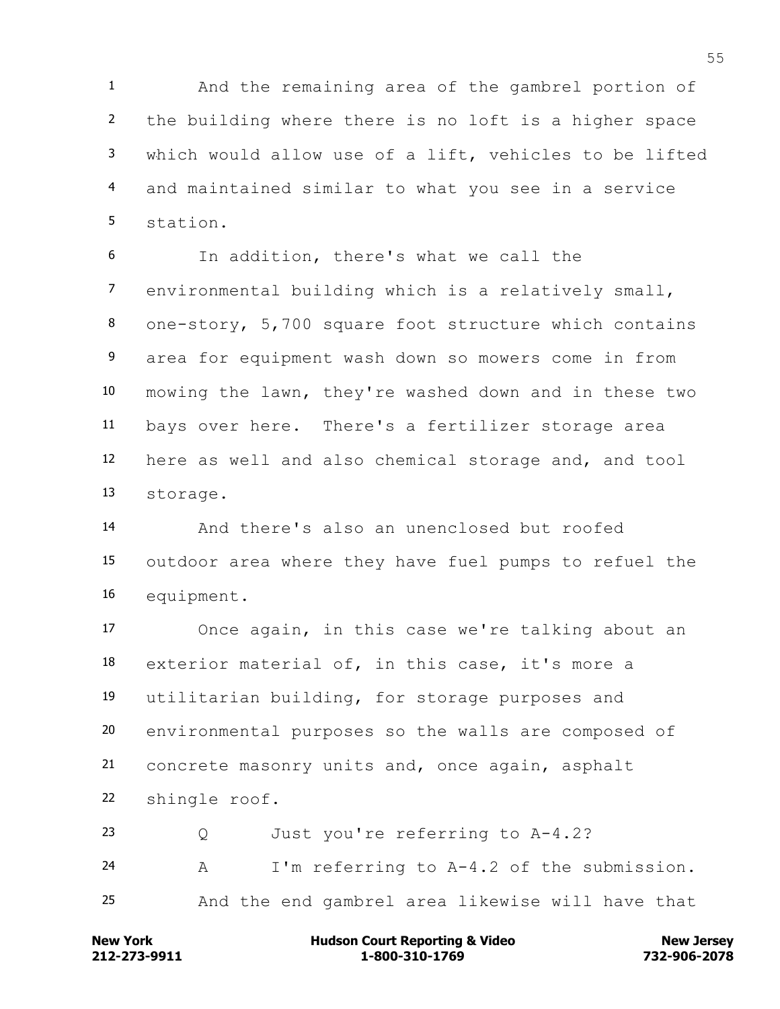And the remaining area of the gambrel portion of the building where there is no loft is a higher space which would allow use of a lift, vehicles to be lifted and maintained similar to what you see in a service station.

 In addition, there's what we call the environmental building which is a relatively small, one-story, 5,700 square foot structure which contains area for equipment wash down so mowers come in from mowing the lawn, they're washed down and in these two bays over here. There's a fertilizer storage area here as well and also chemical storage and, and tool storage.

 And there's also an unenclosed but roofed outdoor area where they have fuel pumps to refuel the equipment.

 Once again, in this case we're talking about an exterior material of, in this case, it's more a utilitarian building, for storage purposes and environmental purposes so the walls are composed of concrete masonry units and, once again, asphalt shingle roof.

 Q Just you're referring to A-4.2? A I'm referring to A-4.2 of the submission. And the end gambrel area likewise will have that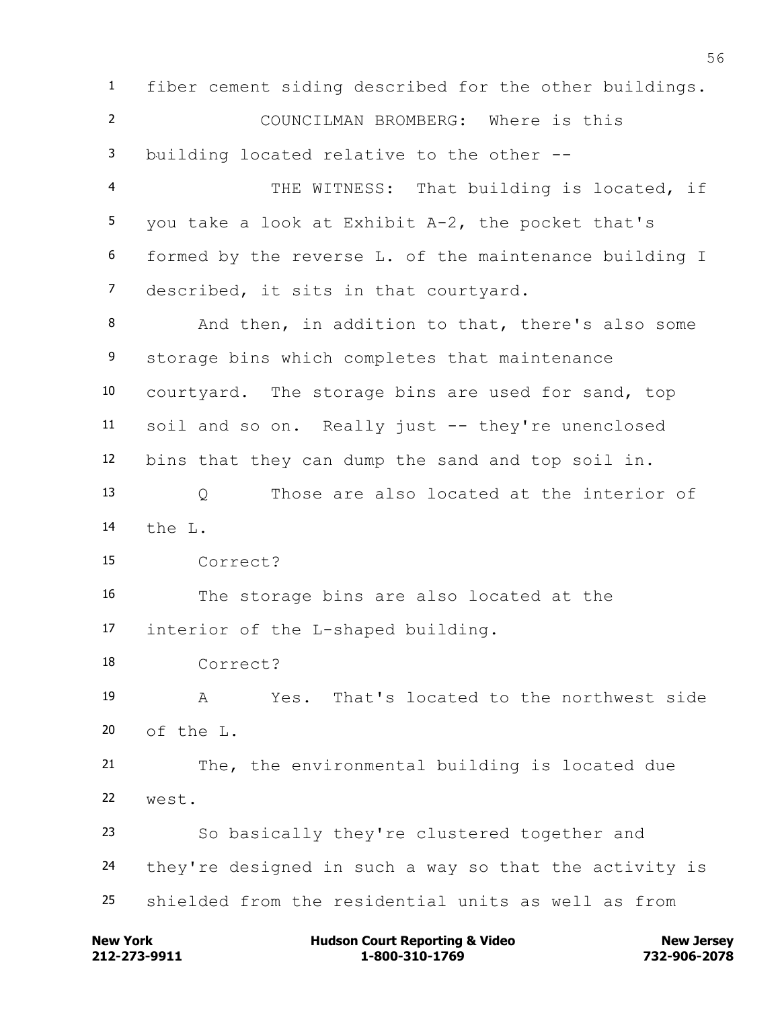fiber cement siding described for the other buildings. COUNCILMAN BROMBERG: Where is this building located relative to the other -- THE WITNESS: That building is located, if you take a look at Exhibit A-2, the pocket that's formed by the reverse L. of the maintenance building I described, it sits in that courtyard. And then, in addition to that, there's also some storage bins which completes that maintenance courtyard. The storage bins are used for sand, top soil and so on. Really just -- they're unenclosed bins that they can dump the sand and top soil in. Q Those are also located at the interior of the L. Correct? The storage bins are also located at the interior of the L-shaped building. Correct? A Yes. That's located to the northwest side 20 of the L. The, the environmental building is located due west. So basically they're clustered together and they're designed in such a way so that the activity is shielded from the residential units as well as from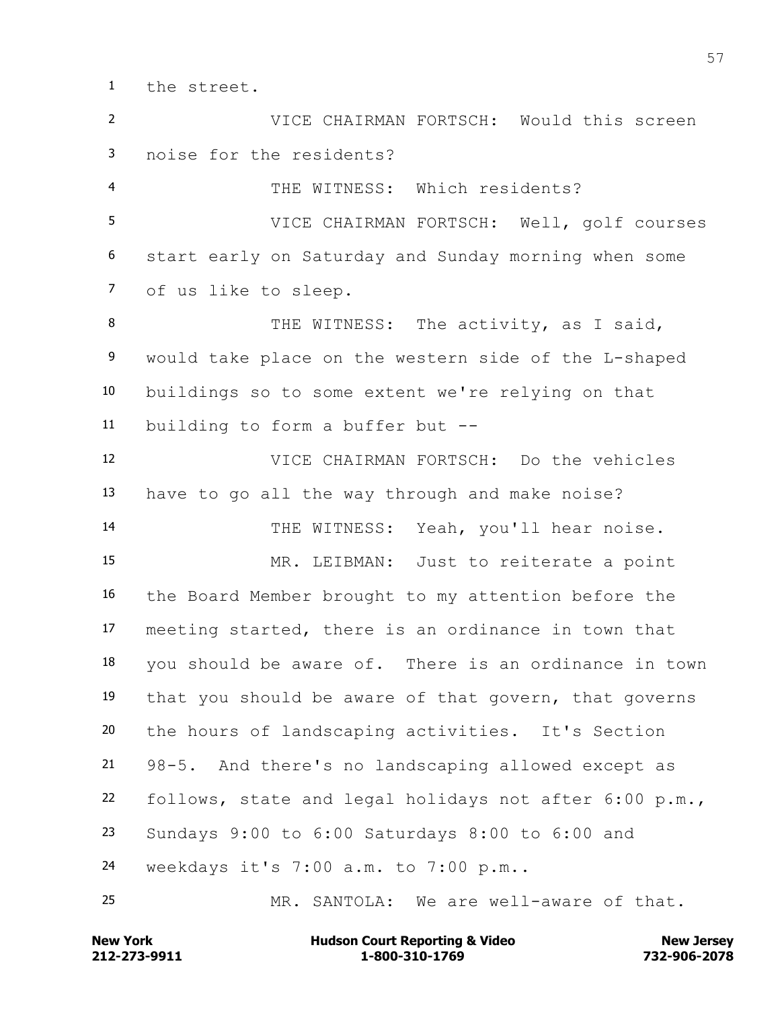the street.

 VICE CHAIRMAN FORTSCH: Would this screen noise for the residents? THE WITNESS: Which residents? VICE CHAIRMAN FORTSCH: Well, golf courses start early on Saturday and Sunday morning when some of us like to sleep. 8 THE WITNESS: The activity, as I said, would take place on the western side of the L-shaped buildings so to some extent we're relying on that building to form a buffer but -- VICE CHAIRMAN FORTSCH: Do the vehicles have to go all the way through and make noise? THE WITNESS: Yeah, you'll hear noise. MR. LEIBMAN: Just to reiterate a point the Board Member brought to my attention before the meeting started, there is an ordinance in town that you should be aware of. There is an ordinance in town that you should be aware of that govern, that governs the hours of landscaping activities. It's Section 98-5. And there's no landscaping allowed except as follows, state and legal holidays not after 6:00 p.m., Sundays 9:00 to 6:00 Saturdays 8:00 to 6:00 and weekdays it's 7:00 a.m. to 7:00 p.m.. MR. SANTOLA: We are well-aware of that.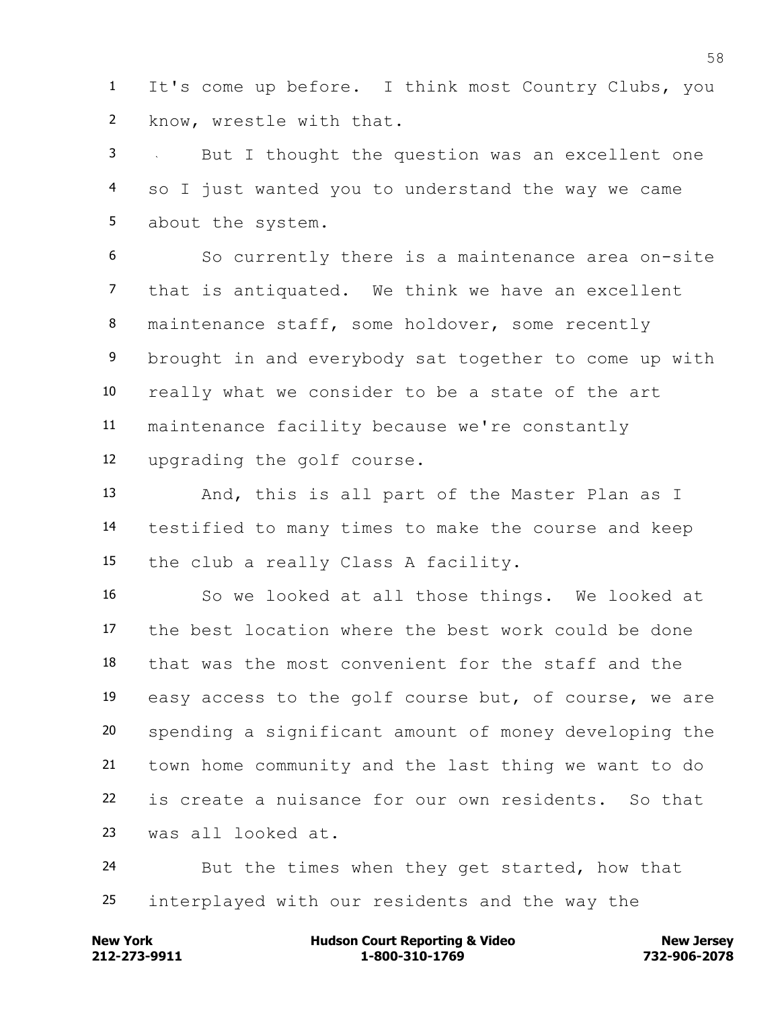It's come up before. I think most Country Clubs, you know, wrestle with that.

 But I thought the question was an excellent one so I just wanted you to understand the way we came about the system.

 So currently there is a maintenance area on-site that is antiquated. We think we have an excellent 8 maintenance staff, some holdover, some recently brought in and everybody sat together to come up with really what we consider to be a state of the art maintenance facility because we're constantly upgrading the golf course.

 And, this is all part of the Master Plan as I testified to many times to make the course and keep the club a really Class A facility.

 So we looked at all those things. We looked at the best location where the best work could be done that was the most convenient for the staff and the easy access to the golf course but, of course, we are spending a significant amount of money developing the town home community and the last thing we want to do is create a nuisance for our own residents. So that was all looked at.

 But the times when they get started, how that interplayed with our residents and the way the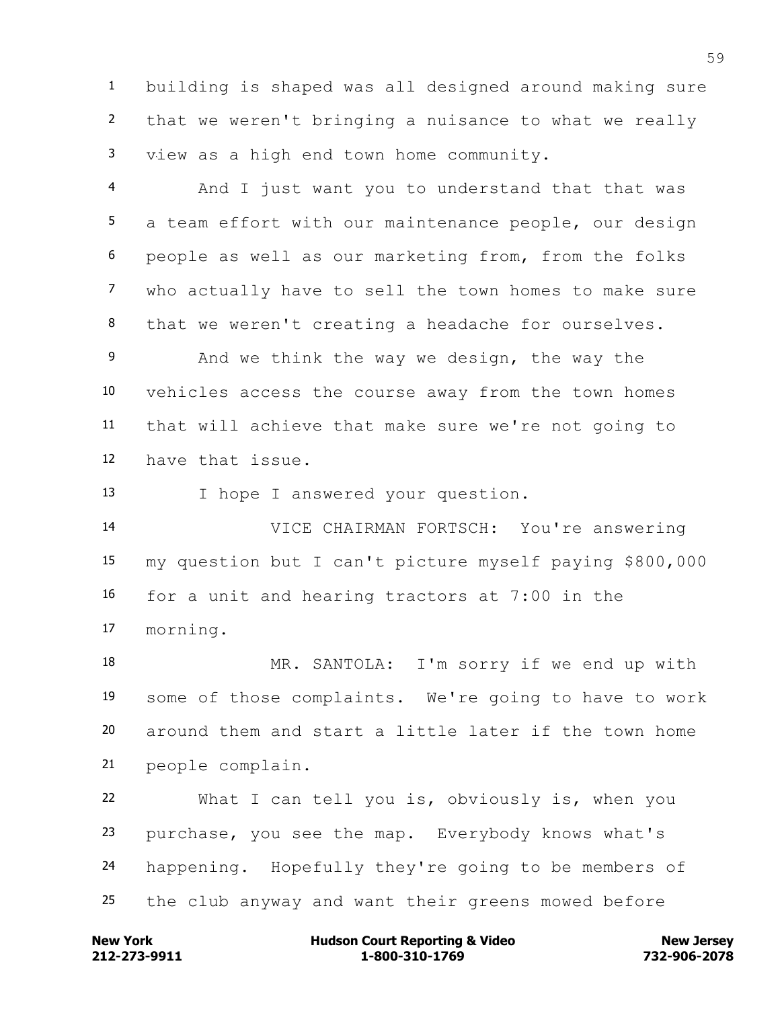building is shaped was all designed around making sure that we weren't bringing a nuisance to what we really view as a high end town home community.

4 And I just want you to understand that that was a team effort with our maintenance people, our design people as well as our marketing from, from the folks who actually have to sell the town homes to make sure that we weren't creating a headache for ourselves.

 And we think the way we design, the way the vehicles access the course away from the town homes that will achieve that make sure we're not going to have that issue.

I hope I answered your question.

 VICE CHAIRMAN FORTSCH: You're answering my question but I can't picture myself paying \$800,000 for a unit and hearing tractors at 7:00 in the morning.

 MR. SANTOLA: I'm sorry if we end up with some of those complaints. We're going to have to work around them and start a little later if the town home people complain.

 What I can tell you is, obviously is, when you purchase, you see the map. Everybody knows what's happening. Hopefully they're going to be members of the club anyway and want their greens mowed before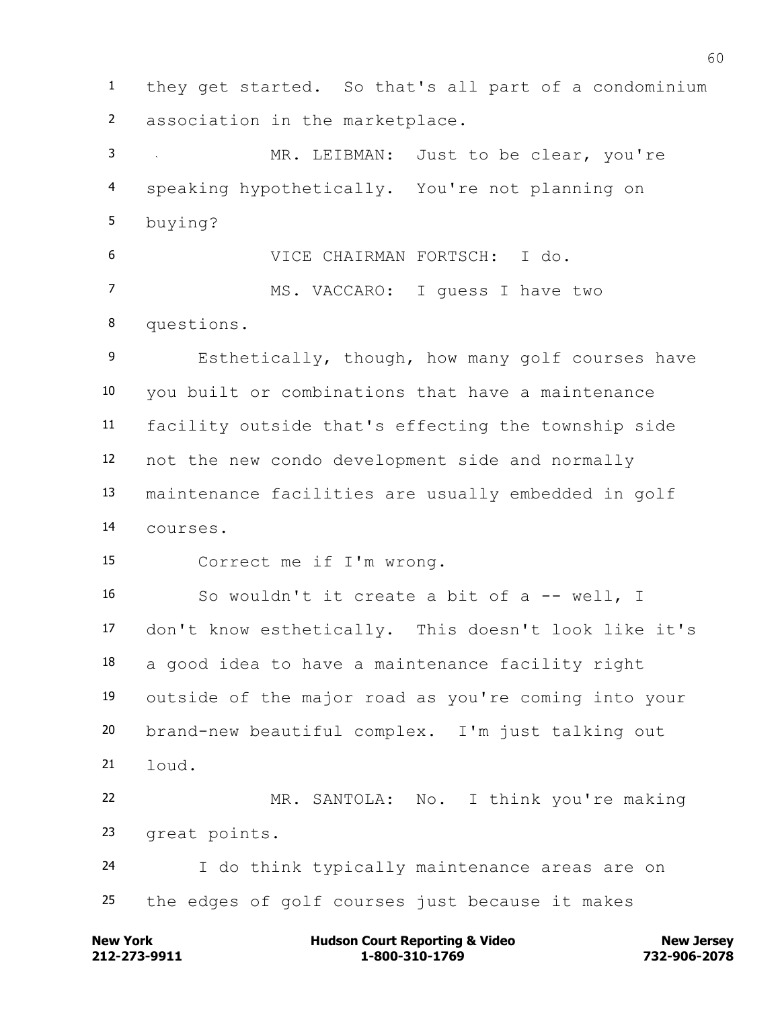they get started. So that's all part of a condominium association in the marketplace.

 MR. LEIBMAN: Just to be clear, you're speaking hypothetically. You're not planning on buying?

 VICE CHAIRMAN FORTSCH: I do. MS. VACCARO: I guess I have two questions.

 Esthetically, though, how many golf courses have you built or combinations that have a maintenance facility outside that's effecting the township side not the new condo development side and normally maintenance facilities are usually embedded in golf courses.

Correct me if I'm wrong.

 So wouldn't it create a bit of a -- well, I don't know esthetically. This doesn't look like it's a good idea to have a maintenance facility right outside of the major road as you're coming into your brand-new beautiful complex. I'm just talking out  $21 \quad \text{load}$ . MR. SANTOLA: No. I think you're making

great points.

 I do think typically maintenance areas are on the edges of golf courses just because it makes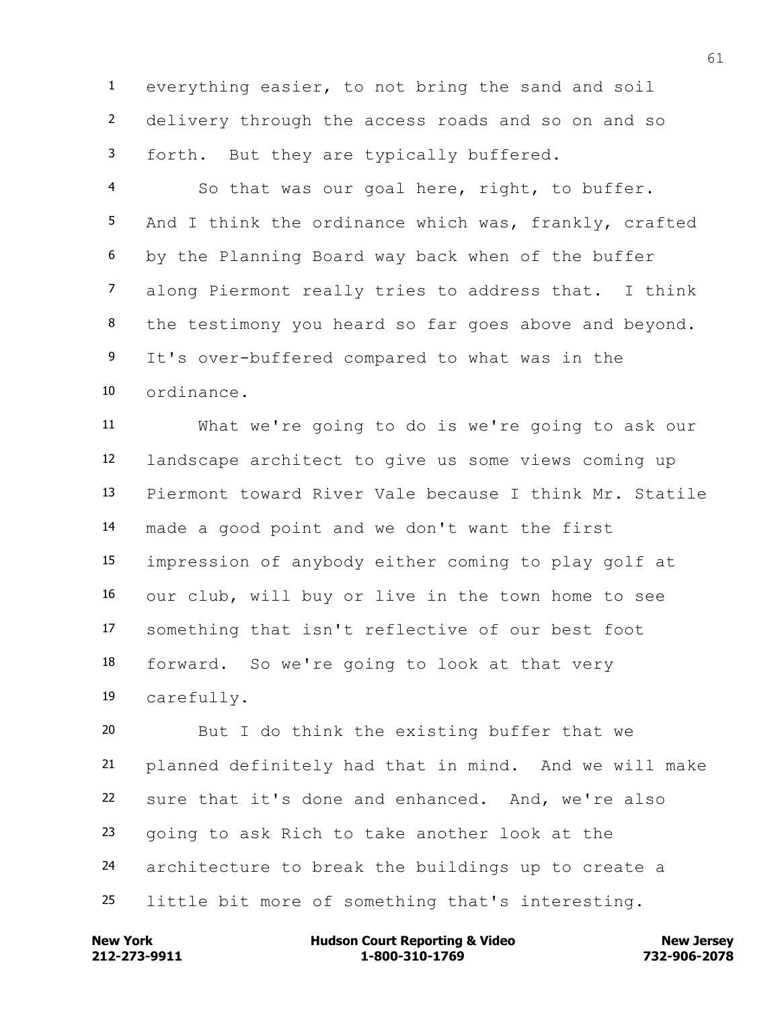everything easier, to not bring the sand and soil delivery through the access roads and so on and so forth. But they are typically buffered.

 So that was our goal here, right, to buffer. And I think the ordinance which was, frankly, crafted by the Planning Board way back when of the buffer along Piermont really tries to address that. I think 8 the testimony you heard so far goes above and beyond. It's over-buffered compared to what was in the ordinance.

 What we're going to do is we're going to ask our landscape architect to give us some views coming up Piermont toward River Vale because I think Mr. Statile made a good point and we don't want the first impression of anybody either coming to play golf at our club, will buy or live in the town home to see something that isn't reflective of our best foot forward. So we're going to look at that very carefully.

 But I do think the existing buffer that we planned definitely had that in mind. And we will make sure that it's done and enhanced. And, we're also going to ask Rich to take another look at the architecture to break the buildings up to create a little bit more of something that's interesting.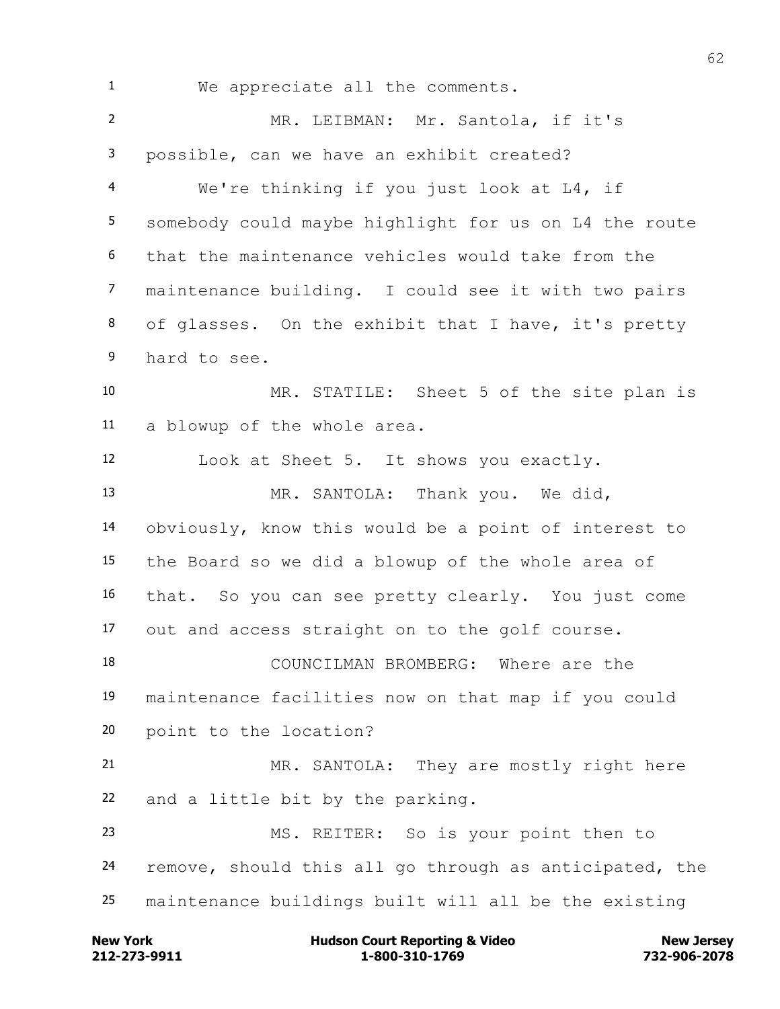We appreciate all the comments. MR. LEIBMAN: Mr. Santola, if it's possible, can we have an exhibit created? We're thinking if you just look at L4, if somebody could maybe highlight for us on L4 the route that the maintenance vehicles would take from the maintenance building. I could see it with two pairs of glasses. On the exhibit that I have, it's pretty hard to see. MR. STATILE: Sheet 5 of the site plan is a blowup of the whole area. Look at Sheet 5. It shows you exactly. MR. SANTOLA: Thank you. We did, obviously, know this would be a point of interest to the Board so we did a blowup of the whole area of that. So you can see pretty clearly. You just come out and access straight on to the golf course. COUNCILMAN BROMBERG: Where are the maintenance facilities now on that map if you could point to the location? MR. SANTOLA: They are mostly right here and a little bit by the parking. MS. REITER: So is your point then to remove, should this all go through as anticipated, the maintenance buildings built will all be the existing

**212-273-9911 1-800-310-1769 732-906-2078 New York Communist Court Reporting & Video New Jersey Rew Jersey**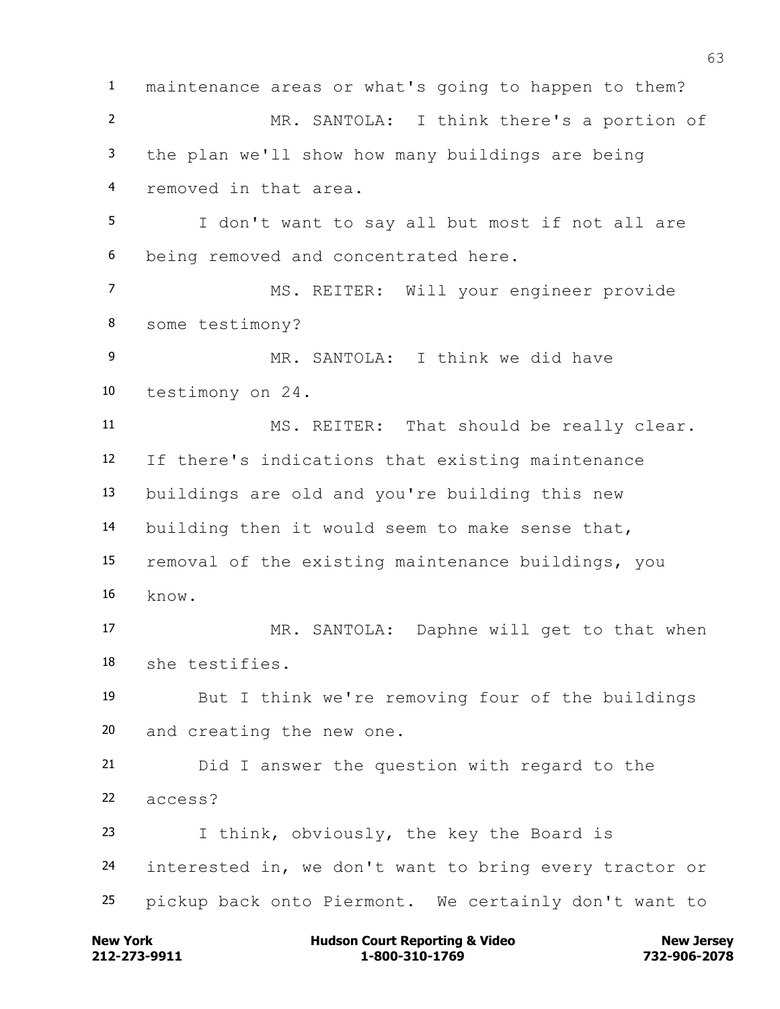maintenance areas or what's going to happen to them? MR. SANTOLA: I think there's a portion of the plan we'll show how many buildings are being removed in that area. I don't want to say all but most if not all are being removed and concentrated here. MS. REITER: Will your engineer provide some testimony? MR. SANTOLA: I think we did have testimony on 24. MS. REITER: That should be really clear. If there's indications that existing maintenance buildings are old and you're building this new building then it would seem to make sense that, removal of the existing maintenance buildings, you know. MR. SANTOLA: Daphne will get to that when she testifies. But I think we're removing four of the buildings and creating the new one. Did I answer the question with regard to the access? I think, obviously, the key the Board is interested in, we don't want to bring every tractor or pickup back onto Piermont. We certainly don't want to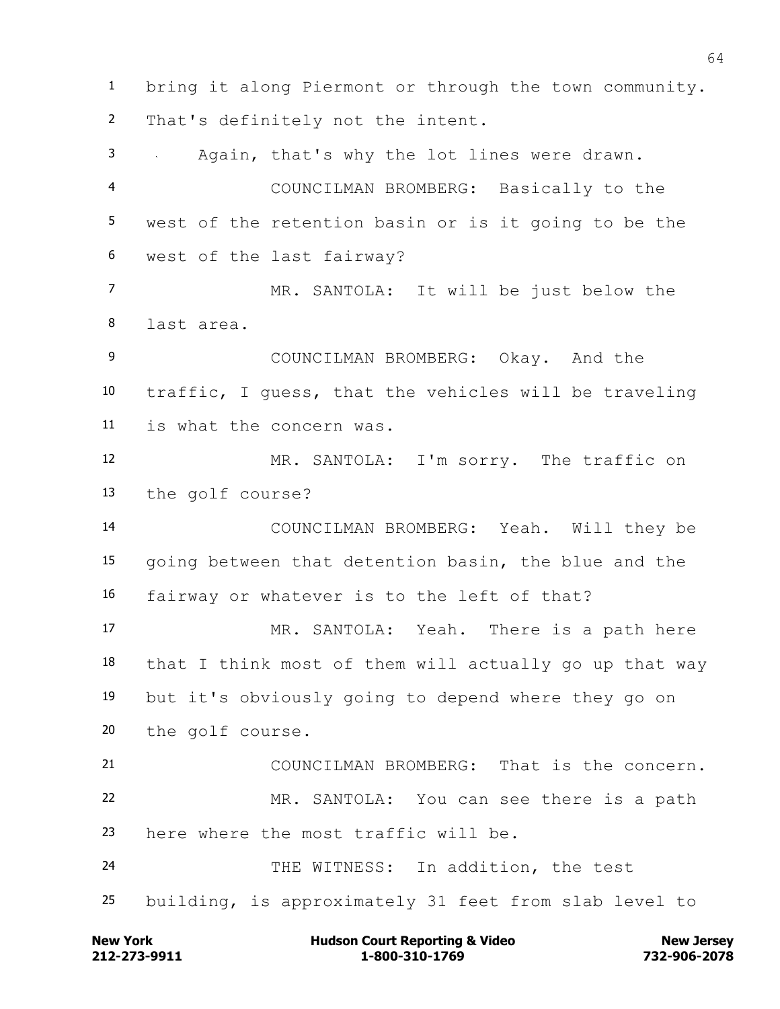bring it along Piermont or through the town community. That's definitely not the intent. Again, that's why the lot lines were drawn. COUNCILMAN BROMBERG: Basically to the west of the retention basin or is it going to be the west of the last fairway? MR. SANTOLA: It will be just below the last area. COUNCILMAN BROMBERG: Okay. And the traffic, I guess, that the vehicles will be traveling is what the concern was. MR. SANTOLA: I'm sorry. The traffic on the golf course? COUNCILMAN BROMBERG: Yeah. Will they be going between that detention basin, the blue and the fairway or whatever is to the left of that? MR. SANTOLA: Yeah. There is a path here that I think most of them will actually go up that way but it's obviously going to depend where they go on the golf course. COUNCILMAN BROMBERG: That is the concern. MR. SANTOLA: You can see there is a path here where the most traffic will be. THE WITNESS: In addition, the test building, is approximately 31 feet from slab level to

**212-273-9911 1-800-310-1769 732-906-2078 New York Communist Court Reporting & Video New Jersey Rew Jersey**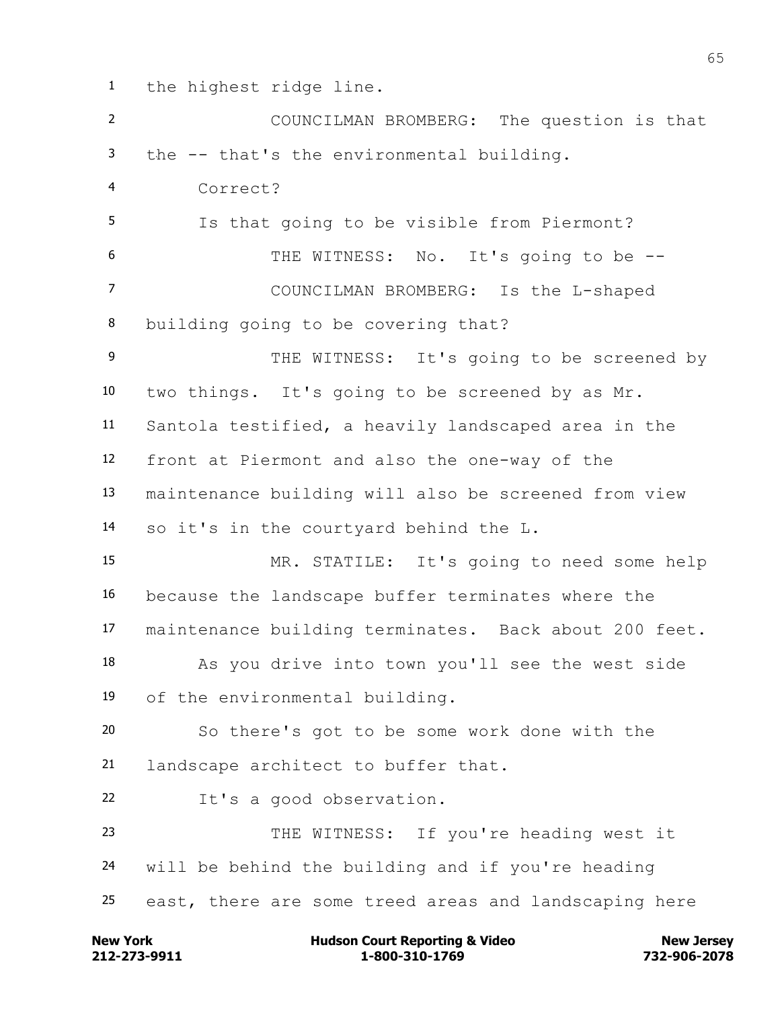the highest ridge line.

 COUNCILMAN BROMBERG: The question is that the -- that's the environmental building. Correct? Is that going to be visible from Piermont? THE WITNESS: No. It's going to be -- COUNCILMAN BROMBERG: Is the L-shaped building going to be covering that? 9 THE WITNESS: It's going to be screened by two things. It's going to be screened by as Mr. Santola testified, a heavily landscaped area in the front at Piermont and also the one-way of the maintenance building will also be screened from view so it's in the courtyard behind the L. MR. STATILE: It's going to need some help because the landscape buffer terminates where the maintenance building terminates. Back about 200 feet. As you drive into town you'll see the west side of the environmental building. So there's got to be some work done with the landscape architect to buffer that. It's a good observation. THE WITNESS: If you're heading west it will be behind the building and if you're heading east, there are some treed areas and landscaping here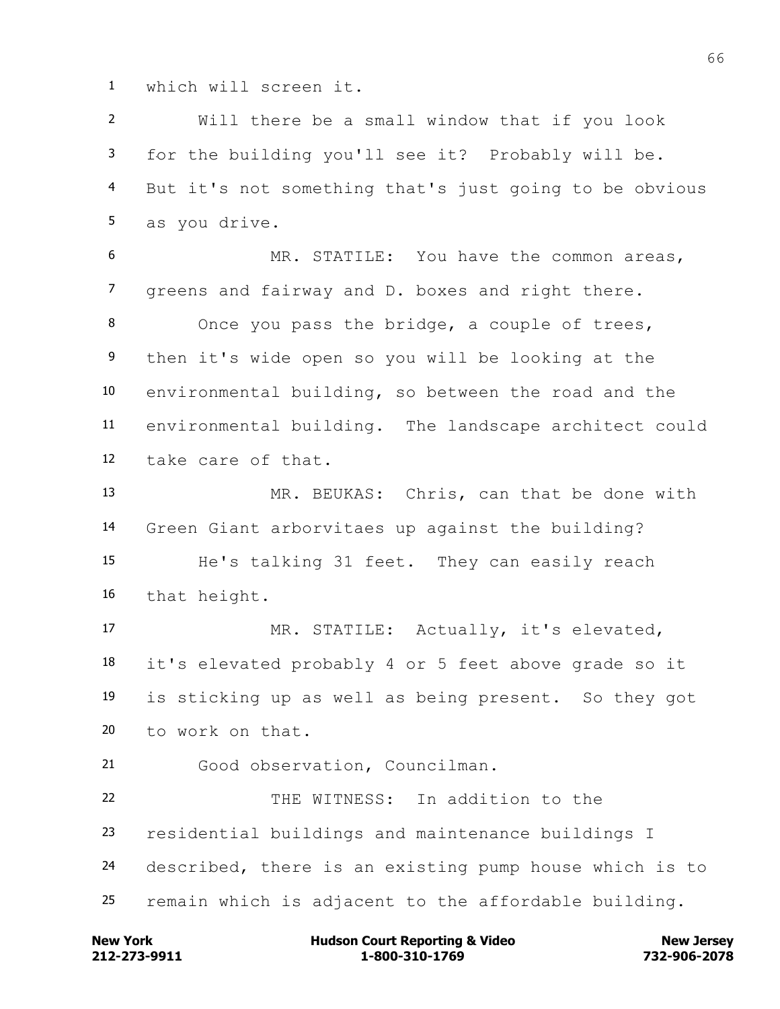which will screen it.

 Will there be a small window that if you look for the building you'll see it? Probably will be. But it's not something that's just going to be obvious as you drive. MR. STATILE: You have the common areas, greens and fairway and D. boxes and right there. Once you pass the bridge, a couple of trees, then it's wide open so you will be looking at the environmental building, so between the road and the environmental building. The landscape architect could take care of that. MR. BEUKAS: Chris, can that be done with Green Giant arborvitaes up against the building? He's talking 31 feet. They can easily reach that height. MR. STATILE: Actually, it's elevated, it's elevated probably 4 or 5 feet above grade so it is sticking up as well as being present. So they got to work on that. Good observation, Councilman. THE WITNESS: In addition to the residential buildings and maintenance buildings I described, there is an existing pump house which is to remain which is adjacent to the affordable building.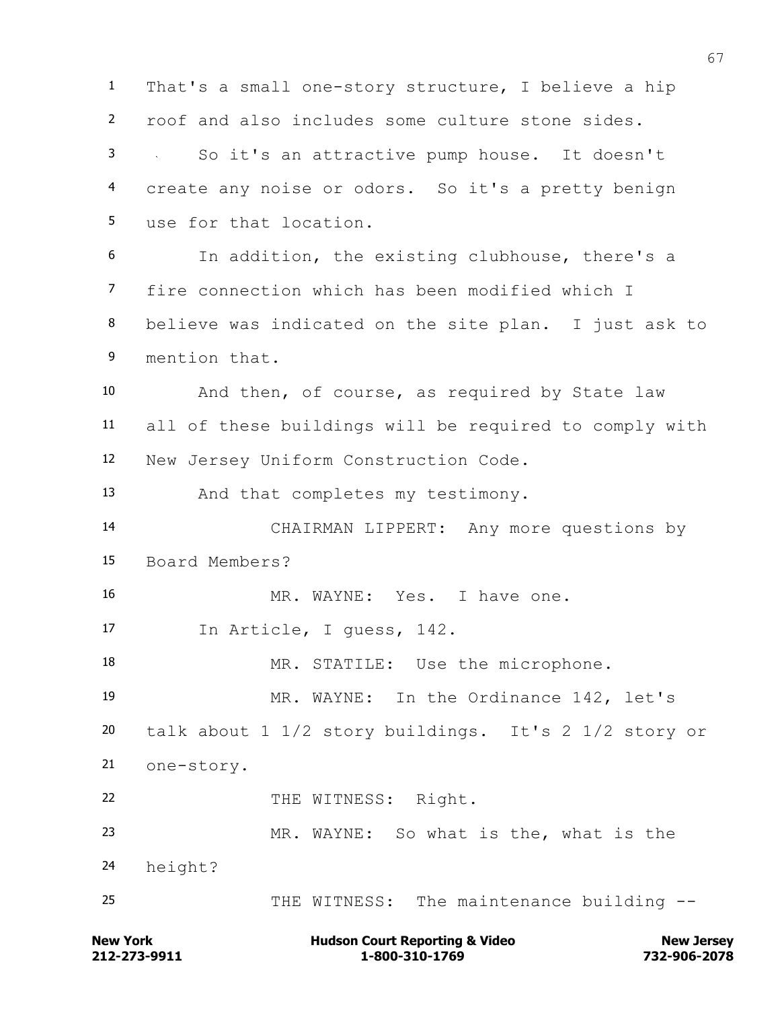That's a small one-story structure, I believe a hip roof and also includes some culture stone sides. So it's an attractive pump house. It doesn't create any noise or odors. So it's a pretty benign use for that location. In addition, the existing clubhouse, there's a fire connection which has been modified which I believe was indicated on the site plan. I just ask to mention that. And then, of course, as required by State law all of these buildings will be required to comply with New Jersey Uniform Construction Code. And that completes my testimony. CHAIRMAN LIPPERT: Any more questions by Board Members? MR. WAYNE: Yes. I have one. In Article, I guess, 142. 18 MR. STATILE: Use the microphone. MR. WAYNE: In the Ordinance 142, let's talk about 1 1/2 story buildings. It's 2 1/2 story or one-story. 22 THE WITNESS: Right. MR. WAYNE: So what is the, what is the height? 25 THE WITNESS: The maintenance building --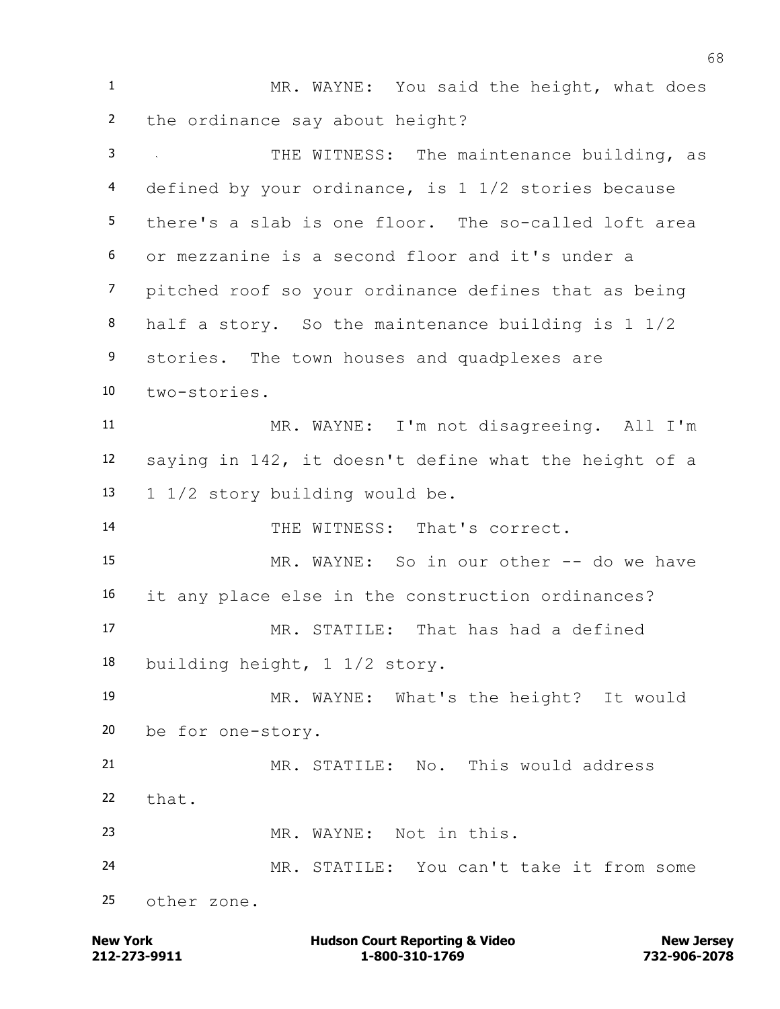1 MR. WAYNE: You said the height, what does the ordinance say about height? THE WITNESS: The maintenance building, as defined by your ordinance, is 1 1/2 stories because there's a slab is one floor. The so-called loft area or mezzanine is a second floor and it's under a pitched roof so your ordinance defines that as being half a story. So the maintenance building is 1 1/2 9 stories. The town houses and quadplexes are two-stories. MR. WAYNE: I'm not disagreeing. All I'm saying in 142, it doesn't define what the height of a 1 1/2 story building would be. THE WITNESS: That's correct. MR. WAYNE: So in our other -- do we have it any place else in the construction ordinances? MR. STATILE: That has had a defined building height, 1 1/2 story. MR. WAYNE: What's the height? It would be for one-story. MR. STATILE: No. This would address that. MR. WAYNE: Not in this. MR. STATILE: You can't take it from some other zone.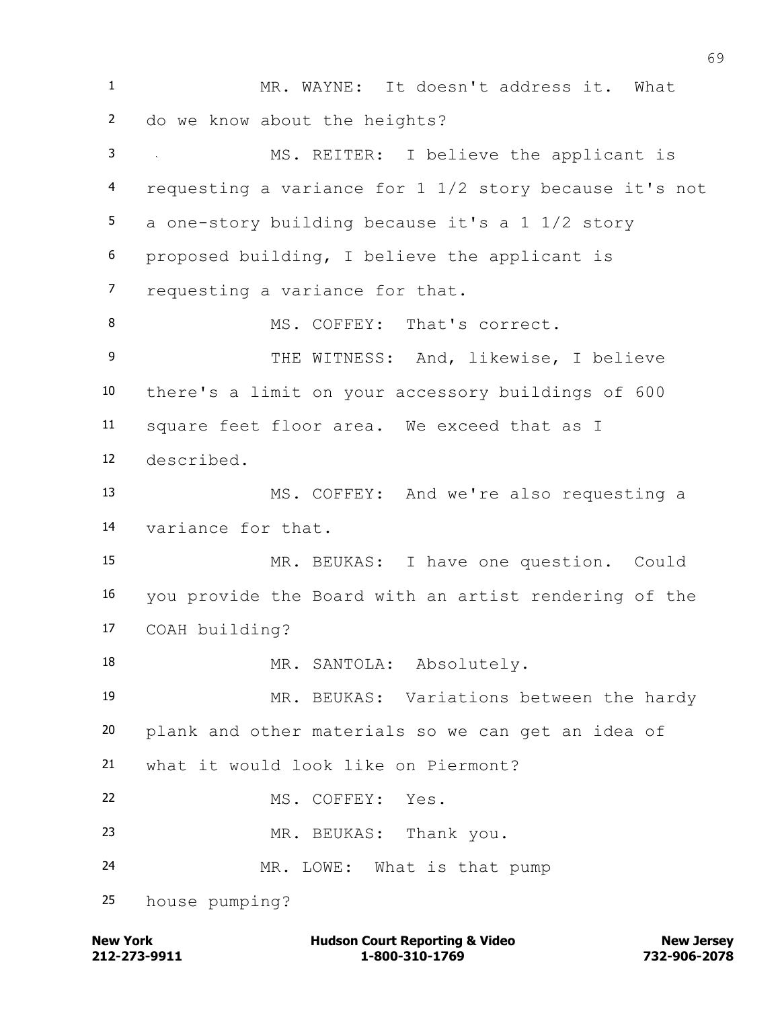MR. WAYNE: It doesn't address it. What do we know about the heights? MS. REITER: I believe the applicant is requesting a variance for 1 1/2 story because it's not a one-story building because it's a 1 1/2 story proposed building, I believe the applicant is requesting a variance for that. 8 MS. COFFEY: That's correct. 9 THE WITNESS: And, likewise, I believe there's a limit on your accessory buildings of 600 square feet floor area. We exceed that as I described. MS. COFFEY: And we're also requesting a variance for that. MR. BEUKAS: I have one question. Could you provide the Board with an artist rendering of the COAH building? 18 MR. SANTOLA: Absolutely. MR. BEUKAS: Variations between the hardy plank and other materials so we can get an idea of what it would look like on Piermont? MS. COFFEY: Yes. MR. BEUKAS: Thank you. MR. LOWE: What is that pump house pumping?

**212-273-9911 1-800-310-1769 732-906-2078 New York Communist Court Reporting & Video New Jersey Rew Jersey**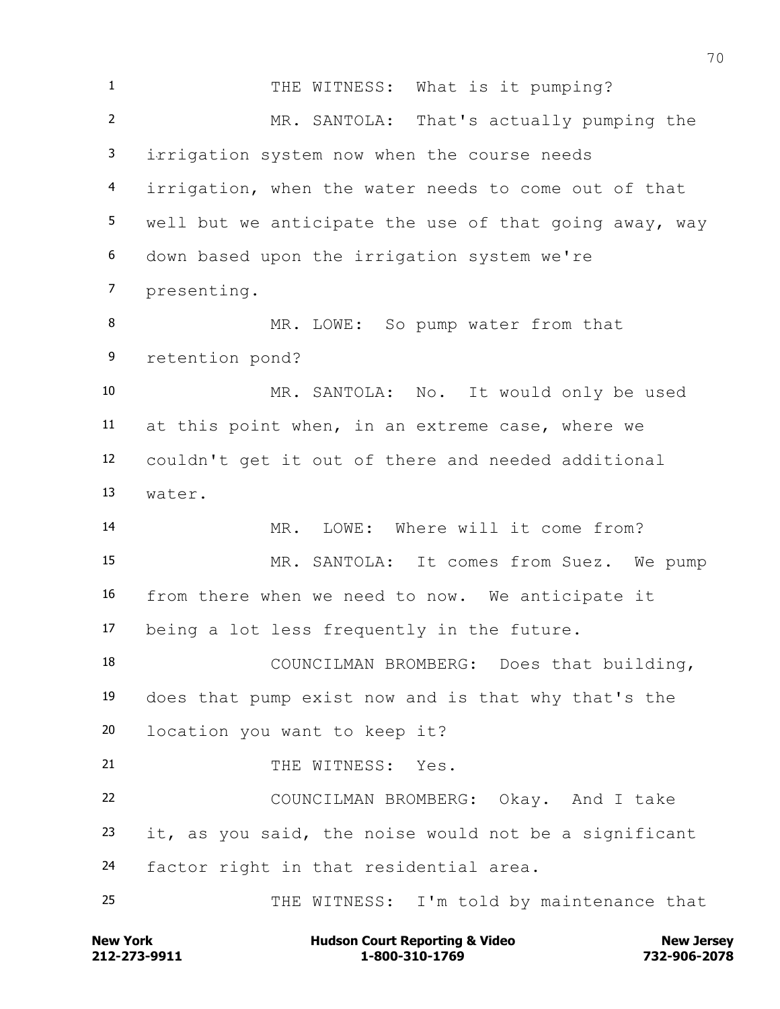1 THE WITNESS: What is it pumping? MR. SANTOLA: That's actually pumping the irrigation system now when the course needs irrigation, when the water needs to come out of that well but we anticipate the use of that going away, way down based upon the irrigation system we're presenting. 8 MR. LOWE: So pump water from that retention pond? MR. SANTOLA: No. It would only be used at this point when, in an extreme case, where we couldn't get it out of there and needed additional water. MR. LOWE: Where will it come from? MR. SANTOLA: It comes from Suez. We pump from there when we need to now. We anticipate it being a lot less frequently in the future. COUNCILMAN BROMBERG: Does that building, does that pump exist now and is that why that's the location you want to keep it? 21 THE WITNESS: Yes. COUNCILMAN BROMBERG: Okay. And I take it, as you said, the noise would not be a significant factor right in that residential area. THE WITNESS: I'm told by maintenance that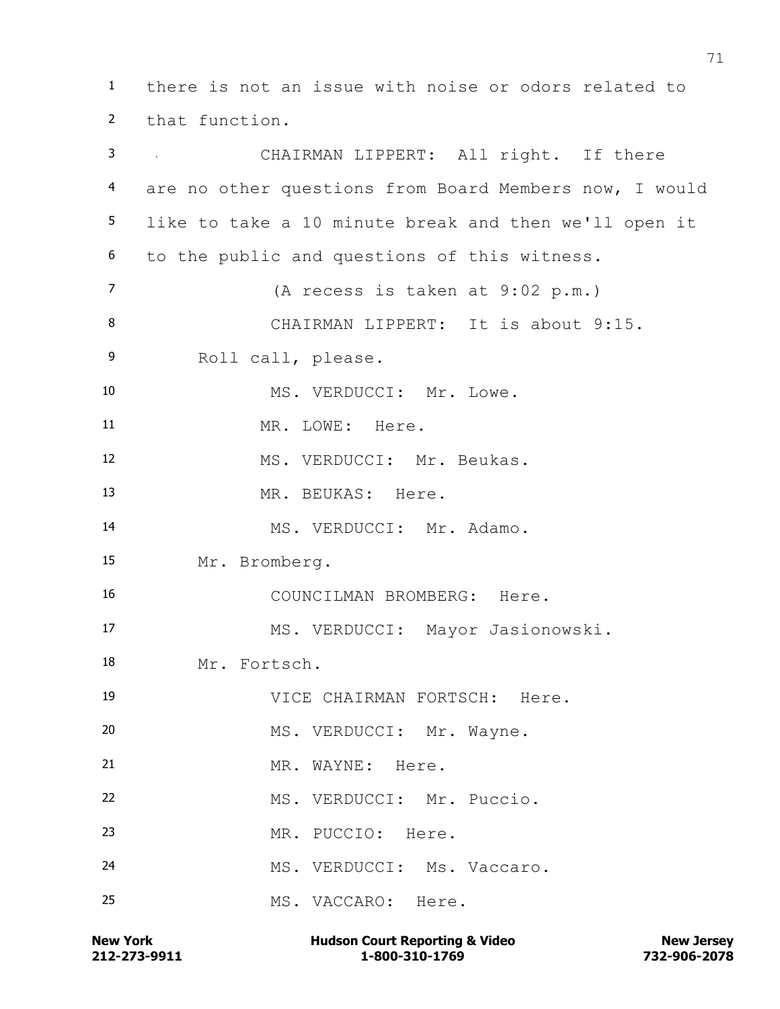there is not an issue with noise or odors related to that function. CHAIRMAN LIPPERT: All right. If there are no other questions from Board Members now, I would like to take a 10 minute break and then we'll open it to the public and questions of this witness. (A recess is taken at 9:02 p.m.) 8 CHAIRMAN LIPPERT: It is about 9:15. Roll call, please. 10 MS. VERDUCCI: Mr. Lowe. 11 MR. LOWE: Here. 12 MS. VERDUCCI: Mr. Beukas. 13 MR. BEUKAS: Here. 14 MS. VERDUCCI: Mr. Adamo. Mr. Bromberg. COUNCILMAN BROMBERG: Here. MS. VERDUCCI: Mayor Jasionowski. Mr. Fortsch. VICE CHAIRMAN FORTSCH: Here. 20 MS. VERDUCCI: Mr. Wayne. 21 MR. WAYNE: Here. MS. VERDUCCI: Mr. Puccio. MR. PUCCIO: Here. 24 MS. VERDUCCI: Ms. Vaccaro. MS. VACCARO: Here.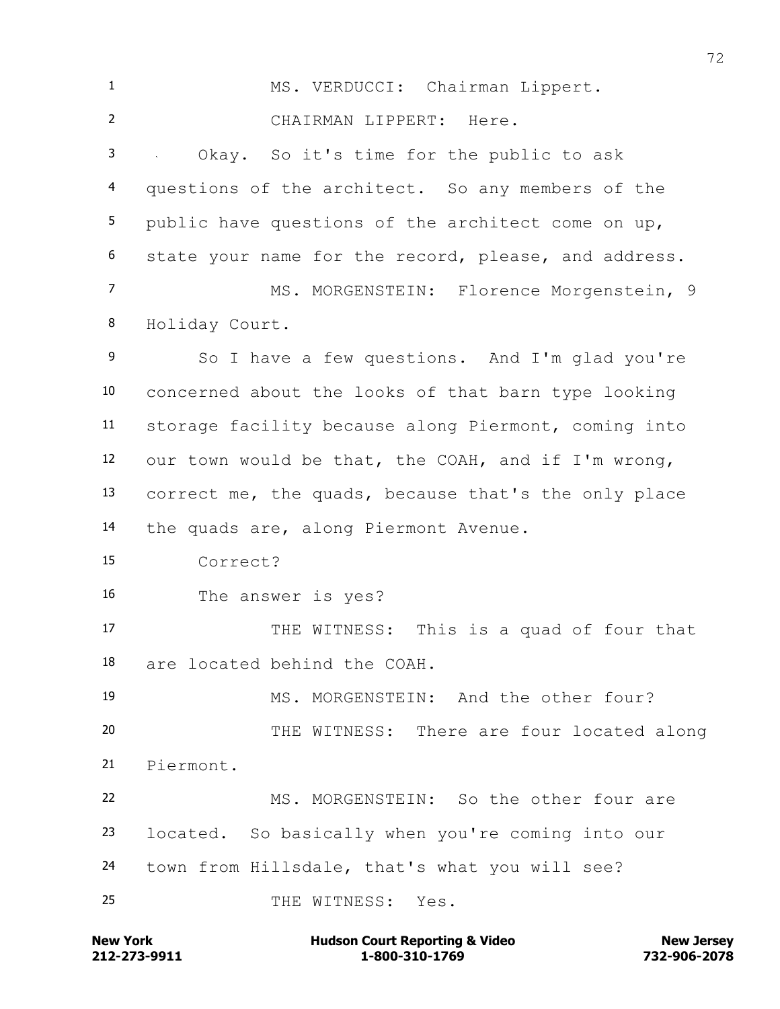MS. VERDUCCI: Chairman Lippert. CHAIRMAN LIPPERT: Here. Okay. So it's time for the public to ask questions of the architect. So any members of the public have questions of the architect come on up, state your name for the record, please, and address. MS. MORGENSTEIN: Florence Morgenstein, 9 Holiday Court. So I have a few questions. And I'm glad you're concerned about the looks of that barn type looking storage facility because along Piermont, coming into our town would be that, the COAH, and if I'm wrong, correct me, the quads, because that's the only place the quads are, along Piermont Avenue. Correct? The answer is yes? 17 THE WITNESS: This is a quad of four that are located behind the COAH. MS. MORGENSTEIN: And the other four? THE WITNESS: There are four located along Piermont. MS. MORGENSTEIN: So the other four are located. So basically when you're coming into our town from Hillsdale, that's what you will see? THE WITNESS: Yes.

**212-273-9911 1-800-310-1769 732-906-2078 New York Communist Court Reporting & Video New Jersey Rew Jersey**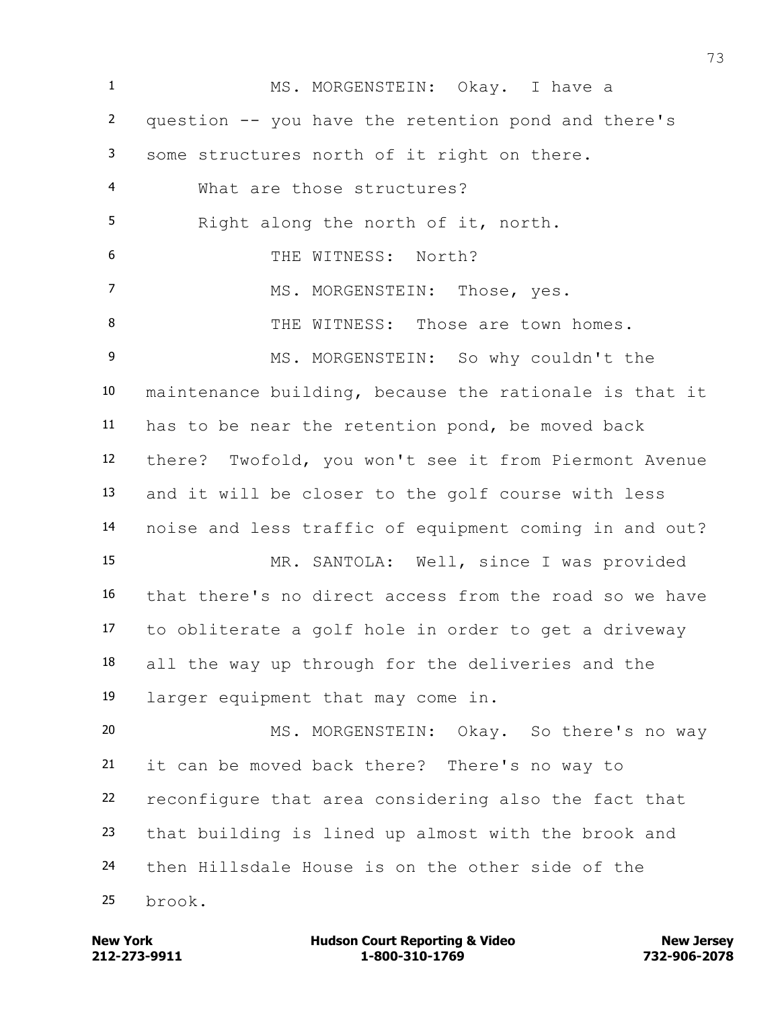MS. MORGENSTEIN: Okay. I have a question -- you have the retention pond and there's some structures north of it right on there. What are those structures? Right along the north of it, north. THE WITNESS: North? 7 MS. MORGENSTEIN: Those, yes. 8 THE WITNESS: Those are town homes. MS. MORGENSTEIN: So why couldn't the maintenance building, because the rationale is that it has to be near the retention pond, be moved back there? Twofold, you won't see it from Piermont Avenue and it will be closer to the golf course with less noise and less traffic of equipment coming in and out? MR. SANTOLA: Well, since I was provided that there's no direct access from the road so we have to obliterate a golf hole in order to get a driveway all the way up through for the deliveries and the larger equipment that may come in. MS. MORGENSTEIN: Okay. So there's no way it can be moved back there? There's no way to reconfigure that area considering also the fact that that building is lined up almost with the brook and then Hillsdale House is on the other side of the brook.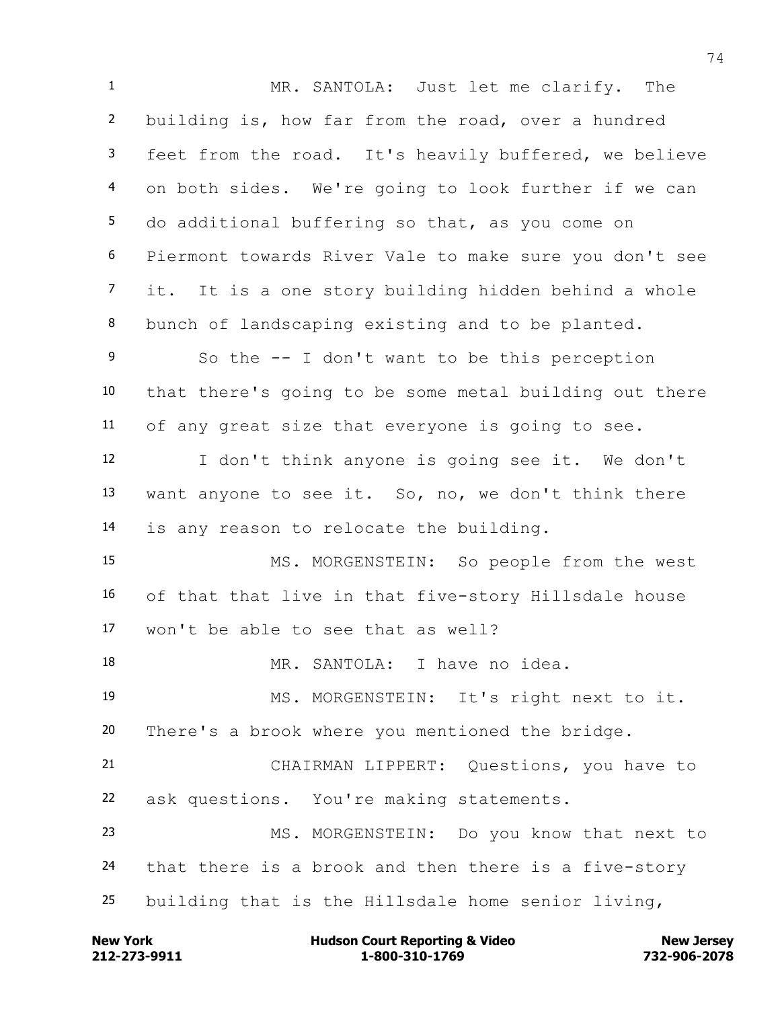MR. SANTOLA: Just let me clarify. The building is, how far from the road, over a hundred feet from the road. It's heavily buffered, we believe on both sides. We're going to look further if we can do additional buffering so that, as you come on Piermont towards River Vale to make sure you don't see it. It is a one story building hidden behind a whole bunch of landscaping existing and to be planted. So the -- I don't want to be this perception that there's going to be some metal building out there of any great size that everyone is going to see. I don't think anyone is going see it. We don't want anyone to see it. So, no, we don't think there is any reason to relocate the building. MS. MORGENSTEIN: So people from the west of that that live in that five-story Hillsdale house won't be able to see that as well? MR. SANTOLA: I have no idea. MS. MORGENSTEIN: It's right next to it. There's a brook where you mentioned the bridge. CHAIRMAN LIPPERT: Questions, you have to ask questions. You're making statements. MS. MORGENSTEIN: Do you know that next to that there is a brook and then there is a five-story building that is the Hillsdale home senior living,

**212-273-9911 1-800-310-1769 732-906-2078 New York Communist Court Reporting & Video New Jersey Rew Jersey**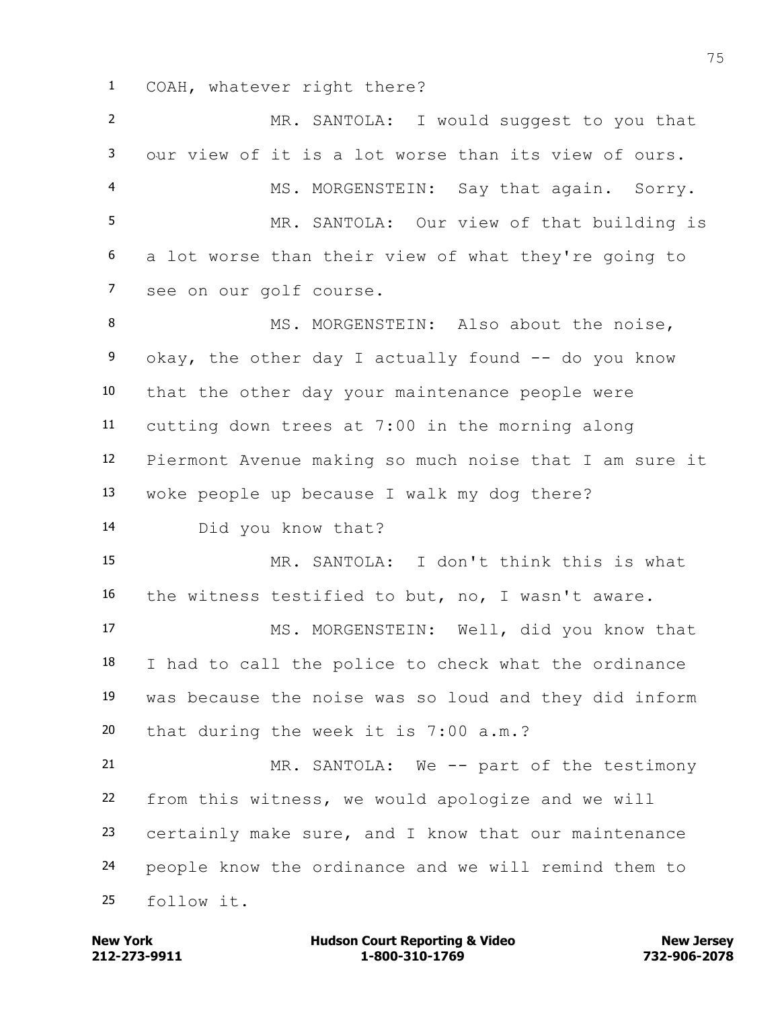COAH, whatever right there?

 MR. SANTOLA: I would suggest to you that our view of it is a lot worse than its view of ours. MS. MORGENSTEIN: Say that again. Sorry. MR. SANTOLA: Our view of that building is a lot worse than their view of what they're going to see on our golf course. 8 MS. MORGENSTEIN: Also about the noise, 9 okay, the other day I actually found -- do you know that the other day your maintenance people were cutting down trees at 7:00 in the morning along Piermont Avenue making so much noise that I am sure it woke people up because I walk my dog there? Did you know that? MR. SANTOLA: I don't think this is what the witness testified to but, no, I wasn't aware. MS. MORGENSTEIN: Well, did you know that I had to call the police to check what the ordinance was because the noise was so loud and they did inform that during the week it is 7:00 a.m.? MR. SANTOLA: We -- part of the testimony from this witness, we would apologize and we will certainly make sure, and I know that our maintenance people know the ordinance and we will remind them to follow it.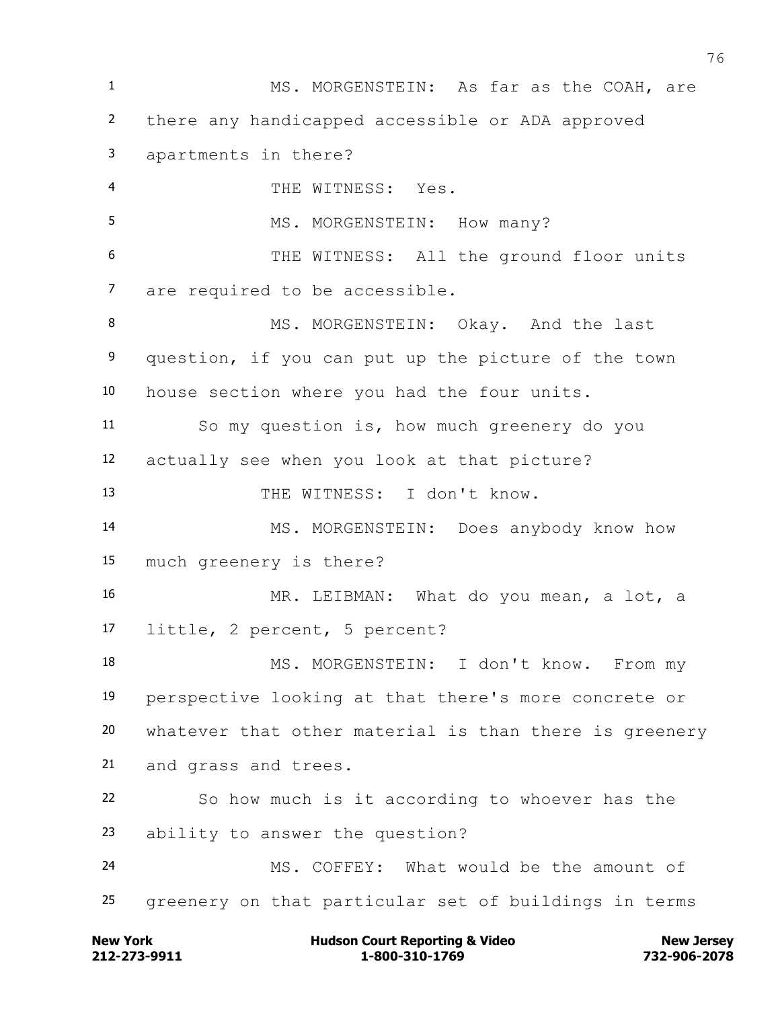MS. MORGENSTEIN: As far as the COAH, are there any handicapped accessible or ADA approved apartments in there? THE WITNESS: Yes. 5 MS. MORGENSTEIN: How many? THE WITNESS: All the ground floor units are required to be accessible. 8 MS. MORGENSTEIN: Okay. And the last question, if you can put up the picture of the town house section where you had the four units. So my question is, how much greenery do you actually see when you look at that picture? THE WITNESS: I don't know. MS. MORGENSTEIN: Does anybody know how much greenery is there? MR. LEIBMAN: What do you mean, a lot, a little, 2 percent, 5 percent? MS. MORGENSTEIN: I don't know. From my perspective looking at that there's more concrete or whatever that other material is than there is greenery and grass and trees. So how much is it according to whoever has the ability to answer the question? MS. COFFEY: What would be the amount of greenery on that particular set of buildings in terms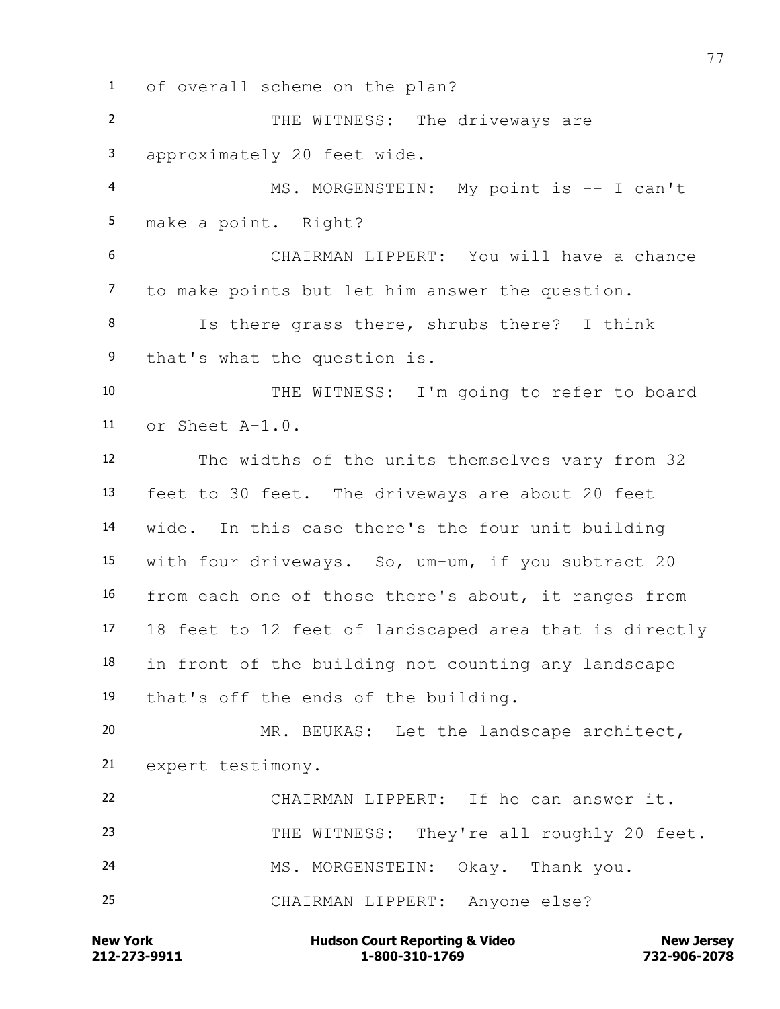of overall scheme on the plan? 2 THE WITNESS: The driveways are approximately 20 feet wide. MS. MORGENSTEIN: My point is -- I can't make a point. Right? CHAIRMAN LIPPERT: You will have a chance to make points but let him answer the question. Is there grass there, shrubs there? I think that's what the question is. THE WITNESS: I'm going to refer to board or Sheet A-1.0. The widths of the units themselves vary from 32 feet to 30 feet. The driveways are about 20 feet wide. In this case there's the four unit building with four driveways. So, um-um, if you subtract 20 from each one of those there's about, it ranges from 18 feet to 12 feet of landscaped area that is directly in front of the building not counting any landscape that's off the ends of the building. MR. BEUKAS: Let the landscape architect, expert testimony. CHAIRMAN LIPPERT: If he can answer it. THE WITNESS: They're all roughly 20 feet. MS. MORGENSTEIN: Okay. Thank you. CHAIRMAN LIPPERT: Anyone else?

**212-273-9911 1-800-310-1769 732-906-2078 New York Communist Court Reporting & Video New Jersey Rew Jersey**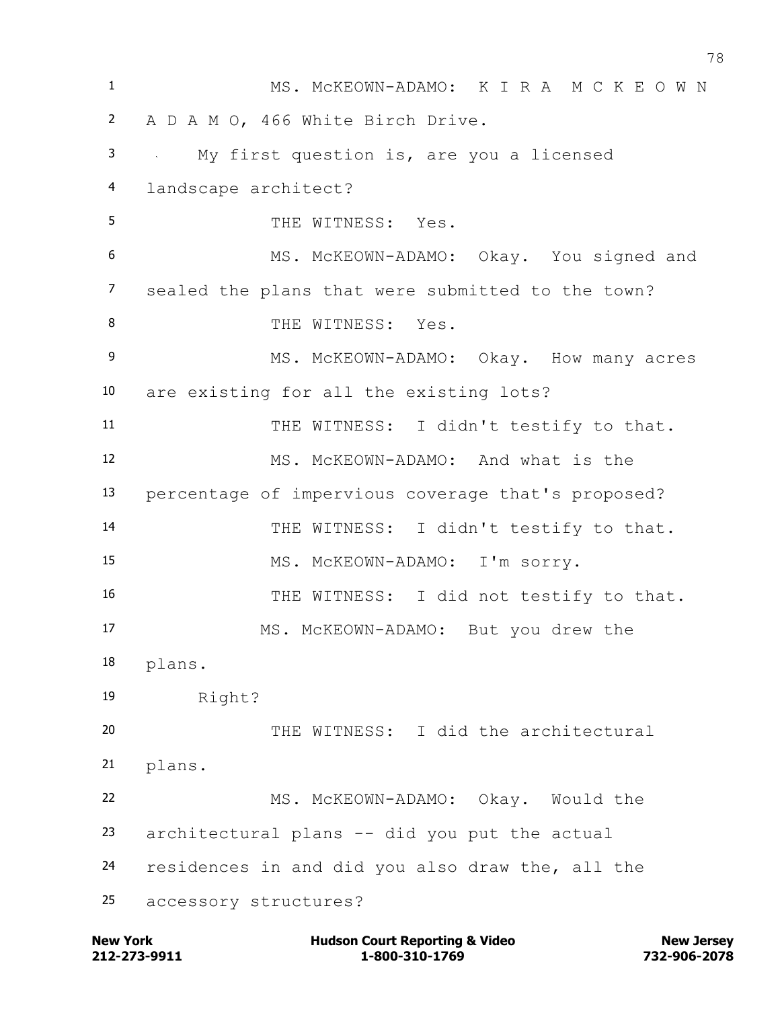| $\mathbf{1}$   | MS. MCKEOWN-ADAMO: K I R A M C K E O W N           |
|----------------|----------------------------------------------------|
| $\overline{2}$ | A D A M O, 466 White Birch Drive.                  |
| 3              | My first question is, are you a licensed           |
| 4              | landscape architect?                               |
| 5              | THE WITNESS: Yes.                                  |
| 6              | MS. MCKEOWN-ADAMO: Okay. You signed and            |
| $\overline{7}$ | sealed the plans that were submitted to the town?  |
| 8              | THE WITNESS: Yes.                                  |
| 9              | MS. MCKEOWN-ADAMO: Okay. How many acres            |
| 10             | are existing for all the existing lots?            |
| 11             | THE WITNESS: I didn't testify to that.             |
| 12             | MS. MCKEOWN-ADAMO: And what is the                 |
| 13             | percentage of impervious coverage that's proposed? |
| 14             | THE WITNESS: I didn't testify to that.             |
| 15             | MS. MCKEOWN-ADAMO: I'm sorry.                      |
| 16             | THE WITNESS: I did not testify to that.            |
| 17             | MS. MCKEOWN-ADAMO: But you drew the                |
| 18             | plans.                                             |
| 19             | Right?                                             |
| 20             | THE WITNESS: I did the architectural               |
| 21             | plans.                                             |
| 22             | MS. MCKEOWN-ADAMO: Okay. Would the                 |
| 23             | architectural plans -- did you put the actual      |
| 24             | residences in and did you also draw the, all the   |
| 25             | accessory structures?                              |

**212-273-9911 1-800-310-1769 732-906-2078 New York Hudson Court Reporting & Video New Jersey**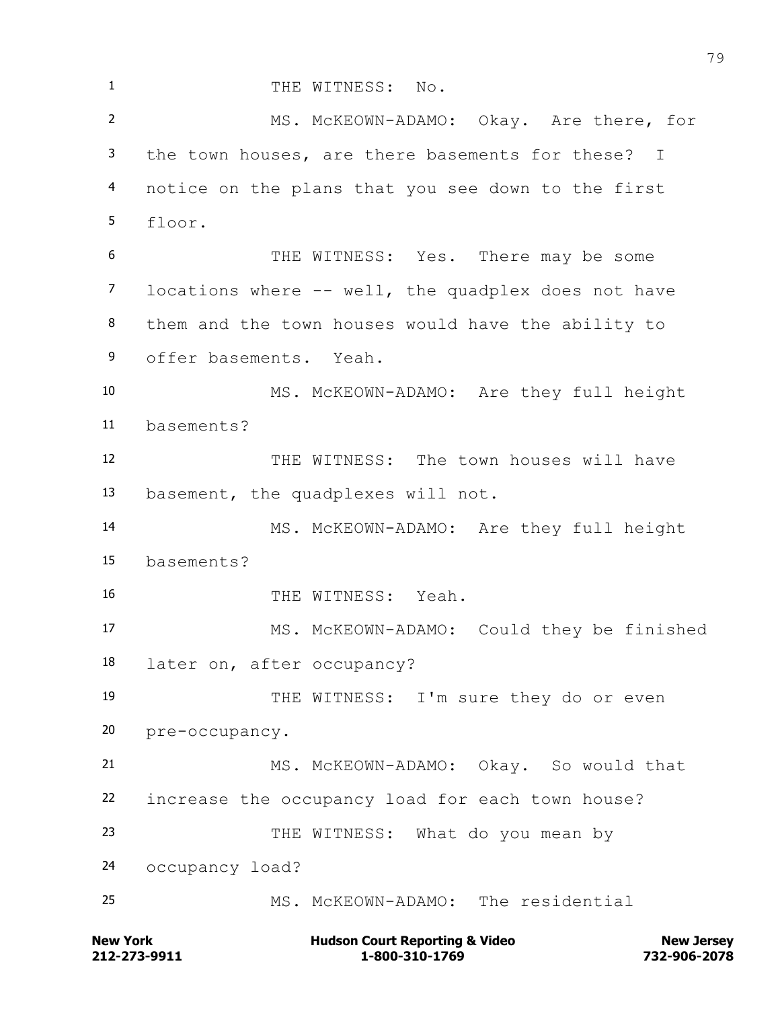1 THE WITNESS: No. MS. McKEOWN-ADAMO: Okay. Are there, for the town houses, are there basements for these? I notice on the plans that you see down to the first floor. THE WITNESS: Yes. There may be some locations where -- well, the quadplex does not have them and the town houses would have the ability to offer basements. Yeah. MS. McKEOWN-ADAMO: Are they full height basements? 12 THE WITNESS: The town houses will have basement, the quadplexes will not. MS. McKEOWN-ADAMO: Are they full height basements? THE WITNESS: Yeah. MS. McKEOWN-ADAMO: Could they be finished later on, after occupancy? THE WITNESS: I'm sure they do or even pre-occupancy. MS. McKEOWN-ADAMO: Okay. So would that increase the occupancy load for each town house? THE WITNESS: What do you mean by occupancy load? MS. McKEOWN-ADAMO: The residential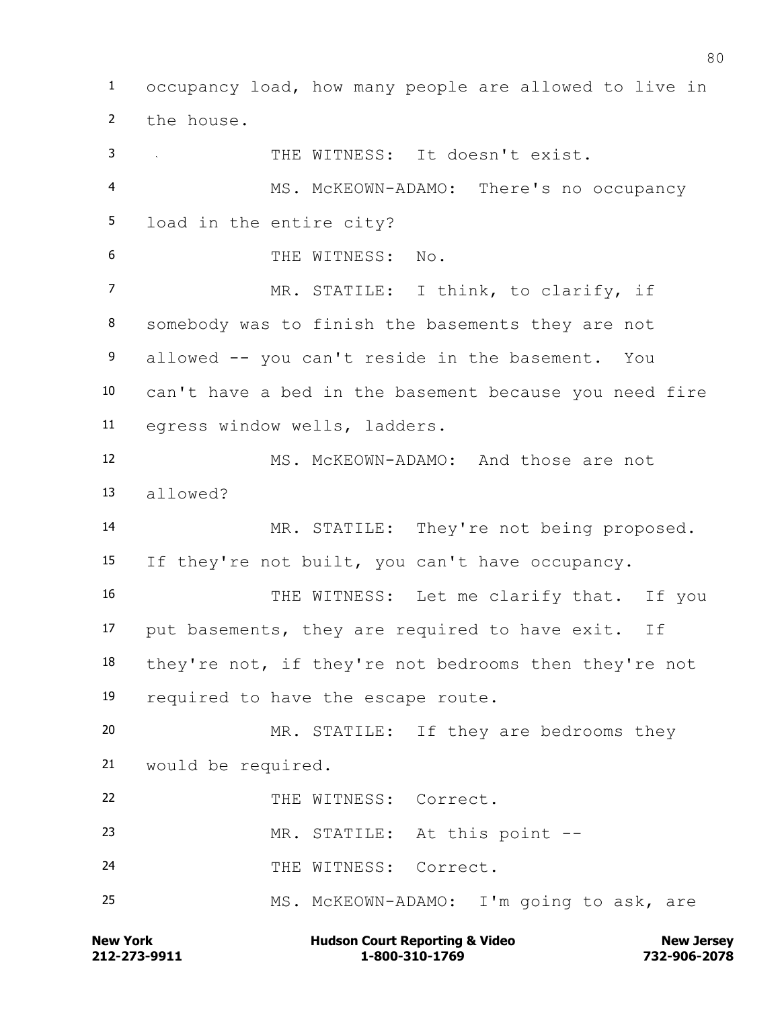occupancy load, how many people are allowed to live in the house. THE WITNESS: It doesn't exist. MS. McKEOWN-ADAMO: There's no occupancy load in the entire city? THE WITNESS: No. 7 MR. STATILE: I think, to clarify, if somebody was to finish the basements they are not allowed -- you can't reside in the basement. You can't have a bed in the basement because you need fire egress window wells, ladders. MS. McKEOWN-ADAMO: And those are not allowed? 14 MR. STATILE: They're not being proposed. If they're not built, you can't have occupancy. 16 THE WITNESS: Let me clarify that. If you put basements, they are required to have exit. If they're not, if they're not bedrooms then they're not required to have the escape route. MR. STATILE: If they are bedrooms they would be required. 22 THE WITNESS: Correct. MR. STATILE: At this point -- 24 THE WITNESS: Correct. MS. McKEOWN-ADAMO: I'm going to ask, are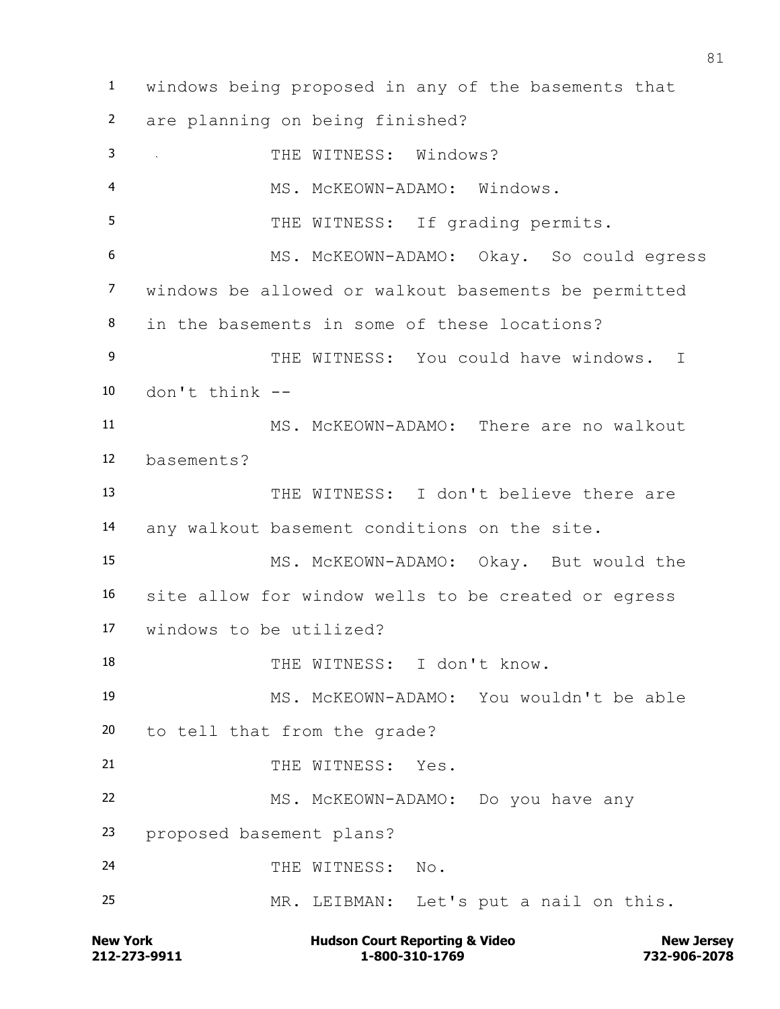windows being proposed in any of the basements that are planning on being finished? 3 THE WITNESS: Windows? 4 MS. McKEOWN-ADAMO: Windows. 5 THE WITNESS: If grading permits. MS. McKEOWN-ADAMO: Okay. So could egress windows be allowed or walkout basements be permitted in the basements in some of these locations? 9 THE WITNESS: You could have windows. I don't think -- MS. McKEOWN-ADAMO: There are no walkout basements? THE WITNESS: I don't believe there are any walkout basement conditions on the site. MS. McKEOWN-ADAMO: Okay. But would the site allow for window wells to be created or egress windows to be utilized? THE WITNESS: I don't know. MS. McKEOWN-ADAMO: You wouldn't be able to tell that from the grade? 21 THE WITNESS: Yes. 22 MS. McKEOWN-ADAMO: Do you have any proposed basement plans? 24 THE WITNESS: No. MR. LEIBMAN: Let's put a nail on this.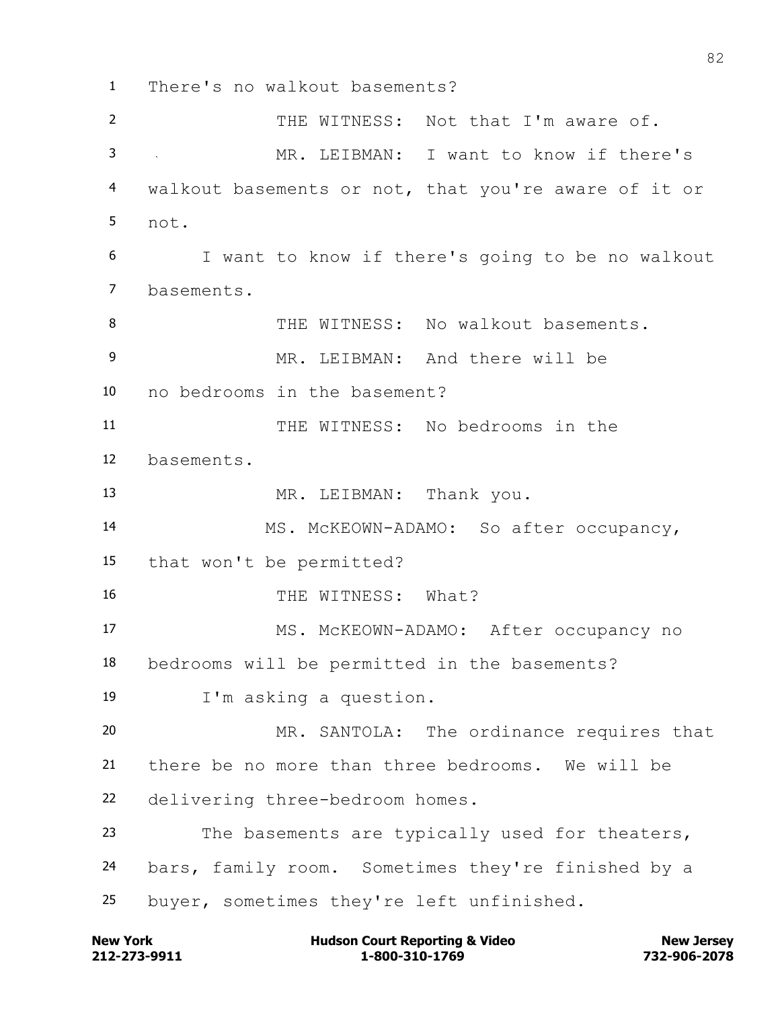There's no walkout basements? 2 THE WITNESS: Not that I'm aware of. MR. LEIBMAN: I want to know if there's walkout basements or not, that you're aware of it or not. I want to know if there's going to be no walkout basements. THE WITNESS: No walkout basements. 9 MR. LEIBMAN: And there will be no bedrooms in the basement? THE WITNESS: No bedrooms in the basements. MR. LEIBMAN: Thank you. MS. McKEOWN-ADAMO: So after occupancy, that won't be permitted? 16 THE WITNESS: What? MS. McKEOWN-ADAMO: After occupancy no bedrooms will be permitted in the basements? I'm asking a question. MR. SANTOLA: The ordinance requires that there be no more than three bedrooms. We will be delivering three-bedroom homes. The basements are typically used for theaters, bars, family room. Sometimes they're finished by a buyer, sometimes they're left unfinished.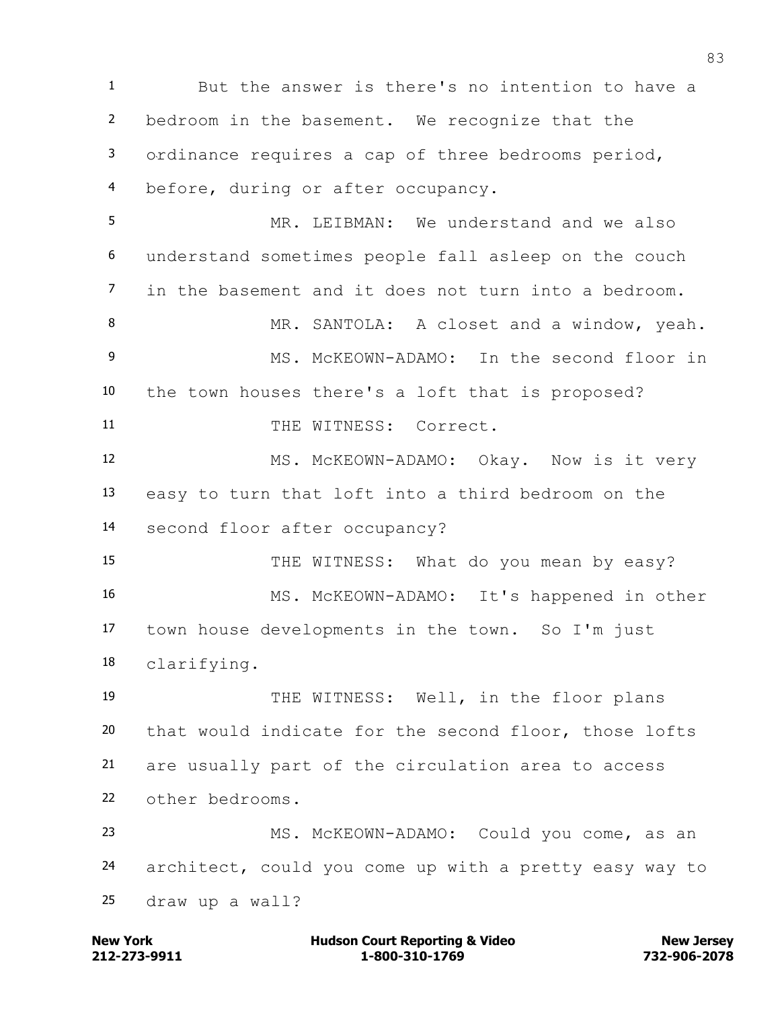But the answer is there's no intention to have a bedroom in the basement. We recognize that the ordinance requires a cap of three bedrooms period, before, during or after occupancy.

 MR. LEIBMAN: We understand and we also understand sometimes people fall asleep on the couch in the basement and it does not turn into a bedroom. 8 MR. SANTOLA: A closet and a window, yeah.

 MS. McKEOWN-ADAMO: In the second floor in the town houses there's a loft that is proposed? 11 THE WITNESS: Correct.

 MS. McKEOWN-ADAMO: Okay. Now is it very easy to turn that loft into a third bedroom on the second floor after occupancy?

15 THE WITNESS: What do you mean by easy? MS. McKEOWN-ADAMO: It's happened in other town house developments in the town. So I'm just clarifying.

 THE WITNESS: Well, in the floor plans that would indicate for the second floor, those lofts are usually part of the circulation area to access other bedrooms.

 MS. McKEOWN-ADAMO: Could you come, as an architect, could you come up with a pretty easy way to draw up a wall?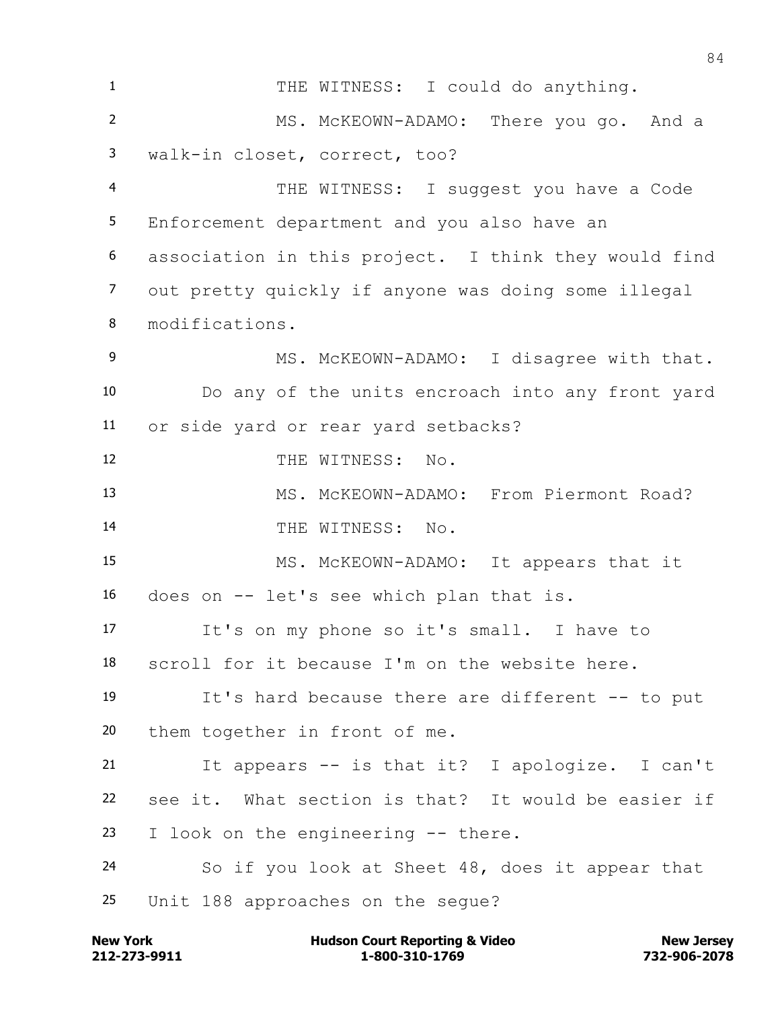1 THE WITNESS: I could do anything. MS. McKEOWN-ADAMO: There you go. And a walk-in closet, correct, too? THE WITNESS: I suggest you have a Code Enforcement department and you also have an association in this project. I think they would find out pretty quickly if anyone was doing some illegal modifications. 9 MS. McKEOWN-ADAMO: I disagree with that. Do any of the units encroach into any front yard or side yard or rear yard setbacks? 12 THE WITNESS: No. 13 MS. McKEOWN-ADAMO: From Piermont Road? 14 THE WITNESS: No. MS. McKEOWN-ADAMO: It appears that it does on -- let's see which plan that is. It's on my phone so it's small. I have to scroll for it because I'm on the website here. It's hard because there are different -- to put them together in front of me. It appears -- is that it? I apologize. I can't see it. What section is that? It would be easier if I look on the engineering -- there. So if you look at Sheet 48, does it appear that Unit 188 approaches on the segue?

**212-273-9911 1-800-310-1769 732-906-2078 New York Communist Court Reporting & Video New Jersey Rew Jersey**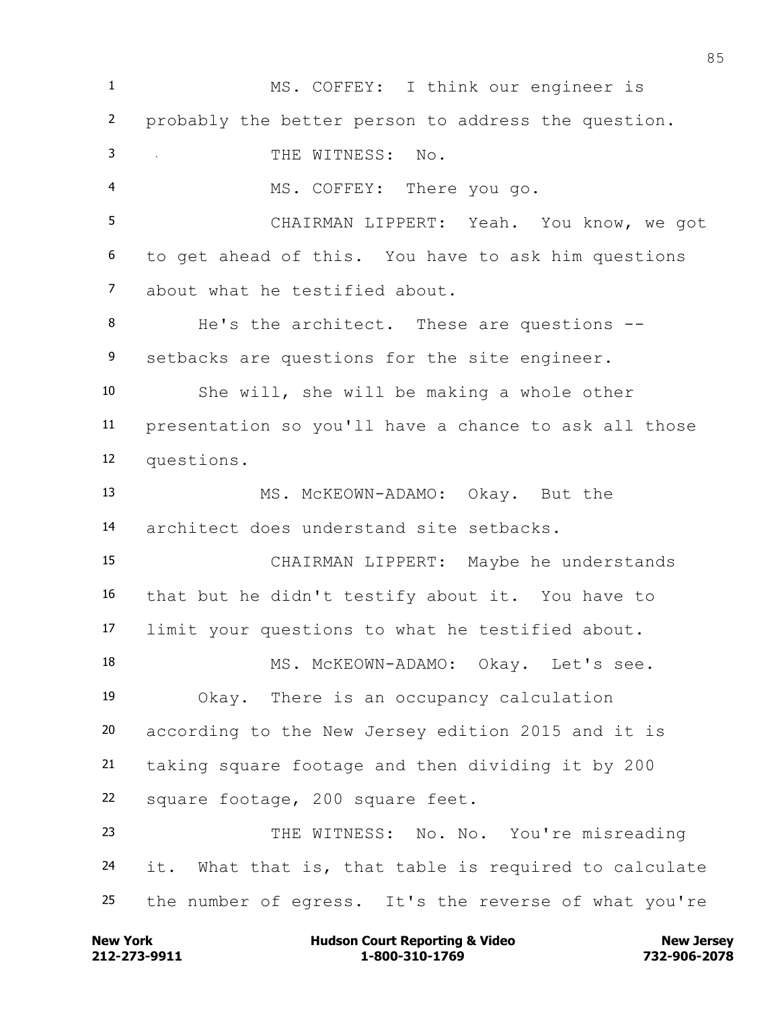MS. COFFEY: I think our engineer is probably the better person to address the question. THE WITNESS: No. MS. COFFEY: There you go. CHAIRMAN LIPPERT: Yeah. You know, we got to get ahead of this. You have to ask him questions about what he testified about. 8 He's the architect. These are questions --9 setbacks are questions for the site engineer. She will, she will be making a whole other presentation so you'll have a chance to ask all those questions. MS. McKEOWN-ADAMO: Okay. But the architect does understand site setbacks. CHAIRMAN LIPPERT: Maybe he understands that but he didn't testify about it. You have to limit your questions to what he testified about. 18 MS. McKEOWN-ADAMO: Okay. Let's see. Okay. There is an occupancy calculation according to the New Jersey edition 2015 and it is taking square footage and then dividing it by 200 square footage, 200 square feet. THE WITNESS: No. No. You're misreading it. What that is, that table is required to calculate the number of egress. It's the reverse of what you're

**212-273-9911 1-800-310-1769 732-906-2078 New York Communist Court Reporting & Video New Jersey Rew Jersey**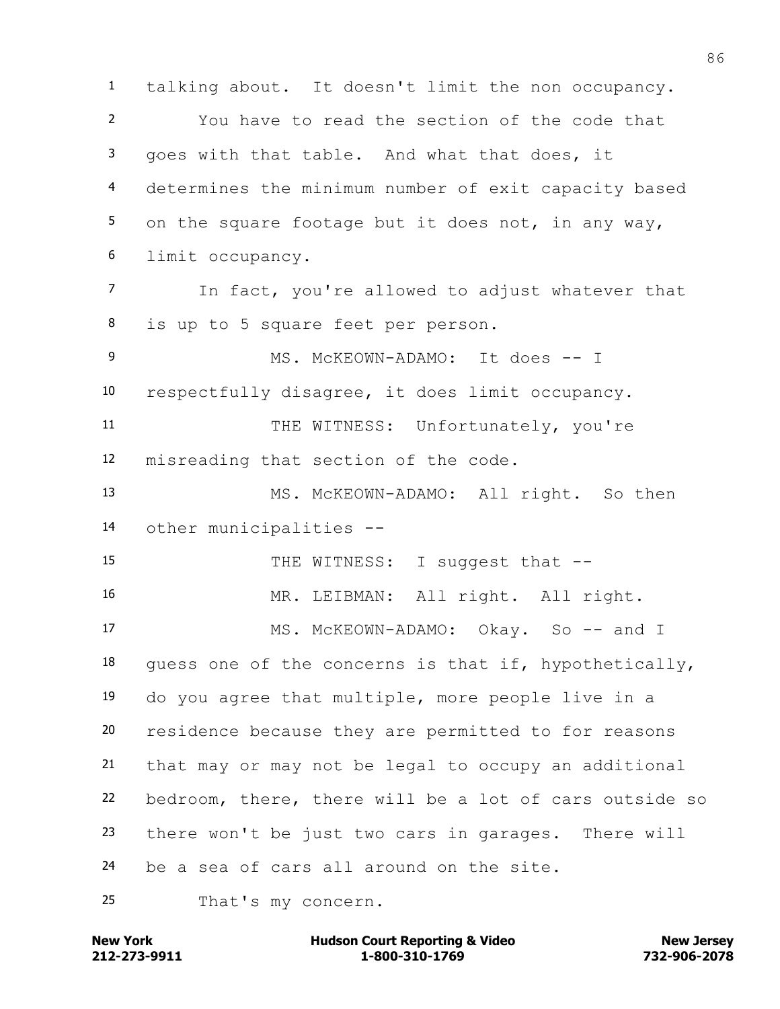talking about. It doesn't limit the non occupancy. You have to read the section of the code that goes with that table. And what that does, it determines the minimum number of exit capacity based 5 on the square footage but it does not, in any way, limit occupancy. In fact, you're allowed to adjust whatever that is up to 5 square feet per person. 9 MS. MCKEOWN-ADAMO: It does -- I respectfully disagree, it does limit occupancy. 11 THE WITNESS: Unfortunately, you're misreading that section of the code. MS. McKEOWN-ADAMO: All right. So then other municipalities -- 15 THE WITNESS: I suggest that -- MR. LEIBMAN: All right. All right. 17 MS. McKEOWN-ADAMO: Okay. So -- and I 18 quess one of the concerns is that if, hypothetically, do you agree that multiple, more people live in a residence because they are permitted to for reasons that may or may not be legal to occupy an additional bedroom, there, there will be a lot of cars outside so there won't be just two cars in garages. There will be a sea of cars all around on the site.

That's my concern.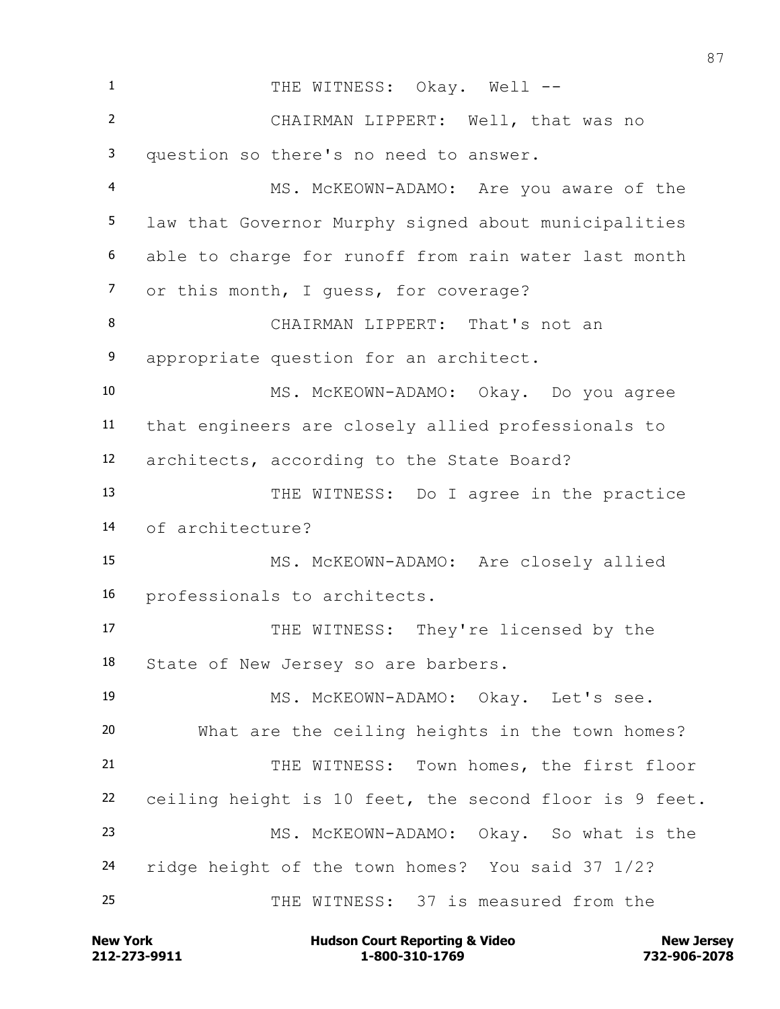1 THE WITNESS: Okay. Well -- CHAIRMAN LIPPERT: Well, that was no question so there's no need to answer. MS. McKEOWN-ADAMO: Are you aware of the law that Governor Murphy signed about municipalities able to charge for runoff from rain water last month or this month, I guess, for coverage? CHAIRMAN LIPPERT: That's not an appropriate question for an architect. MS. McKEOWN-ADAMO: Okay. Do you agree that engineers are closely allied professionals to architects, according to the State Board? THE WITNESS: Do I agree in the practice of architecture? MS. McKEOWN-ADAMO: Are closely allied professionals to architects. 17 THE WITNESS: They're licensed by the State of New Jersey so are barbers. MS. McKEOWN-ADAMO: Okay. Let's see. What are the ceiling heights in the town homes? 21 THE WITNESS: Town homes, the first floor ceiling height is 10 feet, the second floor is 9 feet. MS. McKEOWN-ADAMO: Okay. So what is the ridge height of the town homes? You said 37 1/2? THE WITNESS: 37 is measured from the

**212-273-9911 1-800-310-1769 732-906-2078 New York Communist Court Reporting & Video New Jersey Rew Jersey**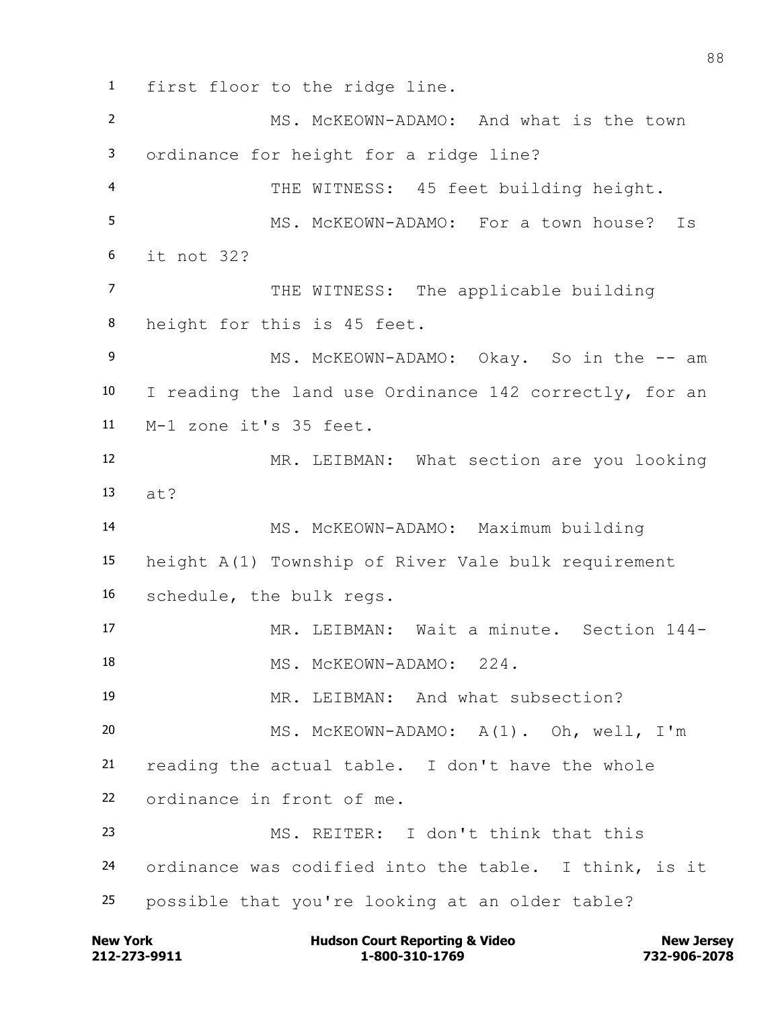first floor to the ridge line.

 MS. McKEOWN-ADAMO: And what is the town ordinance for height for a ridge line? THE WITNESS: 45 feet building height. MS. McKEOWN-ADAMO: For a town house? Is it not 32? 7 THE WITNESS: The applicable building height for this is 45 feet. 9 MS. McKEOWN-ADAMO: Okay. So in the -- am I reading the land use Ordinance 142 correctly, for an M-1 zone it's 35 feet. MR. LEIBMAN: What section are you looking at? MS. McKEOWN-ADAMO: Maximum building height A(1) Township of River Vale bulk requirement schedule, the bulk regs. MR. LEIBMAN: Wait a minute. Section 144- MS. McKEOWN-ADAMO: 224. MR. LEIBMAN: And what subsection? MS. McKEOWN-ADAMO: A(1). Oh, well, I'm reading the actual table. I don't have the whole ordinance in front of me. MS. REITER: I don't think that this ordinance was codified into the table. I think, is it possible that you're looking at an older table?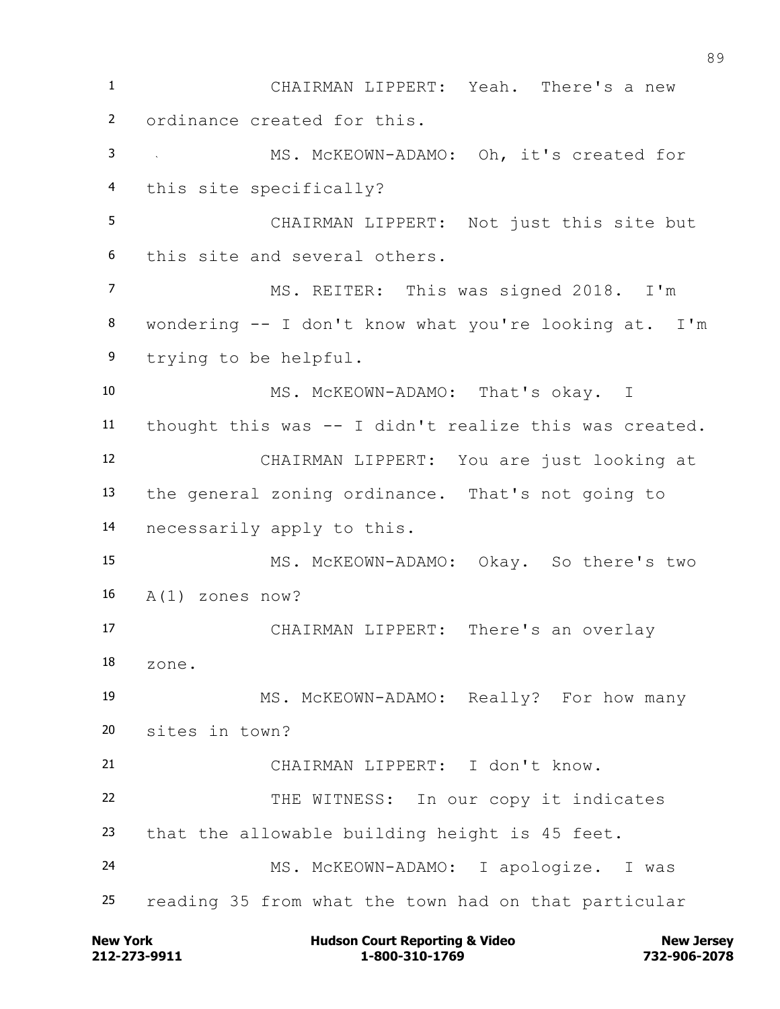CHAIRMAN LIPPERT: Yeah. There's a new ordinance created for this. MS. McKEOWN-ADAMO: Oh, it's created for this site specifically? CHAIRMAN LIPPERT: Not just this site but this site and several others. MS. REITER: This was signed 2018. I'm wondering -- I don't know what you're looking at. I'm trying to be helpful. MS. McKEOWN-ADAMO: That's okay. I thought this was -- I didn't realize this was created. CHAIRMAN LIPPERT: You are just looking at the general zoning ordinance. That's not going to necessarily apply to this. MS. McKEOWN-ADAMO: Okay. So there's two A(1) zones now? CHAIRMAN LIPPERT: There's an overlay zone. MS. McKEOWN-ADAMO: Really? For how many sites in town? CHAIRMAN LIPPERT: I don't know. 22 THE WITNESS: In our copy it indicates that the allowable building height is 45 feet. MS. McKEOWN-ADAMO: I apologize. I was reading 35 from what the town had on that particular

**212-273-9911 1-800-310-1769 732-906-2078 New York New York COULD Hudson Court Reporting & Video New Jersey Rew Jersey**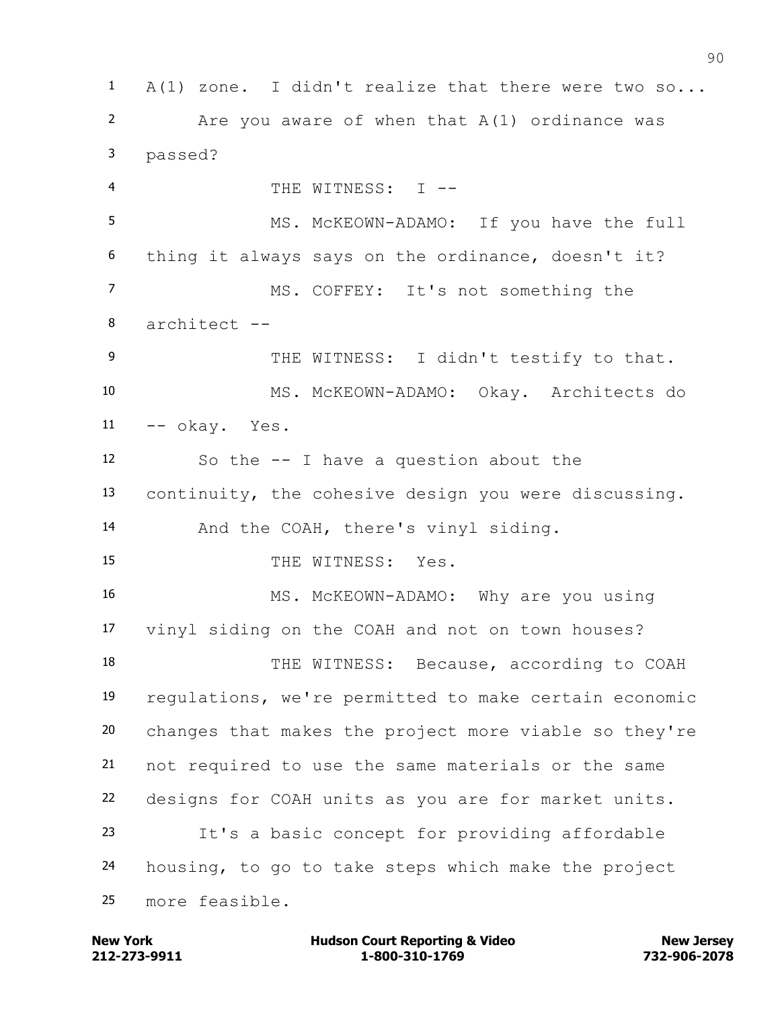A(1) zone. I didn't realize that there were two so... Are you aware of when that A(1) ordinance was passed? THE WITNESS: I -- MS. McKEOWN-ADAMO: If you have the full thing it always says on the ordinance, doesn't it? MS. COFFEY: It's not something the architect -- 9 THE WITNESS: I didn't testify to that. MS. McKEOWN-ADAMO: Okay. Architects do --  $\sigma$ kay. Yes. So the -- I have a question about the continuity, the cohesive design you were discussing. And the COAH, there's vinyl siding. 15 THE WITNESS: Yes. MS. McKEOWN-ADAMO: Why are you using vinyl siding on the COAH and not on town houses? 18 THE WITNESS: Because, according to COAH regulations, we're permitted to make certain economic changes that makes the project more viable so they're not required to use the same materials or the same designs for COAH units as you are for market units. It's a basic concept for providing affordable housing, to go to take steps which make the project more feasible.

**212-273-9911 1-800-310-1769 732-906-2078 New York Communist Court Reporting & Video New Jersey Rew Jersey**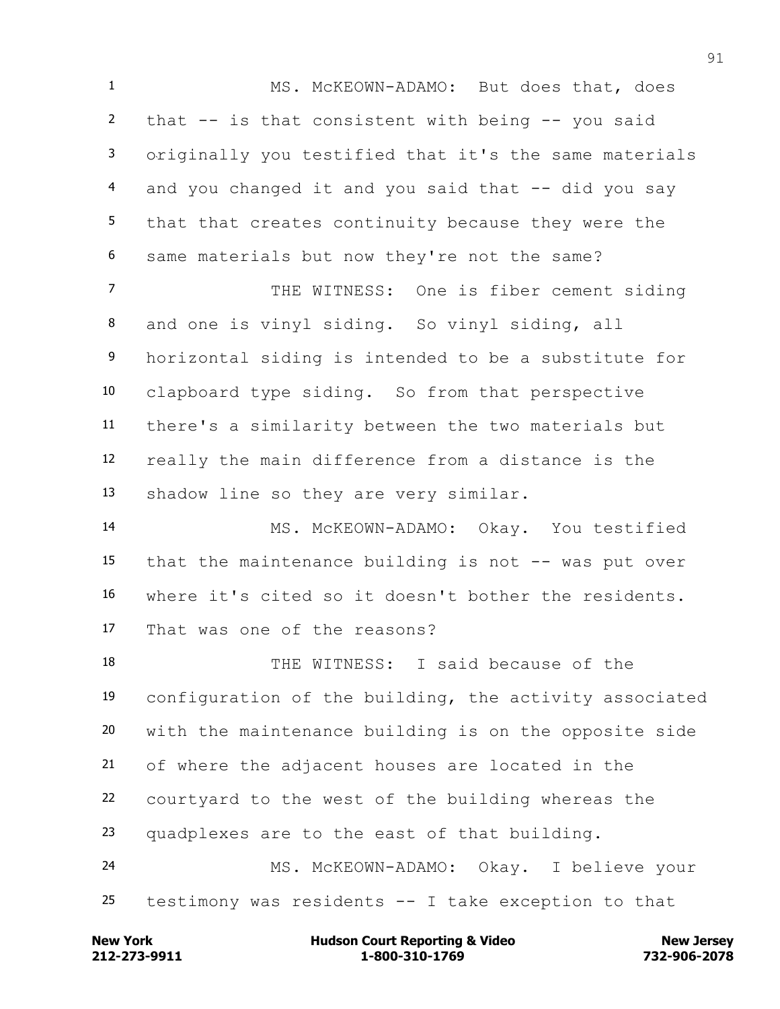MS. McKEOWN-ADAMO: But does that, does that -- is that consistent with being -- you said originally you testified that it's the same materials 4 and you changed it and you said that -- did you say that that creates continuity because they were the same materials but now they're not the same?

7 THE WITNESS: One is fiber cement siding and one is vinyl siding. So vinyl siding, all horizontal siding is intended to be a substitute for clapboard type siding. So from that perspective there's a similarity between the two materials but really the main difference from a distance is the shadow line so they are very similar.

 MS. McKEOWN-ADAMO: Okay. You testified that the maintenance building is not -- was put over where it's cited so it doesn't bother the residents. That was one of the reasons?

 THE WITNESS: I said because of the configuration of the building, the activity associated with the maintenance building is on the opposite side of where the adjacent houses are located in the courtyard to the west of the building whereas the quadplexes are to the east of that building. MS. McKEOWN-ADAMO: Okay. I believe your

testimony was residents -- I take exception to that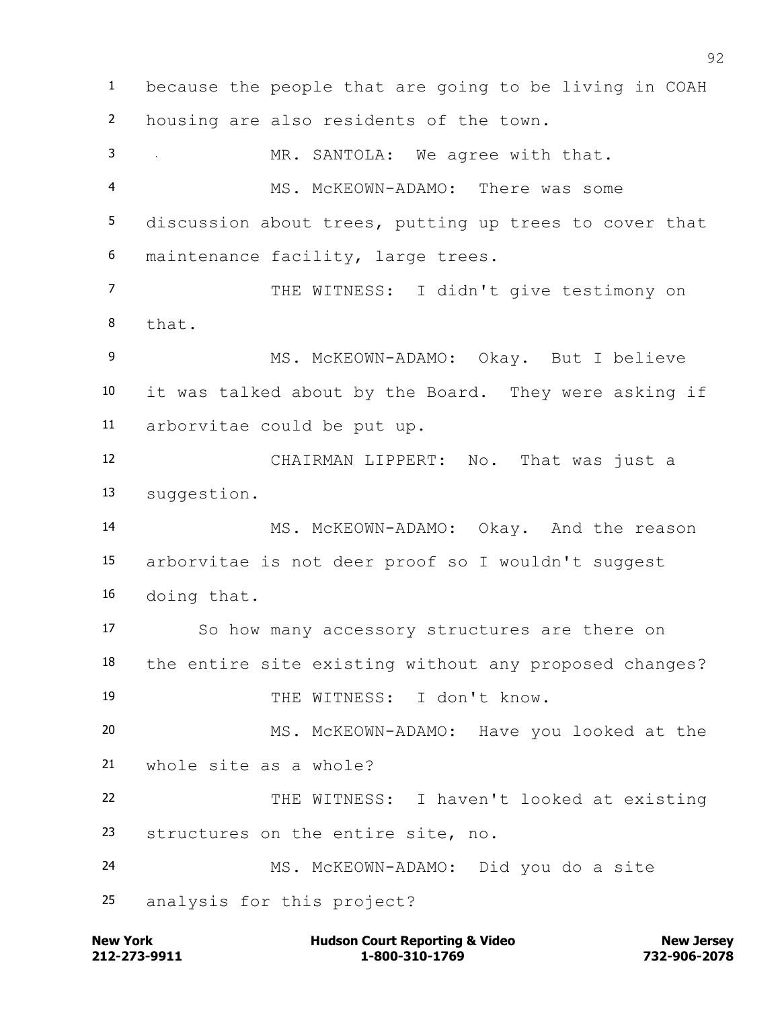because the people that are going to be living in COAH housing are also residents of the town. MR. SANTOLA: We agree with that. MS. McKEOWN-ADAMO: There was some discussion about trees, putting up trees to cover that maintenance facility, large trees. THE WITNESS: I didn't give testimony on that. MS. McKEOWN-ADAMO: Okay. But I believe it was talked about by the Board. They were asking if arborvitae could be put up. CHAIRMAN LIPPERT: No. That was just a suggestion. MS. McKEOWN-ADAMO: Okay. And the reason arborvitae is not deer proof so I wouldn't suggest doing that. So how many accessory structures are there on the entire site existing without any proposed changes? THE WITNESS: I don't know. MS. McKEOWN-ADAMO: Have you looked at the whole site as a whole? THE WITNESS: I haven't looked at existing structures on the entire site, no. MS. McKEOWN-ADAMO: Did you do a site analysis for this project?

**212-273-9911 1-800-310-1769 732-906-2078 New York Communist Court Reporting & Video New Jersey Rew Jersey**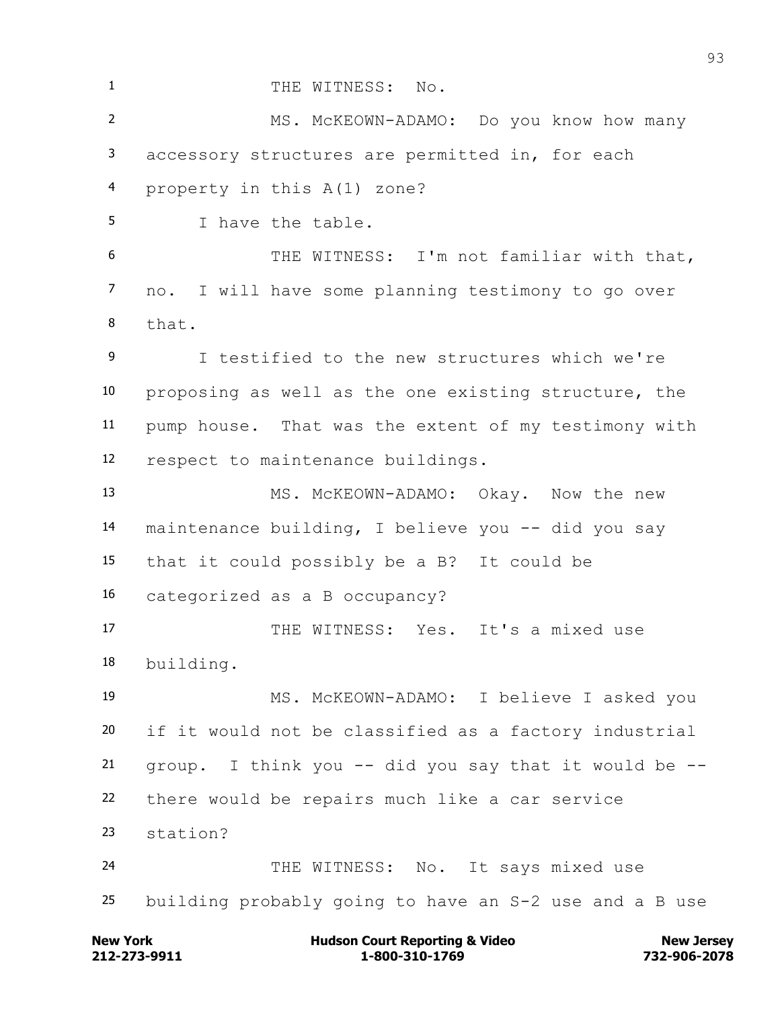1 THE WITNESS: No. MS. McKEOWN-ADAMO: Do you know how many accessory structures are permitted in, for each property in this A(1) zone? I have the table. THE WITNESS: I'm not familiar with that, no. I will have some planning testimony to go over that. I testified to the new structures which we're proposing as well as the one existing structure, the pump house. That was the extent of my testimony with respect to maintenance buildings. 13 MS. McKEOWN-ADAMO: Okay. Now the new maintenance building, I believe you -- did you say that it could possibly be a B? It could be categorized as a B occupancy? 17 THE WITNESS: Yes. It's a mixed use building. MS. McKEOWN-ADAMO: I believe I asked you if it would not be classified as a factory industrial group. I think you  $-$  did you say that it would be  $-$  there would be repairs much like a car service station? THE WITNESS: No. It says mixed use building probably going to have an S-2 use and a B use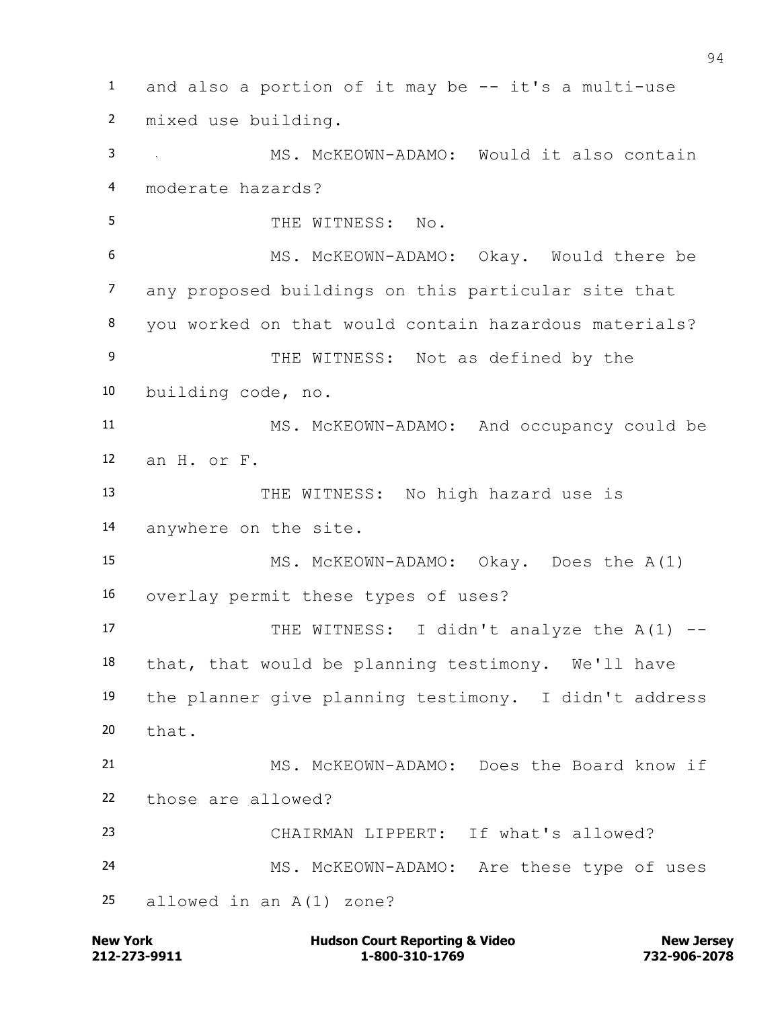and also a portion of it may be -- it's a multi-use mixed use building. MS. McKEOWN-ADAMO: Would it also contain moderate hazards? 5 THE WITNESS: No. MS. McKEOWN-ADAMO: Okay. Would there be any proposed buildings on this particular site that you worked on that would contain hazardous materials? 9 THE WITNESS: Not as defined by the building code, no. MS. McKEOWN-ADAMO: And occupancy could be an H. or F. THE WITNESS: No high hazard use is anywhere on the site. MS. McKEOWN-ADAMO: Okay. Does the A(1) overlay permit these types of uses? 17 THE WITNESS: I didn't analyze the A(1) -- that, that would be planning testimony. We'll have the planner give planning testimony. I didn't address that. MS. McKEOWN-ADAMO: Does the Board know if those are allowed? CHAIRMAN LIPPERT: If what's allowed? MS. McKEOWN-ADAMO: Are these type of uses allowed in an A(1) zone?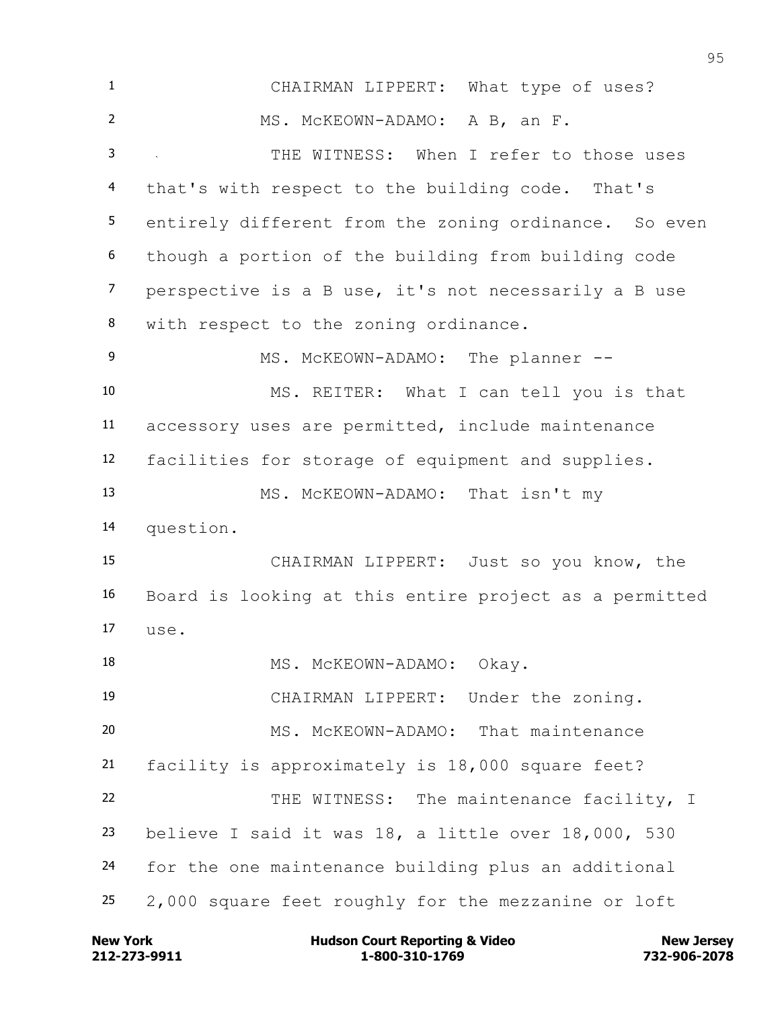CHAIRMAN LIPPERT: What type of uses? MS. McKEOWN-ADAMO: A B, an F. THE WITNESS: When I refer to those uses that's with respect to the building code. That's entirely different from the zoning ordinance. So even though a portion of the building from building code perspective is a B use, it's not necessarily a B use with respect to the zoning ordinance. 9 MS. McKEOWN-ADAMO: The planner -- MS. REITER: What I can tell you is that accessory uses are permitted, include maintenance facilities for storage of equipment and supplies. MS. McKEOWN-ADAMO: That isn't my question. CHAIRMAN LIPPERT: Just so you know, the Board is looking at this entire project as a permitted  $17 \quad \text{use}$ . 18 MS. McKEOWN-ADAMO: Okay. CHAIRMAN LIPPERT: Under the zoning. MS. McKEOWN-ADAMO: That maintenance facility is approximately is 18,000 square feet? 22 THE WITNESS: The maintenance facility, I believe I said it was 18, a little over 18,000, 530 for the one maintenance building plus an additional 2,000 square feet roughly for the mezzanine or loft

**212-273-9911 1-800-310-1769 732-906-2078 New York Communist Court Reporting & Video New Jersey Rew Jersey**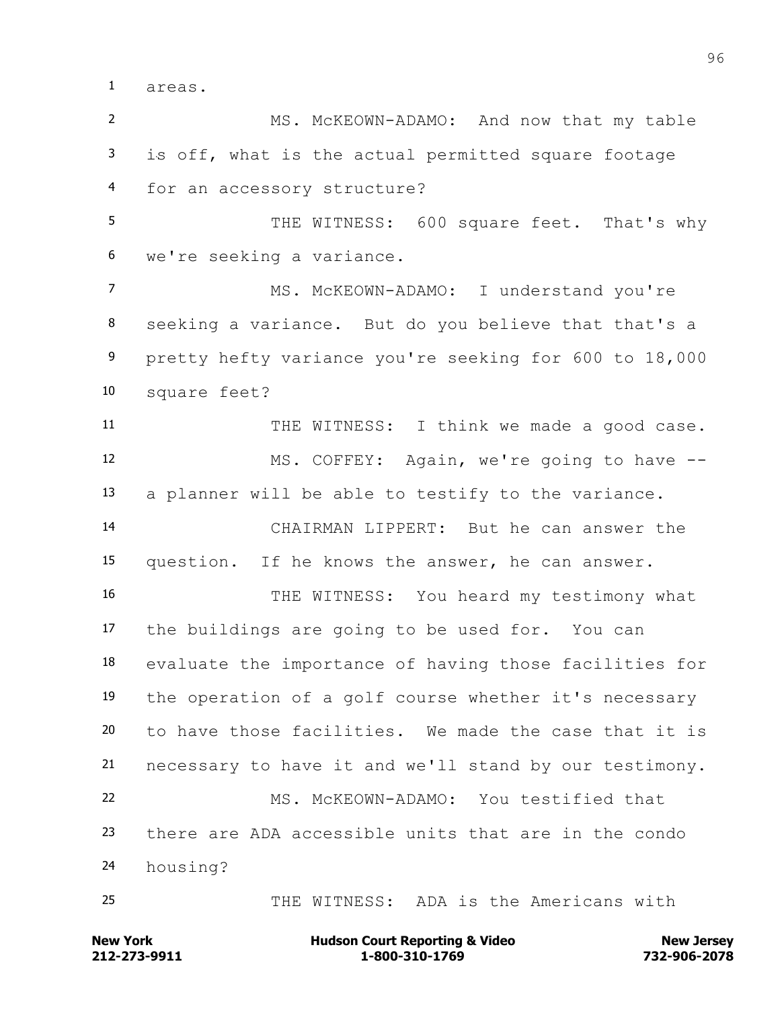areas.

 MS. McKEOWN-ADAMO: And now that my table is off, what is the actual permitted square footage for an accessory structure?

5 THE WITNESS: 600 square feet. That's why we're seeking a variance.

 MS. McKEOWN-ADAMO: I understand you're seeking a variance. But do you believe that that's a pretty hefty variance you're seeking for 600 to 18,000 square feet?

11 THE WITNESS: I think we made a good case. MS. COFFEY: Again, we're going to have -- a planner will be able to testify to the variance. CHAIRMAN LIPPERT: But he can answer the question. If he knows the answer, he can answer.

16 THE WITNESS: You heard my testimony what the buildings are going to be used for. You can evaluate the importance of having those facilities for the operation of a golf course whether it's necessary to have those facilities. We made the case that it is necessary to have it and we'll stand by our testimony. MS. McKEOWN-ADAMO: You testified that there are ADA accessible units that are in the condo

housing?

THE WITNESS: ADA is the Americans with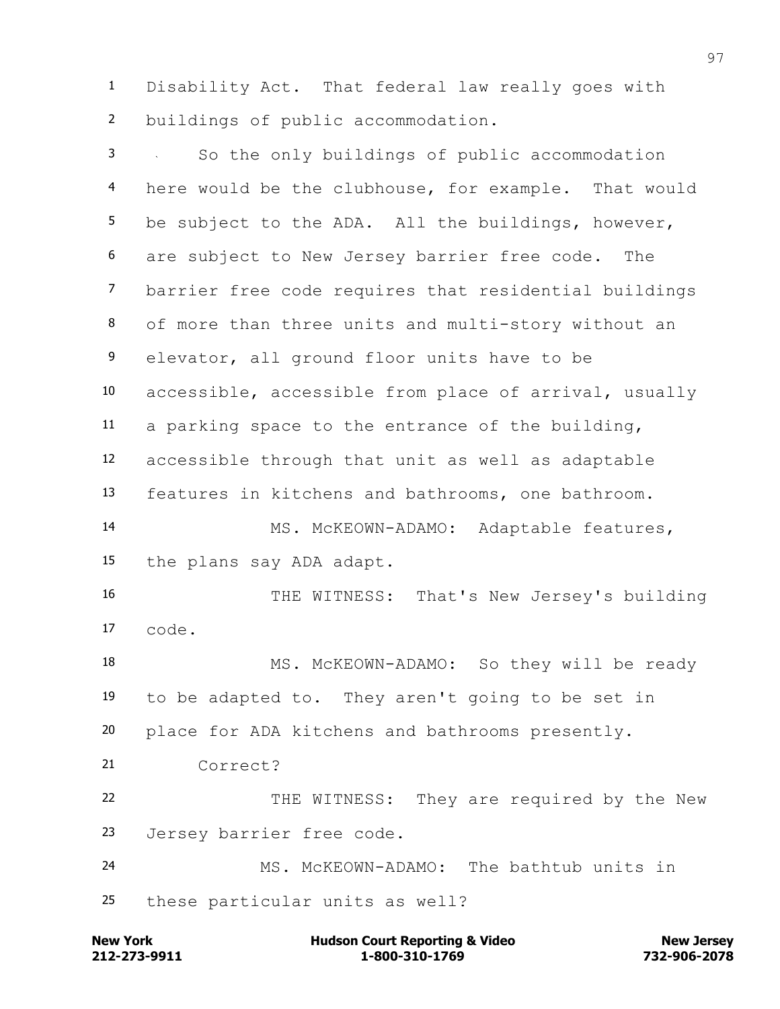Disability Act. That federal law really goes with buildings of public accommodation.

 So the only buildings of public accommodation here would be the clubhouse, for example. That would be subject to the ADA. All the buildings, however, are subject to New Jersey barrier free code. The barrier free code requires that residential buildings of more than three units and multi-story without an elevator, all ground floor units have to be accessible, accessible from place of arrival, usually a parking space to the entrance of the building, accessible through that unit as well as adaptable features in kitchens and bathrooms, one bathroom. MS. McKEOWN-ADAMO: Adaptable features, the plans say ADA adapt. THE WITNESS: That's New Jersey's building code. 18 MS. McKEOWN-ADAMO: So they will be ready to be adapted to. They aren't going to be set in place for ADA kitchens and bathrooms presently. Correct? 22 THE WITNESS: They are required by the New Jersey barrier free code. MS. McKEOWN-ADAMO: The bathtub units in these particular units as well?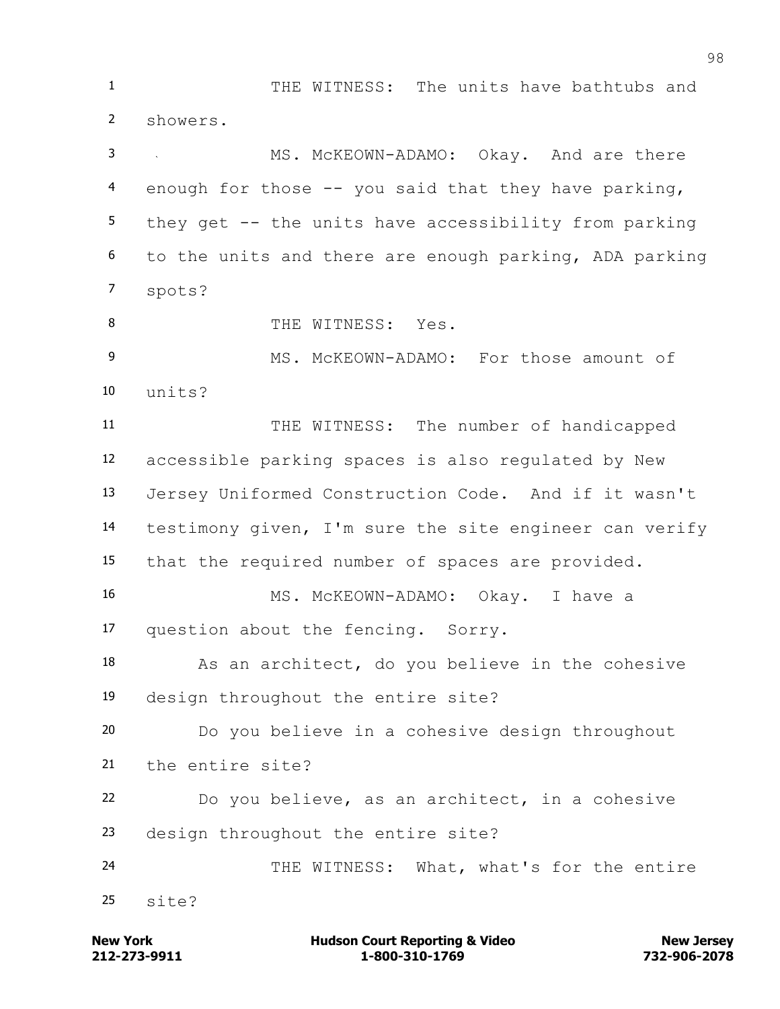THE WITNESS: The units have bathtubs and showers. 3 MS. McKEOWN-ADAMO: Okay. And are there enough for those -- you said that they have parking, they get -- the units have accessibility from parking to the units and there are enough parking, ADA parking spots? 8 THE WITNESS: Yes. 9 MS. McKEOWN-ADAMO: For those amount of units? THE WITNESS: The number of handicapped accessible parking spaces is also regulated by New Jersey Uniformed Construction Code. And if it wasn't testimony given, I'm sure the site engineer can verify that the required number of spaces are provided. MS. McKEOWN-ADAMO: Okay. I have a question about the fencing. Sorry. 18 As an architect, do you believe in the cohesive design throughout the entire site? Do you believe in a cohesive design throughout the entire site? Do you believe, as an architect, in a cohesive design throughout the entire site? 24 THE WITNESS: What, what's for the entire site?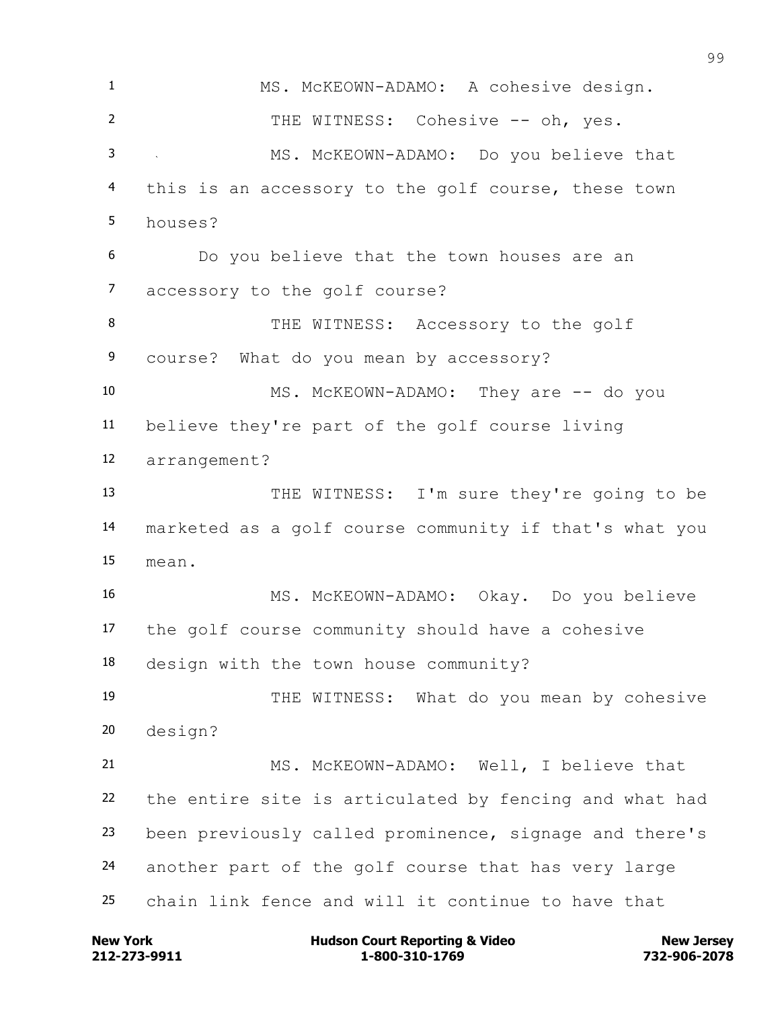MS. McKEOWN-ADAMO: A cohesive design. 2 THE WITNESS: Cohesive -- oh, yes. MS. McKEOWN-ADAMO: Do you believe that this is an accessory to the golf course, these town houses? Do you believe that the town houses are an accessory to the golf course? 8 THE WITNESS: Accessory to the golf course? What do you mean by accessory? 10 MS. McKEOWN-ADAMO: They are -- do you believe they're part of the golf course living arrangement? THE WITNESS: I'm sure they're going to be marketed as a golf course community if that's what you mean. MS. McKEOWN-ADAMO: Okay. Do you believe the golf course community should have a cohesive design with the town house community? THE WITNESS: What do you mean by cohesive design? MS. McKEOWN-ADAMO: Well, I believe that the entire site is articulated by fencing and what had been previously called prominence, signage and there's another part of the golf course that has very large chain link fence and will it continue to have that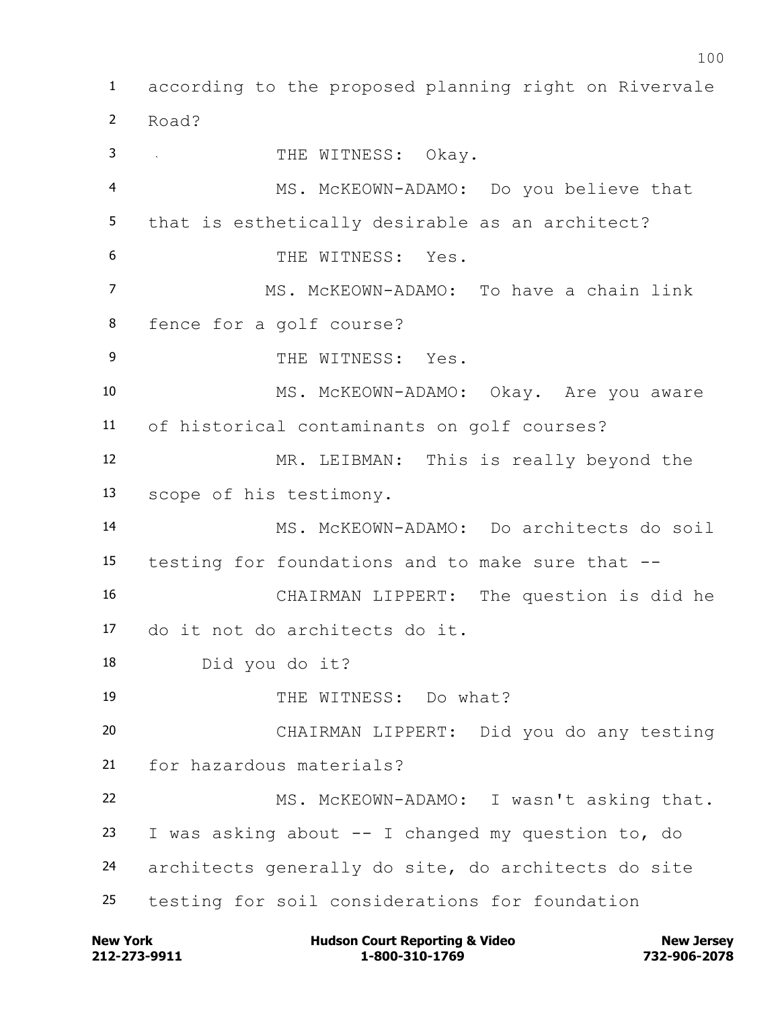according to the proposed planning right on Rivervale Road? 3 THE WITNESS: Okav. MS. McKEOWN-ADAMO: Do you believe that that is esthetically desirable as an architect? 6 THE WITNESS: Yes. MS. McKEOWN-ADAMO: To have a chain link fence for a golf course? 9 THE WITNESS: Yes. MS. McKEOWN-ADAMO: Okay. Are you aware of historical contaminants on golf courses? MR. LEIBMAN: This is really beyond the scope of his testimony. MS. McKEOWN-ADAMO: Do architects do soil testing for foundations and to make sure that -- CHAIRMAN LIPPERT: The question is did he do it not do architects do it. Did you do it? 19 THE WITNESS: Do what? CHAIRMAN LIPPERT: Did you do any testing for hazardous materials? MS. McKEOWN-ADAMO: I wasn't asking that. 23 I was asking about  $--$  I changed my question to, do architects generally do site, do architects do site testing for soil considerations for foundation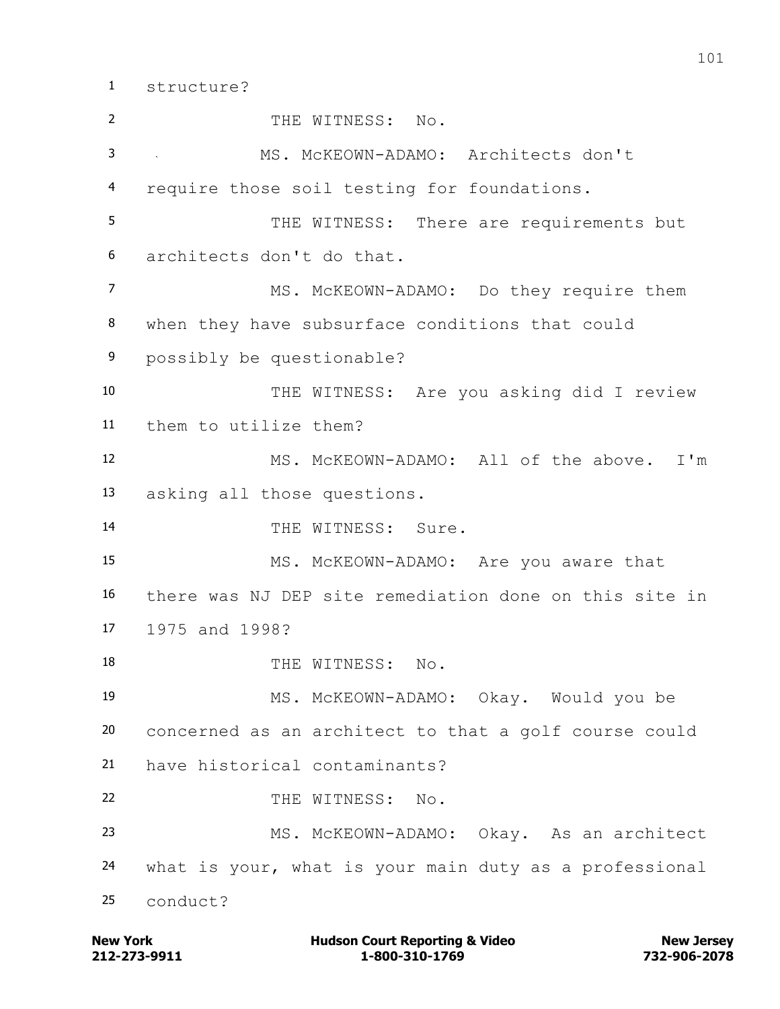structure?

 THE WITNESS: No. MS. McKEOWN-ADAMO: Architects don't require those soil testing for foundations. 5 THE WITNESS: There are requirements but architects don't do that. MS. McKEOWN-ADAMO: Do they require them when they have subsurface conditions that could possibly be questionable? THE WITNESS: Are you asking did I review them to utilize them? MS. McKEOWN-ADAMO: All of the above. I'm asking all those questions. 14 THE WITNESS: Sure. MS. McKEOWN-ADAMO: Are you aware that there was NJ DEP site remediation done on this site in 1975 and 1998? 18 THE WITNESS: No. MS. McKEOWN-ADAMO: Okay. Would you be concerned as an architect to that a golf course could have historical contaminants? 22 THE WITNESS: No. MS. McKEOWN-ADAMO: Okay. As an architect what is your, what is your main duty as a professional conduct?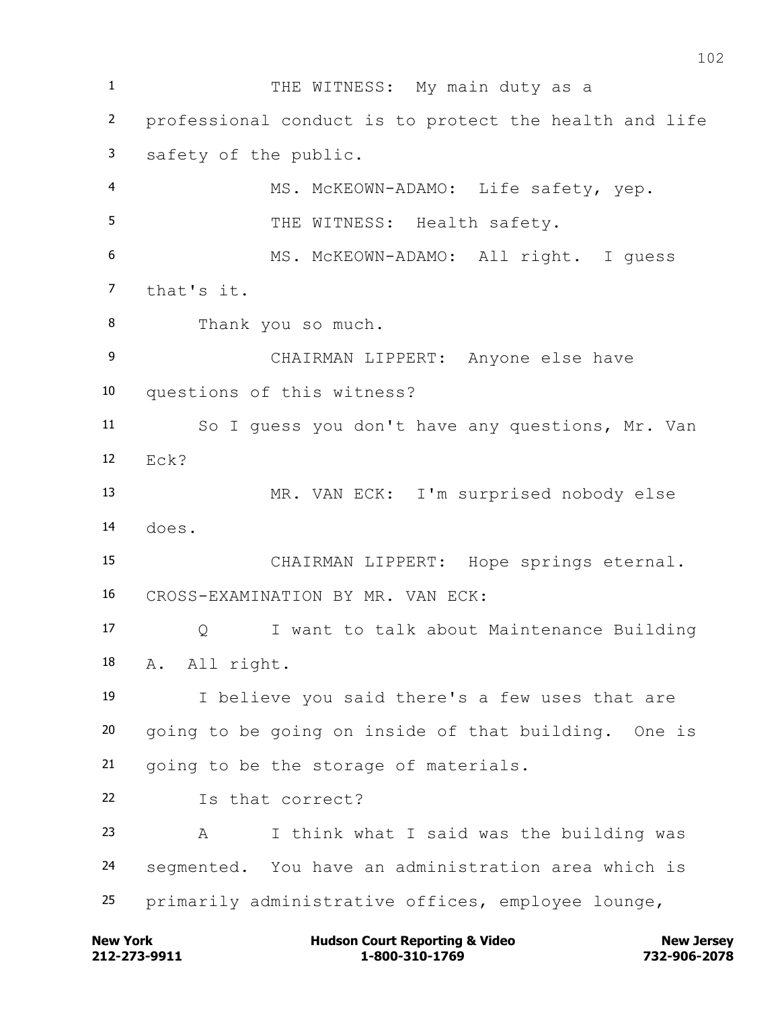1 THE WITNESS: My main duty as a professional conduct is to protect the health and life safety of the public. MS. McKEOWN-ADAMO: Life safety, yep. 5 THE WITNESS: Health safety. MS. McKEOWN-ADAMO: All right. I guess that's it. Thank you so much. CHAIRMAN LIPPERT: Anyone else have questions of this witness? So I guess you don't have any questions, Mr. Van Eck? MR. VAN ECK: I'm surprised nobody else does. CHAIRMAN LIPPERT: Hope springs eternal. CROSS-EXAMINATION BY MR. VAN ECK: Q I want to talk about Maintenance Building A. All right. I believe you said there's a few uses that are going to be going on inside of that building. One is going to be the storage of materials. Is that correct? A I think what I said was the building was segmented. You have an administration area which is primarily administrative offices, employee lounge,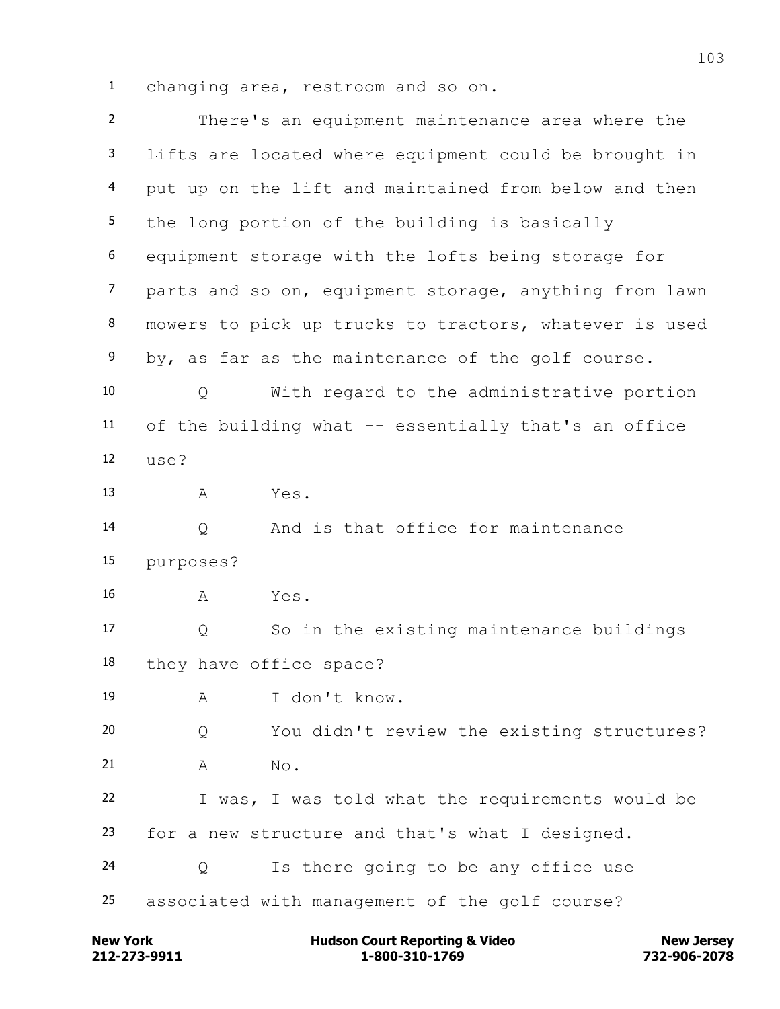changing area, restroom and so on.

| $2^{\circ}$    | There's an equipment maintenance area where the        |
|----------------|--------------------------------------------------------|
| $\mathbf{3}$   | lifts are located where equipment could be brought in  |
| $\overline{4}$ | put up on the lift and maintained from below and then  |
| 5              | the long portion of the building is basically          |
| 6              | equipment storage with the lofts being storage for     |
| $\overline{7}$ | parts and so on, equipment storage, anything from lawn |
| 8              | mowers to pick up trucks to tractors, whatever is used |
| 9              | by, as far as the maintenance of the golf course.      |
| 10             | With regard to the administrative portion<br>Q         |
| 11             | of the building what -- essentially that's an office   |
| 12             | use?                                                   |
| 13             | Yes.<br>Α                                              |
| 14             | And is that office for maintenance<br>Q                |
| 15             | purposes?                                              |
| 16             | Yes.<br>Α                                              |
| 17             | So in the existing maintenance buildings<br>Q          |
| 18             | they have office space?                                |
| 19             | I don't know.<br>Α                                     |
| 20             | You didn't review the existing structures?<br>Q        |
| 21             | Α<br>No.                                               |
| 22             | I was, I was told what the requirements would be       |
| 23             | for a new structure and that's what I designed.        |
| 24             | Is there going to be any office use<br>Q               |
| 25             | associated with management of the golf course?         |

**212-273-9911 1-800-310-1769 732-906-2078 New York Hudson Court Reporting & Video New Jersey**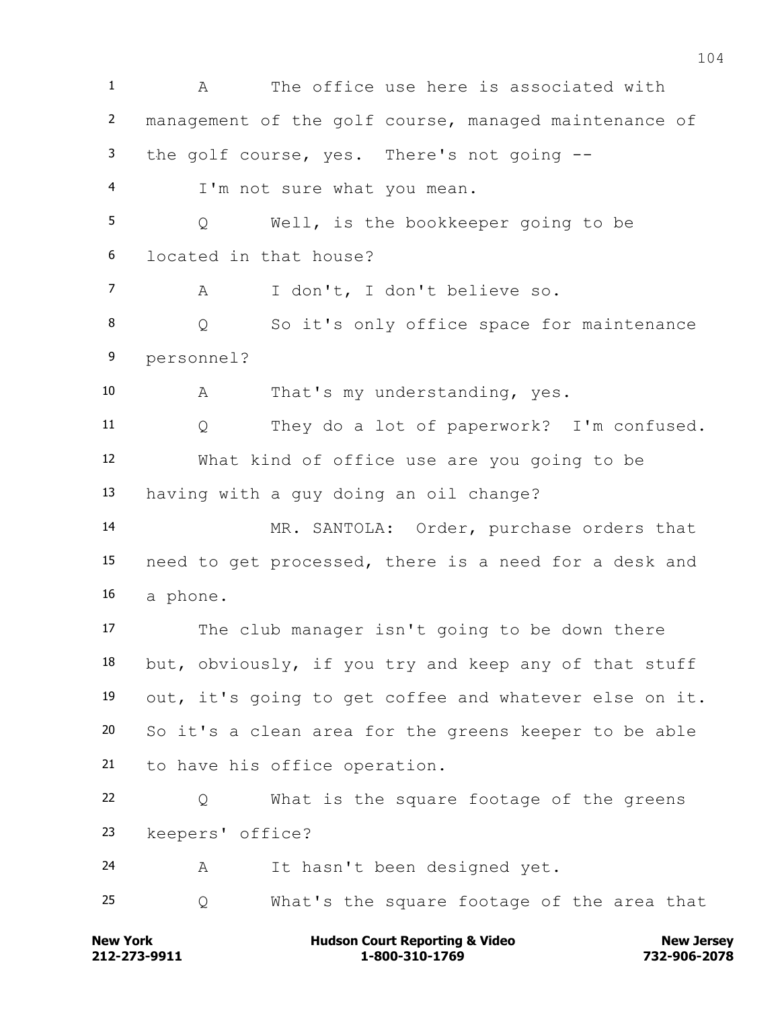A The office use here is associated with management of the golf course, managed maintenance of the golf course, yes. There's not going -- I'm not sure what you mean. Q Well, is the bookkeeper going to be located in that house? A I don't, I don't believe so. Q So it's only office space for maintenance personnel? A That's my understanding, yes. Q They do a lot of paperwork? I'm confused. What kind of office use are you going to be having with a guy doing an oil change? MR. SANTOLA: Order, purchase orders that need to get processed, there is a need for a desk and a phone. The club manager isn't going to be down there but, obviously, if you try and keep any of that stuff out, it's going to get coffee and whatever else on it. So it's a clean area for the greens keeper to be able to have his office operation. Q What is the square footage of the greens keepers' office? A It hasn't been designed yet. Q What's the square footage of the area that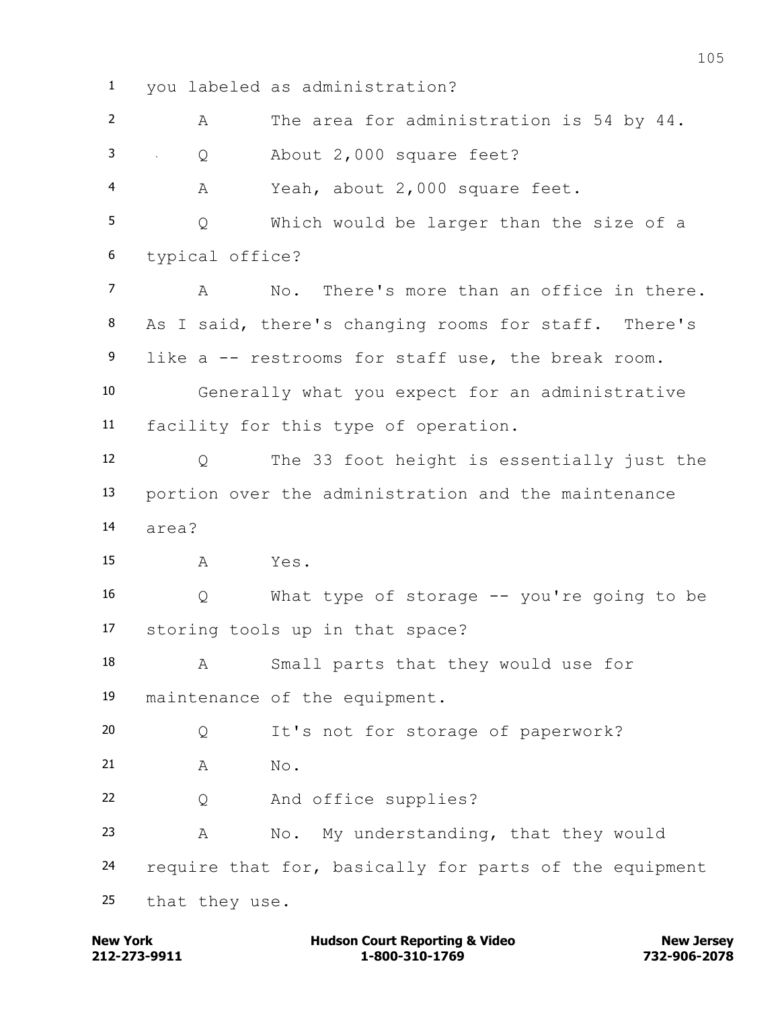you labeled as administration? A The area for administration is 54 by 44. Q About 2,000 square feet? A Yeah, about 2,000 square feet. Q Which would be larger than the size of a typical office? A No. There's more than an office in there. As I said, there's changing rooms for staff. There's like a -- restrooms for staff use, the break room. Generally what you expect for an administrative facility for this type of operation. Q The 33 foot height is essentially just the portion over the administration and the maintenance area? A Yes. Q What type of storage -- you're going to be storing tools up in that space? A Small parts that they would use for maintenance of the equipment. Q It's not for storage of paperwork? 21 A No. Q And office supplies? A No. My understanding, that they would require that for, basically for parts of the equipment that they use.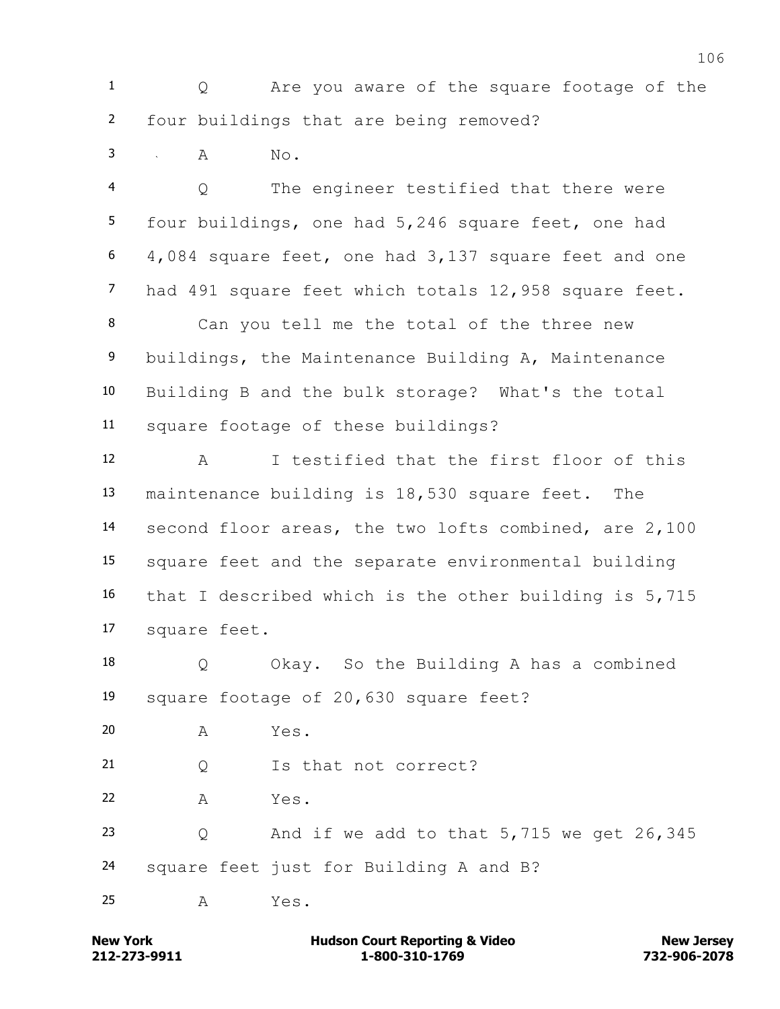Q Are you aware of the square footage of the four buildings that are being removed?

A No.

 Q The engineer testified that there were four buildings, one had 5,246 square feet, one had 4,084 square feet, one had 3,137 square feet and one had 491 square feet which totals 12,958 square feet.

 Can you tell me the total of the three new buildings, the Maintenance Building A, Maintenance Building B and the bulk storage? What's the total square footage of these buildings?

 A I testified that the first floor of this maintenance building is 18,530 square feet. The second floor areas, the two lofts combined, are 2,100 square feet and the separate environmental building that I described which is the other building is 5,715 square feet.

 Q Okay. So the Building A has a combined square footage of 20,630 square feet?

A Yes.

Q Is that not correct?

A Yes.

 Q And if we add to that 5,715 we get 26,345 square feet just for Building A and B?

 $A$   $Y \triangle$   $S$ .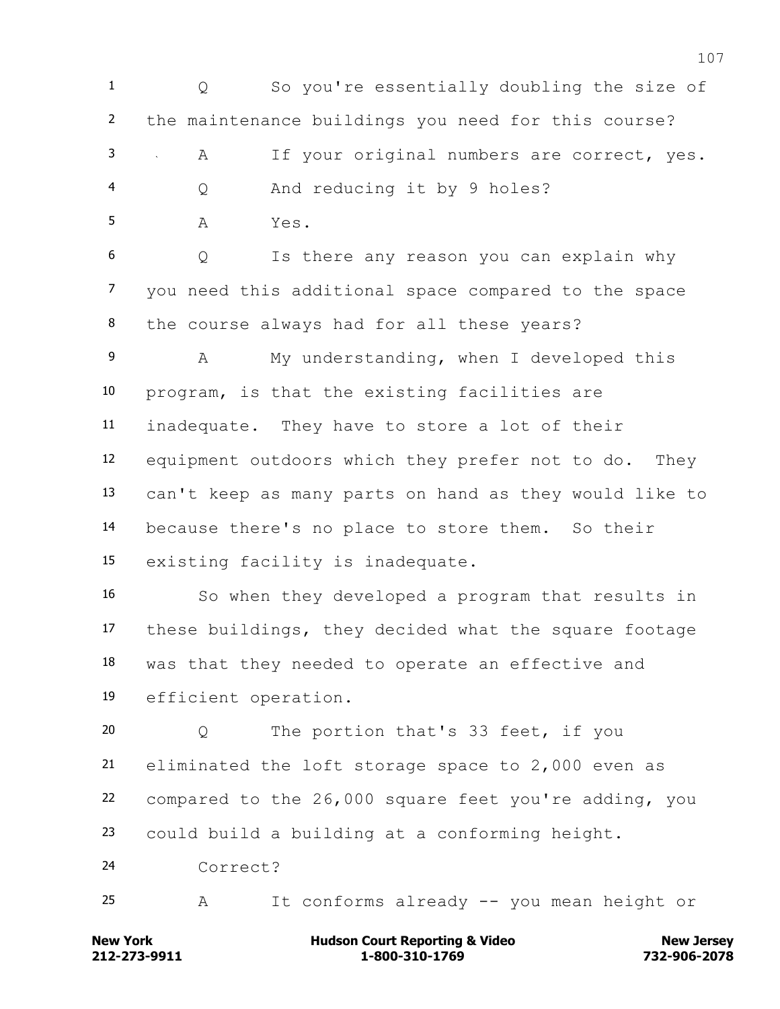Q So you're essentially doubling the size of the maintenance buildings you need for this course? A If your original numbers are correct, yes. Q And reducing it by 9 holes? A Yes.

 Q Is there any reason you can explain why you need this additional space compared to the space the course always had for all these years?

 A My understanding, when I developed this program, is that the existing facilities are inadequate. They have to store a lot of their equipment outdoors which they prefer not to do. They can't keep as many parts on hand as they would like to because there's no place to store them. So their existing facility is inadequate.

 So when they developed a program that results in these buildings, they decided what the square footage was that they needed to operate an effective and efficient operation.

 Q The portion that's 33 feet, if you eliminated the loft storage space to 2,000 even as compared to the 26,000 square feet you're adding, you could build a building at a conforming height. Correct?

A It conforms already -- you mean height or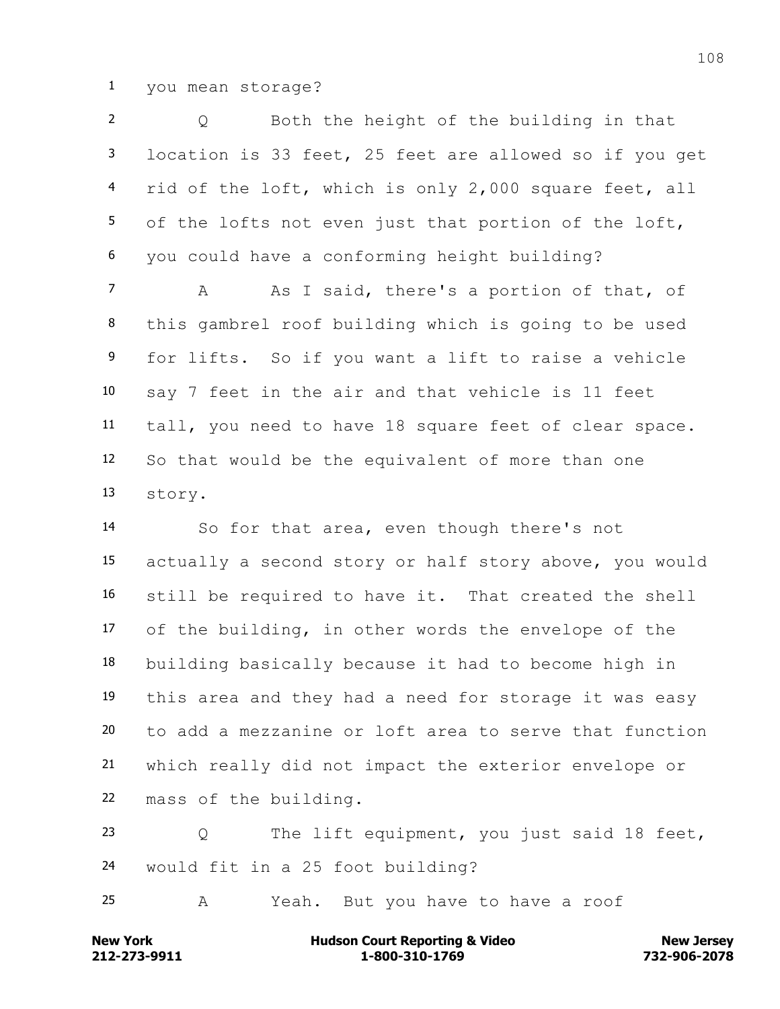you mean storage?

 Q Both the height of the building in that location is 33 feet, 25 feet are allowed so if you get rid of the loft, which is only 2,000 square feet, all of the lofts not even just that portion of the loft, you could have a conforming height building?

7 A As I said, there's a portion of that, of this gambrel roof building which is going to be used for lifts. So if you want a lift to raise a vehicle say 7 feet in the air and that vehicle is 11 feet tall, you need to have 18 square feet of clear space. So that would be the equivalent of more than one story.

 So for that area, even though there's not actually a second story or half story above, you would still be required to have it. That created the shell of the building, in other words the envelope of the building basically because it had to become high in this area and they had a need for storage it was easy to add a mezzanine or loft area to serve that function which really did not impact the exterior envelope or mass of the building.

 Q The lift equipment, you just said 18 feet, would fit in a 25 foot building?

A Yeah. But you have to have a roof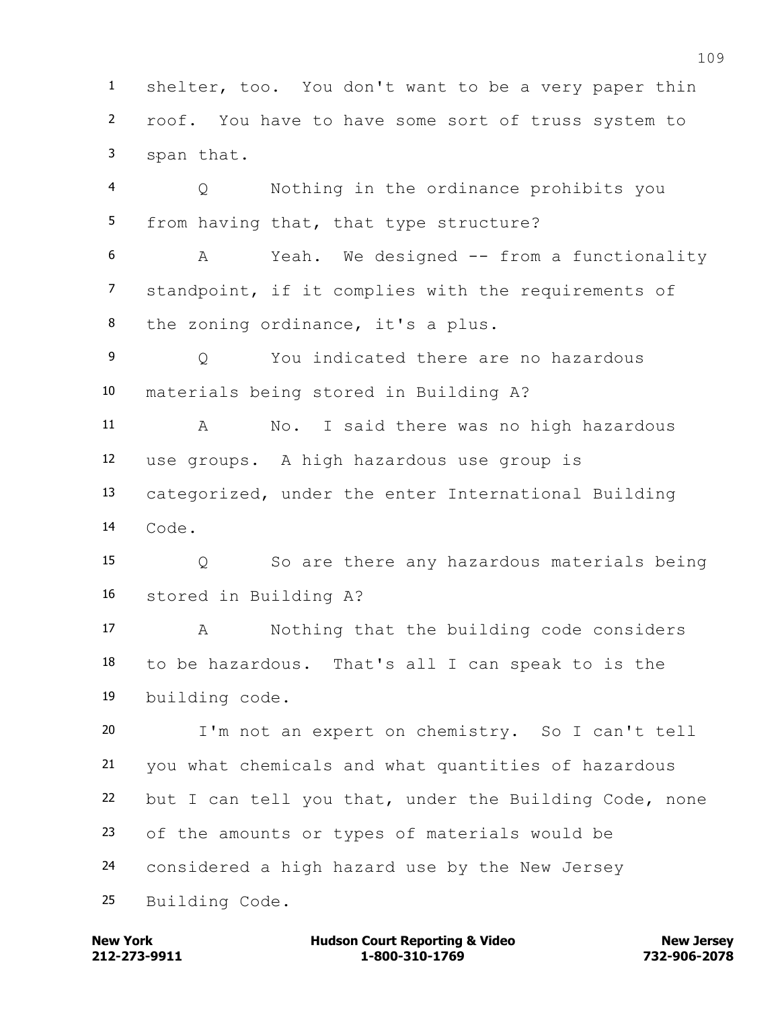shelter, too. You don't want to be a very paper thin roof. You have to have some sort of truss system to span that. Q Nothing in the ordinance prohibits you from having that, that type structure?

 A Yeah. We designed -- from a functionality standpoint, if it complies with the requirements of the zoning ordinance, it's a plus.

 Q You indicated there are no hazardous materials being stored in Building A?

 A No. I said there was no high hazardous use groups. A high hazardous use group is

 categorized, under the enter International Building Code.

 Q So are there any hazardous materials being stored in Building A?

 A Nothing that the building code considers to be hazardous. That's all I can speak to is the building code.

 I'm not an expert on chemistry. So I can't tell you what chemicals and what quantities of hazardous but I can tell you that, under the Building Code, none of the amounts or types of materials would be considered a high hazard use by the New Jersey Building Code.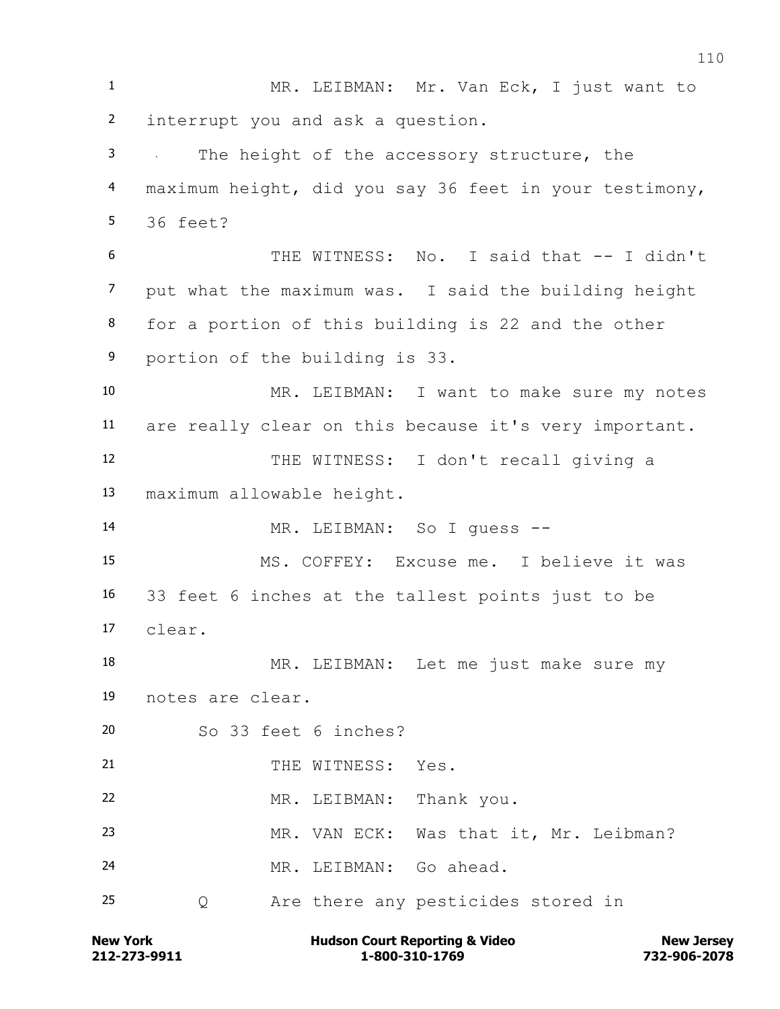MR. LEIBMAN: Mr. Van Eck, I just want to interrupt you and ask a question. The height of the accessory structure, the maximum height, did you say 36 feet in your testimony, 36 feet? THE WITNESS: No. I said that -- I didn't put what the maximum was. I said the building height for a portion of this building is 22 and the other portion of the building is 33. MR. LEIBMAN: I want to make sure my notes are really clear on this because it's very important. THE WITNESS: I don't recall giving a maximum allowable height. MR. LEIBMAN: So I guess -- MS. COFFEY: Excuse me. I believe it was 33 feet 6 inches at the tallest points just to be clear. MR. LEIBMAN: Let me just make sure my notes are clear. So 33 feet 6 inches? 21 THE WITNESS: Yes. MR. LEIBMAN: Thank you. MR. VAN ECK: Was that it, Mr. Leibman? MR. LEIBMAN: Go ahead. Q Are there any pesticides stored in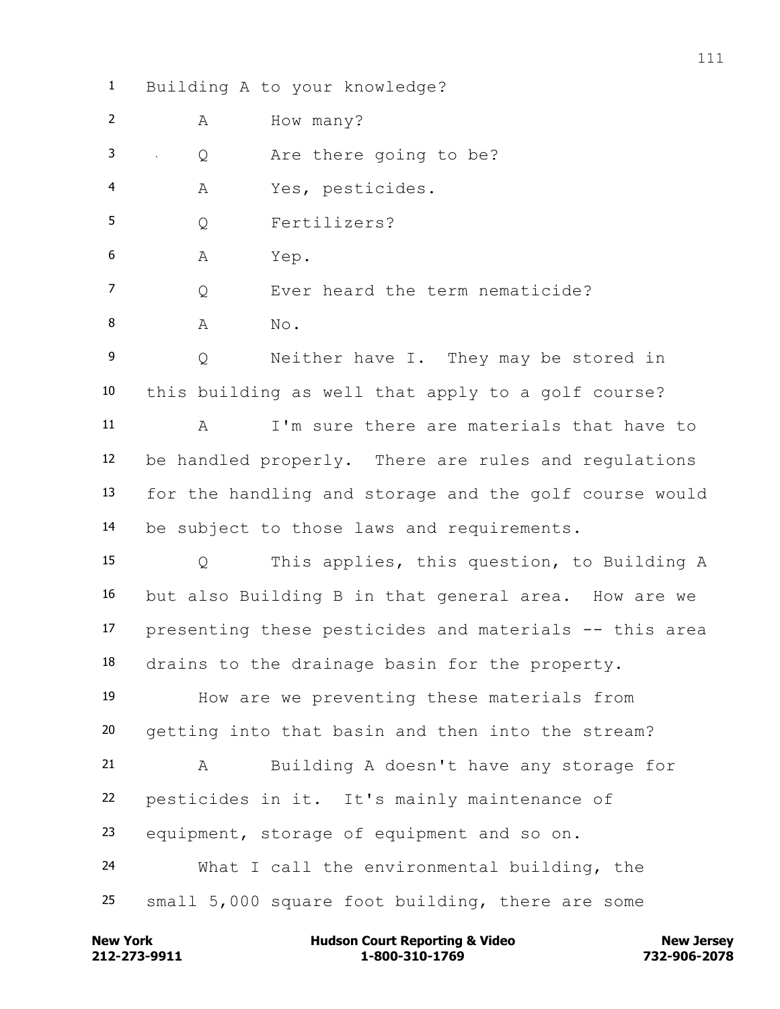Building A to your knowledge?

2 A How many?

Q Are there going to be?

A Yes, pesticides.

Q Fertilizers?

A Yep.

7 O Ever heard the term nematicide?

8 A No.

 Q Neither have I. They may be stored in this building as well that apply to a golf course?

 A I'm sure there are materials that have to be handled properly. There are rules and regulations for the handling and storage and the golf course would be subject to those laws and requirements.

 Q This applies, this question, to Building A but also Building B in that general area. How are we presenting these pesticides and materials -- this area drains to the drainage basin for the property.

 How are we preventing these materials from getting into that basin and then into the stream?

 A Building A doesn't have any storage for pesticides in it. It's mainly maintenance of equipment, storage of equipment and so on. What I call the environmental building, the

small 5,000 square foot building, there are some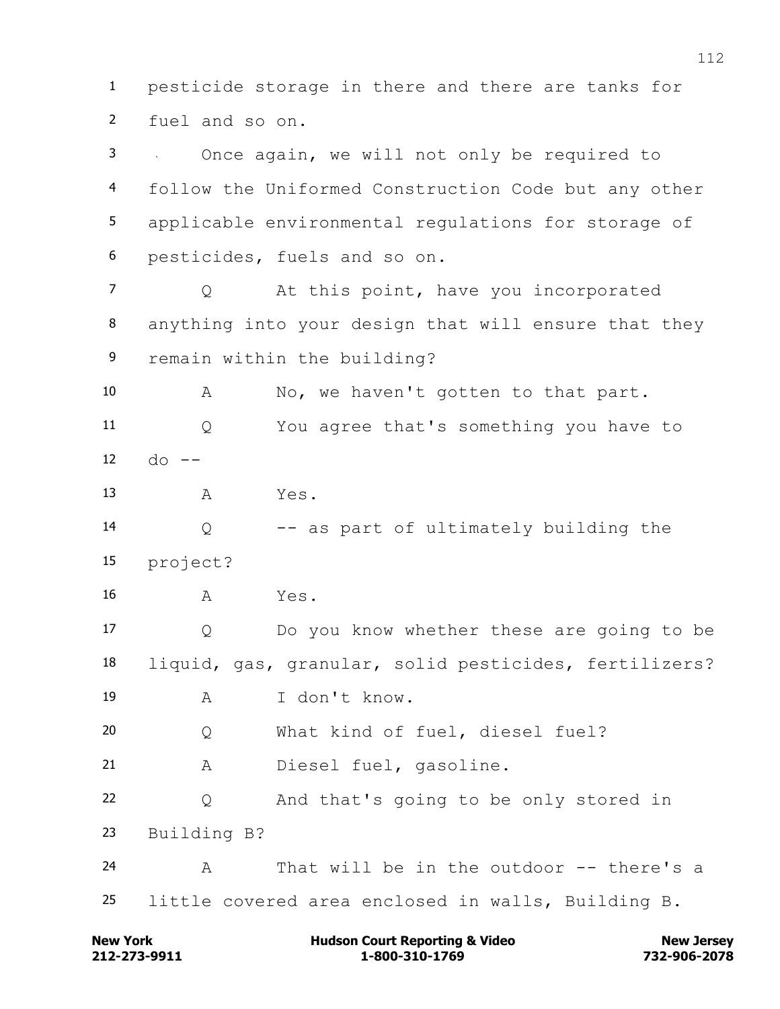**212-273-9911 1-800-310-1769 732-906-2078 New York Communist Court Reporting & Video New Jersey Rew Jersey**  fuel and so on. Once again, we will not only be required to follow the Uniformed Construction Code but any other applicable environmental regulations for storage of pesticides, fuels and so on. 7 0 At this point, have you incorporated anything into your design that will ensure that they remain within the building? A No, we haven't gotten to that part. Q You agree that's something you have to  $12 \,$  do  $-$  A Yes. Q -- as part of ultimately building the project? A Yes. Q Do you know whether these are going to be liquid, gas, granular, solid pesticides, fertilizers? A I don't know. Q What kind of fuel, diesel fuel? A Diesel fuel, gasoline. Q And that's going to be only stored in Building B? A That will be in the outdoor -- there's a little covered area enclosed in walls, Building B.

pesticide storage in there and there are tanks for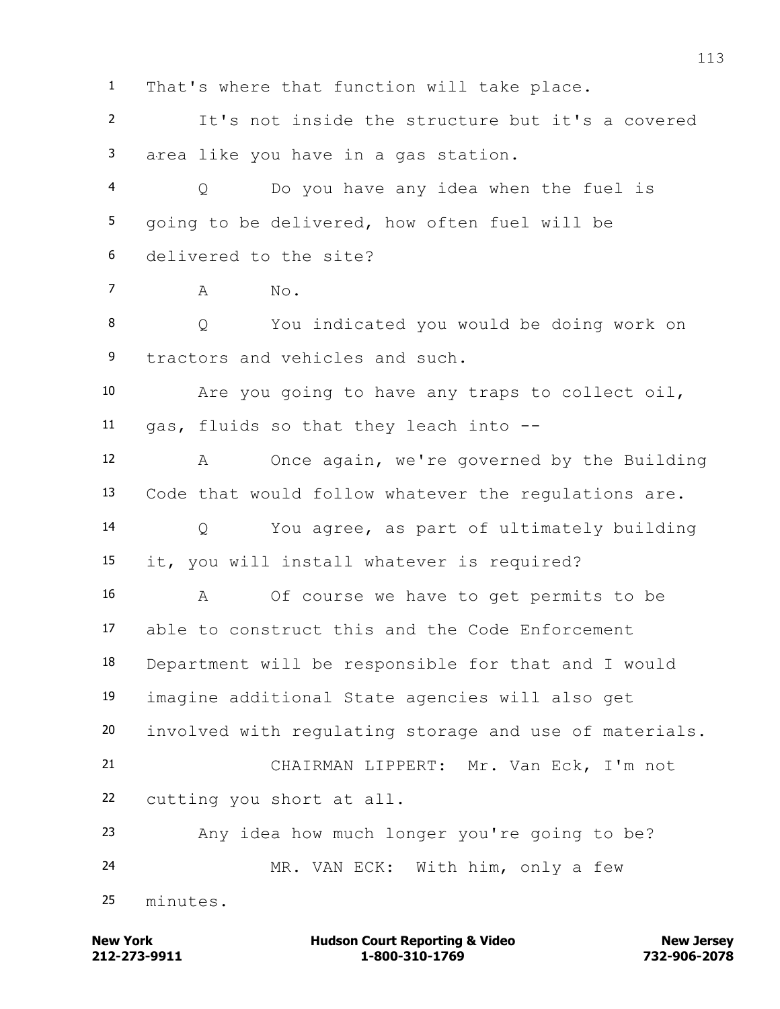**212-273-9911 1-800-310-1769 732-906-2078 New York Communist Court Reporting & Video New Jersey Rew Jersey**  It's not inside the structure but it's a covered area like you have in a gas station. Q Do you have any idea when the fuel is going to be delivered, how often fuel will be delivered to the site?  $7 \qquad A \qquad No.$  Q You indicated you would be doing work on tractors and vehicles and such. Are you going to have any traps to collect oil, gas, fluids so that they leach into -- A Once again, we're governed by the Building Code that would follow whatever the regulations are. Q You agree, as part of ultimately building it, you will install whatever is required? A Of course we have to get permits to be able to construct this and the Code Enforcement Department will be responsible for that and I would imagine additional State agencies will also get involved with regulating storage and use of materials. CHAIRMAN LIPPERT: Mr. Van Eck, I'm not cutting you short at all. Any idea how much longer you're going to be? MR. VAN ECK: With him, only a few minutes.

That's where that function will take place.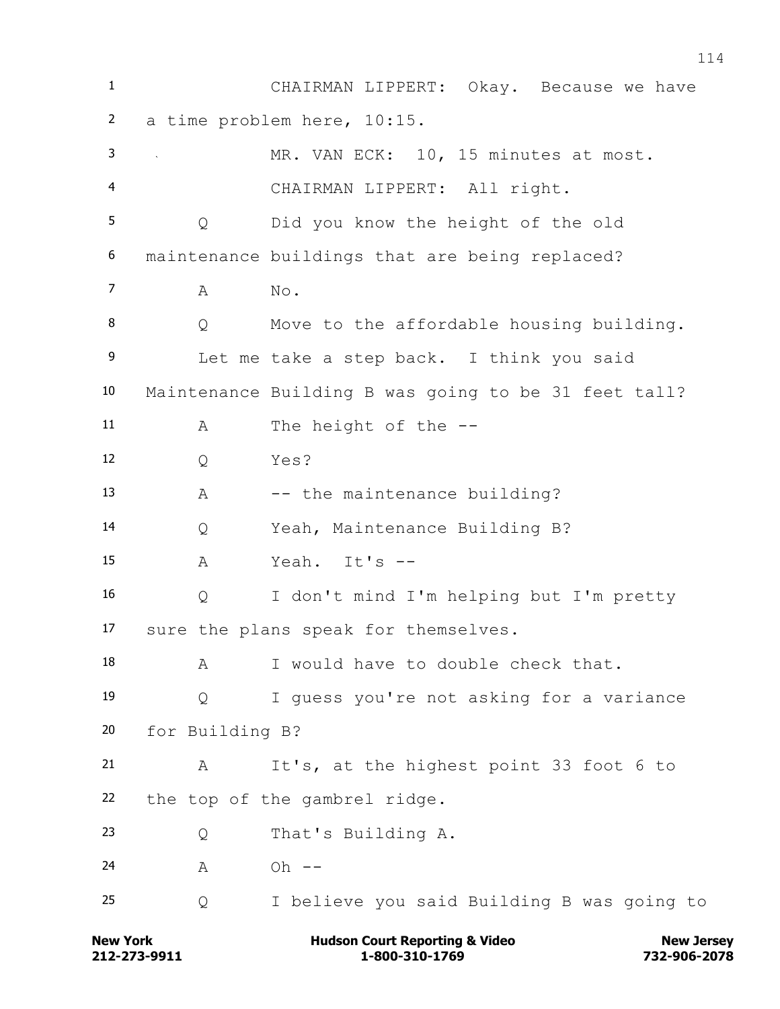CHAIRMAN LIPPERT: Okay. Because we have a time problem here, 10:15. MR. VAN ECK: 10, 15 minutes at most. CHAIRMAN LIPPERT: All right. Q Did you know the height of the old maintenance buildings that are being replaced?  $7 \qquad A \qquad No.$ 8 Q Move to the affordable housing building. Let me take a step back. I think you said Maintenance Building B was going to be 31 feet tall? A The height of the -- Q Yes? 13 A -- the maintenance building? Q Yeah, Maintenance Building B? A Yeah. It's -- Q I don't mind I'm helping but I'm pretty sure the plans speak for themselves. 18 A I would have to double check that. Q I guess you're not asking for a variance for Building B? A It's, at the highest point 33 foot 6 to the top of the gambrel ridge. Q That's Building A. 24 A Oh --Q I believe you said Building B was going to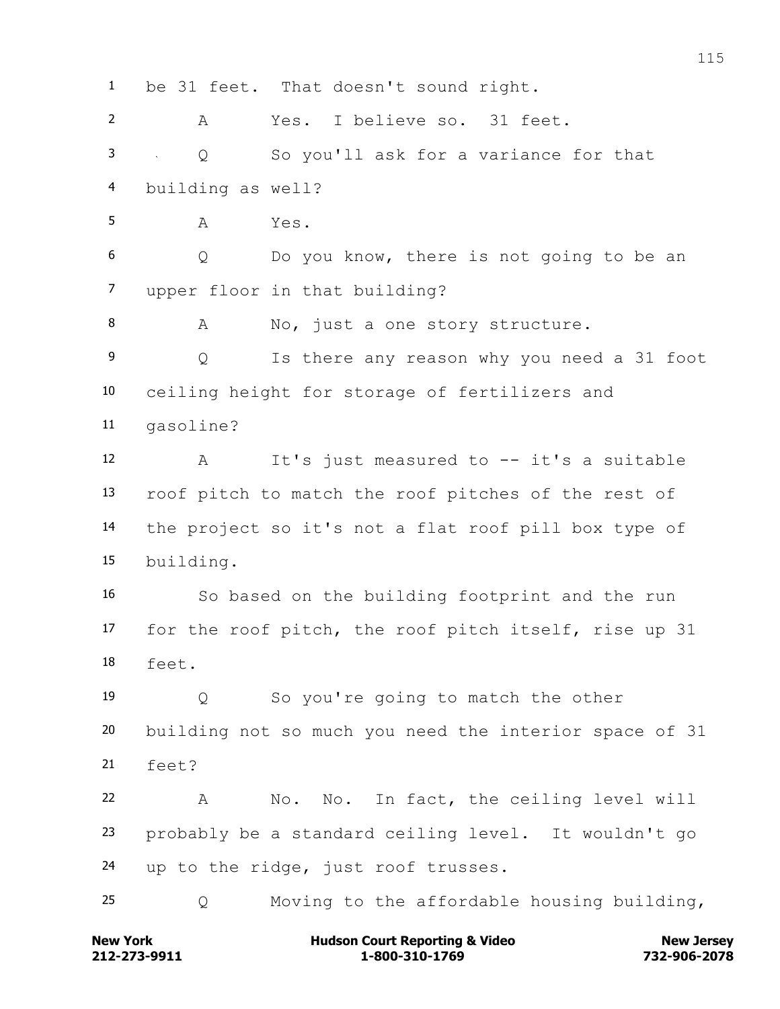be 31 feet. That doesn't sound right. A Yes. I believe so. 31 feet. Q So you'll ask for a variance for that building as well? A Yes. Q Do you know, there is not going to be an upper floor in that building? 8 A No, just a one story structure. Q Is there any reason why you need a 31 foot ceiling height for storage of fertilizers and gasoline? A It's just measured to -- it's a suitable roof pitch to match the roof pitches of the rest of the project so it's not a flat roof pill box type of building. So based on the building footprint and the run for the roof pitch, the roof pitch itself, rise up 31 feet. Q So you're going to match the other building not so much you need the interior space of 31 feet? A No. No. In fact, the ceiling level will probably be a standard ceiling level. It wouldn't go up to the ridge, just roof trusses. Q Moving to the affordable housing building,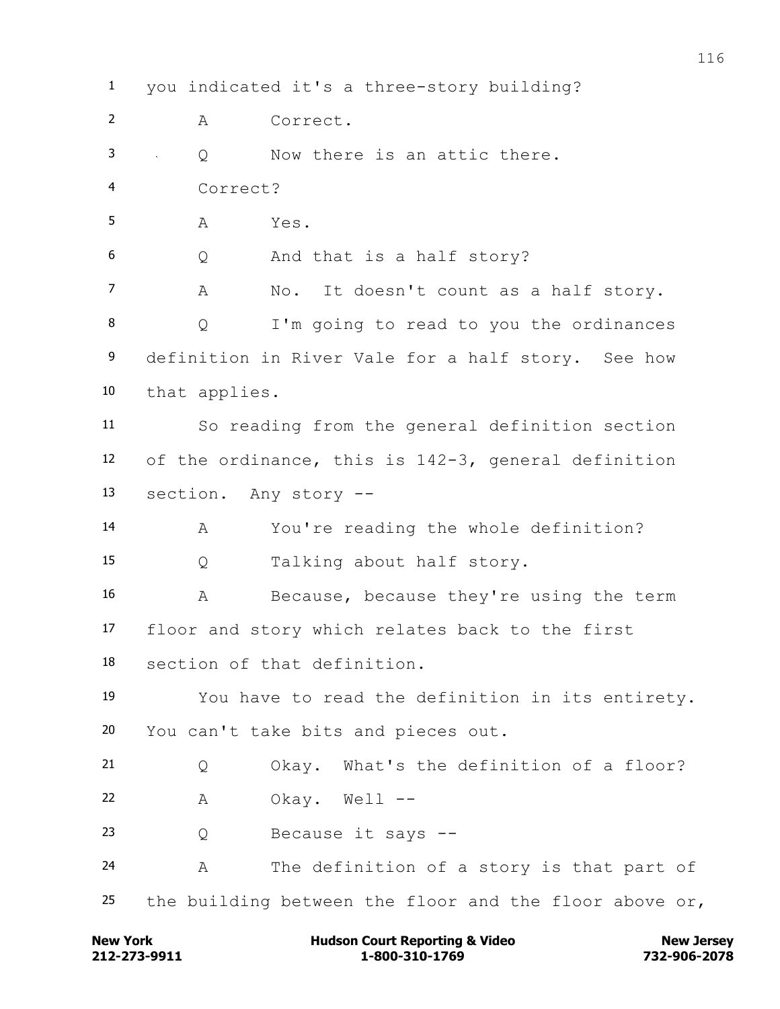you indicated it's a three-story building? A Correct. Q Now there is an attic there. Correct? A Yes. Q And that is a half story? A No. It doesn't count as a half story. Q I'm going to read to you the ordinances definition in River Vale for a half story. See how that applies. So reading from the general definition section of the ordinance, this is 142-3, general definition section. Any story -- A You're reading the whole definition? Q Talking about half story. A Because, because they're using the term floor and story which relates back to the first section of that definition. You have to read the definition in its entirety. You can't take bits and pieces out. Q Okay. What's the definition of a floor? A Okay. Well -- Q Because it says -- A The definition of a story is that part of the building between the floor and the floor above or,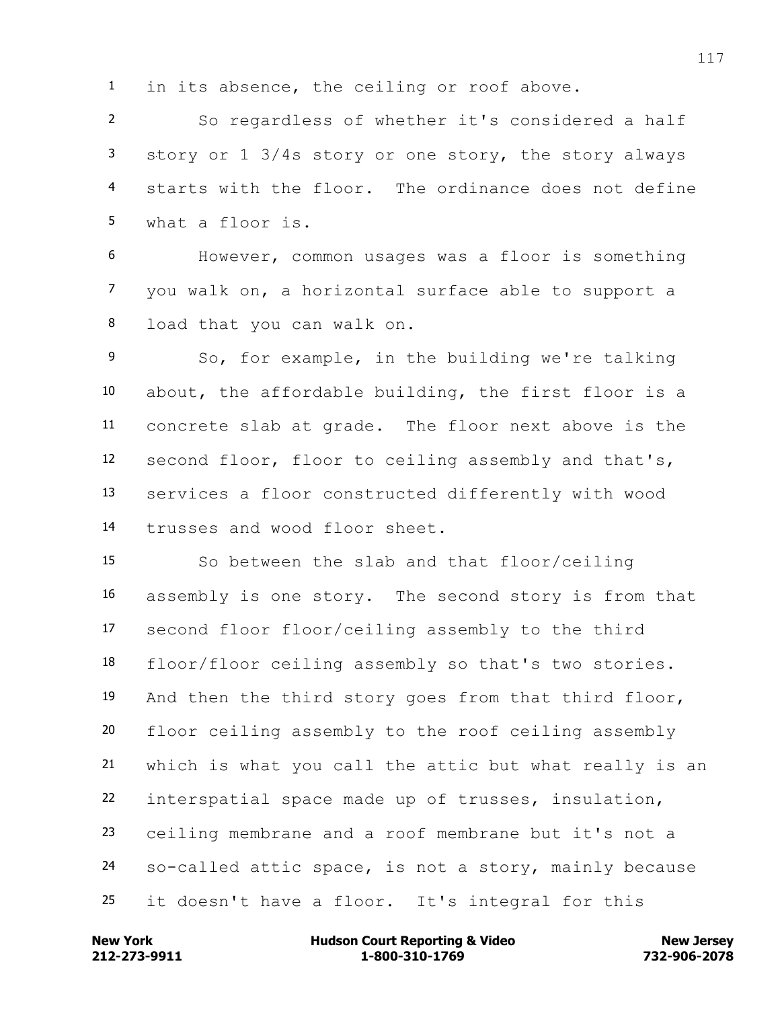in its absence, the ceiling or roof above.

 So regardless of whether it's considered a half story or 1 3/4s story or one story, the story always starts with the floor. The ordinance does not define what a floor is.

 However, common usages was a floor is something you walk on, a horizontal surface able to support a load that you can walk on.

 So, for example, in the building we're talking about, the affordable building, the first floor is a concrete slab at grade. The floor next above is the second floor, floor to ceiling assembly and that's, services a floor constructed differently with wood trusses and wood floor sheet.

 So between the slab and that floor/ceiling assembly is one story. The second story is from that second floor floor/ceiling assembly to the third floor/floor ceiling assembly so that's two stories. And then the third story goes from that third floor, floor ceiling assembly to the roof ceiling assembly which is what you call the attic but what really is an interspatial space made up of trusses, insulation, ceiling membrane and a roof membrane but it's not a so-called attic space, is not a story, mainly because it doesn't have a floor. It's integral for this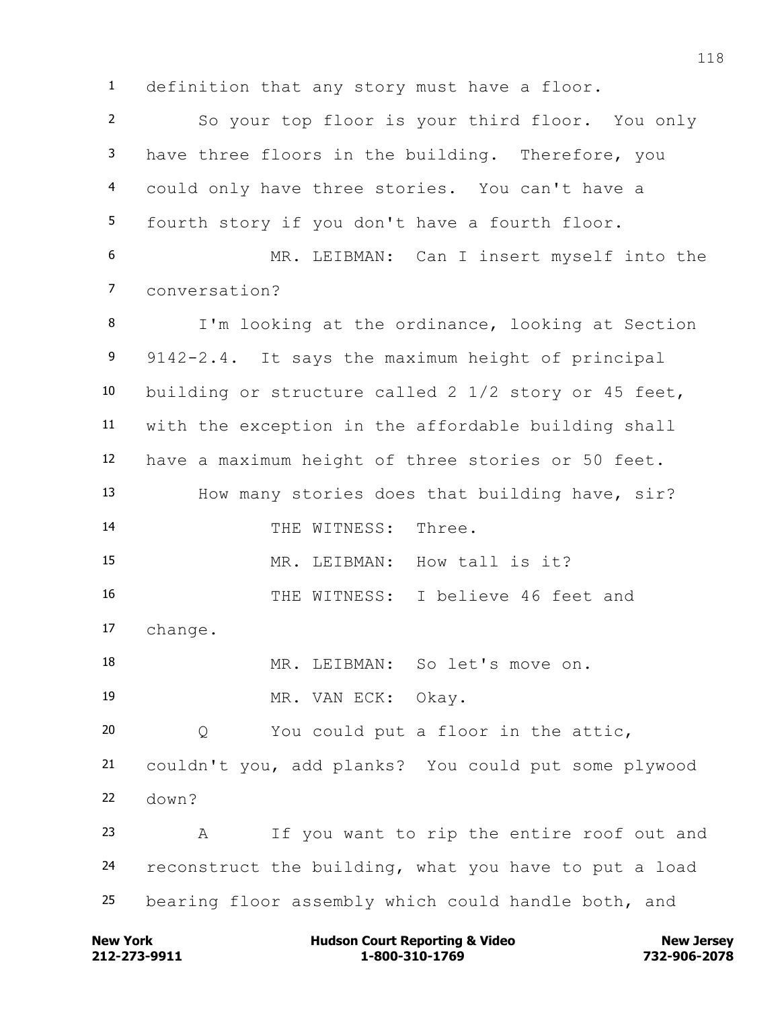definition that any story must have a floor.

 So your top floor is your third floor. You only have three floors in the building. Therefore, you could only have three stories. You can't have a fourth story if you don't have a fourth floor. MR. LEIBMAN: Can I insert myself into the conversation? I'm looking at the ordinance, looking at Section 9142-2.4. It says the maximum height of principal building or structure called 2 1/2 story or 45 feet, with the exception in the affordable building shall have a maximum height of three stories or 50 feet. How many stories does that building have, sir? 14 THE WITNESS: Three. MR. LEIBMAN: How tall is it? THE WITNESS: I believe 46 feet and change. MR. LEIBMAN: So let's move on. 19 MR. VAN ECK: Okay. Q You could put a floor in the attic, couldn't you, add planks? You could put some plywood down? A If you want to rip the entire roof out and reconstruct the building, what you have to put a load bearing floor assembly which could handle both, and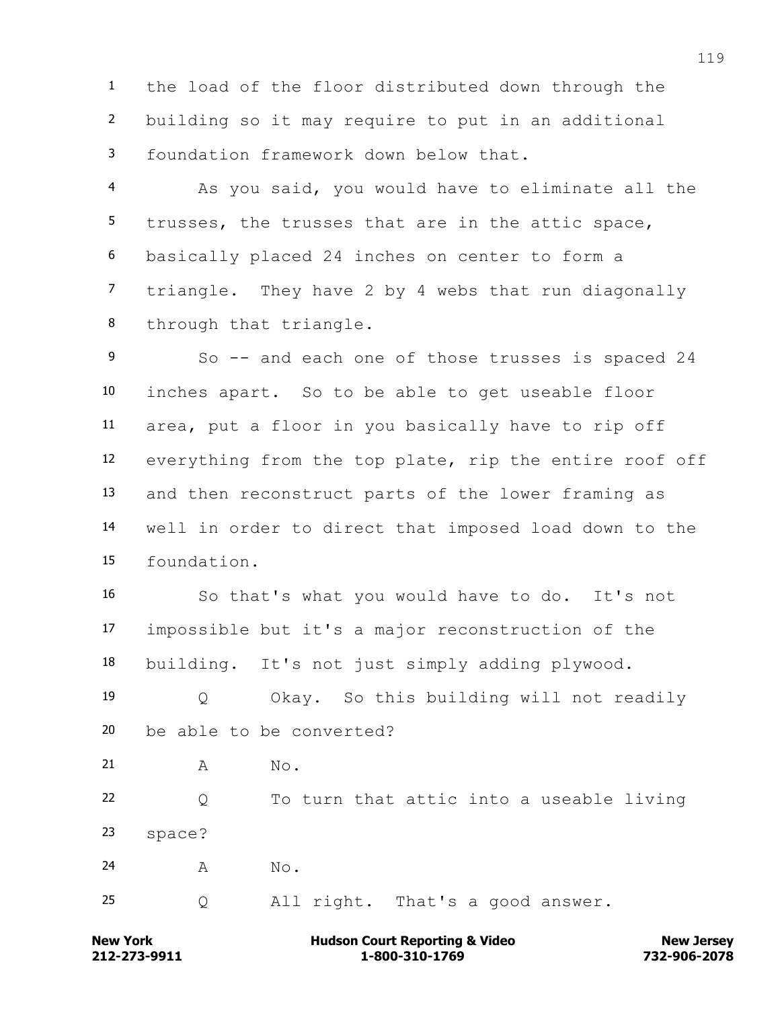the load of the floor distributed down through the building so it may require to put in an additional foundation framework down below that.

 As you said, you would have to eliminate all the trusses, the trusses that are in the attic space, basically placed 24 inches on center to form a triangle. They have 2 by 4 webs that run diagonally through that triangle.

9 So -- and each one of those trusses is spaced 24 inches apart. So to be able to get useable floor area, put a floor in you basically have to rip off everything from the top plate, rip the entire roof off and then reconstruct parts of the lower framing as well in order to direct that imposed load down to the foundation.

 So that's what you would have to do. It's not impossible but it's a major reconstruction of the building. It's not just simply adding plywood.

 Q Okay. So this building will not readily be able to be converted?

21 A No.

 Q To turn that attic into a useable living space?

24 A No.

Q All right. That's a good answer.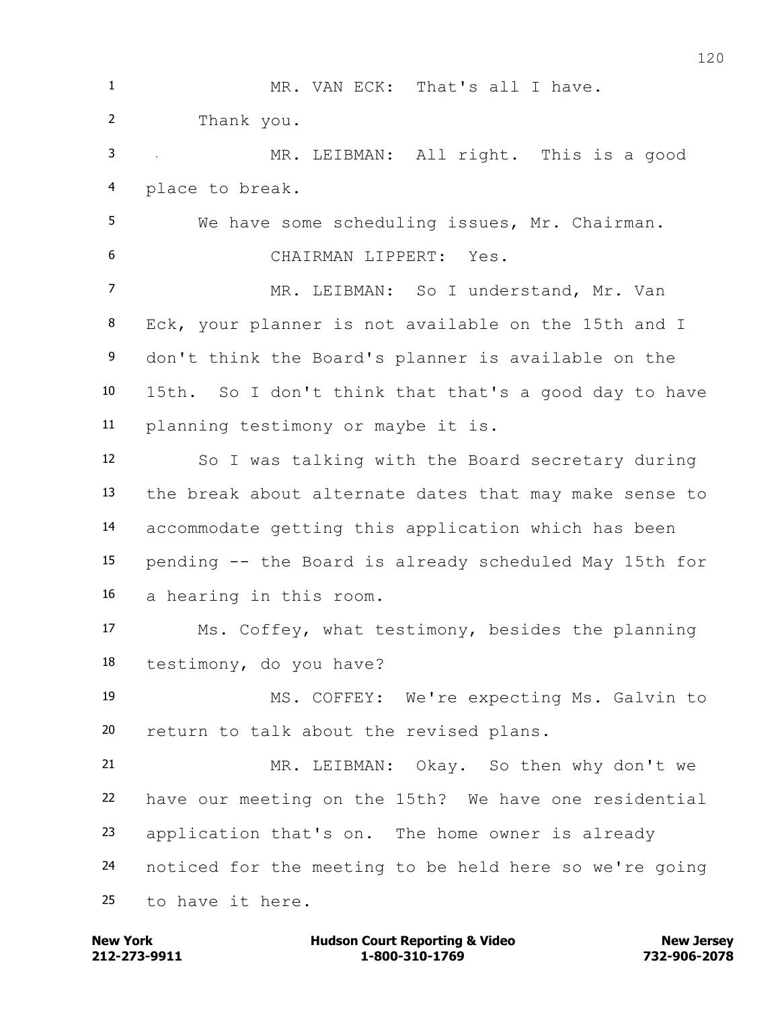MR. VAN ECK: That's all I have. Thank you. MR. LEIBMAN: All right. This is a good place to break. We have some scheduling issues, Mr. Chairman. CHAIRMAN LIPPERT: Yes. MR. LEIBMAN: So I understand, Mr. Van Eck, your planner is not available on the 15th and I don't think the Board's planner is available on the 15th. So I don't think that that's a good day to have planning testimony or maybe it is. So I was talking with the Board secretary during the break about alternate dates that may make sense to accommodate getting this application which has been pending -- the Board is already scheduled May 15th for a hearing in this room. Ms. Coffey, what testimony, besides the planning testimony, do you have? MS. COFFEY: We're expecting Ms. Galvin to return to talk about the revised plans. MR. LEIBMAN: Okay. So then why don't we have our meeting on the 15th? We have one residential application that's on. The home owner is already noticed for the meeting to be held here so we're going to have it here.

**212-273-9911 1-800-310-1769 732-906-2078 New York Communist Court Reporting & Video New Jersey Rew Jersey**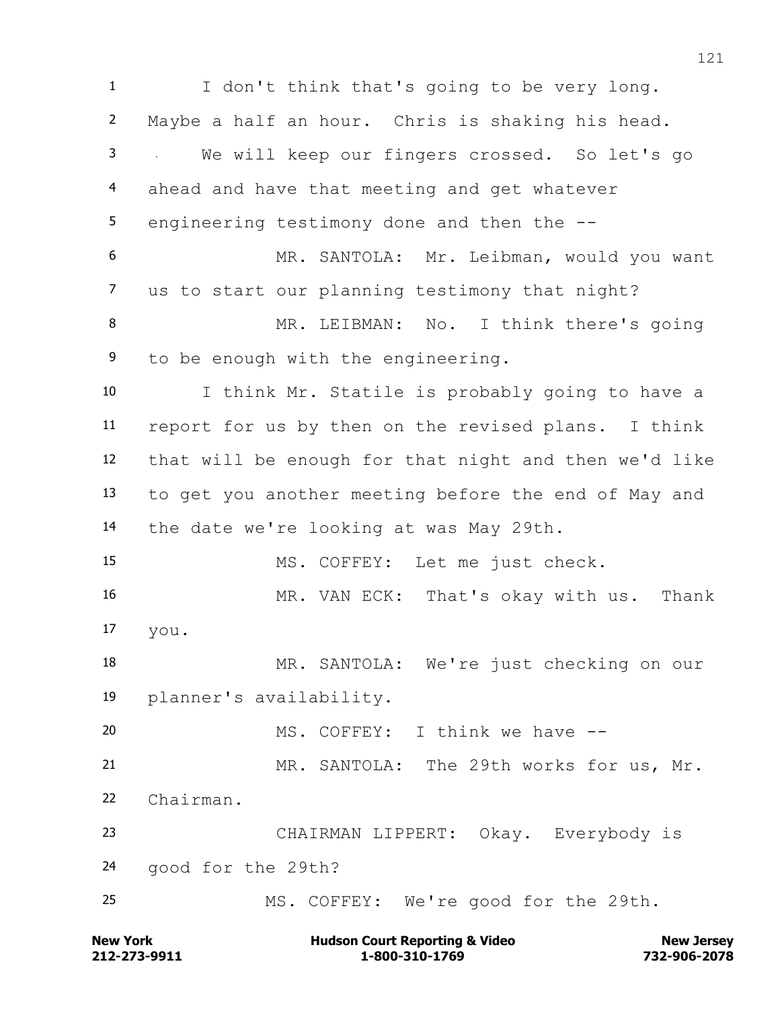I don't think that's going to be very long. Maybe a half an hour. Chris is shaking his head. We will keep our fingers crossed. So let's go ahead and have that meeting and get whatever 5 engineering testimony done and then the  $-$ - MR. SANTOLA: Mr. Leibman, would you want us to start our planning testimony that night? 8 MR. LEIBMAN: No. I think there's going to be enough with the engineering. I think Mr. Statile is probably going to have a report for us by then on the revised plans. I think that will be enough for that night and then we'd like to get you another meeting before the end of May and the date we're looking at was May 29th. MS. COFFEY: Let me just check. MR. VAN ECK: That's okay with us. Thank you. MR. SANTOLA: We're just checking on our planner's availability. MS. COFFEY: I think we have -- MR. SANTOLA: The 29th works for us, Mr. Chairman. CHAIRMAN LIPPERT: Okay. Everybody is good for the 29th? MS. COFFEY: We're good for the 29th.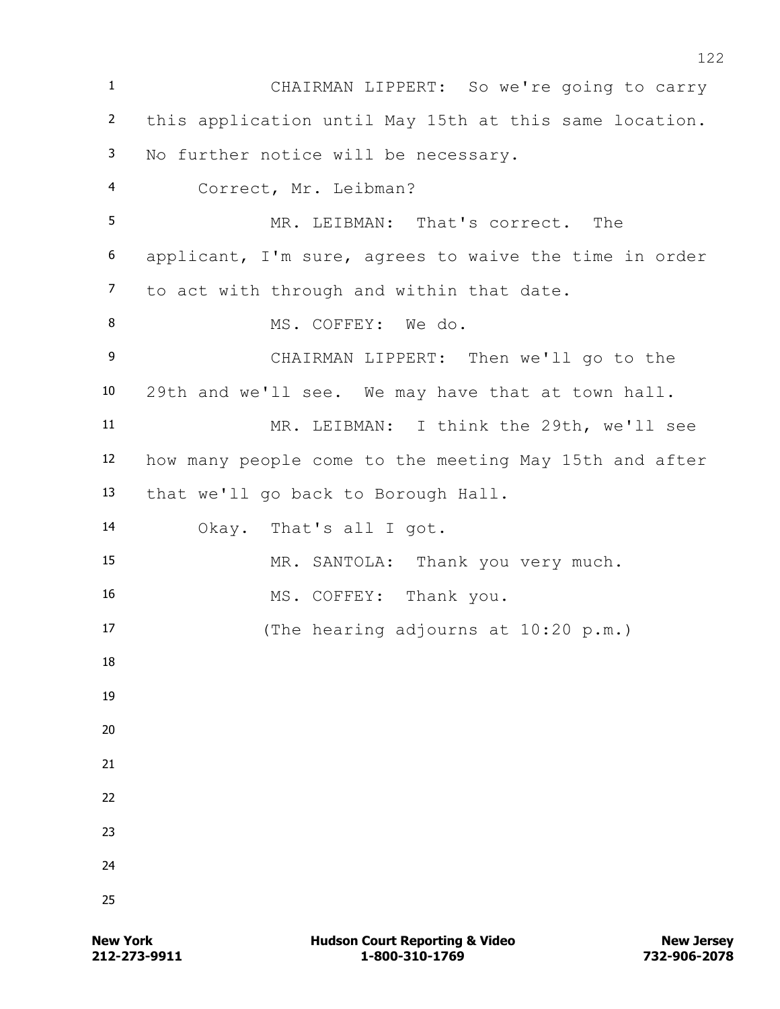CHAIRMAN LIPPERT: So we're going to carry this application until May 15th at this same location. No further notice will be necessary. Correct, Mr. Leibman? MR. LEIBMAN: That's correct. The applicant, I'm sure, agrees to waive the time in order to act with through and within that date. 8 MS. COFFEY: We do. CHAIRMAN LIPPERT: Then we'll go to the 29th and we'll see. We may have that at town hall. MR. LEIBMAN: I think the 29th, we'll see how many people come to the meeting May 15th and after that we'll go back to Borough Hall. Okay. That's all I got. MR. SANTOLA: Thank you very much. 16 MS. COFFEY: Thank you. (The hearing adjourns at 10:20 p.m.)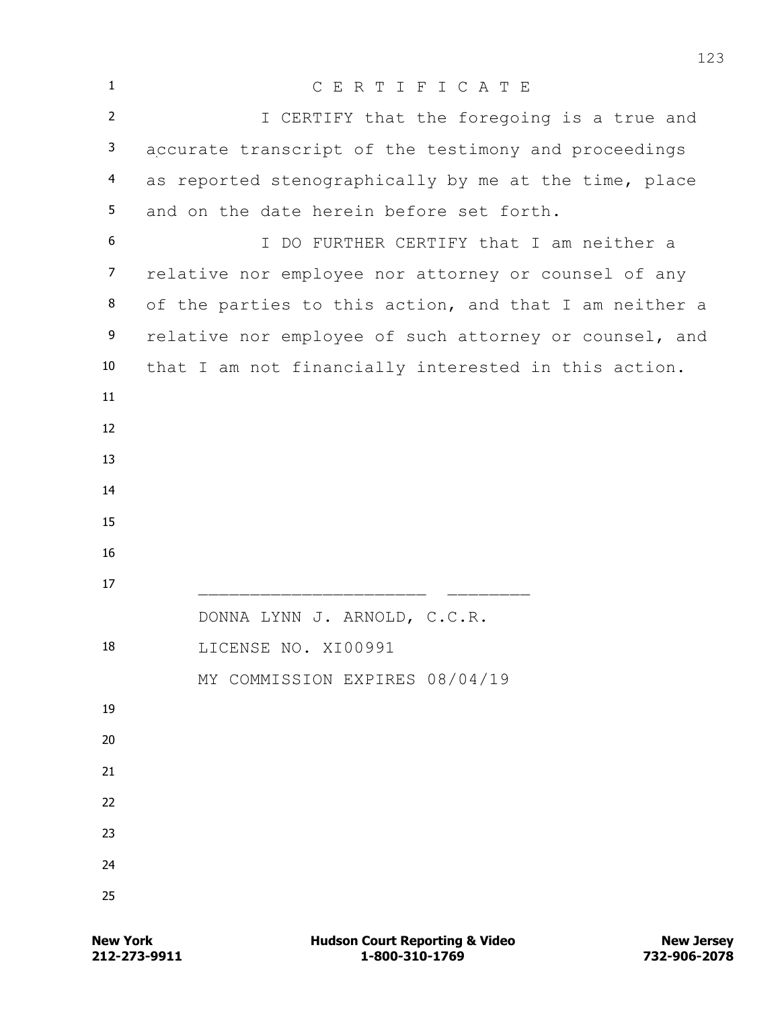| $\mathbf{1}$   | CERTIFICATE                                            |
|----------------|--------------------------------------------------------|
| $\overline{2}$ | I CERTIFY that the foregoing is a true and             |
| 3              | accurate transcript of the testimony and proceedings   |
| $\overline{4}$ | as reported stenographically by me at the time, place  |
| 5              | and on the date herein before set forth.               |
| 6              | I DO FURTHER CERTIFY that I am neither a               |
| $\overline{7}$ | relative nor employee nor attorney or counsel of any   |
| 8              | of the parties to this action, and that I am neither a |
| 9              | relative nor employee of such attorney or counsel, and |
| 10             | that I am not financially interested in this action.   |
| 11             |                                                        |
| 12             |                                                        |
| 13             |                                                        |
| 14             |                                                        |
| 15             |                                                        |
| 16             |                                                        |
| 17             |                                                        |
| 18             | DONNA LYNN J. ARNOLD, C.C.R.                           |
|                | LICENSE NO. XI00991<br>MY COMMISSION EXPIRES 08/04/19  |
| 19             |                                                        |
| 20             |                                                        |
| 21             |                                                        |
| 22             |                                                        |
| 23             |                                                        |
| 24             |                                                        |
| 25             |                                                        |
|                |                                                        |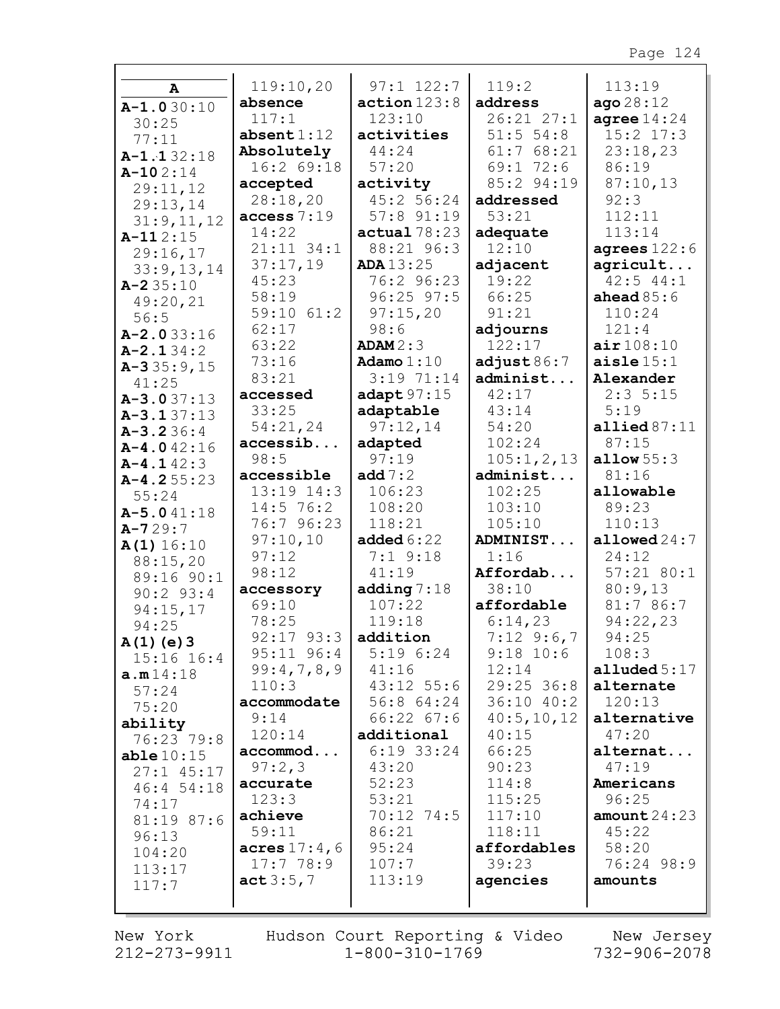|                  | 119:10,20               | $97:1$ $122:7$   | 119:2          | 113:19             |
|------------------|-------------------------|------------------|----------------|--------------------|
| A                | absence                 | action123:8      | address        | ago28:12           |
| $A-1.030:10$     | 117:1                   | 123:10           | 26:21 27:1     | agree $14:24$      |
| 30:25            | $\mathtt{absent1:12}$   | activities       | $51:5$ 54:8    | $15:2$ $17:3$      |
| 77:11            | Absolutely              | 44:24            | 61:768:21      | 23:18,23           |
| $A-1.132:18$     | 16:2 69:18              | 57:20            | 69:172:6       | 86:19              |
| $A-102:14$       | accepted                | activity         | 85:2 94:19     | 87:10,13           |
| 29:11,12         | 28:18,20                | 45:2 56:24       | addressed      | 92:3               |
| 29:13,14         | access 7:19             | 57:8 91:19       | 53:21          | 112:11             |
| 31:9,11,12       | 14:22                   | actual 78:23     | adequate       | 113:14             |
| $A-112:15$       | $21:11$ $34:1$          | 88:21 96:3       | 12:10          | agrees $122:6$     |
| 29:16,17         | 37:17,19                | <b>ADA</b> 13:25 | adjacent       | agricult           |
| 33:9,13,14       | 45:23                   | 76:2 96:23       | 19:22          | $42:5$ $44:1$      |
| $A - 235:10$     | 58:19                   | $96:25$ $97:5$   | 66:25          | ahead $85:6$       |
| 49:20,21<br>56:5 | 59:10 61:2              | 97:15,20         | 91:21          | 110:24             |
| $A - 2.033:16$   | 62:17                   | 98:6             | adjourns       | 121:4              |
| $A - 2.134:2$    | 63:22                   | ADAM2:3          | 122:17         | air108:10          |
| $A-335:9,15$     | 73:16                   | Adamo $1:10$     | adjust $86:7$  | aisle $15:1$       |
| 41:25            | 83:21                   | 3:1971:14        | administ       | Alexander          |
| $A-3.037:13$     | accessed                | adapt $97:15$    | 42:17          | 2:35:15            |
| $A - 3.137:13$   | 33:25                   | adaptable        | 43:14          | 5:19               |
| $A - 3.236:4$    | 54:21,24                | 97:12,14         | 54:20          | allied $87:11$     |
| $A-4.042:16$     | accessib                | adapted          | 102:24         | 87:15              |
| $A - 4.142:3$    | 98:5                    | 97:19            | 105:1,2,13     | allow $55:3$       |
| $A-4.255:23$     | accessible              | add $7:2$        | administ       | 81:16              |
| 55:24            | 13:19 14:3              | 106:23           | 102:25         | allowable          |
| $A - 5.041:18$   | $14:5$ 76:2             | 108:20           | 103:10         | 89:23              |
| $A - 729:7$      | 76:7 96:23              | 118:21           | 105:10         | 110:13             |
| A(1) 16:10       | 97:10,10                | added $6:22$     | ADMINIST       | allowed $24:7$     |
| 88:15,20         | 97:12                   | $7:1$ 9:18       | 1:16           | 24:12              |
| 89:16 90:1       | 98:12                   | 41:19            | Affordab       | $57:21$ 80:1       |
| $90:2$ 93:4      | accessory               | adding $7:18$    | 38:10          | 80:9,13            |
| 94:15,17         | 69:10                   | 107:22           | affordable     | 81:7 86:7          |
| 94:25            | 78:25                   | 119:18           | 6:14,23        | 94:22,23           |
| $A(1)$ (e) 3     | $92:17$ $93:3$ addition |                  | $7:12$ 9:6,7   | 94:25              |
| $15:16$ $16:4$   | $95:11$ $96:4$          | $5:19 \t6:24$    | $9:18$ 10:6    | 108:3              |
| a.m14:18         | 99:4,7,8,9              | 41:16            | 12:14          | alluded $5:17$     |
| 57:24            | 110:3                   | $43:12$ 55:6     | $29:25$ 36:8   | alternate          |
| 75:20            | accommodate             | 56:8 64:24       | 36:1040:2      | 120:13             |
| ability          | 9:14                    | $66:22$ $67:6$   | 40:5, 10, 12   | alternative        |
| 76:23 79:8       | 120:14                  | additional       | 40:15          | 47:20              |
| able10:15        | accommod                | $6:19$ 33:24     | 66:25          | alternat           |
| $27:1$ 45:17     | 97:2,3                  | 43:20            | 90:23<br>114:8 | 47:19<br>Americans |
| 46:4 54:18       | accurate<br>123:3       | 52:23<br>53:21   | 115:25         | 96:25              |
| 74:17            | achieve                 | $70:12$ $74:5$   | 117:10         | amount $24:23$     |
| 81:19 87:6       | 59:11                   | 86:21            | 118:11         | 45:22              |
| 96:13            | acres $17:4$ , 6        | 95:24            | affordables    | 58:20              |
| 104:20           | 17:778:9                | 107:7            | 39:23          | 76:24 98:9         |
| 113:17           | act3:5,7                | 113:19           | agencies       | amounts            |
| 117:7            |                         |                  |                |                    |
|                  |                         |                  |                |                    |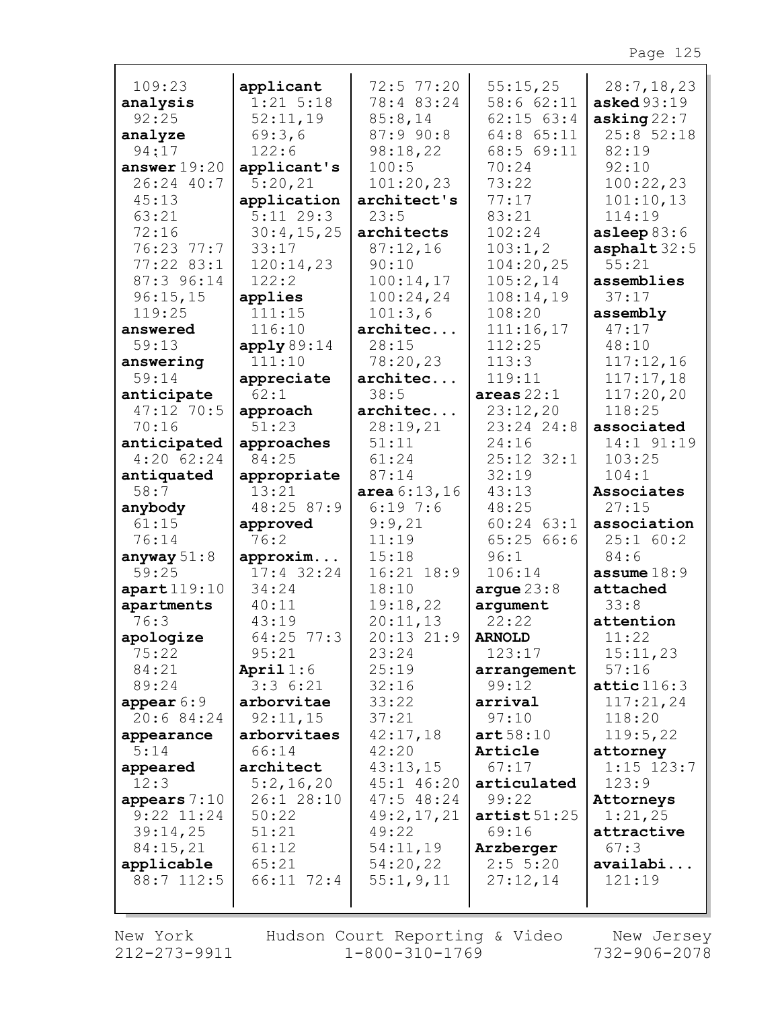|                   |                          | 72:5 77:20     | 55:15,25              |                                    |
|-------------------|--------------------------|----------------|-----------------------|------------------------------------|
| 109:23            | applicant<br>$1:21$ 5:18 | 78:4 83:24     | 58:6 62:11            | 28:7, 18, 23<br><b>asked</b> 93:19 |
| analysis<br>92:25 | 52:11,19                 | 85:8,14        | $62:15$ $63:4$        | asking $22:7$                      |
| analyze           | 69:3,6                   | 87:9 90:8      | 64:8 65:11            | 25:852:18                          |
| 94:17             | 122:6                    | 98:18,22       | 68:5 69:11            | 82:19                              |
| answer $19:20$    | applicant's              | 100:5          | 70:24                 | 92:10                              |
| 26:24 40:7        | 5:20,21                  | 101:20,23      | 73:22                 | 100:22,23                          |
| 45:13             | application              | architect's    | 77:17                 | 101:10,13                          |
| 63:21             | $5:11$ 29:3              | 23:5           | 83:21                 | 114:19                             |
| 72:16             | 30:4,15,25               | architects     | 102:24                | asleep $83:6$                      |
| $76:23$ $77:7$    | 33:17                    | 87:12,16       | 103:1,2               | asphalt $32:5$                     |
| $77:22$ 83:1      | 120:14,23                | 90:10          | 104:20,25             | 55:21                              |
| 87:3 96:14        | 122:2                    | 100:14,17      | 105:2,14              | assemblies                         |
| 96:15,15          | applies                  | 100:24,24      | 108:14,19             | 37:17                              |
| 119:25            | 111:15                   | 101:3,6        | 108:20                | assembly                           |
| answered          | 116:10                   | architec       | 111:16,17             | 47:17                              |
| 59:13             | apply89:14               | 28:15          | 112:25                | 48:10                              |
| answering         | 111:10                   | 78:20,23       | 113:3                 | 117:12,16                          |
| 59:14             | appreciate               | architec       | 119:11                | 117:17,18                          |
| anticipate        | 62:1                     | 38:5           | areas $22:1$          | 117:20,20                          |
| 47:12 70:5        | approach                 | architec       | 23:12,20              | 118:25                             |
| 70:16             | 51:23                    | 28:19,21       | 23:24 24:8            | associated                         |
| anticipated       | approaches               | 51:11          | 24:16                 | 14:1 91:19                         |
| $4:20$ 62:24      | 84:25                    | 61:24          | 25:12 32:1            | 103:25                             |
| antiquated        | appropriate              | 87:14          | 32:19                 | 104:1                              |
| 58:7              | 13:21                    | area 6:13,16   | 43:13                 | Associates                         |
| anybody           | 48:25 87:9               | 6:197:6        | 48:25                 | 27:15                              |
| 61:15             | approved                 | 9:9,21         | $60:24$ $63:1$        | association                        |
| 76:14             | 76:2                     | 11:19          | 65:2566:6             | 25:1 60:2                          |
| anyway $51:8$     | approxim                 | 15:18          | 96:1                  | 84:6                               |
| 59:25             | $17:4$ 32:24             | $16:21$ $18:9$ | 106:14                | assume $18:9$                      |
| apart119:10       | 34:24                    | 18:10          | argue23:8             | attached                           |
| apartments        | 40:11                    | 19:18,22       | argument              | 33:8                               |
| 76:3              | 43:19                    | 20:11,13       | 22:22                 | attention                          |
| apologize         | $64:25$ 77:3             | $20:13$ $21:9$ | <b>ARNOLD</b>         | 11:22                              |
| 75:22<br>84:21    | 95:21<br>April $1:6$     | 23:24<br>25:19 | 123:17<br>arrangement | 15:11,23<br>57:16                  |
| 89:24             | 3:36:21                  | 32:16          | 99:12                 | $\texttt{attice}116:3$             |
| appear $6:9$      | arborvitae               | 33:22          | arrival               | 117:21,24                          |
| 20:684:24         | 92:11,15                 | 37:21          | 97:10                 | 118:20                             |
| appearance        | arborvitaes              | 42:17,18       | art58:10              | 119:5,22                           |
| 5:14              | 66:14                    | 42:20          | Article               | attorney                           |
| appeared          | architect                | 43:13,15       | 67:17                 | $1:15$ $123:7$                     |
| 12:3              | 5:2,16,20                | 45:1 46:20     | articulated           | 123:9                              |
| appears $7:10$    | 26:1 28:10               | $47:5$ 48:24   | 99:22                 | Attorneys                          |
| $9:22$ $11:24$    | 50:22                    | 49:2,17,21     | artist 51:25          | 1:21,25                            |
| 39:14,25          | 51:21                    | 49:22          | 69:16                 | attractive                         |
| 84:15,21          | 61:12                    | 54:11,19       | Arzberger             | 67:3                               |
| applicable        | 65:21                    | 54:20,22       | 2:55:20               | availabi                           |
| 88:7 112:5        | 66:11 72:4               | 55:1, 9, 11    | 27:12,14              | 121:19                             |
|                   |                          |                |                       |                                    |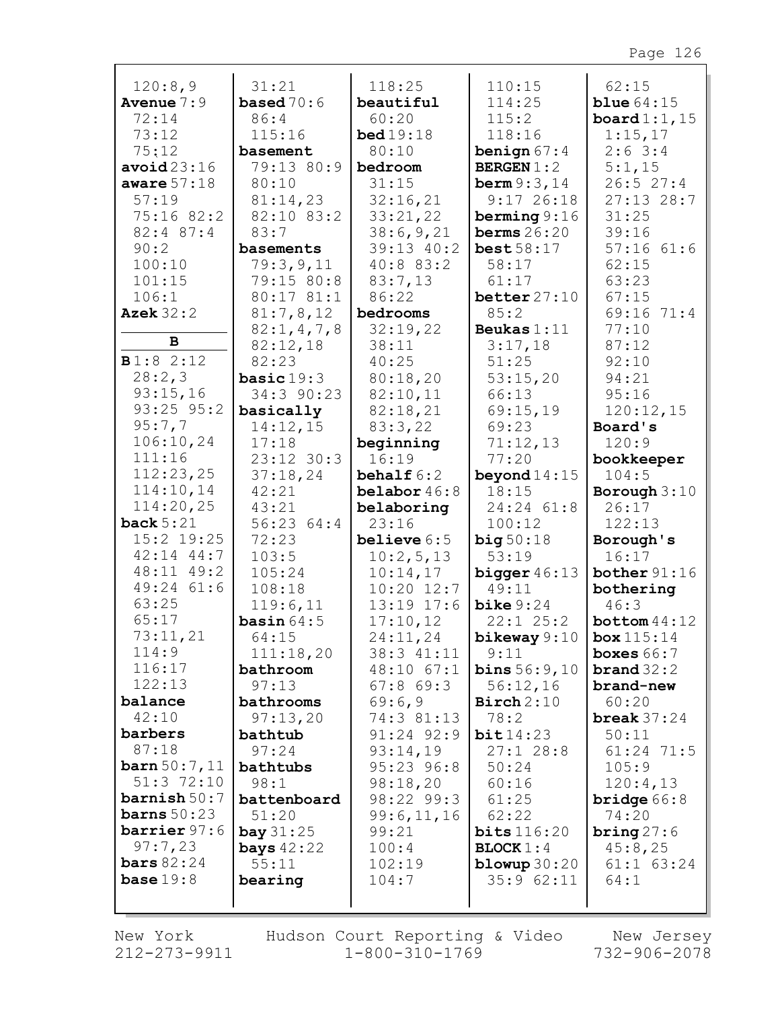| 120:8,9                 | 31:21                | 118:25                | 110:15                              | 62:15                               |
|-------------------------|----------------------|-----------------------|-------------------------------------|-------------------------------------|
| <b>Avenue</b> $7:9$     | <b>based</b> $70:6$  | beautiful             | 114:25                              | blue $64:15$                        |
| 72:14                   | 86:4                 | 60:20                 | 115:2                               | board $1:1,15$                      |
| 73:12                   | 115:16               | <b>bed</b> 19:18      | 118:16                              | 1:15,17                             |
| 75:12                   | basement             | 80:10                 | benign $67:4$                       | $2:6$ 3:4                           |
| avoid23:16              | 79:13 80:9           | bedroom               | <b>BERGEN</b> $1:2$                 | 5:1,15                              |
| aware $57:18$           | 80:10                | 31:15                 | <b>berm</b> $9:3,14$                | 26:527:4                            |
| 57:19                   | 81:14,23             | 32:16,21              | $9:17$ 26:18                        | $27:13$ 28:7                        |
| 75:16 82:2              | 82:10 83:2           | 33:21,22              | berming $9:16$                      | 31:25                               |
| $82:4$ $87:4$           | 83:7                 | 38:6,9,21             | berms $26:20$                       | 39:16                               |
| 90:2                    | basements            | 39:13 40:2            | best58:17                           | $57:16$ $61:6$                      |
| 100:10                  | 79:3,9,11            | 40:8 83:2             | 58:17                               | 62:15                               |
| 101:15                  | 79:15 80:8           | 83:7,13               | 61:17                               | 63:23                               |
| 106:1                   | 80:17 81:1           | 86:22                 | better $27:10$                      | 67:15                               |
| <b>Azek</b> 32:2        | 81:7,8,12            | bedrooms              | 85:2                                | 69:16<br>71:4                       |
| B                       | 82:1, 4, 7, 8        | 32:19,22              | Beukas $1:11$                       | 77:10                               |
|                         | 82:12,18             | 38:11                 | 3:17,18                             | 87:12                               |
| B1:82:12                | 82:23                | 40:25                 | 51:25                               | 92:10                               |
| 28:2,3                  | basic $19:3$         | 80:18,20              | 53:15,20                            | 94:21                               |
| 93:15,16                | 34:3 90:23           | 82:10,11              | 66:13                               | 95:16                               |
| 93:25 95:2              | basically            | 82:18,21              | 69:15,19                            | 120:12,15                           |
| 95:7,7                  | 14:12,15             | 83:3,22               | 69:23                               | Board's                             |
| 106:10,24               | 17:18                | beginning             | 71:12,13                            | 120:9                               |
| 111:16                  | 23:12 30:3           | 16:19                 | 77:20                               | bookkeeper                          |
| 112:23,25               | 37:18,24             | behalf $6:2$          | beyond $14:15$                      | 104:5                               |
| 114:10,14<br>114:20,25  | 42:21                | belabor $46:8$        | 18:15                               | Borough $3:10$                      |
| back $5:21$             | 43:21                | belaboring            | 24:24 61:8                          | 26:17                               |
| 15:2 19:25              | 56:23 64:4<br>72:23  | 23:16                 | 100:12                              | 122:13                              |
| $42:14$ $44:7$          | 103:5                | believe $6:5$         | big50:18<br>53:19                   | Borough's<br>16:17                  |
| 48:11 49:2              | 105:24               | 10:2,5,13<br>10:14,17 | bigger $46:13$                      | bother $91:16$                      |
| 49:24 61:6              | 108:18               | $10:20$ $12:7$        | 49:11                               | bothering                           |
| 63:25                   | 119:6,11             | $13:19$ $17:6$        | $\text{bike } 9:24$                 | 46:3                                |
| 65:17                   | basin $64:5$         | 17:10,12              | $22:1$ $25:2$                       | bottom $44:12$                      |
| 73:11,21                | 64:15                | 24:11,24              |                                     |                                     |
| 114:9                   | 111:18,20            | 38:3 41:11            | bikeway $9:10$ box $115:14$<br>9:11 | boxes $66:7$                        |
| 116:17                  | bathroom             | $48:10$ 67:1          | <b>bins</b> $56:9,10$               | $\boldsymbol{\texttt{brand}}\,32:2$ |
| 122:13                  | 97:13                | $67:8$ $69:3$         | 56:12,16                            | brand-new                           |
| balance                 | bathrooms            | 69:6,9                | $\text{Birch} 2:10$                 | 60:20                               |
| 42:10                   | 97:13,20             | 74:3 81:13            | 78:2                                | break $37:24$                       |
| barbers                 | bathtub              | 91:24 92:9            | bit14:23                            | 50:11                               |
| 87:18                   | 97:24                | 93:14,19              | $27:1$ 28:8                         | 61:24 71:5                          |
| $\frac{50:7,11}{ }$     | bathtubs             | 95:23 96:8            | 50:24                               | 105:9                               |
| $51:3$ $72:10$          | 98:1                 | 98:18,20              | 60:16                               | 120:4,13                            |
| $\texttt{barnish}$ 50:7 | battenboard          | 98:22 99:3            | 61:25                               | <b>bridge</b> $66:8$                |
| <b>barns</b> $50:23$    | 51:20                | 99:6,11,16            | 62:22                               | 74:20                               |
| barrier 97:6            | $\mathbf{bay} 31:25$ | 99:21                 | bits116:20                          | bring $27:6$                        |
| 97:7,23                 | <b>bays</b> $42:22$  | 100:4                 | $\texttt{BLOCK} 1:4$                | 45:8,25                             |
| bars $82:24$            | 55:11                | 102:19                | blowup $30:20$                      | $61:1$ $63:24$                      |
| base $19:8$             | bearing              | 104:7                 | 35:962:11                           | 64:1                                |
|                         |                      |                       |                                     |                                     |
|                         |                      |                       |                                     |                                     |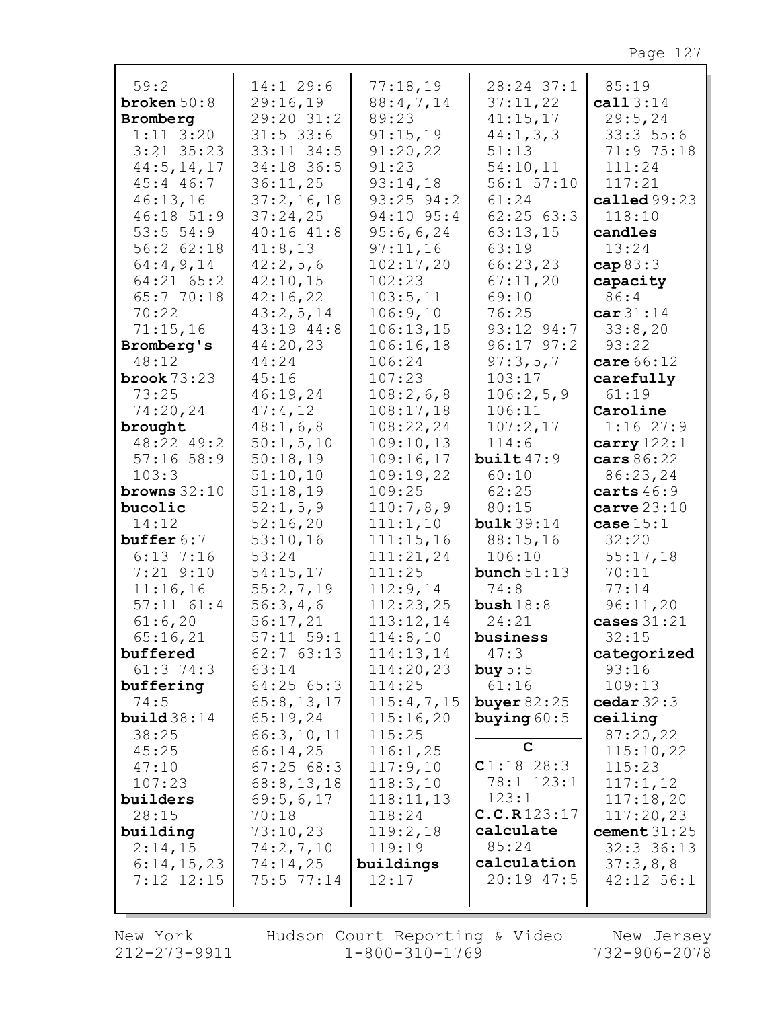| 59:2<br>broken $50:8$<br>Bromberg<br>$1:11$ $3:20$<br>$3:21$ $35:23$<br>44:5, 14, 17<br>$45:4$ $46:7$<br>46:13,16<br>46:18 51:9<br>53:551:9<br>56:262:18<br>64:4,9,14<br>$64:21$ $65:2$<br>65:7 70:18<br>70:22<br>71:15,16<br>Bromberg's<br>48:12<br>brook $73:23$<br>73:25<br>74:20,24<br>brought<br>48:22 49:2<br>$57:16$ 58:9<br>103:3<br>browns $32:10$<br>bucolic<br>14:12<br>buffer $6:7$<br>$6:13$ 7:16 | $14:1$ 29:6<br>29:16,19<br>29:20 31:2<br>$31:5$ 33:6<br>33:11 34:5<br>34:18 36:5<br>36:11,25<br>37:2,16,18<br>37:24,25<br>40:1641:8<br>41:8,13<br>42:2,5,6<br>42:10,15<br>42:16,22<br>43:2,5,14<br>43:19 44:8<br>44:20,23<br>44:24<br>45:16<br>46:19,24<br>47:4,12<br>48:1,6,8<br>50:1, 5, 10<br>50:18,19<br>51:10,10<br>51:18,19<br>52:1, 5, 9<br>52:16,20<br>53:10,16<br>53:24 | 77:18,19<br>88:4,7,14<br>89:23<br>91:15,19<br>91:20,22<br>91:23<br>93:14,18<br>$93:25$ $94:2$<br>94:10 95:4<br>95:6,6,24<br>97:11,16<br>102:17,20<br>102:23<br>103:5,11<br>106:9,10<br>106:13,15<br>106:16,18<br>106:24<br>107:23<br>108:2,6,8<br>108:17,18<br>108:22,24<br>109:10,13<br>109:16,17<br>109:19,22<br>109:25<br>110:7,8,9<br>111:1,10<br>111:15,16<br>111:21,24 | 28:24 37:1<br>37:11,22<br>41:15,17<br>44:1, 3, 3<br>51:13<br>54:10,11<br>56:1 57:10<br>61:24<br>62:2563:3<br>63:13,15<br>63:19<br>66:23,23<br>67:11,20<br>69:10<br>76:25<br>93:12 94:7<br>$96:17$ $97:2$<br>97:3,5,7<br>103:17<br>106:2,5,9<br>106:11<br>107:2,17<br>114:6<br>built $47:9$<br>60:10<br>62:25<br>80:15<br>bulk $39:14$<br>88:15,16<br>106:10 | 85:19<br>cal 13:14<br>29:5, 24<br>33:355:6<br>71:9 75:18<br>111:24<br>117:21<br>called $99:23$<br>118:10<br>candles<br>13:24<br>cap $83:3$<br>capacity<br>86:4<br>car31:14<br>33:8,20<br>93:22<br>care 66:12<br>carefully<br>61:19<br>Caroline<br>1:1627:9<br>carry $122:1$<br>cars 86:22<br>86:23,24<br>carts $46:9$<br>$carve$ $23:10$<br>case $15:1$<br>32:20<br>55:17,18 |
|----------------------------------------------------------------------------------------------------------------------------------------------------------------------------------------------------------------------------------------------------------------------------------------------------------------------------------------------------------------------------------------------------------------|----------------------------------------------------------------------------------------------------------------------------------------------------------------------------------------------------------------------------------------------------------------------------------------------------------------------------------------------------------------------------------|------------------------------------------------------------------------------------------------------------------------------------------------------------------------------------------------------------------------------------------------------------------------------------------------------------------------------------------------------------------------------|-------------------------------------------------------------------------------------------------------------------------------------------------------------------------------------------------------------------------------------------------------------------------------------------------------------------------------------------------------------|------------------------------------------------------------------------------------------------------------------------------------------------------------------------------------------------------------------------------------------------------------------------------------------------------------------------------------------------------------------------------|
|                                                                                                                                                                                                                                                                                                                                                                                                                |                                                                                                                                                                                                                                                                                                                                                                                  |                                                                                                                                                                                                                                                                                                                                                                              |                                                                                                                                                                                                                                                                                                                                                             |                                                                                                                                                                                                                                                                                                                                                                              |
|                                                                                                                                                                                                                                                                                                                                                                                                                |                                                                                                                                                                                                                                                                                                                                                                                  |                                                                                                                                                                                                                                                                                                                                                                              |                                                                                                                                                                                                                                                                                                                                                             |                                                                                                                                                                                                                                                                                                                                                                              |
|                                                                                                                                                                                                                                                                                                                                                                                                                |                                                                                                                                                                                                                                                                                                                                                                                  |                                                                                                                                                                                                                                                                                                                                                                              |                                                                                                                                                                                                                                                                                                                                                             |                                                                                                                                                                                                                                                                                                                                                                              |
|                                                                                                                                                                                                                                                                                                                                                                                                                |                                                                                                                                                                                                                                                                                                                                                                                  |                                                                                                                                                                                                                                                                                                                                                                              |                                                                                                                                                                                                                                                                                                                                                             |                                                                                                                                                                                                                                                                                                                                                                              |
|                                                                                                                                                                                                                                                                                                                                                                                                                |                                                                                                                                                                                                                                                                                                                                                                                  |                                                                                                                                                                                                                                                                                                                                                                              |                                                                                                                                                                                                                                                                                                                                                             |                                                                                                                                                                                                                                                                                                                                                                              |
| $7:21$ $9:10$                                                                                                                                                                                                                                                                                                                                                                                                  | 54:15,17                                                                                                                                                                                                                                                                                                                                                                         | 111:25                                                                                                                                                                                                                                                                                                                                                                       | bunch $51:13$                                                                                                                                                                                                                                                                                                                                               | 70:11                                                                                                                                                                                                                                                                                                                                                                        |
| 11:16,16                                                                                                                                                                                                                                                                                                                                                                                                       | 55:2,7,19                                                                                                                                                                                                                                                                                                                                                                        | 112:9,14                                                                                                                                                                                                                                                                                                                                                                     | 74:8                                                                                                                                                                                                                                                                                                                                                        | 77:14                                                                                                                                                                                                                                                                                                                                                                        |
| $57:11$ $61:4$                                                                                                                                                                                                                                                                                                                                                                                                 | 56:3,4,6                                                                                                                                                                                                                                                                                                                                                                         | 112:23,25                                                                                                                                                                                                                                                                                                                                                                    | bush $18:8$                                                                                                                                                                                                                                                                                                                                                 | 96:11,20                                                                                                                                                                                                                                                                                                                                                                     |
| 61:6,20<br>65:16,21                                                                                                                                                                                                                                                                                                                                                                                            | 56:17,21<br>$57:11$ $59:1$                                                                                                                                                                                                                                                                                                                                                       | 113:12,14<br>114:8,10                                                                                                                                                                                                                                                                                                                                                        | 24:21<br>business                                                                                                                                                                                                                                                                                                                                           | cases $31:21$<br>32:15                                                                                                                                                                                                                                                                                                                                                       |
| buffered                                                                                                                                                                                                                                                                                                                                                                                                       | $62:7$ $63:13$                                                                                                                                                                                                                                                                                                                                                                   | 114:13,14                                                                                                                                                                                                                                                                                                                                                                    | 47:3                                                                                                                                                                                                                                                                                                                                                        | categorized                                                                                                                                                                                                                                                                                                                                                                  |
| $61:3$ 74:3                                                                                                                                                                                                                                                                                                                                                                                                    | 63:14                                                                                                                                                                                                                                                                                                                                                                            | 114:20,23                                                                                                                                                                                                                                                                                                                                                                    | buy $5:5$                                                                                                                                                                                                                                                                                                                                                   | 93:16                                                                                                                                                                                                                                                                                                                                                                        |
| buffering                                                                                                                                                                                                                                                                                                                                                                                                      | 64:2565:3                                                                                                                                                                                                                                                                                                                                                                        | 114:25                                                                                                                                                                                                                                                                                                                                                                       | 61:16                                                                                                                                                                                                                                                                                                                                                       | 109:13                                                                                                                                                                                                                                                                                                                                                                       |
| 74:5                                                                                                                                                                                                                                                                                                                                                                                                           | 65:8,13,17                                                                                                                                                                                                                                                                                                                                                                       | 115:4,7,15                                                                                                                                                                                                                                                                                                                                                                   | buyer $82:25$                                                                                                                                                                                                                                                                                                                                               | cedar $32:3$                                                                                                                                                                                                                                                                                                                                                                 |
| build38:14                                                                                                                                                                                                                                                                                                                                                                                                     | 65:19,24                                                                                                                                                                                                                                                                                                                                                                         | 115:16,20                                                                                                                                                                                                                                                                                                                                                                    | buying $60:5$                                                                                                                                                                                                                                                                                                                                               | ceiling                                                                                                                                                                                                                                                                                                                                                                      |
| 38:25<br>45:25                                                                                                                                                                                                                                                                                                                                                                                                 | 66:3,10,11<br>66:14,25                                                                                                                                                                                                                                                                                                                                                           | 115:25<br>116:1,25                                                                                                                                                                                                                                                                                                                                                           | C                                                                                                                                                                                                                                                                                                                                                           | 87:20,22<br>115:10,22                                                                                                                                                                                                                                                                                                                                                        |
| 47:10                                                                                                                                                                                                                                                                                                                                                                                                          | 67:2568:3                                                                                                                                                                                                                                                                                                                                                                        | 117:9,10                                                                                                                                                                                                                                                                                                                                                                     | C1:1828:3                                                                                                                                                                                                                                                                                                                                                   | 115:23                                                                                                                                                                                                                                                                                                                                                                       |
| 107:23                                                                                                                                                                                                                                                                                                                                                                                                         | 68:8, 13, 18                                                                                                                                                                                                                                                                                                                                                                     | 118:3,10                                                                                                                                                                                                                                                                                                                                                                     | 78:1 123:1                                                                                                                                                                                                                                                                                                                                                  | 117:1,12                                                                                                                                                                                                                                                                                                                                                                     |
| builders                                                                                                                                                                                                                                                                                                                                                                                                       | 69:5,6,17                                                                                                                                                                                                                                                                                                                                                                        | 118:11,13                                                                                                                                                                                                                                                                                                                                                                    | 123:1                                                                                                                                                                                                                                                                                                                                                       | 117:18,20                                                                                                                                                                                                                                                                                                                                                                    |
| 28:15                                                                                                                                                                                                                                                                                                                                                                                                          | 70:18                                                                                                                                                                                                                                                                                                                                                                            | 118:24                                                                                                                                                                                                                                                                                                                                                                       | C.C.R123:17                                                                                                                                                                                                                                                                                                                                                 | 117:20,23                                                                                                                                                                                                                                                                                                                                                                    |
| building                                                                                                                                                                                                                                                                                                                                                                                                       | 73:10,23                                                                                                                                                                                                                                                                                                                                                                         | 119:2,18                                                                                                                                                                                                                                                                                                                                                                     | calculate<br>85:24                                                                                                                                                                                                                                                                                                                                          | cement $31:25$                                                                                                                                                                                                                                                                                                                                                               |
| 2:14,15<br>6:14,15,23                                                                                                                                                                                                                                                                                                                                                                                          | 74:2,7,10<br>74:14,25                                                                                                                                                                                                                                                                                                                                                            | 119:19<br>buildings                                                                                                                                                                                                                                                                                                                                                          | calculation                                                                                                                                                                                                                                                                                                                                                 | 32:3 36:13<br>37:3,8,8                                                                                                                                                                                                                                                                                                                                                       |
| $7:12$ $12:15$                                                                                                                                                                                                                                                                                                                                                                                                 | 75:5 77:14                                                                                                                                                                                                                                                                                                                                                                       | 12:17                                                                                                                                                                                                                                                                                                                                                                        | 20:19 47:5                                                                                                                                                                                                                                                                                                                                                  | $42:12$ 56:1                                                                                                                                                                                                                                                                                                                                                                 |
|                                                                                                                                                                                                                                                                                                                                                                                                                |                                                                                                                                                                                                                                                                                                                                                                                  |                                                                                                                                                                                                                                                                                                                                                                              |                                                                                                                                                                                                                                                                                                                                                             |                                                                                                                                                                                                                                                                                                                                                                              |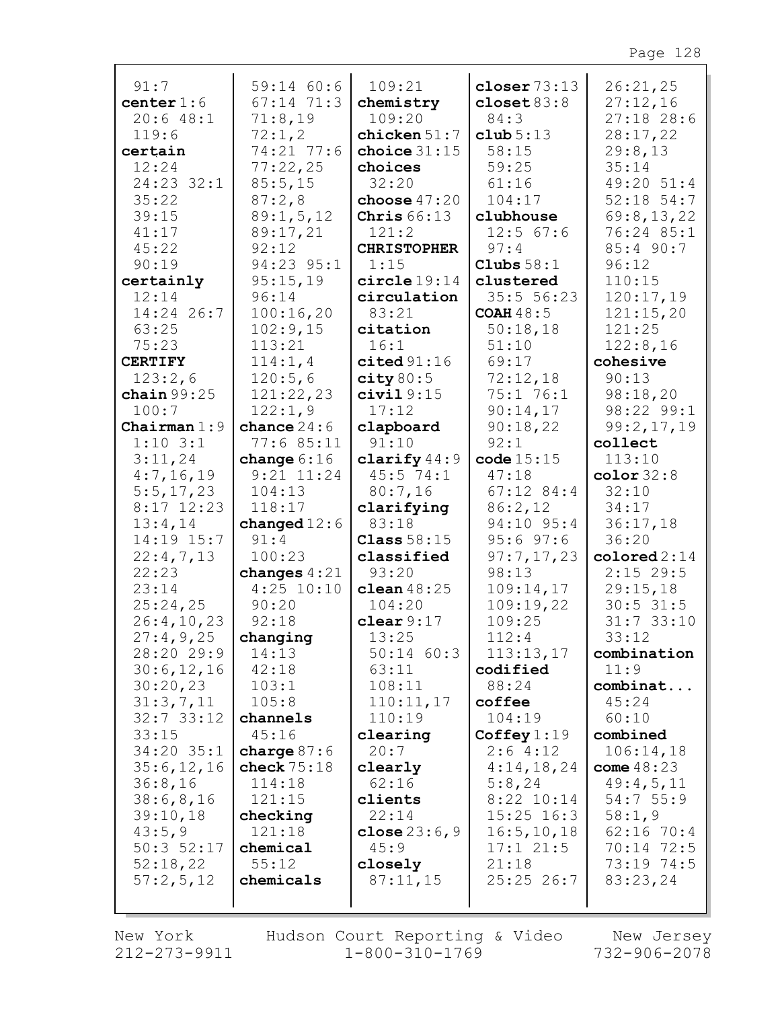| 91:7           | 59:14 60:6     | 109:21             | closer $73:13$   | 26:21,25     |
|----------------|----------------|--------------------|------------------|--------------|
| center $1:6$   | $67:14$ $71:3$ | chemistry          | closet $83:8$    | 27:12,16     |
| 20:648:1       | 71:8,19        | 109:20             | 84:3             | $27:18$ 28:6 |
| 119:6          | 72:1,2         | chicken 51:7       | club 5:13        | 28:17,22     |
| certain        | 74:21 77:6     | choice $31:15$     | 58:15            | 29:8,13      |
| 12:24          | 77:22,25       | choices            | 59:25            | 35:14        |
| 24:23 32:1     | 85:5,15        | 32:20              | 61:16            | 49:20 51:4   |
| 35:22          | 87:2,8         | choose $47:20$     | 104:17           | $52:18$ 54:7 |
| 39:15          | 89:1,5,12      | Chris $66:13$      | clubhouse        | 69:8,13,22   |
| 41:17          | 89:17,21       | 121:2              | $12:5$ 67:6      | 76:24 85:1   |
| 45:22          | 92:12          | <b>CHRISTOPHER</b> | 97:4             | 85:4 90:7    |
| 90:19          | 94:23 95:1     | 1:15               | Clubs $58:1$     | 96:12        |
|                |                |                    |                  |              |
| certainly      | 95:15,19       | circle 19:14       | clustered        | 110:15       |
| 12:14          | 96:14          | circulation        | 35:5 56:23       | 120:17,19    |
| 14:24 26:7     | 100:16,20      | 83:21              | <b>COAH 48:5</b> | 121:15,20    |
| 63:25          | 102:9,15       | citation           | 50:18,18         | 121:25       |
| 75:23          | 113:21         | 16:1               | 51:10            | 122:8,16     |
| <b>CERTIFY</b> | 114:1,4        | cited 91:16        | 69:17            | cohesive     |
| 123:2,6        | 120:5,6        | city 80:5          | 72:12,18         | 90:13        |
| chain $99:25$  | 121:22,23      | civial 9:15        | 75:1 76:1        | 98:18,20     |
| 100:7          | 122:1,9        | 17:12              | 90:14,17         | 98:22 99:1   |
| Chairman $1:9$ | chance $24:6$  | clapboard          | 90:18,22         | 99:2,17,19   |
| $1:10$ 3:1     | 77:685:11      | 91:10              | 92:1             | collect      |
| 3:11,24        | change $6:16$  | clarify $44:9$     | code 15:15       | 113:10       |
| 4:7,16,19      | $9:21$ $11:24$ | $45:5$ 74:1        | 47:18            | color $32:8$ |
| 5:5,17,23      | 104:13         | 80:7,16            | $67:12$ 84:4     | 32:10        |
| $8:17$ 12:23   | 118:17         | clarifying         | 86:2,12          | 34:17        |
| 13:4,14        | changed $12:6$ | 83:18              | 94:10 95:4       | 36:17,18     |
| 14:19 15:7     | 91:4           | Class $58:15$      | $95:6$ $97:6$    | 36:20        |
| 22:4,7,13      | 100:23         | classified         | 97:7,17,23       | colored 2:14 |
| 22:23          | changes $4:21$ | 93:20              | 98:13            | $2:15$ 29:5  |
| 23:14          | $4:25$ 10:10   | clean $48:25$      | 109:14,17        | 29:15,18     |
| 25:24,25       | 90:20          | 104:20             | 109:19,22        | $30:5$ 31:5  |
| 26:4,10,23     | 92:18          | clear 9:17         | 109:25           | $31:7$ 33:10 |
| 27:4,9,25      | changing       | 13:25              | 112:4            | 33:12        |
| 28:20 29:9     | 14:13          | $50:14$ 60:3       | 113:13,17        | combination  |
| 30:6, 12, 16   | 42:18          | 63:11              | codified         | 11:9         |
| 30:20,23       | 103:1          | 108:11             | 88:24            | combinat     |
| 31:3,7,11      | 105:8          | 110:11,17          | coffee           | 45:24        |
| $32:7$ 33:12   | channels       | 110:19             | 104:19           | 60:10        |
| 33:15          | 45:16          | clearing           | Coffey $1:19$    | combined     |
| 34:20 35:1     | charge $87:6$  | 20:7               | 2:64:12          | 106:14,18    |
| 35:6,12,16     | check $75:18$  | clearly            | 4:14,18,24       | come $48:23$ |
| 36:8,16        | 114:18         | 62:16              | 5:8,24           | 49:4,5,11    |
| 38:6,8,16      | 121:15         | clients            | $8:22$ 10:14     | 54:755:9     |
| 39:10,18       | checking       | 22:14              | $15:25$ $16:3$   | 58:1,9       |
| 43:5,9         | 121:18         |                    | 16:5, 10, 18     |              |
|                |                | close $23:6,9$     |                  | $62:16$ 70:4 |
| $50:3$ 52:17   | chemical       | 45:9               | $17:1$ $21:5$    | 70:14 72:5   |
| 52:18,22       | 55:12          | closely            | 21:18            | 73:19 74:5   |
| 57:2,5,12      | chemicals      | 87:11,15           | 25:25 26:7       | 83:23,24     |
|                |                |                    |                  |              |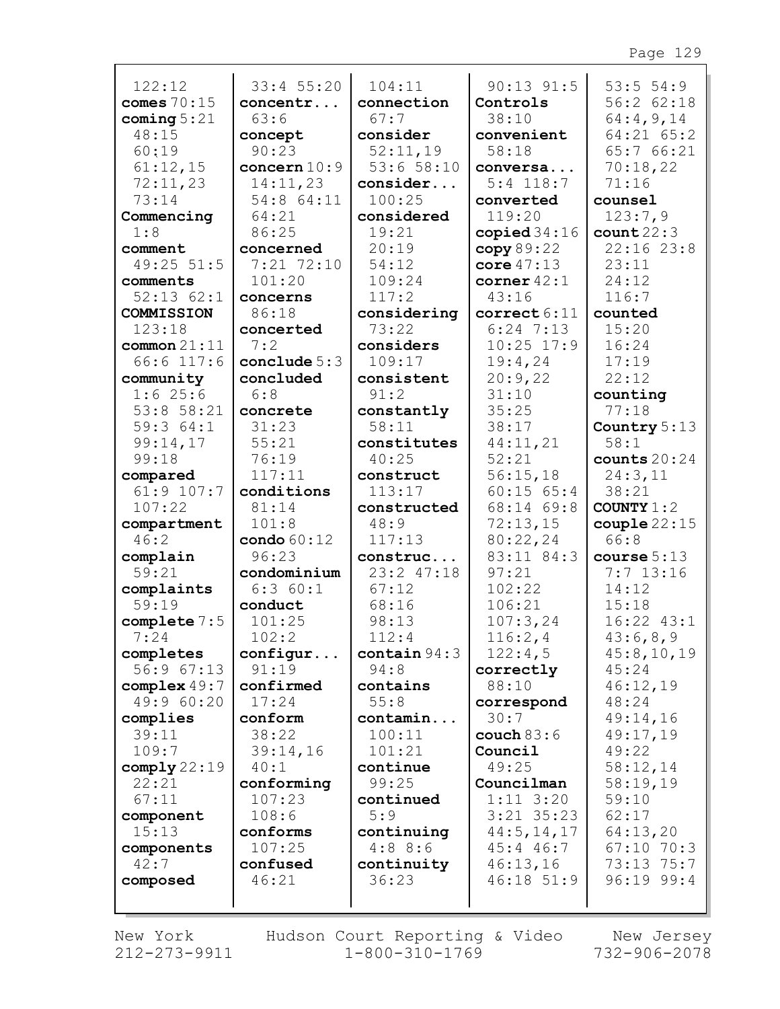| 122:12                   | 33:4 55:20            | 104:11                 | $90:13$ $91:5$               | 53:554:9<br>$56:2$ $62:18$  |
|--------------------------|-----------------------|------------------------|------------------------------|-----------------------------|
| comes $70:15$            | concentr              | connection             | Controls                     |                             |
| coming $5:21$<br>48:15   | 63:6                  | 67:7<br>consider       | 38:10<br>convenient          | 64:4,9,14<br>$64:21$ $65:2$ |
| 60:19                    | concept<br>90:23      | 52:11,19               | 58:18                        | 65:7 66:21                  |
| 61:12,15                 | concern $10:9$        | 53:658:10              | conversa                     | 70:18,22                    |
| 72:11,23                 | 14:11,23              | consider               | $5:4$ 118:7                  | 71:16                       |
| 73:14                    | 54:8 64:11            | 100:25                 | converted                    | counsel                     |
| Commencing               | 64:21                 | considered             | 119:20                       | 123:7,9                     |
| 1:8                      | 86:25                 | 19:21                  | copied $34:16$               | count22:3                   |
| comment                  | concerned             | 20:19                  | copy 89:22                   | 22:1623:8                   |
| 49:25 51:5               | 7:21 72:10            | 54:12                  | core $47:13$                 | 23:11                       |
| comments                 | 101:20                | 109:24                 | corner $42:1$                | 24:12                       |
| $52:13$ $62:1$           | concerns              | 117:2                  | 43:16                        | 116:7                       |
| COMMISSION               | 86:18                 | considering            | correct 6:11                 | counted                     |
| 123:18                   | concerted             | 73:22                  | $6:24$ 7:13                  | 15:20                       |
| common 21:11             | 7:2                   | considers              | $10:25$ 17:9                 | 16:24                       |
| $66:6$ 117:6             | conclude $5:3$        | 109:17                 | 19:4,24                      | 17:19                       |
| community                | concluded             | consistent             | 20:9,22                      | 22:12                       |
| 1:625:6                  | 6:8                   | 91:2                   | 31:10                        | counting                    |
| $53:8$ $58:21$           | concrete              | constantly             | 35:25                        | 77:18                       |
| 59:364:1                 | 31:23                 | 58:11                  | 38:17                        | Country $5:13$              |
| 99:14,17                 | 55:21                 | constitutes            | 44:11,21                     | 58:1                        |
| 99:18                    | 76:19                 | 40:25                  | 52:21                        | counts $20:24$              |
| compared<br>$61:9$ 107:7 | 117:11                | construct              | 56:15,18                     | 24:3,11                     |
| 107:22                   | conditions<br>81:14   | 113:17<br>constructed  | $60:15$ $65:4$<br>68:14 69:8 | 38:21<br>COUNTY $1:2$       |
| compartment              | 101:8                 | 48:9                   | 72:13,15                     | $\texttt{couple}\,22:15$    |
| 46:2                     | $\text{condo } 60:12$ | 117:13                 | 80:22,24                     | 66:8                        |
| complain                 | 96:23                 | construc               | 83:11 84:3                   | course $5:13$               |
| 59:21                    | condominium           | 23:2 47:18             | 97:21                        | $7:7$ 13:16                 |
| complaints               | 6:360:1               | 67:12                  | 102:22                       | 14:12                       |
| 59:19                    | conduct               | 68:16                  | 106:21                       | 15:18                       |
| complete $7:5$           | 101:25                | 98:13                  | 107:3,24                     | $16:22$ $43:1$              |
| 7:24                     | 102:2                 | 112:4                  | 116:2,4                      | 43:6,8,9                    |
| completes                | configur              | $\text{contain } 94:3$ | 122:4,5                      | 45:8,10,19                  |
| 56:9 67:13               | 91:19                 | 94:8                   | correctly                    | 45:24                       |
| complex $49:7$           | confirmed             | contains               | 88:10                        | 46:12,19                    |
| 49:9 60:20               | 17:24                 | 55:8                   | correspond                   | 48:24                       |
| complies                 | conform               | contamin               | 30:7                         | 49:14,16                    |
| 39:11                    | 38:22                 | 100:11                 | couch $83:6$                 | 49:17,19                    |
| 109:7                    | 39:14,16              | 101:21                 | Council                      | 49:22                       |
| comply22:19<br>22:21     | 40:1                  | continue<br>99:25      | 49:25                        | 58:12,14                    |
| 67:11                    | conforming<br>107:23  | continued              | Councilman<br>$1:11$ $3:20$  | 58:19,19<br>59:10           |
| component                | 108:6                 | 5:9                    | $3:21$ $35:23$               | 62:17                       |
| 15:13                    | conforms              | continuing             | 44:5, 14, 17                 | 64:13,20                    |
| components               | 107:25                | 4:88:6                 | $45:4$ 46:7                  | $67:10$ 70:3                |
| 42:7                     | confused              | continuity             | 46:13,16                     | 73:13 75:7                  |
| composed                 | 46:21                 | 36:23                  | $46:18$ 51:9                 | $96:19$ $99:4$              |
|                          |                       |                        |                              |                             |
|                          |                       |                        |                              |                             |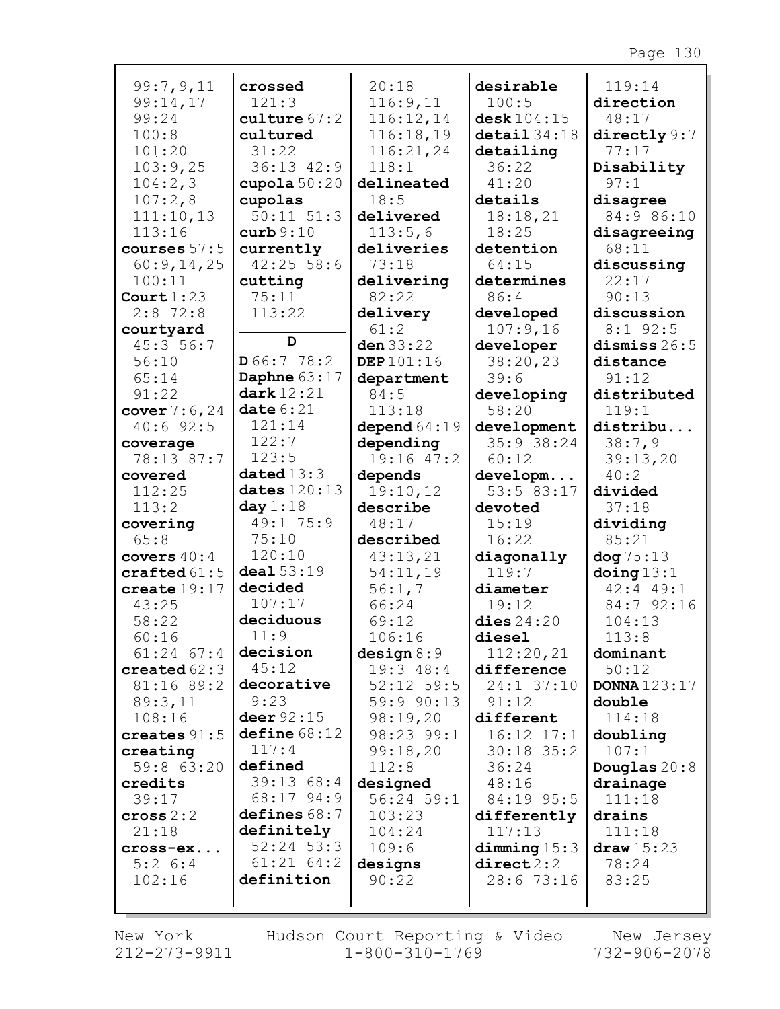| 99:7,9,11                | crossed                 | 20:18          | desirable              | 119:14              |
|--------------------------|-------------------------|----------------|------------------------|---------------------|
| 99:14,17                 | 121:3                   | 116:9,11       | 100:5                  | direction           |
| 99:24                    | $\texttt{culture} 67:2$ | 116:12,14      | desk 104:15            | 48:17               |
| 100:8                    | cultured                | 116:18,19      | $\texttt{detail}34:18$ | directly $9:7$      |
| 101:20                   | 31:22                   | 116:21,24      | detailing              | 77:17               |
| 103:9,25                 | 36:13 42:9              | 118:1          | 36:22                  | Disability          |
|                          |                         |                |                        |                     |
| 104:2,3                  | cupola $50:20$          | delineated     | 41:20                  | 97:1                |
| 107:2,8                  | cupolas                 | 18:5           | details                | disagree            |
| 111:10,13                | $50:11$ $51:3$          | delivered      | 18:18,21               | 84:9 86:10          |
| 113:16                   | curb 9:10               | 113:5,6        | 18:25                  | disagreeing         |
| courses $57:5$           | currently               | deliveries     | detention              | 68:11               |
| 60:9,14,25               | $42:25$ 58:6            | 73:18          | 64:15                  | discussing          |
| 100:11                   | cutting                 | delivering     | determines             | 22:17               |
| Court $1:23$             | 75:11                   | 82:22          | 86:4                   | 90:13               |
| $2:8$ 72:8               | 113:22                  | delivery       | developed              | discussion          |
| courtyard                |                         | 61:2           | 107:9,16               | $8:1$ 92:5          |
| 45:3 56:7                | D                       | den $33:22$    | developer              | dismiss $26:5$      |
| 56:10                    | D66:778:2               | DEP 101:16     | 38:20,23               | distance            |
| 65:14                    | Daphne $63:17$          | department     | 39:6                   | 91:12               |
| 91:22                    | dark $12:21$            | 84:5           | developing             | distributed         |
| cover $7:6,24$           | date6:21                | 113:18         | 58:20                  | 119:1               |
| 40:692:5                 | 121:14                  | depend $64:19$ | development            | distribu            |
|                          | 122:7                   | depending      | 35:9 38:24             | 38:7,9              |
| coverage                 | 123:5                   | 19:16 47:2     |                        |                     |
| 78:13 87:7               | datated13:3             |                | 60:12                  | 39:13,20            |
| covered                  |                         | depends        | developm               | 40:2                |
| 112:25                   | dates $120:13$          | 19:10,12       | 53:5 83:17             | divided             |
| 113:2                    | day $1:18$              | describe       | devoted                | 37:18               |
| covering                 | 49:1 75:9               | 48:17          | 15:19                  | dividing            |
| 65:8                     | 75:10                   | described      | 16:22                  | 85:21               |
| covers $40:4$            | 120:10                  | 43:13,21       | diagonally             | dog 75:13           |
| $\texttt{craffed}\,61:5$ | deal 53:19              | 54:11,19       | 119:7                  | $\frac{13:1}{1}$    |
| create19:17              | decided                 | 56:1,7         | diameter               | $42:4$ $49:1$       |
| 43:25                    | 107:17                  | 66:24          | 19:12                  | 84:7 92:16          |
| 58:22                    | deciduous               | 69:12          | dies $24:20$           | 104:13              |
| 60:16                    | 11:9                    | 106:16         | diesel                 | 113:8               |
| $61:24$ $67:4$           | decision                | design 8:9     | 112:20,21              | dominant            |
| created $62:3$           | 45:12                   | $19:3$ 48:4    | difference             | 50:12               |
| 81:16 89:2               | decorative              | $52:12$ 59:5   | 24:1 37:10             | <b>DONNA</b> 123:17 |
| 89:3,11                  | 9:23                    | 59:9 90:13     | 91:12                  | double              |
| 108:16                   | deer 92:15              | 98:19,20       | different              | 114:18              |
| creates $91:5$           | define 68:12            | 98:23 99:1     | $16:12$ $17:1$         | doubling            |
| creating                 | 117:4                   | 99:18,20       | $30:18$ 35:2           | 107:1               |
| 59:8 63:20               | defined                 | 112:8          | 36:24                  | Douglas $20:8$      |
|                          | 39:1368:4               | designed       | 48:16                  |                     |
| credits                  | 68:17 94:9              | $56:24$ 59:1   |                        | drainage<br>111:18  |
| 39:17                    |                         |                | 84:19 95:5             |                     |
| cross 2:2                | defines 68:7            | 103:23         | differently            | drains              |
| 21:18                    | definitely              | 104:24         | 117:13                 | 111:18              |
| cross-ex                 | $52:24$ 53:3            | 109:6          | dimming 15:3           | draw 15:23          |
| $5:2 \ 6:4$              | $61:21$ $64:2$          | designs        | direct2:2              | 78:24               |
| 102:16                   | definition              | 90:22          | 28:6 73:16             | 83:25               |
|                          |                         |                |                        |                     |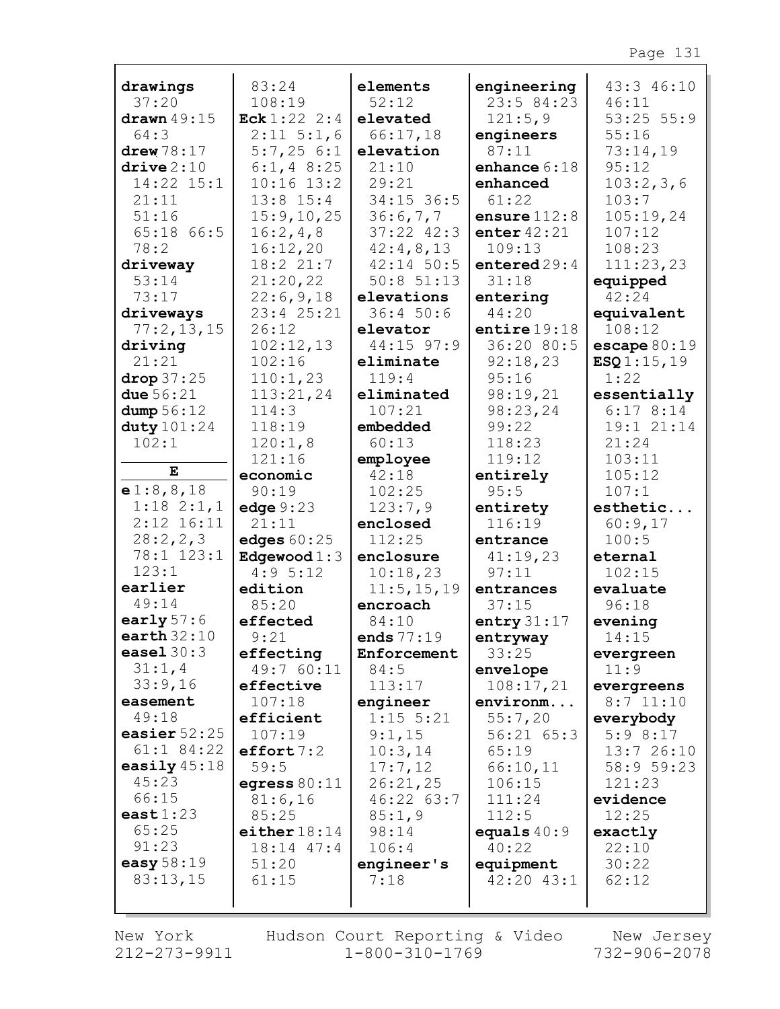| drawings               | 83:24                | elements          | engineering        | 43:3 46:10                   |
|------------------------|----------------------|-------------------|--------------------|------------------------------|
| 37:20                  | 108:19               | 52:12             | 23:5 84:23         | 46:11                        |
| drawn $49:15$          | Eck $1:22$ 2:4       | elevated          | 121:5,9            | $53:25$ $55:9$               |
| 64:3                   | $2:11 \ 5:1,6$       | 66:17,18          | engineers          | 55:16                        |
| $d$ rew $78:17$        | 5:7,256:1            | elevation         | 87:11              | 73:14,19                     |
| $\text{drive} \, 2:10$ | $6:1, 4$ 8:25        | 21:10             | enhance $6:18$     | 95:12                        |
| 14:22 15:1             | $10:16$ $13:2$       | 29:21             | enhanced           | 103:2,3,6                    |
| 21:11                  | $13:8$ 15:4          | 34:15 36:5        | 61:22              | 103:7                        |
| 51:16                  | 15:9, 10, 25         | 36:6,7,7          | ensure $112:8$     | 105:19,24                    |
| 65:18 66:5             | 16:2,4,8             | $37:22$ $42:3$    | enter $42:21$      | 107:12                       |
| 78:2                   | 16:12,20             | 42:4,8,13         | 109:13             | 108:23                       |
| driveway               | 18:221:7             | $42:14$ 50:5      | entered 29:4       | 111:23,23                    |
| 53:14                  | 21:20,22             | $50:8$ $51:13$    | 31:18              | equipped                     |
| 73:17                  | 22:6,9,18            | elevations        | entering           | 42:24                        |
| driveways              | 23:4 25:21           | 36:450:6          | 44:20              | equivalent                   |
| 77:2,13,15             | 26:12                | elevator          | entire $19:18$     | 108:12                       |
| driving                | 102:12,13            | 44:15 97:9        | 36:20 80:5         | $\texttt{escape}\,80\!:\!19$ |
| 21:21                  | 102:16               | eliminate         | 92:18,23           | ESQ1:15,19                   |
| drop37:25              | 110:1,23             | 119:4             | 95:16              | 1:22                         |
| due $56:21$            | 113:21,24            | eliminated        | 98:19,21           | essentially                  |
| dump 56:12             | 114:3                | 107:21            | 98:23,24           | 6:178:14                     |
| duty $101:24$          | 118:19               | embedded          | 99:22              | 19:1 21:14                   |
| 102:1                  | 120:1,8              | 60:13             | 118:23             | 21:24                        |
| Е                      | 121:16               | employee          | 119:12             | 103:11                       |
| e1:8,8,18              | economic             | 42:18             | entirely<br>95:5   | 105:12                       |
| $1:18$ $2:1,1$         | 90:19                | 102:25<br>123:7,9 |                    | 107:1<br>esthetic            |
| $2:12$ $16:11$         | edge $9:23$<br>21:11 | enclosed          | entirety<br>116:19 | 60:9,17                      |
| 28:2, 2, 3             | edges $60:25$        | 112:25            | entrance           | 100:5                        |
| 78:1 123:1             | Edgewood $1:3$       | enclosure         | 41:19,23           | eternal                      |
| 123:1                  | 4:95:12              | 10:18,23          | 97:11              | 102:15                       |
| earlier                | edition              | 11:5, 15, 19      | entrances          | evaluate                     |
| 49:14                  | 85:20                | encroach          | 37:15              | 96:18                        |
| early $57:6$           | effected             | 84:10             | entry $31:17$      | evening                      |
| earth $32:10$          | 9:21                 | ends 77:19        | entryway           | 14:15                        |
| easel $30:3$           | effecting            | Enforcement       | 33:25              | evergreen                    |
| 31:1,4                 | 49:7 60:11           | 84:5              | envelope           | 11:9                         |
| 33:9,16                | effective            | 113:17            | 108:17,21          | evergreens                   |
| easement               | 107:18               | engineer          | environm           | $8:7$ 11:10                  |
| 49:18                  | efficient            | $1:15$ 5:21       | 55:7,20            | everybody                    |
| easier $52:25$         | 107:19               | 9:1,15            | 56:21 65:3         | 5:98:17                      |
| $61:1$ 84:22           | effort 7:2           | 10:3,14           | 65:19              | 13:726:10                    |
| easily $45:18$         | 59:5                 | 17:7,12           | 66:10,11           | 58:9 59:23                   |
| 45:23                  | egress $80:11$       | 26:21,25          | 106:15             | 121:23                       |
| 66:15                  | 81:6,16              | 46:2263:7         | 111:24             | evidence                     |
| east $1:23$            | 85:25                | 85:1,9            | 112:5              | 12:25                        |
| 65:25                  | either $18:14$       | 98:14             | equals $40:9$      | exactly                      |
| 91:23                  | 18:14 47:4           | 106:4             | 40:22              | 22:10                        |
| easy 58:19             | 51:20                | engineer's        | equipment          | 30:22                        |
| 83:13,15               | 61:15                | 7:18              | 42:20 43:1         | 62:12                        |
|                        |                      |                   |                    |                              |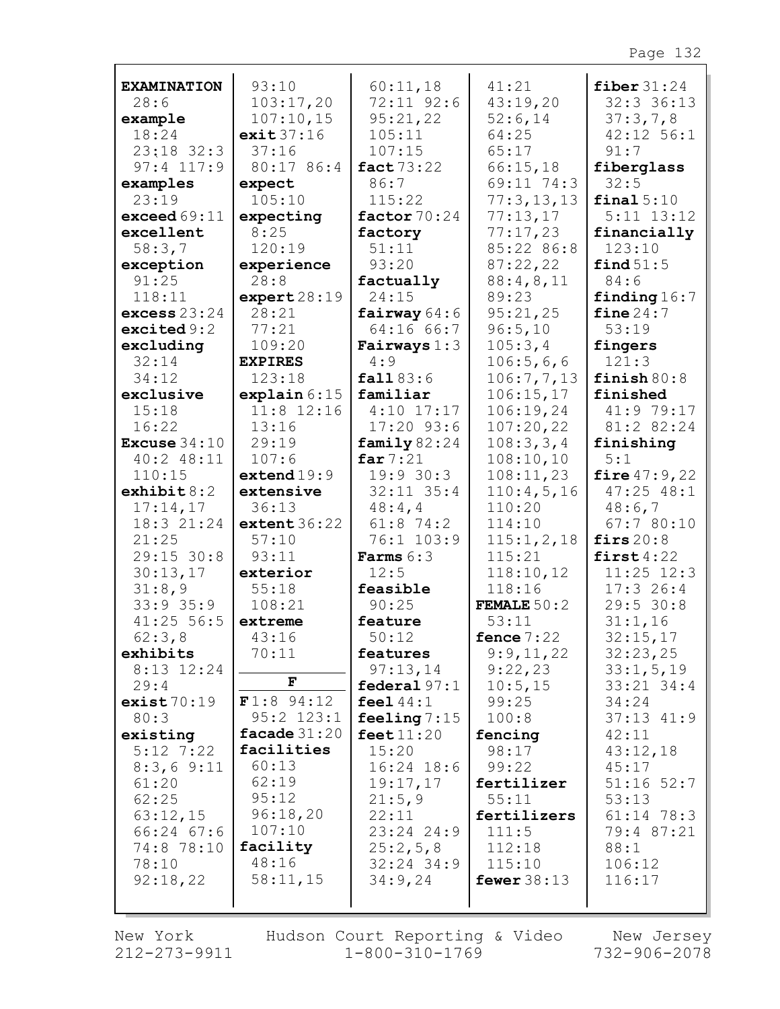| <b>EXAMINATION</b>    | 93:10                  | 60:11,18                     | 41:21                | fiber $31:24$                    |
|-----------------------|------------------------|------------------------------|----------------------|----------------------------------|
| 28:6                  | 103:17,20              | 72:11 92:6                   | 43:19,20             | 32:3 36:13                       |
| example               | 107:10,15              | 95:21,22                     | 52:6,14              | 37:3,7,8                         |
| 18:24                 | exit37:16              | 105:11                       | 64:25                | $42:12$ 56:1                     |
| $23:18$ 32:3          | 37:16                  | 107:15                       | 65:17                | 91:7                             |
| $97:4$ 117:9          | 80:17 86:4             | fact 73:22                   | 66:15,18             | fiberglass                       |
| examples              | expect                 | 86:7                         | 69:11 74:3           | 32:5                             |
| 23:19                 | 105:10                 | 115:22                       | 77:3,13,13           | final 5:10                       |
| exceed 69:11          | expecting              | factor $70:24$               | 77:13,17             | $5:11$ $13:12$                   |
| excellent             | 8:25                   | factory                      | 77:17,23             | financially                      |
| 58:3,7                | 120:19                 | 51:11                        | 85:22 86:8           | 123:10                           |
| exception             | experience             | 93:20                        | 87:22,22             | find $51:5$                      |
| 91:25                 | 28:8                   | factually                    | 88:4,8,11            | 84:6                             |
| 118:11                | $\texttt{expert28:19}$ | 24:15                        | 89:23                | finding $16:7$                   |
| excess $23:24$        | 28:21                  | fairway $64:6$               | 95:21,25             | fine $24:7$                      |
| excited 9:2           | 77:21                  | 64:16 66:7                   | 96:5,10              | 53:19                            |
| excluding             | 109:20                 | Fairways $1:3$               | 105:3,4              | fingers                          |
| 32:14                 | <b>EXPIRES</b>         | 4:9                          | 106:5,6,6            | 121:3                            |
| 34:12                 | 123:18                 | fall 83:6                    | 106:7,7,13           | finish $80:8$                    |
| exclusive<br>15:18    | explain $6:15$         | familiar                     | 106:15,17            | finished                         |
|                       | $11:8$ 12:16           | $4:10$ 17:17                 | 106:19,24            | 41:9 79:17<br>81:2 82:24         |
| 16:22                 | 13:16                  | $17:20$ 93:6                 | 107:20,22            |                                  |
| <b>Excuse</b> $34:10$ | 29:19                  | family $82:24$<br>far $7:21$ | 108:3,3,4            | finishing<br>5:1                 |
| $40:2$ $48:11$        | 107:6                  | 19:930:3                     | 108:10,10            |                                  |
| 110:15<br>exhibit 8:2 | extend19:9             | $32:11$ $35:4$               | 108:11,23            | fire $47:9,22$<br>$47:25$ $48:1$ |
| 17:14,17              | extensive<br>36:13     | 48:4,4                       | 110:4,5,16<br>110:20 | 48:6,7                           |
| 18:3 21:24            | extent 36:22           | $61:8$ 74:2                  | 114:10               | 67:780:10                        |
| 21:25                 | 57:10                  | 76:1 103:9                   | 115:1, 2, 18         | firs $20:8$                      |
| 29:15 30:8            | 93:11                  | <b>Farms</b> $6:3$           | 115:21               | first $4:22$                     |
| 30:13,17              | exterior               | 12:5                         | 118:10,12            | $11:25$ $12:3$                   |
| 31:8,9                | 55:18                  | feasible                     | 118:16               | 17:326:4                         |
| $33:9$ 35:9           | 108:21                 | 90:25                        | <b>FEMALE</b> $50:2$ | 29:5 30:8                        |
| $41:25$ 56:5          | extreme                | feature                      | 53:11                | 31:1,16                          |
| 62:3,8                | 43:16                  | 50:12                        | fence $7:22$         | 32:15,17                         |
| exhibits              | 70:11                  | features                     | 9:9,11,22            | 32:23,25                         |
| 8:13 12:24            |                        | 97:13,14                     | 9:22,23              | 33:1, 5, 19                      |
| 29:4                  | F                      | federal $97:1$               | 10:5, 15             | $33:21$ $34:4$                   |
| exist70:19            | $F1:8$ 94:12           | feel $44:1$                  | 99:25                | 34:24                            |
| 80:3                  | $95:2$ $123:1$         | feeling $7:15$               | 100:8                | $37:13$ $41:9$                   |
| existing              | facade $31:20$         | feet $11:20$                 | fencing              | 42:11                            |
| $5:12$ 7:22           | facilities             | 15:20                        | 98:17                | 43:12,18                         |
| 8:3,69:11             | 60:13                  | $16:24$ 18:6                 | 99:22                | 45:17                            |
| 61:20                 | 62:19                  | 19:17,17                     | fertilizer           | $51:16$ $52:7$                   |
| 62:25                 | 95:12                  | 21:5,9                       | 55:11                | 53:13                            |
| 63:12,15              | 96:18,20               | 22:11                        | fertilizers          | $61:14$ 78:3                     |
| $66:24$ $67:6$        | 107:10                 | $23:24$ $24:9$               | 111:5                | 79:4 87:21                       |
| 74:8 78:10            | facility               | 25:2,5,8                     | 112:18               | 88:1                             |
| 78:10                 | 48:16                  | $32:24$ 34:9                 | 115:10               | 106:12                           |
| 92:18,22              | 58:11,15               | 34:9,24                      | fewer $38:13$        | 116:17                           |
|                       |                        |                              |                      |                                  |
|                       |                        |                              |                      |                                  |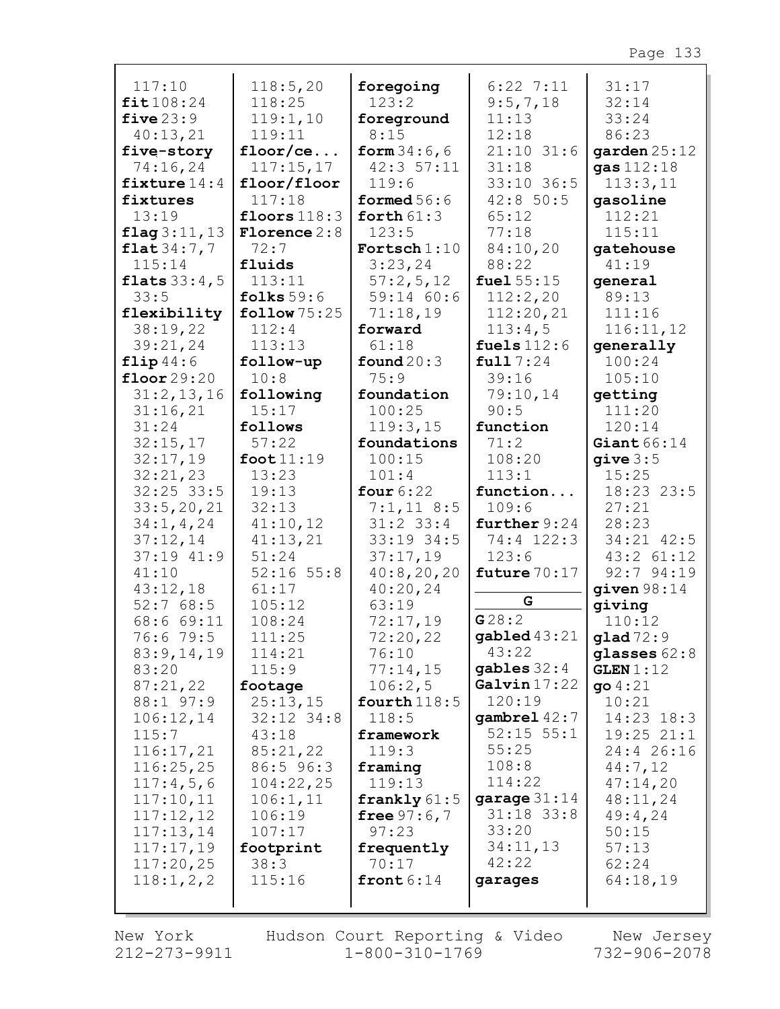| 117:10                | 118:5,20               | foregoing      | $6:22$ 7:11    | 31:17          |
|-----------------------|------------------------|----------------|----------------|----------------|
| fit108:24             | 118:25                 | 123:2          | 9:5,7,18       | 32:14          |
| five $23:9$           | 119:1,10               | foreground     | 11:13          | 33:24          |
| 40:13,21              | 119:11                 | 8:15           | 12:18          | 86:23          |
| five-story            | floor/ce               | form $34:6,6$  | $21:10$ 31:6   | garden $25:12$ |
| 74:16,24              | 117:15,17              | 42:357:11      | 31:18          | gas 112:18     |
| fixture $14:4$        | floor/floor            | 119:6          | 33:10 36:5     | 113:3,11       |
|                       |                        | formed $56:6$  | 42:850:5       |                |
| fixtures              | 117:18                 |                |                | gasoline       |
| 13:19                 | floors $118:3$         | forth $61:3$   | 65:12          | 112:21         |
| flag 3:11, 13         | <b>Florence</b> 2:8    | 123:5          | 77:18          | 115:11         |
| flat34:7,7            | 72:7                   | Fortsch $1:10$ | 84:10,20       | gatehouse      |
| 115:14                | fluids                 | 3:23,24        | 88:22          | 41:19          |
| <b>flats</b> $33:4,5$ | 113:11                 | 57:2,5,12      | fuel $55:15$   | general        |
| 33:5                  | folks $59:6$           | 59:14 60:6     | 112:2,20       | 89:13          |
| flexibility           | $\texttt{follow}75:25$ | 71:18,19       | 112:20,21      | 111:16         |
| 38:19,22              | 112:4                  | forward        | 113:4,5        | 116:11,12      |
| 39:21,24              | 113:13                 | 61:18          | fuels $112:6$  | generally      |
| flip44:6              | follow-up              | found $20:3$   | full 7:24      | 100:24         |
| floor $29:20$         | 10:8                   | 75:9           | 39:16          | 105:10         |
| 31:2,13,16            | following              | foundation     | 79:10,14       | getting        |
| 31:16,21              | 15:17                  | 100:25         | 90:5           | 111:20         |
| 31:24                 | follows                | 119:3,15       | function       | 120:14         |
| 32:15,17              | 57:22                  | foundations    | 71:2           | Giant $66:14$  |
|                       |                        |                | 108:20         |                |
| 32:17,19              | foot $11:19$           | 100:15         |                | qive 3:5       |
| 32:21,23              | 13:23                  | 101:4          | 113:1          | 15:25          |
| $32:25$ 33:5          | 19:13                  | four $6:22$    | function       | 18:23 23:5     |
| 33:5, 20, 21          | 32:13                  | $7:1,11$ 8:5   | 109:6          | 27:21          |
| 34:1, 4, 24           | 41:10,12               | $31:2$ 33:4    | further $9:24$ | 28:23          |
| 37:12,14              | 41:13,21               | 33:19 34:5     | 74:4 122:3     | 34:21 42:5     |
| 37:19 41:9            | 51:24                  | 37:17,19       | 123:6          | 43:2 61:12     |
| 41:10                 | $52:16$ $55:8$         | 40:8,20,20     | future $70:17$ | $92:7$ $94:19$ |
| 43:12,18              | 61:17                  | 40:20,24       |                | given $98:14$  |
| 52:768:5              | 105:12                 | 63:19          | G              | giving         |
| 68:6 69:11            | 108:24                 | 72:17,19       | G28:2          | 110:12         |
| 76:6 79:5             | 111:25                 | 72:20,22       | gabled $43:21$ | $g$ lad $72:9$ |
| 83:9,14,19            | 114:21                 | 76:10          | 43:22          | glasses $62:8$ |
| 83:20                 | 115:9                  | 77:14,15       | gables $32:4$  | GLEN 1:12      |
| 87:21,22              | footage                | 106:2,5        | Galvin $17:22$ | 904:21         |
| 88:1 97:9             | 25:13,15               | fourth $118:5$ | 120:19         | 10:21          |
| 106:12,14             | $32:12$ $34:8$         | 118:5          | gambrel $42:7$ | $14:23$ $18:3$ |
| 115:7                 | 43:18                  | framework      | $52:15$ $55:1$ | $19:25$ $21:1$ |
| 116:17,21             | 85:21,22               | 119:3          | 55:25          | 24:4 26:16     |
| 116:25,25             | 86:5 96:3              | framing        | 108:8          | 44:7,12        |
|                       |                        |                |                |                |
| 117:4,5,6             | 104:22,25              | 119:13         | 114:22         | 47:14,20       |
| 117:10,11             | 106:1,11               | frankly $61:5$ | garage $31:14$ | 48:11,24       |
| 117:12,12             | 106:19                 | free $97:6,7$  | $31:18$ $33:8$ | 49:4,24        |
| 117:13,14             | 107:17                 | 97:23          | 33:20          | 50:15          |
| 117:17,19             | footprint              | frequently     | 34:11,13       | 57:13          |
| 117:20,25             | 38:3                   | 70:17          | 42:22          | 62:24          |
| 118:1, 2, 2           | 115:16                 | front $6:14$   | garages        | 64:18,19       |
|                       |                        |                |                |                |
|                       |                        |                |                |                |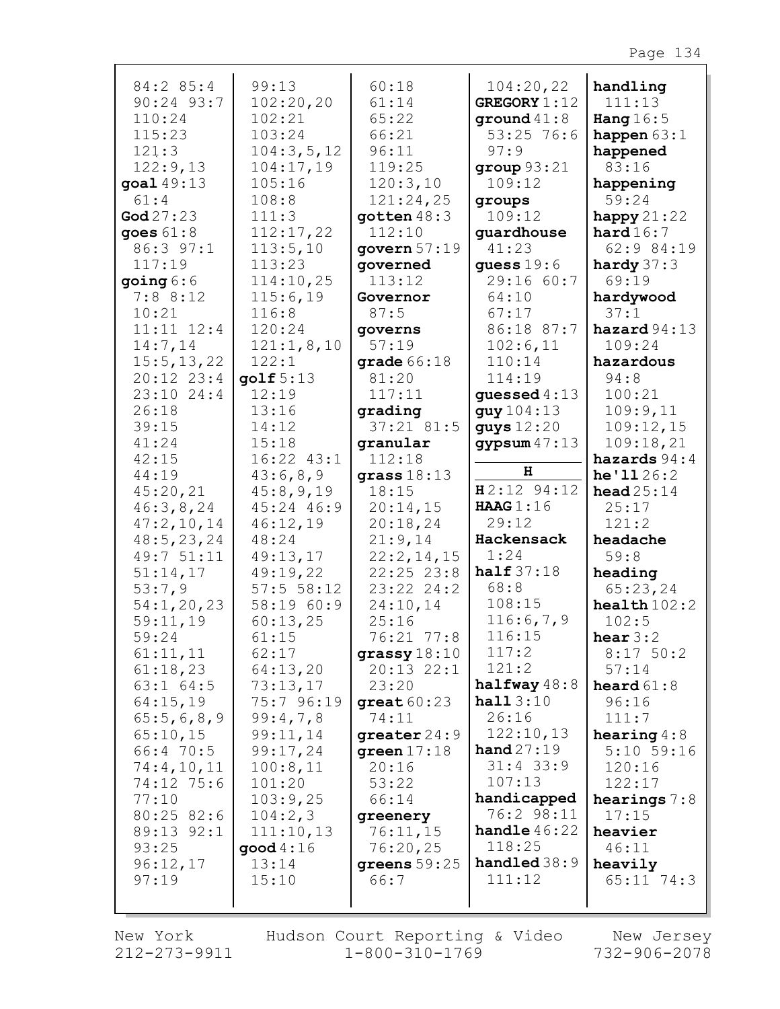| 84:2 85:4                  | 99:13                | 60:18                        | 104:20,22                | handling                 |
|----------------------------|----------------------|------------------------------|--------------------------|--------------------------|
| 90:24 93:7                 | 102:20,20            | 61:14                        | <b>GREGORY 1:12</b>      | 111:13                   |
| 110:24                     | 102:21               | 65:22                        | ground $41:8$            | Hang $16:5$              |
| 115:23                     | 103:24               | 66:21                        | $53:25$ 76:6             | happen $63:1$            |
| 121:3                      | 104:3,5,12           | 96:11                        | 97:9                     | happened                 |
| 122:9,13                   | 104:17,19            | 119:25                       | group 93:21              | 83:16                    |
| goal 49:13                 | 105:16               | 120:3,10                     | 109:12                   | happening                |
| 61:4                       | 108:8                | 121:24,25                    | groups                   | 59:24                    |
| $\text{God } 27: 23$       | 111:3                | $q$ otten $48:3$             | 109:12                   | happy $21:22$            |
| goes $61:8$                | 112:17,22            | 112:10                       | guardhouse               | hard16:7                 |
| 86:3 97:1                  | 113:5,10             | govern $57:19$               | 41:23                    | 62:9 84:19               |
| 117:19                     | 113:23               | governed                     | quess $19:6$             | hardy $37:3$             |
| going 6:6                  | 114:10,25            | 113:12                       | 29:16 60:7               | 69:19                    |
| 7:88:12                    | 115:6,19             | Governor                     | 64:10                    | hardywood                |
| 10:21                      | 116:8                | 87:5                         | 67:17                    | 37:1                     |
| $11:11$ $12:4$<br>14:7,14  | 120:24<br>121:1,8,10 | governs<br>57:19             | 86:18 87:7<br>102:6,11   | hazard $94:13$<br>109:24 |
| 15:5, 13, 22               | 122:1                | grade $66:18$                | 110:14                   | hazardous                |
| $20:12$ $23:4$             | $q$ olf $5:13$       | 81:20                        | 114:19                   | 94:8                     |
| $23:10$ $24:4$             | 12:19                | 117:11                       | guessed $4:13$           | 100:21                   |
| 26:18                      | 13:16                | grading                      | guy 104:13               | 109:9,11                 |
| 39:15                      | 14:12                | $37:21$ 81:5                 | guys 12:20               | 109:12,15                |
| 41:24                      | 15:18                | granular                     | gypsum $47:13$           | 109:18,21                |
| 42:15                      | $16:22$ $43:1$       | 112:18                       |                          | hazards $94:4$           |
| 44:19                      | 43:6,8,9             | grass $18:13$                | н                        | he'1126:2                |
| 45:20,21                   | 45:8,9,19            | 18:15                        | $H2:12$ 94:12            | head $25:14$             |
| 46:3,8,24                  | 45:24 46:9           | 20:14,15                     | HAAG 1:16                | 25:17                    |
| 47:2,10,14                 | 46:12,19             | 20:18,24                     | 29:12                    | 121:2                    |
| 48:5, 23, 24<br>49:7 51:11 | 48:24                | 21:9,14                      | Hackensack<br>1:24       | headache<br>59:8         |
| 51:14,17                   | 49:13,17<br>49:19,22 | 22:2,14,15<br>$22:25$ $23:8$ | half $37:18$             | heading                  |
| 53:7,9                     | 57:5 58:12           | 23:22 24:2                   | 68:8                     | 65:23,24                 |
| 54:1,20,23                 | 58:19 60:9           | 24:10,14                     | 108:15                   | $\texttt{health102:2}$   |
| 59:11,19                   | 60:13,25             | 25:16                        | 116:6,7,9                | 102:5                    |
| 59:24                      | 61:15                | 76:21 77:8                   | 116:15                   | hear $3:2$               |
| 61:11,11                   | 62:17                | grassy $18:10$               | 117:2                    | 8:1750:2                 |
| 61:18,23                   | 64:13,20             | $20:13$ $22:1$               | 121:2                    | 57:14                    |
| $63:1$ $64:5$              | 73:13,17             | 23:20                        | halfway $48:8$           | heard $61:8$             |
| 64:15,19                   | 75:7 96:19           | great $60:23$                | hall3:10                 | 96:16                    |
| 65:5,6,8,9                 | 99:4,7,8             | 74:11                        | 26:16                    | 111:7                    |
| 65:10,15                   | 99:11,14             | greater $24:9$               | 122:10,13                | hearing $4:8$            |
| 66:4 70:5                  | 99:17,24             | green $17:18$                | hand27:19<br>$31:4$ 33:9 | $5:10$ 59:16             |
| 74:4,10,11<br>74:12 75:6   | 100:8,11<br>101:20   | 20:16<br>53:22               | 107:13                   | 120:16<br>122:17         |
| 77:10                      | 103:9,25             | 66:14                        | handicapped              | hearings $7:8$           |
| 80:2582:6                  | 104:2,3              | greenery                     | 76:2 98:11               | 17:15                    |
| 89:13 92:1                 | 111:10,13            | 76:11,15                     | <b>handle</b> $46:22$    | heavier                  |
| 93:25                      | good $4:16$          | 76:20,25                     | 118:25                   | 46:11                    |
| 96:12,17                   | 13:14                | greens $59:25$               | handled $38:9$           | heavily                  |
| 97:19                      | 15:10                | 66:7                         | 111:12                   | $65:11$ 74:3             |
|                            |                      |                              |                          |                          |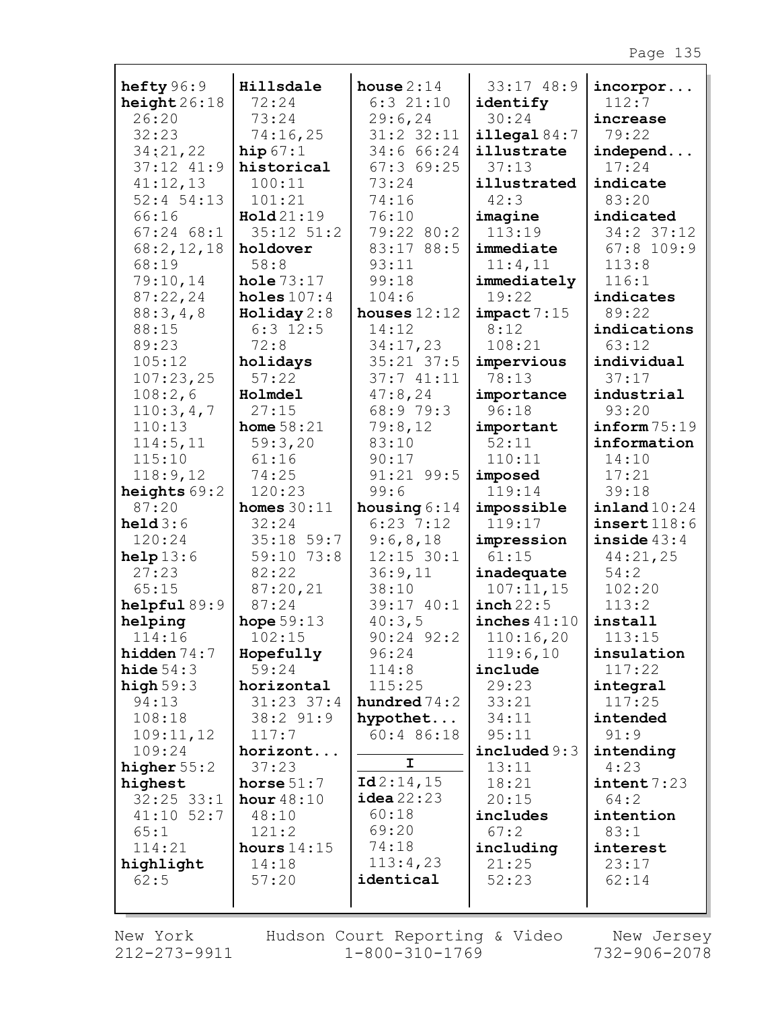| hefty $96:9$       | Hillsdale           | house $2:14$             | 33:17 48:9          | $incorpor.$               |
|--------------------|---------------------|--------------------------|---------------------|---------------------------|
| height 26:18       | 72:24               | $6:3$ $21:10$            | identify            | 112:7                     |
| 26:20              | 73:24               | 29:6, 24                 | 30:24               | increase                  |
| 32:23              | 74:16,25            | 31:2 32:11               | illegal $84:7$      | 79:22                     |
| 34:21,22           | hip $67:1$          | 34:6 66:24               | illustrate          | independ                  |
| $37:12$ $41:9$     | historical          | 67:369:25                | 37:13               | 17:24                     |
| 41:12,13           | 100:11              | 73:24                    | illustrated         | indicate                  |
| $52:4$ 54:13       | 101:21              | 74:16                    | 42:3                | 83:20                     |
| 66:16              | Hold 21:19          | 76:10                    | imagine             | indicated                 |
| $67:24$ $68:1$     | $35:12$ $51:2$      | 79:22 80:2               | 113:19              | 34:2 37:12                |
| 68:2,12,18         | holdover            | 83:17 88:5               | immediate           | $67:8$ 109:9              |
| 68:19              | 58:8                | 93:11                    | 11:4,11             | 113:8                     |
| 79:10,14           | hole $73:17$        | 99:18                    | immediately         | 116:1                     |
| 87:22,24           | holes $107:4$       | 104:6                    | 19:22               | indicates                 |
| 88:3,4,8           | $H$ oliday $2:8$    | houses $12:12$           | impact 7:15         | 89:22                     |
| 88:15              | $6:3$ 12:5          | 14:12                    | 8:12                | indications               |
| 89:23              | 72:8                | 34:17,23                 | 108:21              | 63:12                     |
| 105:12             | holidays            | $35:21$ $37:5$           | impervious          | individual                |
| 107:23,25          | 57:22               | 37:741:11                | 78:13               | 37:17                     |
| 108:2,6            | Holmdel             | 47:8,24                  | importance          | industrial                |
| 110:3,4,7          | 27:15               | 68:9 79:3                | 96:18               | 93:20                     |
| 110:13             | home $58:21$        | 79:8,12                  | important           | inform75:19               |
| 114:5, 11          | 59:3,20             | 83:10                    | 52:11               | information               |
| 115:10             | 61:16               | 90:17                    | 110:11              | 14:10                     |
| 118:9,12           | 74:25               | 91:21 99:5               | imposed             | 17:21                     |
| heights $69:2$     | 120:23              | 99:6                     | 119:14              | 39:18                     |
| 87:20              | homes $30:11$       | housing $6:14$           | impossible          | $\texttt{inland10:24}$    |
| $\text{held } 3:6$ | 32:24<br>35:18 59:7 | $6:23$ 7:12              | 119:17              | insert118:6               |
| 120:24<br>help13:6 | 59:10 73:8          | 9:6,8,18<br>$12:15$ 30:1 | impression<br>61:15 | inside $43:4$<br>44:21,25 |
| 27:23              | 82:22               | 36:9,11                  | inadequate          | 54:2                      |
| 65:15              | 87:20,21            | 38:10                    | 107:11,15           | 102:20                    |
| helpful89:9        | 87:24               | 39:17 40:1               | $inch$ 22:5         | 113:2                     |
| helping            | hope $59:13$        | 40:3,5                   | inches $41:10$      | install                   |
| 114:16             | 102:15              | $90:24$ $92:2$           | 110:16,20           | 113:15                    |
| hidden $74:7$      | Hopefully           | 96:24                    | 119:6,10            | insulation                |
| hide $54:3$        | 59:24               | 114:8                    | include             | 117:22                    |
| high $59:3$        | horizontal          | 115:25                   | 29:23               | integral                  |
| 94:13              | $31:23$ $37:4$      | hundred $74:2$           | 33:21               | 117:25                    |
| 108:18             | $38:2$ $91:9$       | hypothet                 | 34:11               | intended                  |
| 109:11,12          | 117:7               | 60:4 86:18               | 95:11               | 91:9                      |
| 109:24             | horizont            |                          | include 9:3         | intending                 |
| higher $55:2$      | 37:23               | I.                       | 13:11               | 4:23                      |
| highest            | horse $51:7$        | Id2:14,15                | 18:21               | intent 7:23               |
| $32:25$ $33:1$     | hour $48:10$        | idea22:23                | 20:15               | 64:2                      |
| $41:10$ 52:7       | 48:10               | 60:18                    | includes            | intention                 |
| 65:1               | 121:2               | 69:20                    | 67:2                | 83:1                      |
| 114:21             | hours $14:15$       | 74:18                    | including           | interest                  |
| highlight          | 14:18               | 113:4,23                 | 21:25               | 23:17                     |
| 62:5               | 57:20               | identical                | 52:23               | 62:14                     |
|                    |                     |                          |                     |                           |

 $\Gamma$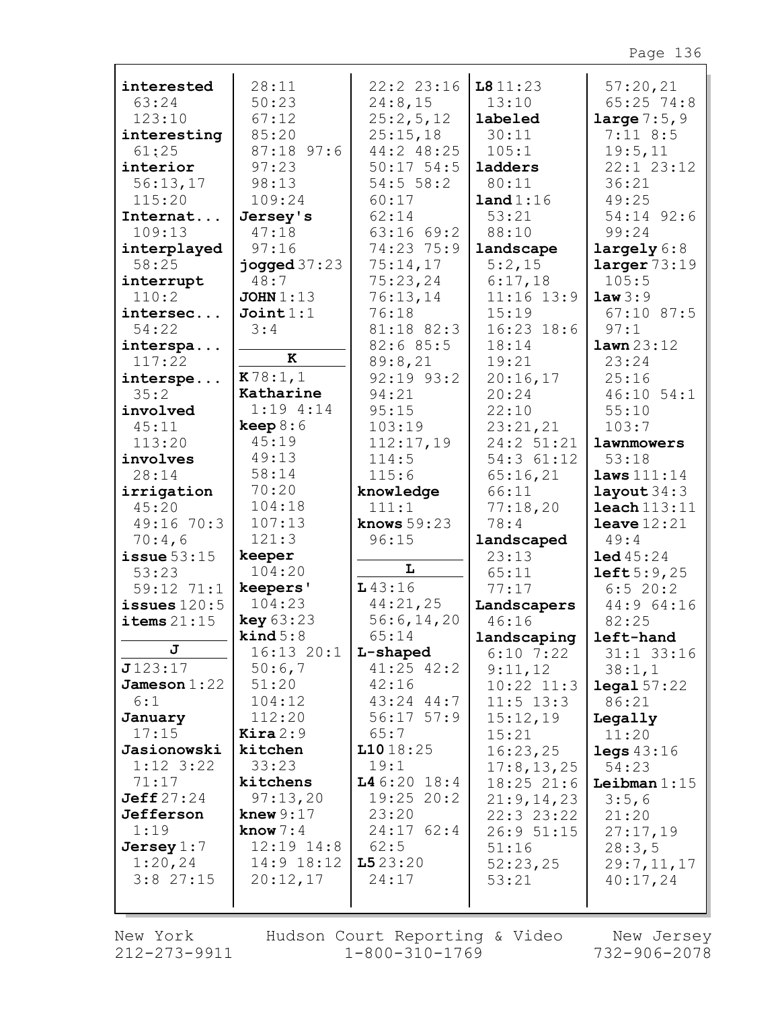| interested       | 28:11                                | 22:2 23:16              | 1811:23        | 57:20,21                  |
|------------------|--------------------------------------|-------------------------|----------------|---------------------------|
| 63:24            | 50:23                                | 24:8,15                 | 13:10          | $65:25$ 74:8              |
| 123:10           | 67:12                                | 25:2,5,12               | labeled        | <b>large</b> $7:5,9$      |
| interesting      | 85:20                                | 25:15,18                | 30:11          | $7:11$ 8:5                |
| 61:25            | 87:18 97:6                           | 44:2 48:25              | 105:1          | 19:5,11                   |
| interior         | 97:23                                | $50:17$ 54:5            | ladders        | $22:1$ $23:12$            |
| 56:13,17         | 98:13                                | 54:556:2                | 80:11          | 36:21                     |
| 115:20           | 109:24                               | 60:17                   | land 1:16      | 49:25                     |
| Internat         | Jersey's                             | 62:14                   | 53:21          | 54:14 92:6                |
| 109:13           | 47:18                                | 63:1669:2               | 88:10          | 99:24                     |
| interplayed      | 97:16                                | 74:23 75:9              | landscape      | largely 6:8               |
| 58:25            | jogged $37:23$                       | 75:14,17                | 5:2,15         | larger 73:19              |
| interrupt        | 48:7                                 | 75:23,24                | 6:17,18        | 105:5                     |
| 110:2            | JOHN $1:13$                          | 76:13,14                | $11:16$ 13:9   | law3:9                    |
| intersec         | Join1:1                              | 76:18                   | 15:19          | $67:10$ 87:5              |
| 54:22            | 3:4                                  | 81:18 82:3              | $16:23$ $18:6$ | 97:1                      |
| interspa         |                                      | 82:6 85:5               | 18:14          | lawn 23:12                |
| 117:22           | к                                    | 89:8,21                 | 19:21          | 23:24                     |
| interspe         | K78:1,1                              | $92:19$ $93:2$          | 20:16,17       | 25:16                     |
| 35:2             | Katharine                            | 94:21                   | 20:24          | $46:10$ 54:1              |
| involved         | $1:19$ 4:14                          | 95:15                   | 22:10          | 55:10                     |
| 45:11            | keep 8:6                             | 103:19                  | 23:21,21       | 103:7                     |
| 113:20           | 45:19                                | 112:17,19               | 24:2 51:21     | lawnmowers                |
| involves         | 49:13                                | 114:5                   | 54:3 61:12     | 53:18                     |
| 28:14            | 58:14                                | 115:6                   | 65:16,21       | laws $111:14$             |
| irrigation       | 70:20                                | knowledge               | 66:11          | layout $34:3$             |
| 45:20            | 104:18                               | 111:1                   | 77:18,20       | $\texttt{leach}$ $113:11$ |
| 49:16 70:3       | 107:13                               | knows $59:23$           | 78:4           | leave $12:21$             |
| 70:4,6           | 121:3                                | 96:15                   | landscaped     | 49:4                      |
| issue $53:15$    | keeper                               | L                       | 23:13          | 1ed45:24                  |
| 53:23            | 104:20                               |                         | 65:11          | left5:9,25                |
| 59:12 71:1       | keepers'                             | 143:16                  | 77:17          | 6:520:2                   |
| issues $120:5$   | 104:23                               | 44:21,25                | Landscapers    | 44:9 64:16                |
| items $21:15$    | key 63:23                            | 56:6, 14, 20            | 46:16          | 82:25                     |
| J                | $\text{kind } 5:8$<br>$16:13$ $20:1$ | 65:14                   | landscaping    | left-hand                 |
| J123:17          |                                      | L-shaped                | $6:10$ 7:22    | $31:1$ $33:16$            |
| Jameson $1:22$   | 50:6,7<br>51:20                      | $41:25$ $42:2$<br>42:16 | 9:11,12        | 38:1,1                    |
| 6:1              | 104:12                               | $43:24$ $44:7$          | $10:22$ $11:3$ | $\texttt{legal } 57:22$   |
|                  | 112:20                               | $56:17$ $57:9$          | $11:5$ $13:3$  | 86:21                     |
| January<br>17:15 | $\texttt{Kira} 2:9$                  | 65:7                    | 15:12,19       | Legally                   |
|                  |                                      |                         |                | 11:20                     |
|                  |                                      |                         | 15:21          |                           |
| Jasionowski      | kitchen                              | 11018:25                | 16:23,25       | legs $43:16$              |
| $1:12$ 3:22      | 33:23                                | 19:1                    | 17:8, 13, 25   | 54:23                     |
| 71:17            | kitchens                             | L46:2018:4              | 18:25 21:6     | Leibman $1:15$            |
| Jeff 27:24       | 97:13,20                             | $19:25$ 20:2            | 21:9,14,23     | 3:5,6                     |
| Jefferson        | knew $9:17$                          | 23:20                   | 22:3 23:22     | 21:20                     |
| 1:19             | know $7:4$                           | 24:1762:4               | 26:951:15      | 27:17,19                  |
| Jersey $1:7$     | $12:19$ $14:8$                       | 62:5                    | 51:16          | 28:3,5                    |
| 1:20,24          | $14:9$ $18:12$                       | 1523:20                 | 52:23,25       | 29:7,11,17                |
| $3:8$ 27:15      | 20:12,17                             | 24:17                   | 53:21          | 40:17,24                  |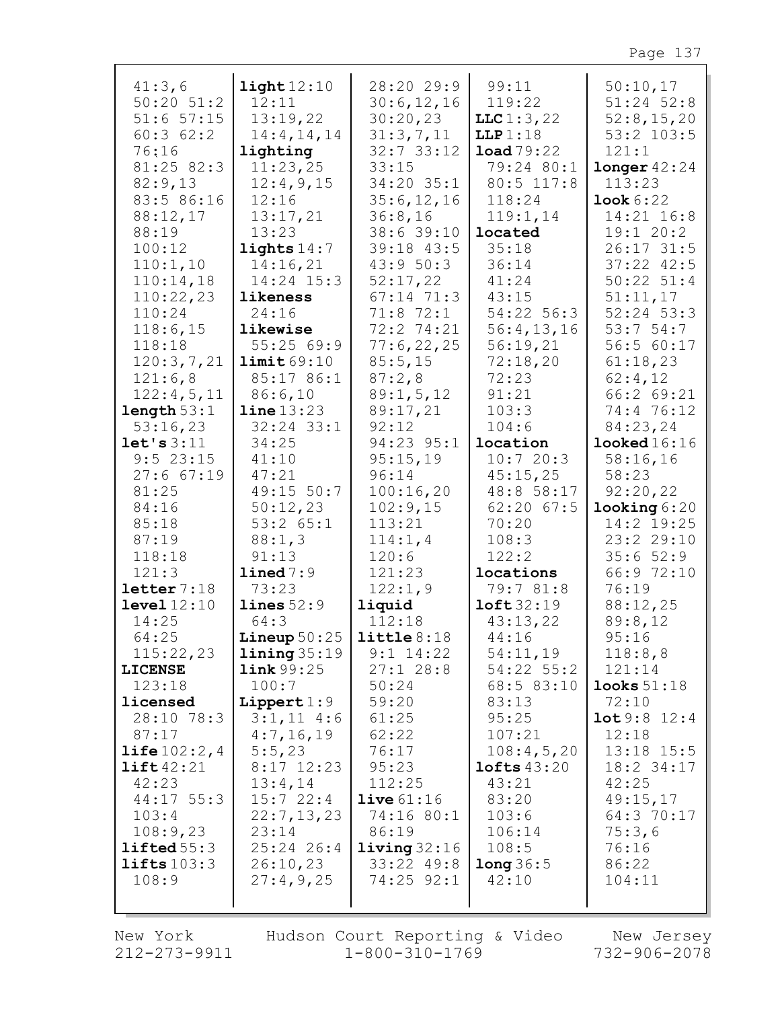| 41:3,6<br>$50:20$ $51:2$ | $\texttt{light}12:10$<br>12:11 | 28:20 29:9<br>30:6, 12, 16 | 99:11<br>119:22      | 50:10,17<br>$51:24$ $52:8$ |
|--------------------------|--------------------------------|----------------------------|----------------------|----------------------------|
| $51:6$ $57:15$           | 13:19,22                       | 30:20,23                   | LLC1:3,22            | 52:8,15,20                 |
| 60:362:2                 | 14:4, 14, 14                   | 31:3,7,11                  | LLP1:18              | $53:2$ 103:5               |
| 76:16                    | lighting                       | $32:7$ 33:12               | load79:22            | 121:1                      |
| 81:25 82:3               | 11:23,25                       | 33:15                      | 79:24 80:1           | longer 42:24               |
| 82:9,13                  | 12:4,9,15                      | 34:20 35:1                 | 80:5 117:8           | 113:23                     |
| 83:5 86:16               | 12:16                          | 35:6, 12, 16               | 118:24               | Look 6:22                  |
| 88:12,17                 | 13:17,21                       | 36:8,16                    | 119:1,14             | 14:21 16:8                 |
| 88:19                    | 13:23                          | 38:6 39:10                 | located              | 19:120:2                   |
| 100:12                   | lights $14:7$                  | 39:18 43:5                 | 35:18                | $26:17$ 31:5               |
| 110:1,10                 | 14:16,21                       | 43:950:3                   | 36:14                | $37:22$ $42:5$             |
| 110:14,18                | 14:24 15:3                     | 52:17,22                   | 41:24                | $50:22$ $51:4$             |
| 110:22,23                | likeness                       | $67:14$ 71:3               | 43:15                | 51:11,17                   |
| 110:24                   | 24:16                          | $71:8$ $72:1$              | 54:22 56:3           | $52:24$ $53:3$             |
| 118:6,15                 | likewise                       | 72:2 74:21                 | 56:4,13,16           | 53:754:7                   |
| 118:18                   | 55:2569:9                      | 77:6,22,25                 | 56:19,21             | 56:5 60:17                 |
| 120:3,7,21               | limit69:10<br>85:17 86:1       | 85:5,15                    | 72:18,20             | 61:18,23                   |
| 121:6,8<br>122:4,5,11    | 86:6,10                        | 87:2,8<br>89:1, 5, 12      | 72:23<br>91:21       | 62:4,12<br>66:2 69:21      |
| length 53:1              | line 13:23                     | 89:17,21                   | 103:3                | 74:4 76:12                 |
| 53:16,23                 | $32:24$ 33:1                   | 92:12                      | 104:6                | 84:23,24                   |
| let's 3:11               | 34:25                          | 94:23 95:1                 | location             | $\texttt{looked16:16}$     |
| $9:5$ 23:15              | 41:10                          | 95:15,19                   | 10:720:3             | 58:16,16                   |
| $27:6$ 67:19             | 47:21                          | 96:14                      | 45:15,25             | 58:23                      |
| 81:25                    | 49:15 50:7                     | 100:16,20                  | 48:8 58:17           | 92:20,22                   |
| 84:16                    | 50:12,23                       | 102:9,15                   | $62:20$ $67:5$       | $\text{looking } 6:20$     |
| 85:18                    | $53:2$ $65:1$                  | 113:21                     | 70:20                | 14:2 19:25                 |
| 87:19                    | 88:1,3                         | 114:1, 4                   | 108:3                | 23:2 29:10                 |
| 118:18                   | 91:13                          | 120:6                      | 122:2                | 35:652:9                   |
| 121:3                    | $lined$ 7:9                    | 121:23                     | locations            | 66:9 72:10                 |
| letter 7:18              | 73:23                          | 122:1,9                    | 79:7 81:8            | 76:19                      |
| level 12:10              | lines 52:9                     | liquid                     | $\texttt{left}32:19$ | 88:12,25                   |
| 14:25                    | 64:3                           | 112:18                     | 43:13,22             | 89:8,12                    |
| 64:25                    | Lineup $50:25$   little $8:18$ |                            | 44:16                | 95:16                      |
| 115:22,23                | $\text{lining } 35:19$         | $9:1$ 14:22                | 54:11,19             | 118:8,8                    |
| <b>LICENSE</b>           | link 99:25                     | $27:1$ 28:8                | 54:22 55:2           | 121:14                     |
| 123:18<br>licensed       | 100:7<br>Lippert $1:9$         | 50:24<br>59:20             | 68:5 83:10<br>83:13  | looks $51:18$<br>72:10     |
| 28:10 78:3               | $3:1,11$ 4:6                   | 61:25                      | 95:25                | 10t9:8 12:4                |
| 87:17                    | 4:7,16,19                      | 62:22                      | 107:21               | 12:18                      |
| $\text{life} 102:2,4$    | 5:5,23                         | 76:17                      | 108:4,5,20           | $13:18$ $15:5$             |
| $\text{lift}42:21$       | 8:17 12:23                     | 95:23                      | $1$ ofts $43:20$     | $18:2$ 34:17               |
| 42:23                    | 13:4,14                        | 112:25                     | 43:21                | 42:25                      |
| $44:17$ 55:3             | 15:722:4                       | live 61:16                 | 83:20                | 49:15,17                   |
| 103:4                    | 22:7,13,23                     | 74:16 80:1                 | 103:6                | 64:3 70:17                 |
| 108:9,23                 | 23:14                          | 86:19                      | 106:14               | 75:3,6                     |
| lifted55:3               | $25:24$ 26:4                   | $1$ iving $32:16$          | 108:5                | 76:16                      |
| lifts103:3               | 26:10,23                       | $33:22$ 49:8               | long 36:5            | 86:22                      |
| 108:9                    | 27:4,9,25                      | 74:25 92:1                 | 42:10                | 104:11                     |
|                          |                                |                            |                      |                            |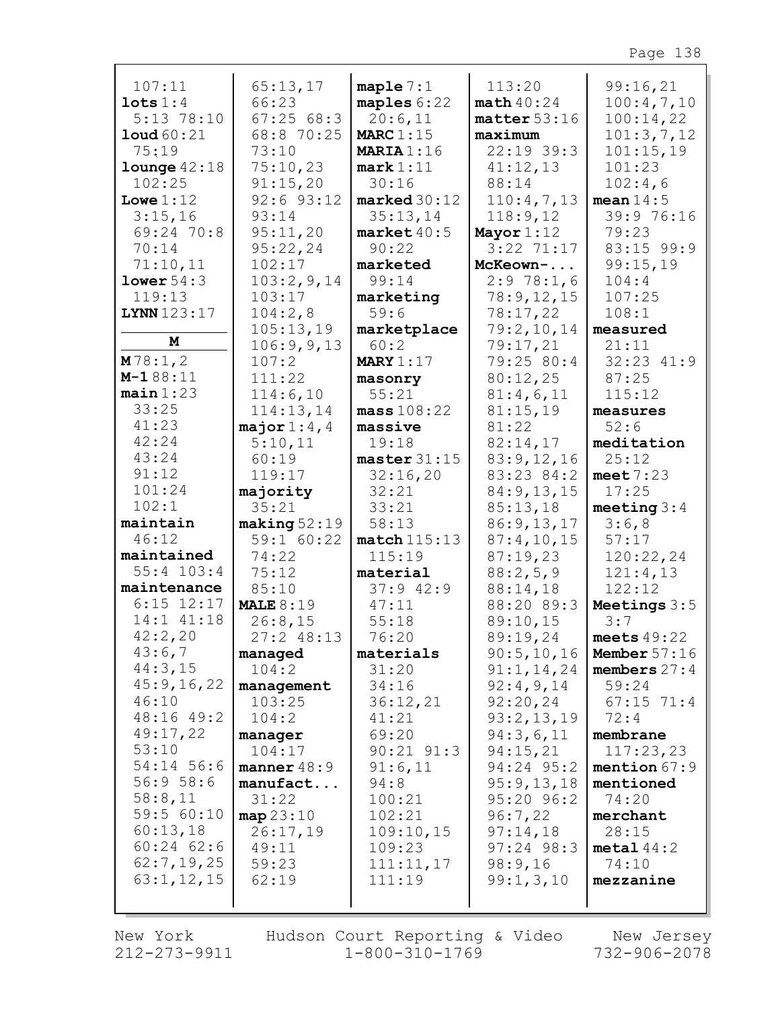| 107:11                              | 65:13,17<br>66:23 | maple $7:1$              | 113:20                    | 99:16,21                |
|-------------------------------------|-------------------|--------------------------|---------------------------|-------------------------|
| $\texttt{lets} 1:4$<br>$5:13$ 78:10 | 67:2568:3         | maples $6:22$<br>20:6,11 | math40:24<br>matter 53:16 | 100:4,7,10<br>100:14,22 |
| $1$ oud $60:21$                     | 68:8 70:25        | <b>MARC</b> 1:15         | maximum                   | 101:3,7,12              |
| 75:19                               | 73:10             | <b>MARIA</b> 1:16        | $22:19$ 39:3              | 101:15,19               |
| $1$ ounge $42:18$                   | 75:10,23          | mark 1:11                | 41:12,13                  | 101:23                  |
| 102:25                              | 91:15,20          | 30:16                    | 88:14                     | 102:4,6                 |
| Lowe $1:12$                         | $92:6$ $93:12$    | $\texttt{marked}30:12$   | 110:4,7,13                | mean $14:5$             |
| 3:15,16                             | 93:14             | 35:13,14                 | 118:9,12                  | 39:9 76:16              |
| 69:24 70:8                          | 95:11,20          | $\texttt{market}40:5$    | Mayor $1:12$              | 79:23                   |
| 70:14                               | 95:22,24          | 90:22                    | $3:22$ 71:17              | 83:15 99:9              |
| 71:10,11                            | 102:17            | marketed                 | McKeown-                  | 99:15,19                |
| lower 54:3                          | 103:2,9,14        | 99:14                    | 2:978:1,6                 | 104:4                   |
| 119:13                              | 103:17            | marketing                | 78:9,12,15                | 107:25                  |
| LYNN 123:17                         | 104:2,8           | 59:6                     | 78:17,22                  | 108:1                   |
|                                     | 105:13,19         | marketplace              | 79:2,10,14                | measured                |
| М                                   | 106:9,9,13        | 60:2                     | 79:17,21                  | 21:11                   |
| M78:1,2                             | 107:2             | MARY $1:17$              | 79:25 80:4                | 32:23 41:9              |
| $M-188:11$                          | 111:22            | masonry                  | 80:12,25                  | 87:25                   |
| $main$ 1:23                         | 114:6,10          | 55:21                    | 81:4,6,11                 | 115:12                  |
| 33:25                               | 114:13,14         | mass 108:22              | 81:15,19                  | measures                |
| 41:23                               | major $1:4$ , $4$ | massive                  | 81:22                     | 52:6                    |
| 42:24                               | 5:10,11           | 19:18                    | 82:14,17                  | meditation              |
| 43:24                               | 60:19             | master 31:15             | 83:9,12,16                | 25:12                   |
| 91:12<br>101:24                     | 119:17            | 32:16,20                 | 83:23 84:2                | meet $7:23$             |
| 102:1                               | majority<br>35:21 | 32:21                    | 84:9,13,15                | 17:25                   |
| maintain                            | making 52:19      | 33:21<br>58:13           | 85:13,18<br>86:9,13,17    | meeting $3:4$<br>3:6,8  |
| 46:12                               | 59:1 60:22        | match115:13              | 87:4,10,15                | 57:17                   |
| maintained                          | 74:22             | 115:19                   | 87:19,23                  | 120:22,24               |
| $55:4$ 103:4                        | 75:12             | material                 | 88:2,5,9                  | 121:4,13                |
| maintenance                         | 85:10             | $37:9$ 42:9              | 88:14,18                  | 122:12                  |
| $6:15$ $12:17$                      | MALE $8:19$       | 47:11                    | 88:20 89:3                | Meetings $3:5$          |
| 14:1 41:18                          | 26:8,15           | 55:18                    | 89:10,15                  | 3:7                     |
| 42:2,20                             | $27:2$ 48:13      | 76:20                    | 89:19,24                  | meets $49:22$           |
| 43:6,7                              | managed           | materials                | 90:5,10,16                | Member $57:16$          |
| 44:3,15                             | 104:2             | 31:20                    | 91:1,14,24                | members $27:4$          |
| 45:9,16,22                          | management        | 34:16                    | 92:4,9,14                 | 59:24                   |
| 46:10                               | 103:25            | 36:12,21                 | 92:20,24                  | $67:15$ $71:4$          |
| 48:16 49:2                          | 104:2             | 41:21                    | 93:2,13,19                | 72:4                    |
| 49:17,22                            | manager           | 69:20                    | 94:3,6,11                 | membrane                |
| 53:10                               | 104:17            | $90:21$ $91:3$           | 94:15,21                  | 117:23,23               |
| 54:14 56:6                          | manner $48:9$     | 91:6,11                  | 94:24 95:2                | mention 67:9            |
| 56:958:6                            | manufact          | 94:8                     | 95:9,13,18                | mentioned               |
| 58:8,11                             | 31:22             | 100:21                   | 95:20 96:2                | 74:20                   |
| 59:5 60:10<br>60:13,18              | map 23:10         | 102:21                   | 96:7,22                   | merchant                |
| $60:24$ $62:6$                      | 26:17,19<br>49:11 | 109:10,15                | 97:14,18                  | 28:15                   |
| 62:7,19,25                          | 59:23             | 109:23<br>111:11,17      | $97:24$ $98:3$<br>98:9,16 | metal44:2<br>74:10      |
| 63:1, 12, 15                        | 62:19             | 111:19                   | 99:1,3,10                 | mezzanine               |
|                                     |                   |                          |                           |                         |
|                                     |                   |                          |                           |                         |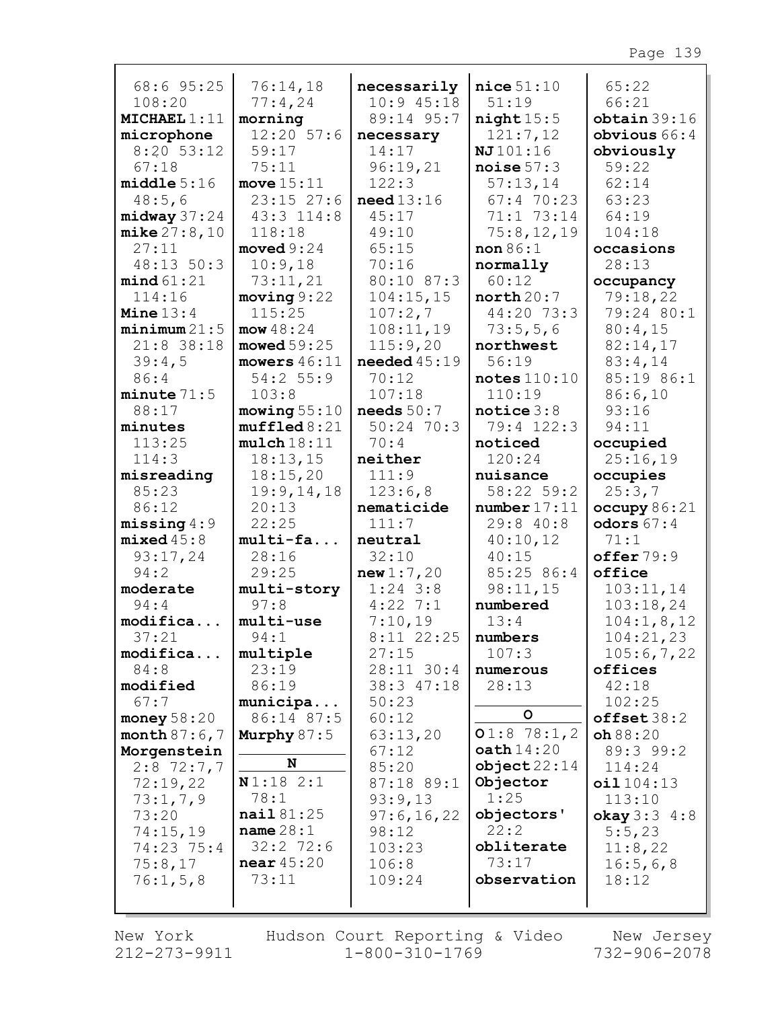| 68:6 95:25            | 76:14,18                       | necessarily           | $nice$ 51:10          | 65:22                    |
|-----------------------|--------------------------------|-----------------------|-----------------------|--------------------------|
| 108:20                | 77:4,24                        | $10:9$ 45:18          | 51:19                 | 66:21                    |
| MICHAEL1:11           | morning<br>$12:20$ 57:6        | 89:14 95:7            | night15:5             | obtain 39:16             |
| microphone            |                                | necessary             | 121:7,12              | obvious $66:4$           |
| $8:20$ 53:12          | 59:17                          | 14:17                 | NJ101:16              | obviously                |
| 67:18                 | 75:11                          | 96:19,21<br>122:3     | noise $57:3$          | 59:22<br>62:14           |
| middle 5:16<br>48:5,6 | move $15:11$<br>$23:15$ $27:6$ | need13:16             | 57:13,14<br>67:470:23 | 63:23                    |
| $midway$ 37:24        | 43:3 114:8                     | 45:17                 | 71:1 73:14            | 64:19                    |
| mike 27:8,10          | 118:18                         | 49:10                 | 75:8,12,19            | 104:18                   |
| 27:11                 | $\texttt{moved } 9:24$         | 65:15                 | non 86:1              | occasions                |
| 48:13 50:3            | 10:9,18                        | 70:16                 | normally              | 28:13                    |
| mind 61:21            | 73:11,21                       | 80:10 87:3            | 60:12                 | occupancy                |
| 114:16                | moving 9:22                    | 104:15,15             | north 20:7            | 79:18,22                 |
| Mine $13:4$           | 115:25                         | 107:2,7               | 44:20 73:3            | 79:24 80:1               |
| minimum 21:5          | mow 48:24                      | 108:11,19             | 73:5,5,6              | 80:4,15                  |
| $21:8$ 38:18          | moved 59:25                    | 115:9,20              | northwest             | 82:14,17                 |
| 39:4,5                | mowers $46:11$                 | needed $45:19$        | 56:19                 | 83:4,14                  |
| 86:4                  | 54:2 55:9                      | 70:12                 | notes 110:10          | 85:19 86:1               |
| $minute$ 71:5         | 103:8                          | 107:18                | 110:19                | 86:6,10                  |
| 88:17                 | mowing $55:10$                 | needs $50:7$          | notice $3:8$          | 93:16                    |
| minutes               | muffled 8:21                   | $50:24$ 70:3          | 79:4 122:3            | 94:11                    |
| 113:25                | mulch18:11                     | 70:4                  | noticed               | occupied                 |
| 114:3                 | 18:13,15                       | neither               | 120:24                | 25:16,19                 |
| misreading            | 18:15,20                       | 111:9                 | nuisance              | occupies                 |
| 85:23                 | 19:9,14,18                     | 123:6,8               | 58:22 59:2            | 25:3,7                   |
| 86:12                 | 20:13                          | nematicide            | number 17:11          | occupy $86:21$           |
| missing 4:9           | 22:25                          | 111:7                 | 29:8 40:8             | odors $67:4$             |
| $mixed\,45:8$         | multi-fa                       | neutral               | 40:10,12              | 71:1                     |
| 93:17,24              | 28:16                          | 32:10                 | 40:15                 | offer 79:9               |
| 94:2                  | 29:25                          | new1:7,20             | 85:25 86:4            | office                   |
| moderate              | multi-story                    | $1:24$ 3:8            | 98:11,15              | 103:11,14                |
| 94:4                  | 97:8                           | $4:22$ 7:1            | numbered              | 103:18,24                |
| modifica              | multi-use                      | 7:10,19               | 13:4                  | 104:1, 8, 12             |
| 37:21<br>modifica     | 94:1<br>multiple               | $8:11$ 22:25<br>27:15 | numbers<br>107:3      | 104:21,23<br>105:6,7,22  |
| 84:8                  | 23:19                          | 28:11 30:4            | numerous              | offices                  |
| modified              | 86:19                          | 38:3 47:18            | 28:13                 | 42:18                    |
| 67:7                  | municipa                       | 50:23                 |                       | 102:25                   |
| money $58:20$         | 86:14 87:5                     | 60:12                 | $\mathsf{o}$          | offset38:2               |
| month $87:6,7$        | Murphy $87:5$                  | 63:13,20              | 01:878:1,2            | oh 88:20                 |
| Morgenstein           |                                | 67:12                 | $\texttt{path}14:20$  | 89:3 99:2                |
| $2:8$ 72:7,7          | N                              | 85:20                 | object22:14           | 114:24                   |
| 72:19,22              | N1:182:1                       | 87:18 89:1            | Objector              | oil104:13                |
| 73:1,7,9              | 78:1                           | 93:9,13               | 1:25                  | 113:10                   |
| 73:20                 | nail 81:25                     | 97:6,16,22            | objectors'            | <b>okay</b> $3:3 \; 4:8$ |
| 74:15,19              | name $28:1$                    | 98:12                 | 22:2                  | 5:5,23                   |
| 74:23 75:4            | $32:2$ 72:6                    | 103:23                | obliterate            | 11:8,22                  |
| 75:8,17               | near $45:20$                   | 106:8                 | 73:17                 | 16:5,6,8                 |
| 76:1, 5, 8            | 73:11                          | 109:24                | observation           | 18:12                    |
|                       |                                |                       |                       |                          |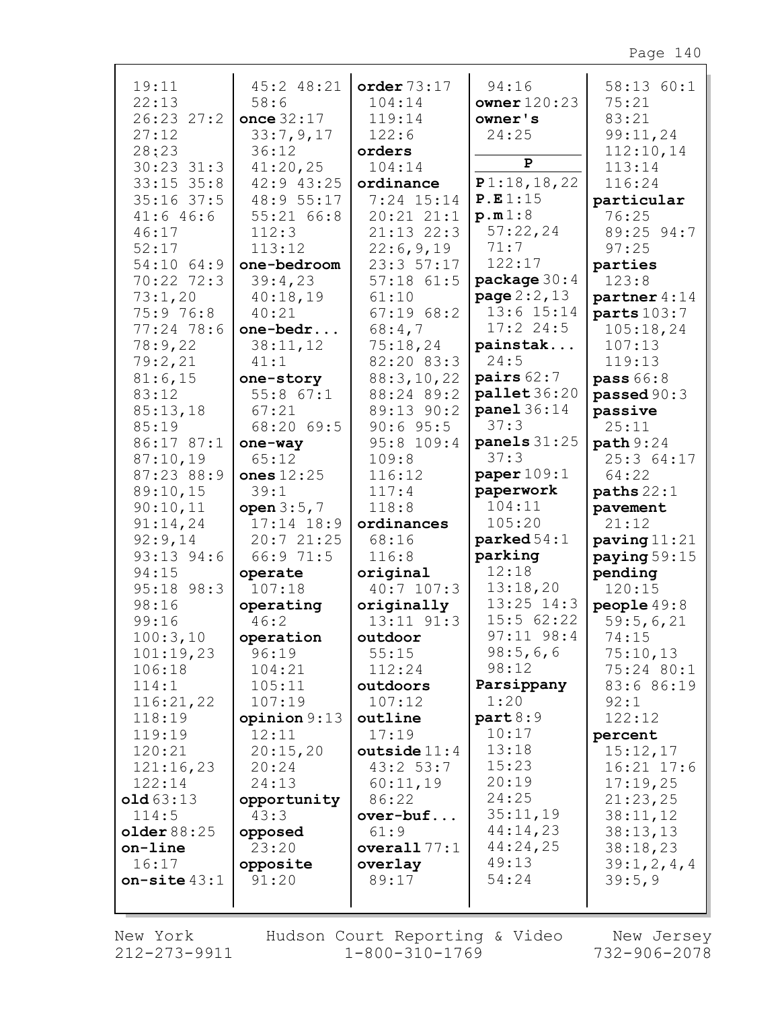| 19:11          |                |                |                          |                  |
|----------------|----------------|----------------|--------------------------|------------------|
|                | 45:2 48:21     | order $73:17$  | 94:16                    | 58:13 60:1       |
| 22:13          | 58:6           | 104:14         | owner $120:23$           | 75:21            |
| 26:23 27:2     | once 32:17     | 119:14         | owner's                  | 83:21            |
|                |                |                |                          |                  |
| 27:12          | 33:7,9,17      | 122:6          | 24:25                    | 99:11,24         |
| 28:23          | 36:12          | orders         |                          | 112:10,14        |
| $30:23$ $31:3$ | 41:20,25       | 104:14         | P                        | 113:14           |
| $33:15$ $35:8$ | 42:9 43:25     | ordinance      | P1:18,18,22              | 116:24           |
| $35:16$ 37:5   | 48:9 55:17     | 7:24 15:14     | P.E1:15                  | particular       |
| 41:646:6       | 55:2166:8      | $20:21$ $21:1$ | p.m1:8                   | 76:25            |
|                |                |                |                          |                  |
| 46:17          | 112:3          | 21:13 22:3     | 57:22,24                 | 89:25 94:7       |
| 52:17          | 113:12         | 22:6,9,19      | 71:7                     | 97:25            |
| 54:10 64:9     | one-bedroom    | 23:357:17      | 122:17                   | parties          |
| 70:22 72:3     | 39:4,23        | $57:18$ $61:5$ | package $30:4$           | 123:8            |
| 73:1,20        | 40:18,19       | 61:10          | <b>page</b> $2:2$ , $13$ | partner 4:14     |
| 75:9 76:8      | 40:21          | 67:1968:2      | 13:6 15:14               | parts $103:7$    |
|                |                |                |                          |                  |
| $77:24$ 78:6   | one-bedr       | 68:4,7         | $17:2$ 24:5              | 105:18,24        |
| 78:9,22        | 38:11,12       | 75:18,24       | painstak                 | 107:13           |
| 79:2,21        | 41:1           | 82:20 83:3     | 24:5                     | 119:13           |
| 81:6,15        | one-story      | 88:3,10,22     | pairs $62:7$             | <b>pass 66:8</b> |
| 83:12          | $55:8$ $67:1$  | 88:24 89:2     | $p$ allet $36:20$        | passed 90:3      |
| 85:13,18       | 67:21          | 89:13 90:2     | panel 36:14              | passive          |
| 85:19          | 68:20 69:5     | $90:6$ 95:5    | 37:3                     | 25:11            |
| 86:17 87:1     | one-way        | 95:8 109:4     | panels $31:25$           | path 9:24        |
|                |                |                | 37:3                     |                  |
| 87:10,19       | 65:12          | 109:8          |                          | 25:3 64:17       |
| 87:23 88:9     | ones $12:25$   | 116:12         | paper109:1               | 64:22            |
| 89:10,15       | 39:1           | 117:4          | paperwork                | paths $22:1$     |
| 90:10,11       | open $3:5,7$   | 118:8          | 104:11                   | pavement         |
| 91:14,24       |                |                |                          |                  |
|                | $17:14$ 18:9   | ordinances     | 105:20                   | 21:12            |
|                |                |                |                          |                  |
| 92:9,14        | 20:721:25      | 68:16          | $\texttt{parked}~54:1$   | paving $11:21$   |
| 93:13 94:6     | 66:9 71:5      | 116:8          | parking                  | paying $59:15$   |
| 94:15          | operate        | original       | 12:18                    | pending          |
| 95:18 98:3     | 107:18         | $40:7$ 107:3   | 13:18,20                 | 120:15           |
| 98:16          | operating      | originally     | $13:25$ $14:3$           | people $49:8$    |
| 99:16          | 46:2           | $13:11$ $91:3$ | 15:562:22                | 59:5,6,21        |
| 100:3,10       | operation      | outdoor        | $97:11$ $98:4$           | 74:15            |
| 101:19,23      | 96:19          | 55:15          | 98:5,6,6                 | 75:10,13         |
| 106:18         | 104:21         | 112:24         | 98:12                    | 75:24 80:1       |
|                | 105:11         |                | Parsippany               |                  |
| 114:1          |                | outdoors       | 1:20                     | 83:6 86:19       |
| 116:21,22      | 107:19         | 107:12         |                          | 92:1             |
| 118:19         | opinion $9:13$ | outline        | part 8:9                 | 122:12           |
| 119:19         | 12:11          | 17:19          | 10:17                    | percent          |
| 120:21         | 20:15,20       | outside $11:4$ | 13:18                    | 15:12,17         |
| 121:16,23      | 20:24          | 43:2 53:7      | 15:23                    | $16:21$ $17:6$   |
| 122:14         | 24:13          | 60:11,19       | 20:19                    | 17:19,25         |
| old63:13       | opportunity    | 86:22          | 24:25                    | 21:23,25         |
| 114:5          | 43:3           | over-buf       | 35:11,19                 | 38:11,12         |
|                |                |                | 44:14,23                 |                  |
| older 88:25    | opposed        | 61:9           |                          | 38:13,13         |
| on-line        | 23:20          | overall $77:1$ | 44:24,25                 | 38:18,23         |
| 16:17          | opposite       | overlay        | 49:13                    | 39:1, 2, 4, 4    |
| on-site $43:1$ | 91:20          | 89:17          | 54:24                    | 39:5,9           |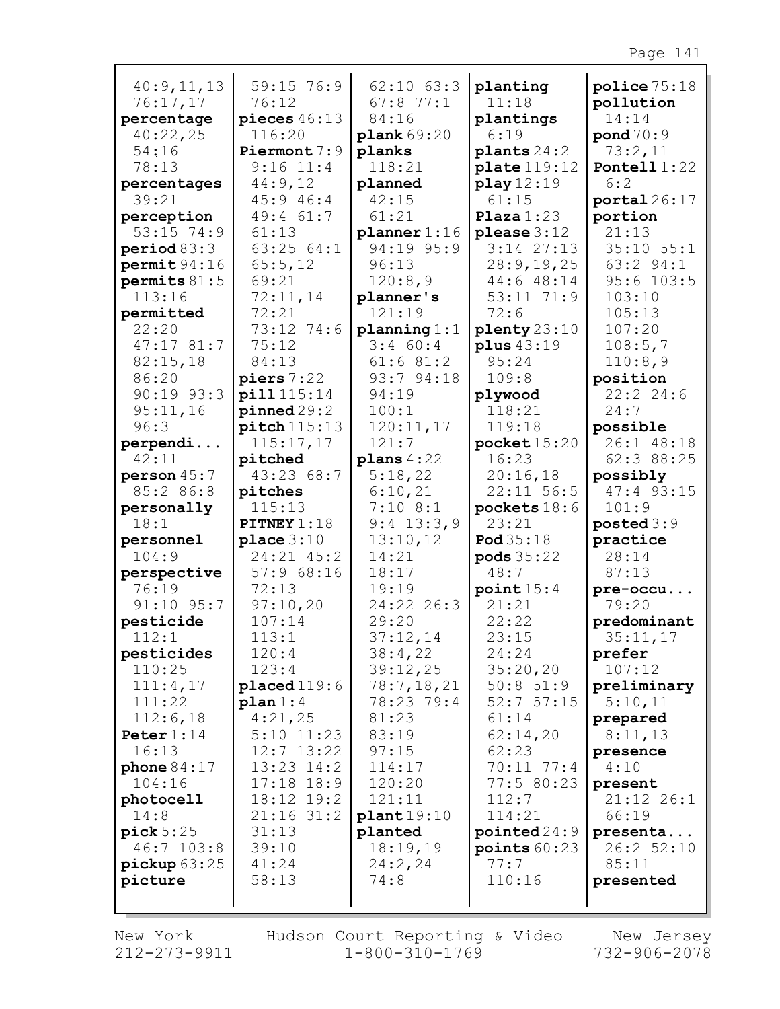| 40:9,11,13                | 59:15 76:9                 | $62:10$ $63:3$                  | planting                              | police 75:18                    |
|---------------------------|----------------------------|---------------------------------|---------------------------------------|---------------------------------|
| 76:17,17                  | 76:12                      | $67:8$ 77:1                     | 11:18                                 | pollution                       |
| percentage                | pieces $46:13$             | 84:16                           | plantings                             | 14:14                           |
| 40:22,25                  | 116:20                     | plank 69:20                     | 6:19                                  | $\text{pond } 70:9$             |
| 54:16                     | Piermont 7:9               | planks                          | plants $24:2$                         | 73:2,11                         |
| 78:13                     | $9:16$ 11:4                | 118:21                          | plate119:12                           | Pontell $1:22$                  |
| percentages               | 44:9,12                    | planned                         | play 12:19                            | 6:2                             |
| 39:21                     | 45:9 46:4                  | 42:15                           | 61:15                                 | portal26:17                     |
| perception                | 49:4 61:7                  | 61:21                           | Plaza1:23                             | portion                         |
| $53:15$ 74:9              | 61:13                      | planner 1:16                    | please $3:12$                         | 21:13                           |
| period 83:3               | 63:2564:1                  | 94:19 95:9                      | $3:14$ $27:13$                        | $35:10$ $55:1$                  |
| permit94:16               | 65:5,12                    | 96:13                           | 28:9,19,25                            | 63:2 94:1                       |
| permits $81:5$            | 69:21                      | 120:8,9                         | 44:648:14                             | $95:6$ 103:5                    |
| 113:16                    | 72:11,14                   | planner's                       | 53:11 71:9                            | 103:10                          |
| permitted                 | 72:21                      | 121:19                          | 72:6                                  | 105:13                          |
| 22:20                     | 73:12 74:6                 | planning 1:1                    | $\text{plenty} 23:10$                 | 107:20                          |
| 47:1781:7                 | 75:12                      | $3:4$ 60:4                      | plus 43:19                            | 108:5,7                         |
| 82:15,18                  | 84:13                      | 61:681:2                        | 95:24                                 | 110:8,9                         |
| 86:20                     | $\boldsymbol{p}$ iers 7:22 | 93:7 94:18                      | 109:8                                 | position                        |
| $90:19$ $93:3$            | pill 115:14                | 94:19                           | plywood                               | 22:22:24:6                      |
| 95:11,16                  | pinned 29:2                | 100:1                           | 118:21                                | 24:7                            |
| 96:3                      | $pitch$ 115:13             | 120:11,17                       | 119:18                                | possible                        |
| perpendi                  | 115:17,17                  | 121:7                           | $\texttt{pocket15:20}$                | 26:1 48:18                      |
| 42:11                     | pitched                    | plans $4:22$                    | 16:23                                 | 62:3 88:25                      |
| person 45:7               | 43:23 68:7                 | 5:18,22                         | 20:16,18                              | possibly                        |
| 85:2 86:8                 | pitches                    | 6:10,21                         | $22:11$ 56:5                          | 47:4 93:15                      |
| personally                | 115:13                     | $7:10$ 8:1                      | pockets $18:6$                        | 101:9                           |
| 18:1                      | PITNEY 1:18                | $9:4$ 13:3,9                    | 23:21                                 | posted 3:9                      |
| personnel                 | place $3:10$               | 13:10,12                        | Pod 35:18                             | practice                        |
| 104:9                     | 24:21 45:2                 | 14:21                           | <b>pods</b> 35:22                     | 28:14                           |
| perspective               | 57:968:16                  | 18:17                           | 48:7                                  | 87:13                           |
| 76:19                     | 72:13                      | 19:19                           | point15:4                             | pre-occu                        |
| $91:10$ $95:7$            | 97:10,20                   | 24:22 26:3                      | 21:21                                 | 79:20                           |
| pesticide                 | 107:14                     | 29:20                           | 22:22                                 | predominant                     |
| 112:1                     | 113:1                      | 37:12,14                        | 23:15                                 | 35:11,17                        |
| pesticides                | 120:4                      | 38:4,22                         | 24:24                                 | prefer                          |
| 110:25                    | 123:4                      | 39:12,25                        | 35:20,20                              | 107:12                          |
| 111:4,17                  | $placed 119:6$             | 78:7,18,21                      | $50:8$ 51:9                           | preliminary                     |
| 111:22                    | plan 1:4                   | 78:23 79:4                      | 52:757:15                             | 5:10,11                         |
| 112:6,18                  | 4:21,25                    | 81:23                           | 61:14                                 | prepared                        |
| Peter $1:14$              | $5:10$ $11:23$             | 83:19                           | 62:14,20                              | 8:11,13                         |
| 16:13                     | $12:7$ $13:22$             | 97:15                           | 62:23                                 | presence                        |
| phone $84:17$             | $13:23$ $14:2$             | 114:17                          | 70:11 77:4                            | 4:10                            |
| 104:16                    | $17:18$ $18:9$             | 120:20                          | 77:5 80:23                            | present                         |
| photocell                 | 18:12 19:2                 | 121:11                          | 112:7                                 | 21:12 26:1                      |
| 14:8                      | $21:16$ 31:2               | plant19:10                      | 114:21                                | 66:19                           |
| pick 5:25<br>$46:7$ 103:8 | 31:13<br>39:10<br>41:24    | planted<br>18:19,19<br>24:2, 24 | pointed24:9<br>points $60:23$<br>77:7 | presenta<br>26:2 52:10<br>85:11 |
| picture 63:25<br>picture  | 58:13                      | 74:8                            | 110:16                                | presented                       |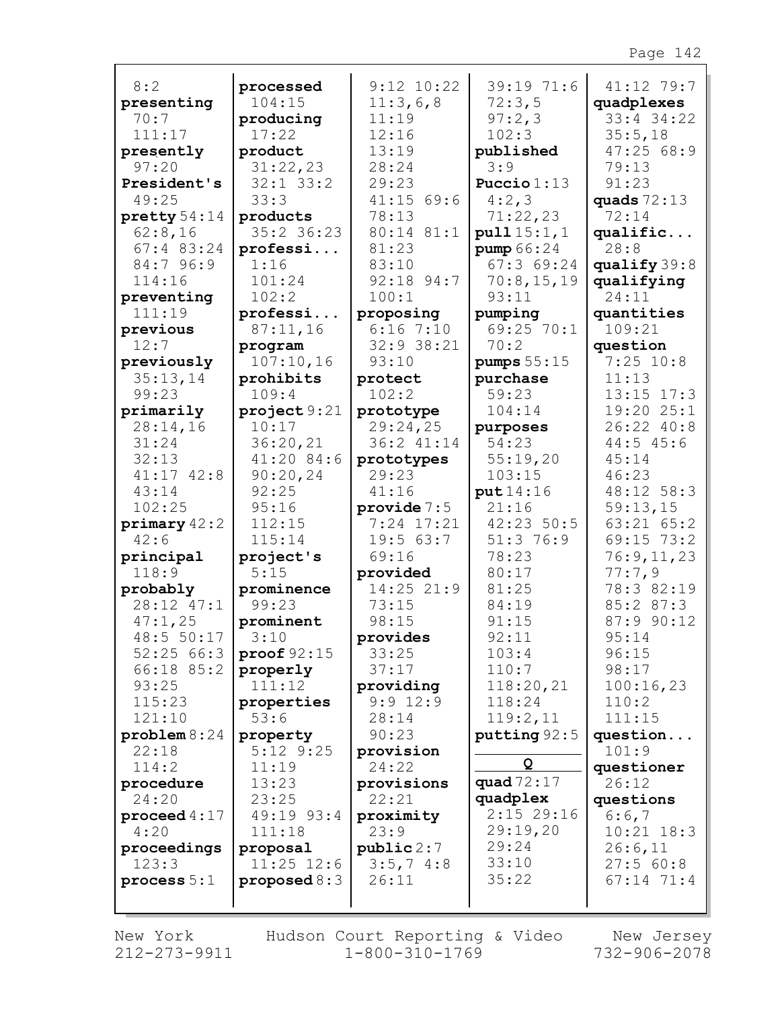|                        |                           | $9:12$ $10:22$      | 39:19 71:6       |                          |
|------------------------|---------------------------|---------------------|------------------|--------------------------|
| 8:2                    | processed                 |                     |                  | 41:12 79:7               |
| presenting<br>70:7     | 104:15                    | 11:3,6,8<br>11:19   | 72:3,5           | quadplexes<br>33:4 34:22 |
|                        | producing                 |                     | 97:2,3           |                          |
| 111:17                 | 17:22                     | 12:16               | 102:3            | 35:5,18                  |
| presently<br>97:20     | product                   | 13:19<br>28:24      | published<br>3:9 | 47:2568:9<br>79:13       |
| President's            | 31:22,23<br>$32:1$ $33:2$ | 29:23               | Puccio $1:13$    | 91:23                    |
| 49:25                  | 33:3                      | $41:15$ 69:6        | 4:2,3            | quads $72:13$            |
| $\text{pretty} 54:14$  | products                  | 78:13               | 71:22,23         | 72:14                    |
| 62:8,16                | 35:2 36:23                | 80:14 81:1          | pull15:1,1       | qualific                 |
| $67:4$ 83:24           | professi                  | 81:23               | pump 66:24       | 28:8                     |
| 84:7 96:9              | 1:16                      | 83:10               | 67:369:24        | qualify $39:8$           |
| 114:16                 | 101:24                    | 92:18 94:7          | 70:8,15,19       | qualifying               |
| preventing             | 102:2                     | 100:1               | 93:11            | 24:11                    |
| 111:19                 | professi                  | proposing           | pumping          | quantities               |
| previous               | 87:11,16                  | $6:16$ 7:10         | 69:25 70:1       | 109:21                   |
| 12:7                   | program                   | 32:9 38:21          | 70:2             | question                 |
| previously             | 107:10,16                 | 93:10               | pumps $55:15$    | $7:25$ 10:8              |
| 35:13,14               | prohibits                 | protect             | purchase         | 11:13                    |
| 99:23                  | 109:4                     | 102:2               | 59:23            | $13:15$ $17:3$           |
| primarily              | project 9:21              | prototype           | 104:14           | 19:20 25:1               |
| 28:14,16               | 10:17                     | 29:24,25            | purposes         | 26:22 40:8               |
| 31:24                  | 36:20,21                  | 36:2 41:14          | 54:23            | 44:545:6                 |
| 32:13                  | 41:20 84:6                | prototypes          | 55:19,20         | 45:14                    |
| $41:17$ $42:8$         | 90:20,24                  | 29:23               | 103:15           | 46:23                    |
| 43:14                  | 92:25                     | 41:16               | put 14:16        | 48:12 58:3               |
| 102:25                 | 95:16                     | provide $7:5$       | 21:16            | 59:13,15                 |
| $\text{primary } 42:2$ | 112:15                    | $7:24$ 17:21        | 42:23 50:5       | $63:21$ $65:2$           |
| 42:6                   | 115:14                    | 19:563:7            | 51:3 76:9        | 69:15 73:2               |
| principal              | project's                 | 69:16               | 78:23            | 76:9,11,23               |
| 118:9                  | 5:15                      | provided            | 80:17            | 77:7,9                   |
| probably               | prominence                | 14:25 21:9          | 81:25            | 78:3 82:19               |
| 28:12 47:1             | 99:23                     | 73:15               | 84:19            | 85:2 87:3                |
| 47:1,25                | prominent                 | 98:15               | 91:15            | 87:9 90:12               |
| 48:5 50:17             | 3:10                      | provides            | 92:11            | 95:14                    |
| 52:2566:3              | proof $92:15$             | 33:25               | 103:4            | 96:15                    |
| $66:18$ $85:2$         | properly                  | 37:17               | 110:7            | 98:17                    |
| 93:25                  | 111:12                    | providing           | 118:20,21        | 100:16,23                |
| 115:23                 | properties                | $9:9$ 12:9          | 118:24           | 110:2                    |
| 121:10                 | 53:6                      | 28:14               | 119:2,11         | 111:15                   |
| problem 8:24           | property                  | 90:23               | putting 92:5     | question                 |
| 22:18                  | $5:12$ $9:25$             | provision           | Q                | 101:9                    |
| 114:2                  | 11:19                     | 24:22               | quad 72:17       | questioner               |
| procedure<br>24:20     | 13:23<br>23:25            | provisions<br>22:21 | quadplex         | 26:12<br>questions       |
| proceed $4:17$         | 49:19 93:4                | proximity           | $2:15$ 29:16     | 6:6,7                    |
| 4:20                   | 111:18                    | 23:9                | 29:19,20         | $10:21$ $18:3$           |
| proceedings            | proposal                  | public 2:7          | 29:24            | 26:6,11                  |
| 123:3                  | $11:25$ $12:6$            | 3:5,7,4:8           | 33:10            | 27:560:8                 |
| process $5:1$          | proposed $8:3$            | 26:11               | 35:22            | $67:14$ $71:4$           |
|                        |                           |                     |                  |                          |
|                        |                           |                     |                  |                          |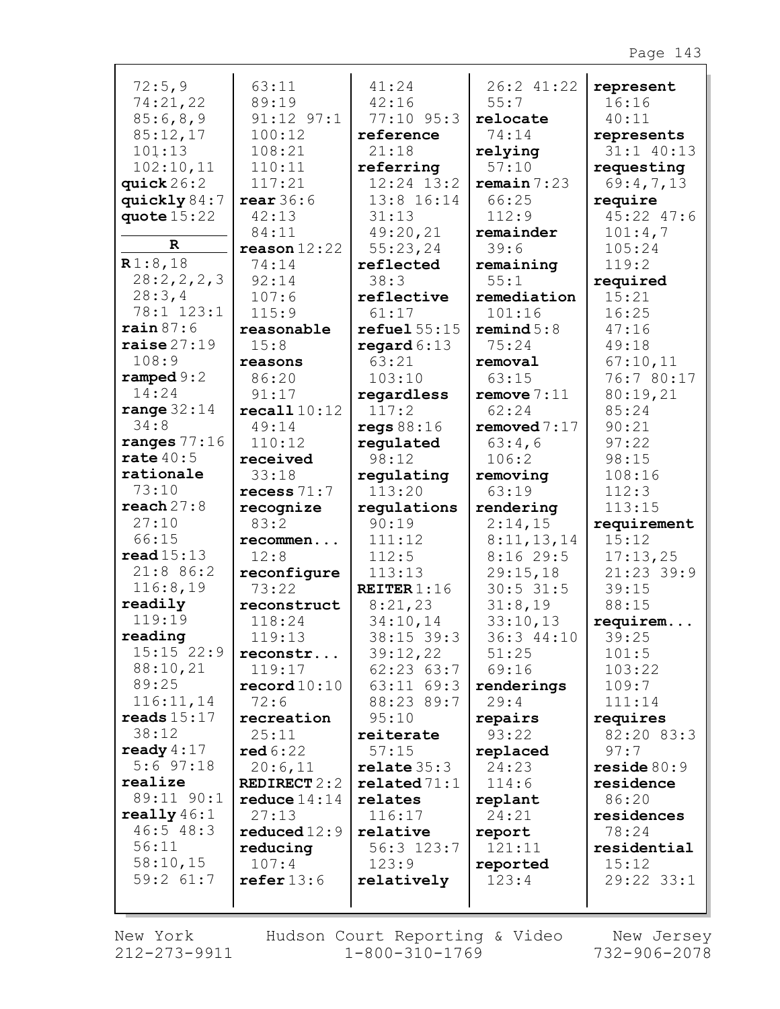| 72:5,9         | 63:11                   | 41:24          | 26:2 41:22    | represent      |
|----------------|-------------------------|----------------|---------------|----------------|
| 74:21,22       | 89:19                   | 42:16          | 55:7          | 16:16          |
| 85:6,8,9       | $91:12$ $97:1$          | 77:10 95:3     | relocate      | 40:11          |
| 85:12,17       | 100:12                  | reference      | 74:14         | represents     |
| 101:13         | 108:21                  | 21:18          | relying       | 31:1 40:13     |
| 102:10,11      | 110:11                  | referring      | 57:10         | requesting     |
| quick $26:2$   | 117:21                  | $12:24$ $13:2$ | remain 7:23   | 69:4,7,13      |
| quickly $84:7$ | near 36:6               | 13:8 16:14     | 66:25         | require        |
| quote $15:22$  | 42:13                   | 31:13          | 112:9         | $45:22$ $47:6$ |
|                | 84:11                   | 49:20,21       | remainder     | 101:4,7        |
| $\mathbf R$    | $\texttt{reason}$ 12:22 | 55:23,24       | 39:6          | 105:24         |
| R1:8,18        | 74:14                   | reflected      | remaining     | 119:2          |
| 28:2,2,2,3     | 92:14                   | 38:3           | 55:1          | required       |
| 28:3,4         | 107:6                   | reflective     | remediation   | 15:21          |
| 78:1 123:1     | 115:9                   | 61:17          | 101:16        | 16:25          |
| rain 87:6      | reasonable              | refuel 55:15   | remind 5:8    | 47:16          |
| raise27:39"    | 15:8                    | regard $6:13$  | 75:24         | 49:18          |
| 108:9          | reasons                 | 63:21          | removal       | 67:10,11       |
| ramped $9:2$   | 86:20                   | 103:10         | 63:15         | 76:7 80:17     |
| 14:24          | 91:17                   | regardless     | remove $7:11$ | 80:19,21       |
| range $32:14$  | recall10:12             | 117:2          | 62:24         | 85:24          |
| 34:8           | 49:14                   | regs $88:16$   | removed 7:17  | 90:21          |
| ranges $77:16$ | 110:12                  | regulated      | 63:4,6        | 97:22          |
| rate $40:5$    | received                | 98:12          | 106:2         | 98:15          |
| rationale      | 33:18                   | regulating     | removing      | 108:16         |
| 73:10          | recess $71:7$           | 113:20         | 63:19         | 112:3          |
| reach 27:8     | recognize               | regulations    | rendering     | 113:15         |
| 27:10          | 83:2                    | 90:19          | 2:14,15       | requirement    |
| 66:15          | recommen                | 111:12         | 8:11,13,14    | 15:12          |
| read15:13      | 12:8                    | 112:5          | 8:1629:5      | 17:13,25       |
| 21:8 86:2      | reconfigure             | 113:13         | 29:15,18      | 21:23 39:9     |
| 116:8,19       | 73:22                   | REITER $1:16$  | $30:5$ 31:5   | 39:15          |
| readily        | reconstruct             | 8:21,23        | 31:8,19       | 88:15          |
| 119:19         | 118:24                  | 34:10,14       | 33:10,13      | requirem       |
| reading        | 119:13                  | 38:15 39:3     | 36:3 44:10    | 39:25          |
| 15:15 22:9     | reconstr                | 39:12,22       | 51:25         | 101:5          |
| 88:10,21       | 119:17                  | $62:23$ $63:7$ | 69:16         | 103:22         |
| 89:25          | $\texttt{record10:10}$  | 63:11 69:3     | renderings    | 109:7          |
| 116:11,14      | 72:6                    | 88:23 89:7     | 29:4          | 111:14         |
| reads $15:17$  | recreation              | 95:10          | repairs       | requires       |
| 38:12          | 25:11                   | reiterate      | 93:22         | 82:20 83:3     |
| ready $4:17$   | red 6:22                | 57:15          | replaced      | 97:7           |
| $5:6$ 97:18    | 20:6,11                 | relate 35:3    | 24:23         | reside 80:9    |
| realize        | <b>REDIRECT</b> 2:2     | related 71:1   | 114:6         | residence      |
| 89:11 90:1     | reduce $14:14$          | relates        | replant       | 86:20          |
| really $46:1$  | 27:13                   | 116:17         | 24:21         | residences     |
| 46:548:3       | reduced $12:9$          | relative       | report        | 78:24          |
| 56:11          | reducing                | $56:3$ $123:7$ | 121:11        | residential    |
| 58:10,15       | 107:4                   | 123:9          | reported      | 15:12          |
| $59:2$ $61:7$  | refer 13:6              | relatively     | 123:4         | 29:22 33:1     |
|                |                         |                |               |                |
|                |                         |                |               |                |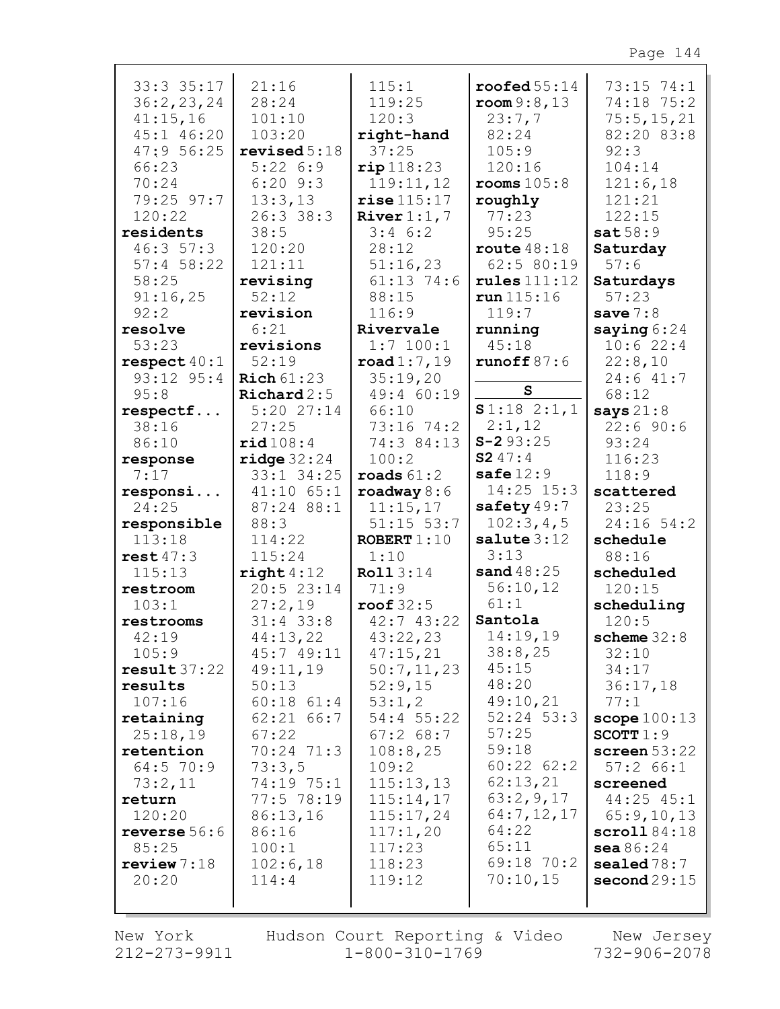| $33:3$ $35:17$       | 21:16                 | 115:1                 | $\texttt{rooted}~55:14$ | 73:15 74:1                          |
|----------------------|-----------------------|-----------------------|-------------------------|-------------------------------------|
| 36:2,23,24           | 28:24                 | 119:25                | $\texttt{room} 9:8,13$  | 74:18 75:2                          |
| 41:15,16             | 101:10                | 120:3                 | 23:7,7                  | 75:5, 15, 21                        |
| 45:1 46:20           | 103:20                | right-hand            | 82:24                   | 82:20 83:8                          |
| 47:956:25            | revised 5:18          | 37:25                 | 105:9                   | 92:3                                |
| 66:23                | 5:226:9               | rip118:23             | 120:16                  | 104:14                              |
| 70:24                | $6:20$ $9:3$          | 119:11,12             | $\texttt{rooms} 105:8$  | 121:6,18                            |
| 79:25 97:7           | 13:3,13               | $rise$ $115:17$       | roughly                 | 121:21                              |
| 120:22               | 26:3 38:3             | River $1:1, 7$        | 77:23                   | 122:15                              |
| residents            | 38:5                  | $3:4$ 6:2             | 95:25                   | sat58:9                             |
| 46:357:3             | 120:20                | 28:12                 | route $48:18$           | Saturday                            |
| $57:4$ 58:22         | 121:11                | 51:16,23              | 62:5 80:19              | 57:6                                |
| 58:25                | revising              | $61:13$ 74:6          | rules111:12             | Saturdays                           |
| 91:16,25             | 52:12                 | 88:15                 | run 115:16              | 57:23                               |
| 92:2                 | revision              | 116:9                 | 119:7                   | save $7:8$                          |
| resolve              | 6:21                  | Rivervale             | running                 | saying $6:24$                       |
| 53:23                | revisions             | $1:7$ 100:1           | 45:18                   | 10:622:4                            |
| respect $40:1$       | 52:19                 | $\texttt{road1:7,19}$ | runoff $87:6$           | 22:8,10                             |
| 93:12 95:4           | $\text{Rich }61:23$   | 35:19,20              |                         | 24:641:7                            |
| 95:8                 | $\texttt{Richard2:5}$ | 49:4 60:19            | $\mathbf{s}$            | 68:12                               |
| respectf             | $5:20$ $27:14$        | 66:10                 | \$1:18 2:1,1            | says $21:8$                         |
| 38:16                | 27:25                 | $73:16$ $74:2$        | 2:1,12                  | 22:690:6                            |
| 86:10                | rid108:4              | 74:3 84:13            | $S - 293:25$            | 93:24                               |
| response             | ridge 32:24           | 100:2                 | S247:4                  | 116:23                              |
| 7:17                 | 33:1 34:25            | roads $61:2$          | safe $12:9$             | 118:9                               |
| responsi             | $41:10$ 65:1          | roadway $8:6$         | $14:25$ $15:3$          | scattered                           |
| 24:25                | 87:24 88:1            | 11:15,17              | safety $49:7$           | 23:25                               |
| responsible          | 88:3                  | $51:15$ $53:7$        | 102:3,4,5               | 24:16 54:2                          |
| 113:18               | 114:22                | ROBERT $1:10$         | salute $3:12$           | schedule                            |
| rest47:3             | 115:24                | 1:10                  | 3:13                    | 88:16                               |
| 115:13               | right 4:12            | Roll 3:14             | sand $48:25$            | scheduled                           |
| restroom             | 20:523:14             | 71:9                  | 56:10,12<br>61:1        | 120:15                              |
| 103:1                | 27:2,19               | $\texttt{root} 32:5$  | Santola                 | scheduling                          |
| restrooms            | $31:4$ 33:8           | 42:743:22             | 14:19,19                | 120:5                               |
| 42:19                | 44:13,22              | 43:22,23              | 38:8,25                 | scheme $32:8$                       |
| 105:9<br>result37:22 | 45:749:11<br>49:11,19 | 47:15,21              | 45:15                   | 32:10<br>34:17                      |
| results              | 50:13                 | 50:7,11,23<br>52:9,15 | 48:20                   | 36:17,18                            |
| 107:16               | $60:18$ $61:4$        | 53:1,2                | 49:10,21                | 77:1                                |
| retaining            | $62:21$ $66:7$        | 54:4 55:22            | $52:24$ $53:3$          | scope 100:13                        |
| 25:18,19             | 67:22                 | 67:268:7              | 57:25                   | SCOTT $1:9$                         |
| retention            | 70:24 71:3            | 108:8,25              | 59:18                   | screen $53:22$                      |
| 64:570:9             | 73:3,5                | 109:2                 | 60:22 62:2              | 57:266:1                            |
| 73:2,11              | 74:19 75:1            | 115:13,13             | 62:13,21                | screened                            |
| return               | 77:5 78:19            | 115:14,17             | 63:2,9,17               | $44:25$ $45:1$                      |
| 120:20               | 86:13,16              | 115:17,24             | 64:7,12,17              | 65:9,10,13                          |
| reverse $56:6$       | 86:16                 | 117:1,20              | 64:22                   | $\texttt{scroll} \, 84 \colon\! 18$ |
| 85:25                | 100:1                 | 117:23                | 65:11                   | sea 86:24                           |
| review7:18           | 102:6,18              | 118:23                | 69:18 70:2              | sealed $78:7$                       |
| 20:20                | 114:4                 | 119:12                | 70:10,15                | second29:15                         |
|                      |                       |                       |                         |                                     |
|                      |                       |                       |                         |                                     |

Г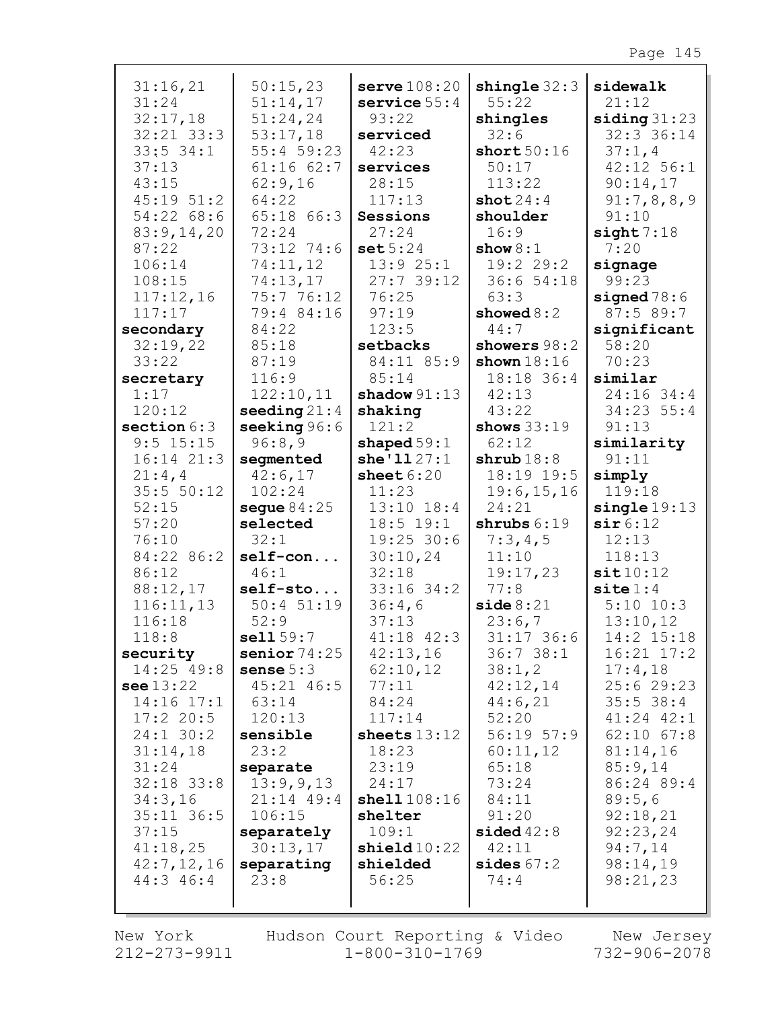| 31:16,21                | 50:15,23                | serve 108:20           | shingle $32:3$      | sidewalk              |
|-------------------------|-------------------------|------------------------|---------------------|-----------------------|
| 31:24                   | 51:14,17                | service $55:4$         | 55:22               | 21:12                 |
| 32:17,18                | 51:24,24                | 93:22                  | shingles            | siding 31:23          |
| $32:21$ $33:3$          | 53:17,18                | serviced               | 32:6                | 32:3 36:14            |
| $33:5$ 34:1             | $55:4$ 59:23            | 42:23                  | short50:16          | 37:1,4                |
| 37:13                   | $61:16$ $62:7$          | services               | 50:17               | $42:12$ 56:1          |
| 43:15                   | 62:9,16                 | 28:15                  | 113:22              | 90:14,17              |
| $45:19$ $51:2$          | 64:22                   | 117:13                 | shot24:4            | 91:7,8,8,9            |
| 54:22 68:6              | 65:18 66:3              | Sessions               | shoulder            | 91:10                 |
| 83:9,14,20              | 72:24                   | 27:24                  | 16:9                | sight 7:18            |
| 87:22                   | 73:12 74:6              | set 5:24               | show $8:1$          | 7:20                  |
| 106:14                  | 74:11,12                | 13:925:1               | 19:2 29:2           | signage               |
| 108:15                  | 74:13,17                | 27:739:12              | 36:654:18           | 99:23                 |
| 117:12,16               | 75:7 76:12              | 76:25                  | 63:3                | signed $78:6$         |
| 117:17                  | 79:4 84:16              | 97:19                  | showed $8:2$        | 87:5 89:7             |
| secondary               | 84:22                   | 123:5                  | 44:7                | significant           |
| 32:19,22                | 85:18                   | setbacks               | showers 98:2        | 58:20                 |
| 33:22                   | 87:19<br>116:9          | 84:11 85:9<br>85:14    | shown $18:16$       | 70:23                 |
| secretary<br>1:17       | 122:10,11               | shadow $91:13$         | 18:18 36:4<br>42:13 | similar<br>24:16 34:4 |
| 120:12                  | seeding $21:4$          | shaking                | 43:22               | 34:23 55:4            |
| section $6:3$           | seeking 96:6            | 121:2                  | shows $33:19$       | 91:13                 |
| $9:5$ 15:15             | 96:8,9                  | shaped $59:1$          | 62:12               | similarity            |
| $16:14$ $21:3$          | segmented               | she'1127:1             | shrub18:8           | 91:11                 |
| 21:4,4                  | 42:6,17                 | sheet $6:20$           | 18:19 19:5          | simply                |
| 35:5 50:12              | 102:24                  | 11:23                  | 19:6, 15, 16        | 119:18                |
| 52:15                   | segue $84:25$           | $13:10$ $18:4$         | 24:21               | single 19:13          |
| 57:20                   | selected                | $18:5$ 19:1            | shrubs $6:19$       | sir 6:12              |
| 76:10                   | 32:1                    | $19:25$ 30:6           | 7:3,4,5             | 12:13                 |
| 84:22 86:2              | $self-con$              | 30:10,24               | 11:10               | 118:13                |
| 86:12                   | 46:1                    | 32:18                  | 19:17,23            | sit10:12              |
| 88:12,17                | self-sto                | $33:16$ 34:2           | 77:8                | $\texttt{site} 1:4$   |
| 116:11,13               | $50:4$ $51:19$          | 36:4,6                 | side 8:21           | $5:10$ $10:3$         |
| 116:18                  | 52:9                    | 37:13                  | 23:6,7              | 13:10,12              |
| 118:8                   | sell 59:7               | $41:18$ $42:3$         | $31:17$ 36:6        | 14:2 15:18            |
| security                | senior $74:25$          | 42:13,16               | 36:738:1            | $16:21$ $17:2$        |
| 14:25 49:8              | sense $5:3$             | 62:10,12               | 38:1,2              | 17:4,18               |
| see 13:22               | $45:21$ $46:5$          | 77:11                  | 42:12,14            | 25:629:23             |
| $14:16$ $17:1$          | 63:14                   | 84:24                  | 44:6,21             | 35:5 38:4             |
| 17:220:5                | 120:13                  | 117:14                 | 52:20               | $41:24$ $42:1$        |
| $24:1$ 30:2             | sensible                | sheets $13:12$         | 56:19 57:9          | $62:10$ $67:8$        |
| 31:14,18                | 23:2                    | 18:23                  | 60:11,12            | 81:14,16              |
| 31:24                   | separate                | 23:19<br>24:17         | 65:18<br>73:24      | 85:9,14<br>86:24 89:4 |
| $32:18$ 33:8<br>34:3,16 | 13:9,9,13<br>21:14 49:4 | shell108:16            | 84:11               | 89:5,6                |
| $35:11$ $36:5$          | 106:15                  | shelter                | 91:20               | 92:18,21              |
| 37:15                   | separately              | 109:1                  | sided $42:8$        | 92:23,24              |
| 41:18,25                | 30:13,17                | $\texttt{shield}10:22$ | 42:11               | 94:7,14               |
| 42:7,12,16              | separating              | shielded               | sides $67:2$        | 98:14,19              |
| $44:3$ 46:4             | 23:8                    | 56:25                  | 74:4                | 98:21,23              |
|                         |                         |                        |                     |                       |
|                         |                         |                        |                     |                       |

New York 212-273-9911

Hudson Court Reporting & Video New Jersey<br>1-800-310-1769 732-906-2078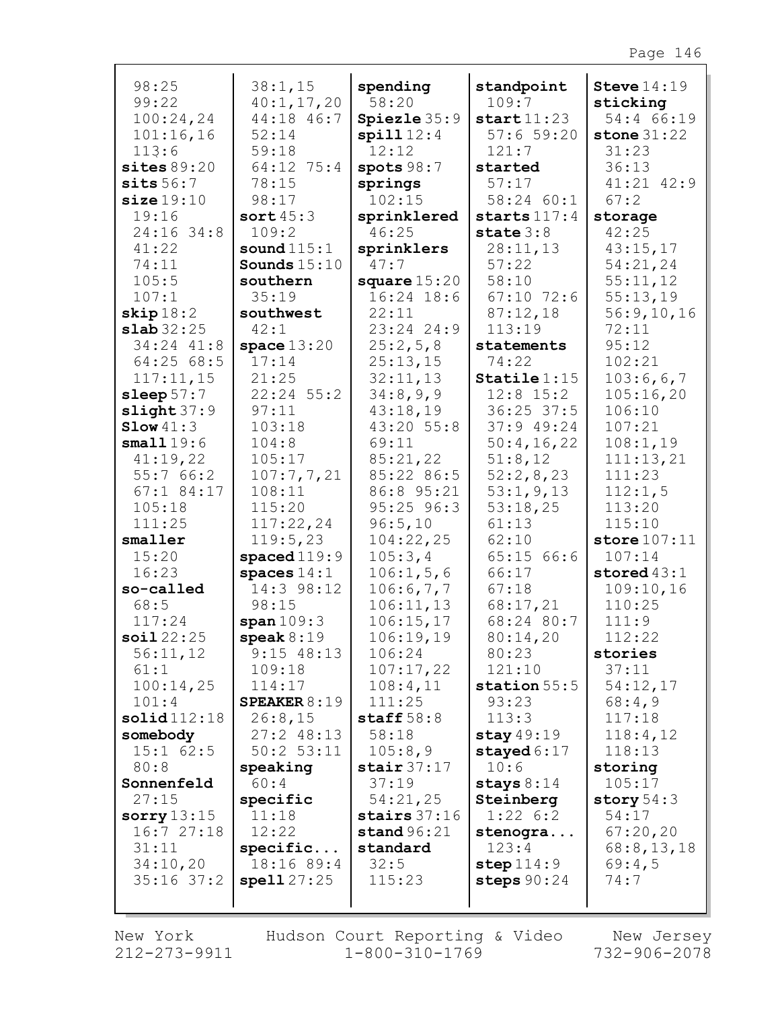| 98:25<br>99:22            | 38:1,15<br>40:1, 17, 20     | spending<br>58:20       | standpoint<br>109:7            | Steve $14:19$<br>sticking |
|---------------------------|-----------------------------|-------------------------|--------------------------------|---------------------------|
| 100:24,24                 | 44:18 46:7                  | Spiezle 35:9            | start11:23                     | 54:4 66:19                |
| 101:16,16                 | 52:14                       | spill12:4               | 57:659:20                      | stone $31:22$             |
| 113:6                     | 59:18                       | 12:12                   | 121:7                          | 31:23                     |
| sites $89:20$<br>sits56:7 | 64:12 75:4<br>78:15         | spots $98:7$<br>springs | started<br>57:17               | 36:13<br>41:21 42:9       |
| size19:10                 | 98:17                       | 102:15                  | 58:24 60:1                     | 67:2                      |
| 19:16                     | sort $45:3$                 | sprinklered             | starts $117:4$                 | storage                   |
| 24:16 34:8                | 109:2                       | 46:25                   | state $3:8$                    | 42:25                     |
| 41:22                     | sound $115:1$               | sprinklers              | 28:11,13                       | 43:15,17                  |
| 74:11                     | Sounds $15:10$              | 47:7                    | 57:22                          | 54:21,24                  |
| 105:5                     | southern                    | square $15:20$          | 58:10                          | 55:11,12                  |
| 107:1                     | 35:19                       | $16:24$ $18:6$          | $67:10$ 72:6                   | 55:13,19                  |
| skip 18:2                 | southwest                   | 22:11                   | 87:12,18                       | 56:9,10,16                |
| slab32:25                 | 42:1                        | 23:24 24:9              | 113:19                         | 72:11                     |
| 34:24 41:8                | space $13:20$               | 25:2,5,8                | statements                     | 95:12                     |
| 64:2568:5                 | 17:14                       | 25:13,15                | 74:22                          | 102:21                    |
| 117:11,15<br>sleep $57:7$ | 21:25<br>$22:24$ 55:2       | 32:11,13<br>34:8,9,9    | $Staticle 1:15$<br>$12:8$ 15:2 | 103:6,6,7<br>105:16,20    |
| slight 37:9               | 97:11                       | 43:18,19                | $36:25$ 37:5                   | 106:10                    |
| Slow 41:3                 | 103:18                      | 43:20 55:8              | 37:949:24                      | 107:21                    |
| small19:6                 | 104:8                       | 69:11                   | 50:4,16,22                     | 108:1,19                  |
| 41:19,22                  | 105:17                      | 85:21,22                | 51:8,12                        | 111:13,21                 |
| 55:766:2                  | 107:7,7,21                  | 85:22 86:5              | 52:2,8,23                      | 111:23                    |
| $67:1$ 84:17              | 108:11                      | 86:8 95:21              | 53:1, 9, 13                    | 112:1,5                   |
| 105:18                    | 115:20                      | 95:25 96:3              | 53:18,25                       | 113:20                    |
| 111:25                    | 117:22,24                   | 96:5,10                 | 61:13                          | 115:10                    |
| smaller                   | 119:5,23                    | 104:22,25               | 62:10                          | store $107:11$            |
| 15:20                     | spaced119:9                 | 105:3,4                 | 65:15 66:6                     | 107:14                    |
| 16:23                     | spaces $14:1$<br>14:3 98:12 | 106:1, 5, 6             | 66:17                          | stored $43:1$             |
| so-called<br>68:5         | 98:15                       | 106:6,7,7<br>106:11,13  | 67:18<br>68:17,21              | 109:10,16<br>110:25       |
| 117:24                    | span 109:3                  | 106:15,17               | 68:24 80:7                     | 111:9                     |
| soi122:25                 | $\text{speak} 8:19$         | 106:19,19               | 80:14,20                       | 112:22                    |
| 56:11,12                  | $9:15$ 48:13                | 106:24                  | 80:23                          | stories                   |
| 61:1                      | 109:18                      | 107:17,22               | 121:10                         | 37:11                     |
| 100:14,25                 | 114:17                      | 108:4,11                | station $55:5$                 | 54:12,17                  |
| 101:4                     | SPEAKER $8:19$              | 111:25                  | 93:23                          | 68:4,9                    |
| solid112:18               | 26:8,15                     | staff $58:8$            | 113:3                          | 117:18                    |
| somebody                  | $27:2$ 48:13                | 58:18                   | stay $49:19$                   | 118:4,12                  |
| $15:1$ 62:5               | $50:2$ $53:11$              | 105:8,9                 | stayed $6:17$                  | 118:13                    |
| 80:8                      | speaking                    | stair $37:17$           | 10:6                           | storing                   |
| Sonnenfeld<br>27:15       | 60:4<br>specific            | 37:19<br>54:21,25       | stays $8:14$<br>Steinberg      | 105:17<br>story $54:3$    |
| sorry $13:15$             | 11:18                       | stairs $37:16$          | $1:22 \quad 6:2$               | 54:17                     |
| 16:727:18                 | 12:22                       | stand $96:21$           | stenogra                       | 67:20,20                  |
| 31:11                     | specific                    | standard                | 123:4                          | 68:8, 13, 18              |
| 34:10,20                  | 18:16 89:4                  | 32:5                    | step $114:9$                   | 69:4,5                    |
| $35:16$ $37:2$            | spell27:25                  | 115:23                  | steps $90:24$                  | 74:7                      |
|                           |                             |                         |                                |                           |

Г

212-273-9911 1-800-310-1769 732-906-2078 New York Hudson Court Reporting & Video New Jersey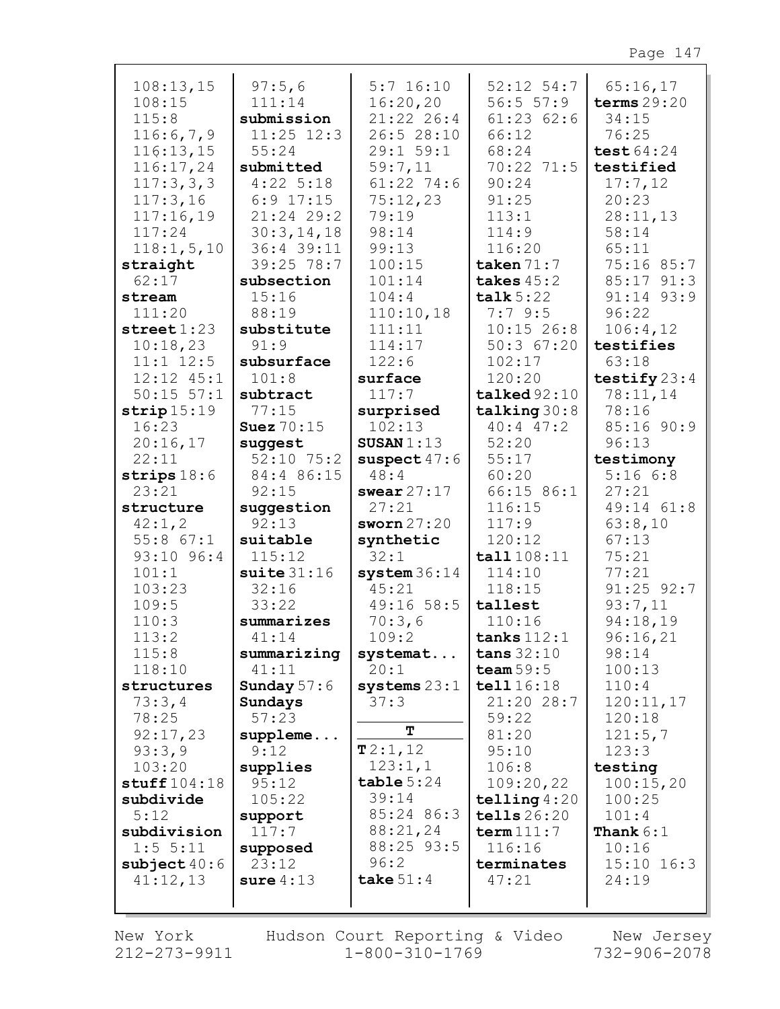| 108:13,15              | 97:5,6            | $5:7$ 16:10    | $52:12$ $54:7$ | 65:16,17       |
|------------------------|-------------------|----------------|----------------|----------------|
| 108:15                 | 111:14            | 16:20,20       | 56:5 57:9      | terms $29:20$  |
| 115:8                  | submission        | $21:22$ 26:4   | 61:2362:6      | 34:15          |
|                        |                   | 26:5 28:10     |                |                |
| 116:6,7,9              | $11:25$ $12:3$    |                | 66:12          | 76:25          |
| 116:13,15              | 55:24             | 29:1 59:1      | 68:24          | test 64:24     |
| 116:17,24              | submitted         | 59:7,11        | 70:22 71:5     | testified      |
| 117:3,3,3              | $4:22$ 5:18       | $61:22$ 74:6   | 90:24          | 17:7,12        |
| 117:3,16               | $6:9$ 17:15       | 75:12,23       | 91:25          | 20:23          |
| 117:16,19              | $21:24$ 29:2      | 79:19          | 113:1          | 28:11,13       |
| 117:24                 | 30:3,14,18        | 98:14          | 114:9          | 58:14          |
|                        |                   |                |                |                |
| 118:1, 5, 10           | 36:4 39:11        | 99:13          | 116:20         | 65:11          |
| straight               | 39:25 78:7        | 100:15         | taken $71:7$   | 75:16 85:7     |
| 62:17                  | subsection        | 101:14         | takes $45:2$   | 85:17 91:3     |
| stream                 | 15:16             | 104:4          | talk $5:22$    | 91:14 93:9     |
| 111:20                 | 88:19             | 110:10,18      | 7:79:5         | 96:22          |
| $\texttt{street} 1:23$ | substitute        | 111:11         | $10:15$ 26:8   | 106:4,12       |
| 10:18,23               | 91:9              | 114:17         | $50:3$ 67:20   | testifies      |
| $11:1$ $12:5$          | subsurface        | 122:6          | 102:17         | 63:18          |
| $12:12$ $45:1$         |                   |                | 120:20         |                |
|                        | 101:8             | surface        |                | testify $23:4$ |
| $50:15$ $57:1$         | subtract          | 117:7          | talked 92:10   | 78:11,14       |
| strip15:19             | 77:15             | surprised      | talking 30:8   | 78:16          |
| 16:23                  | <b>Suez</b> 70:15 | 102:13         | $40:4$ $47:2$  | 85:16 90:9     |
| 20:16,17               | suggest           | SUSAN $1:13$   | 52:20          | 96:13          |
| 22:11                  | $52:10$ 75:2      | suspect $47:6$ | 55:17          | testimony      |
| strips $18:6$          | 84:4 86:15        | 48:4           | 60:20          | 5:166:8        |
| 23:21                  | 92:15             | swear $27:17$  | 66:15 86:1     | 27:21          |
| structure              | suggestion        | 27:21          | 116:15         | 49:14 61:8     |
| 42:1,2                 | 92:13             | sworn $27:20$  | 117:9          | 63:8,10        |
| 55:8 67:1              | suitable          | synthetic      | 120:12         | 67:13          |
| 93:10 96:4             | 115:12            | 32:1           | tall $108:11$  | 75:21          |
| 101:1                  | suite $31:16$     | system36:14    | 114:10         | 77:21          |
|                        |                   |                |                |                |
| 103:23                 | 32:16             | 45:21          | 118:15         | $91:25$ $92:7$ |
| 109:5                  | 33:22             | 49:16 58:5     | tallest        | 93:7,11        |
| 110:3                  | summarizes        | 70:3,6         | 110:16         | 94:18,19       |
| 113:2                  | 41:14             | 109:2          | tanks $112:1$  | 96:16,21       |
| 115:8                  | summarizing       | systemat       | tans $32:10$   | 98:14          |
| 118:10                 | 41:11             | 20:1           | team $59:5$    | 100:13         |
| structures             | Sunday $57:6$     | systems 23:1   | tell 16:18     | 110:4          |
| 73:3,4                 | Sundays           | 37:3           | 21:20 28:7     | 120:11,17      |
| 78:25                  | 57:23             |                | 59:22          | 120:18         |
| 92:17,23               |                   | $\mathbf T$    | 81:20          | 121:5,7        |
|                        | $supplement.$     | T2:1,12        |                |                |
| 93:3,9                 | 9:12              |                | 95:10          | 123:3          |
| 103:20                 | supplies          | 123:1,1        | 106:8          | testing        |
| stuff $104:18$         | 95:12             | table 5:24     | 109:20,22      | 100:15,20      |
| subdivide              | 105:22            | 39:14          | telling $4:20$ | 100:25         |
| 5:12                   | support           | 85:24 86:3     | tells 26:20    | 101:4          |
| subdivision            | 117:7             | 88:21,24       | term $111:7$   | Thank $6:1$    |
| 1:5 5:11               | supposed          | 88:25 93:5     | 116:16         | 10:16          |
| subject $40:6$         | 23:12             | 96:2           | terminates     | $15:10$ $16:3$ |
| 41:12,13               | sure $4:13$       | take $51:4$    | 47:21          | 24:19          |
|                        |                   |                |                |                |
|                        |                   |                |                |                |

212-273-9911 1-800-310-1769 732-906-2078 New York Hudson Court Reporting & Video New Jersey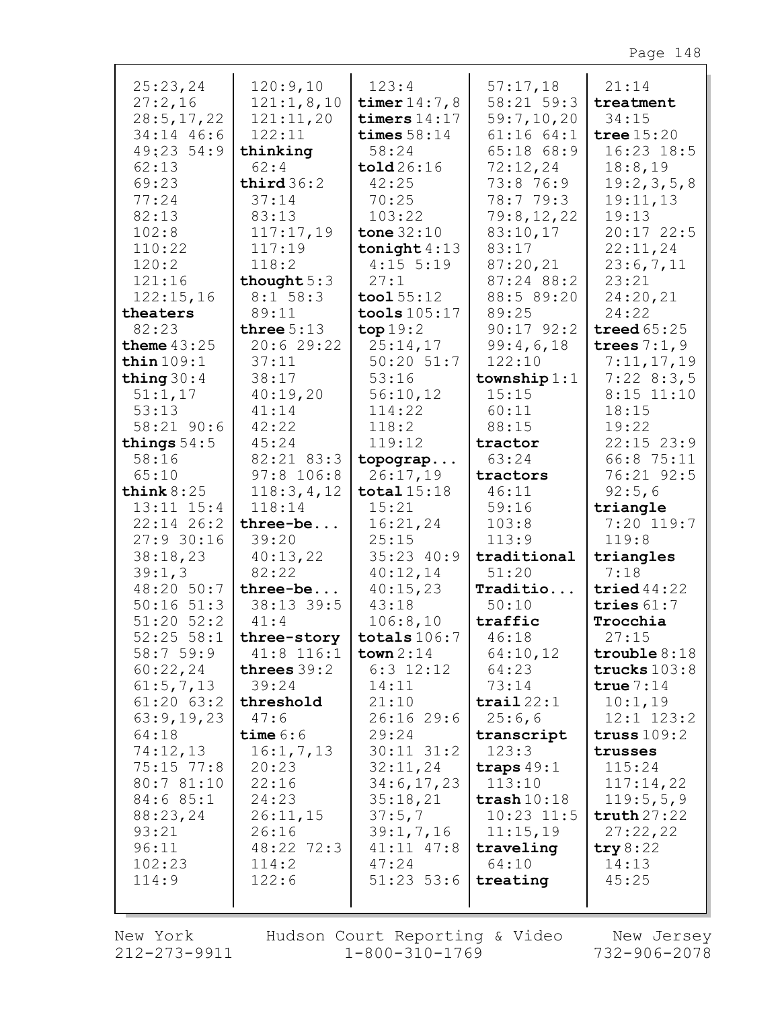| 25:23,24       | 120:9,10                 | 123:4                | 57:17,18              | 21:14          |
|----------------|--------------------------|----------------------|-----------------------|----------------|
| 27:2,16        | 121:1,8,10               | timer $14:7,8$       | 58:21 59:3            | treatment      |
| 28:5, 17, 22   | 121:11,20                | timers $14:17$       | 59:7,10,20            | 34:15          |
| 34:14 46:6     | 122:11                   | times $58:14$        | 61:1664:1             | tree $15:20$   |
| 49:23 54:9     | thinking                 | 58:24                | 65:18 68:9            | $16:23$ $18:5$ |
| 62:13          | 62:4                     | $\texttt{told}26:16$ | 72:12,24              | 18:8,19        |
| 69:23          | third $36:2$             | 42:25                | 73:8 76:9             | 19:2,3,5,8     |
| 77:24          | 37:14                    | 70:25                | 78:7 79:3             | 19:11,13       |
| 82:13          | 83:13                    | 103:22               | 79:8,12,22            | 19:13          |
| 102:8          | 117:17,19                | tone $32:10$         | 83:10,17              | $20:17$ 22:5   |
| 110:22         | 117:19                   | tonight $4:13$       | 83:17                 | 22:11,24       |
| 120:2          | 118:2                    | $4:15$ 5:19          | 87:20,21              | 23:6,7,11      |
|                |                          |                      |                       |                |
| 121:16         | thought $5:3$            | 27:1                 | 87:24 88:2            | 23:21          |
| 122:15,16      | 8:1 58:3                 | $\text{tool } 55:12$ | 88:5 89:20            | 24:20,21       |
| theaters       | 89:11                    | tools $105:17$       | 89:25                 | 24:22          |
| 82:23          | three $5:13$             | top 19:2             | $90:17$ $92:2$        | treed $65:25$  |
| theme $43:25$  | 20:629:22                | 25:14,17             | 99:4,6,18             | trees $7:1,9$  |
| thin $109:1$   | 37:11                    | $50:20$ $51:7$       | 122:10                | 7:11,17,19     |
| thing $30:4$   | 38:17                    | 53:16                | township $1:1$        | 7:228:3,5      |
| 51:1,17        | 40:19,20                 | 56:10,12             | 15:15                 | $8:15$ 11:10   |
| 53:13          | 41:14                    | 114:22               | 60:11                 | 18:15          |
| 58:21 90:6     | 42:22                    | 118:2                | 88:15                 | 19:22          |
| things $54:5$  | 45:24                    | 119:12               | tractor               | $22:15$ $23:9$ |
| 58:16          | 82:21 83:3               | topograp             | 63:24                 | 66:8 75:11     |
| 65:10          | $97:8$ 106:8             | 26:17,19             | tractors              | 76:21 92:5     |
| think $8:25$   | 118:3,4,12               | total $15:18$        | 46:11                 | 92:5,6         |
| $13:11$ $15:4$ | 118:14                   | 15:21                | 59:16                 | triangle       |
| $22:14$ 26:2   | three-be                 | 16:21,24             | 103:8                 | $7:20$ 119:7   |
| $27:9$ 30:16   | 39:20                    | 25:15                | 113:9                 | 119:8          |
| 38:18,23       | 40:13,22                 | 35:23 40:9           | traditional           | triangles      |
| 39:1,3         | 82:22                    | 40:12,14             | 51:20                 | 7:18           |
| 48:20 50:7     | $three-be$               | 40:15,23             | Traditio              | tried $44:22$  |
| $50:16$ $51:3$ | 38:13 39:5               | 43:18                | 50:10                 | tries $61:7$   |
| $51:20$ $52:2$ | 41:4                     | 106:8,10             | traffic               | Trocchia       |
|                | 52:25 58:1   three-story | totals $106:7$       | 46:18                 | 27:15          |
| 58:759:9       | $41:8$ 116:1             | town 2:14            | 64:10,12              | trouble $8:18$ |
| 60:22,24       | threes $39:2$            | $6:3$ 12:12          | 64:23                 | trucks $103:8$ |
| 61:5,7,13      | 39:24                    | 14:11                | 73:14                 | true $7:14$    |
| $61:20$ $63:2$ | threshold                | 21:10                | $\texttt{trail}$ 22:1 | 10:1,19        |
| 63:9,19,23     | 47:6                     | 26:1629:6            | 25:6,6                | $12:1$ $123:2$ |
| 64:18          | time $6:6$               | 29:24                | transcript            | truss $109:2$  |
| 74:12,13       | 16:1, 7, 13              | $30:11$ $31:2$       | 123:3                 | trusses        |
| $75:15$ $77:8$ | 20:23                    | 32:11,24             | traps $49:1$          | 115:24         |
| 80:7 81:10     | 22:16                    | 34:6,17,23           | 113:10                | 117:14,22      |
| 84:6 85:1      | 24:23                    | 35:18,21             | $\texttt{trash}10:18$ | 119:5,5,9      |
| 88:23,24       |                          |                      | $10:23$ $11:5$        | truth27:22     |
|                | 26:11,15                 | 37:5,7               |                       |                |
| 93:21          | 26:16                    | 39:1, 7, 16          | 11:15,19              | 27:22,22       |
| 96:11          | 48:22 72:3               | $41:11$ $47:8$       | traveling             | try $8:22$     |
| 102:23         | 114:2                    | 47:24                | 64:10                 | 14:13          |
| 114:9          | 122:6                    | $51:23$ $53:6$       | treating              | 45:25          |
|                |                          |                      |                       |                |

New York 212-273-9911 Hudson Court Reporting & Video  $1 - 800 - 310 - 1769$ 

New Jersey 732-906-2078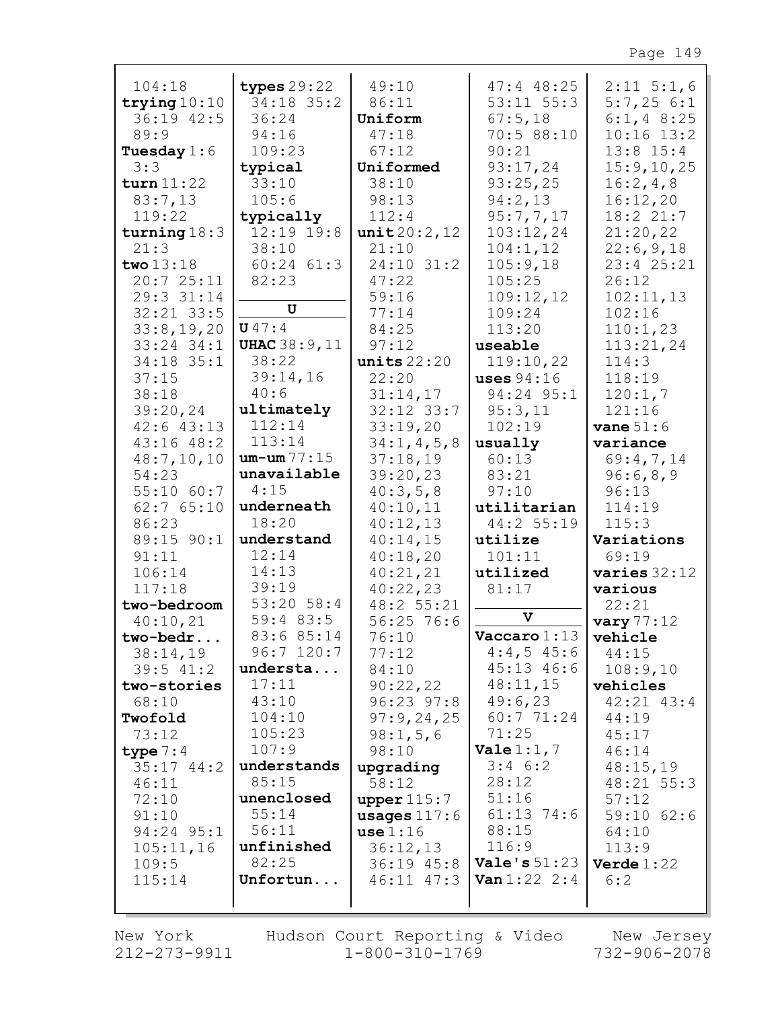| 104:18                         | types $29:22$        | 49:10                            | $47:4$ $48:25$             | $2:11 \ 5:1,6$      |
|--------------------------------|----------------------|----------------------------------|----------------------------|---------------------|
| trying $10:10$                 | 34:18 35:2           | 86:11                            | $53:11$ $55:3$             | 5:7,256:1           |
| 36:19 42:5                     | 36:24                | Uniform                          | 67:5,18                    | $6:1, 4$ 8:25       |
| 89:9                           | 94:16                | 47:18                            | 70:5 88:10                 | $10:16$ $13:2$      |
| Tuesday $1:6$                  | 109:23               | 67:12                            | 90:21                      | $13:8$ $15:4$       |
| 3:3                            | typical              | Uniformed                        | 93:17,24                   | 15:9, 10, 25        |
| turn 11:22                     | 33:10                | 38:10                            | 93:25,25                   | 16:2,4,8            |
| 83:7,13                        | 105:6                | 98:13                            | 94:2,13                    | 16:12,20            |
| 119:22                         | typically            | 112:4                            | 95:7,7,17                  | 18:2 21:7           |
| turning $18:3$                 | 12:19 19:8           | unit20:2,12                      | 103:12,24                  | 21:20,22            |
| 21:3                           | 38:10                | 21:10                            | 104:1,12                   | 22:6,9,18           |
| two 13:18                      | $60:24$ $61:3$       | 24:10 31:2                       | 105:9,18                   | 23:4 25:21          |
| 20:725:11                      | 82:23                | 47:22                            | 105:25                     | 26:12               |
| 29:3 31:14                     | U                    | 59:16                            | 109:12,12                  | 102:11,13           |
| $32:21$ $33:5$                 | U47:4                | 77:14                            | 109:24                     | 102:16              |
| 33:8,19,20                     | <b>UHAC 38:9, 11</b> | 84:25                            | 113:20                     | 110:1,23            |
| $33:24$ $34:1$<br>$34:18$ 35:1 | 38:22                | 97:12<br>units $22:20$           | useable<br>119:10,22       | 113:21,24<br>114:3  |
|                                | 39:14,16             | 22:20                            |                            | 118:19              |
| 37:15<br>38:18                 | 40:6                 | 31:14,17                         | uses $94:16$<br>94:24 95:1 |                     |
| 39:20,24                       | ultimately           | 32:12 33:7                       | 95:3,11                    | 120:1,7<br>121:16   |
| $42:6$ $43:13$                 | 112:14               | 33:19,20                         | 102:19                     | vane $51:6$         |
| $43:16$ $48:2$                 | 113:14               | 34:1, 4, 5, 8                    | usually                    | variance            |
| 48:7,10,10                     | $um - um 77:15$      | 37:18,19                         | 60:13                      | 69:4,7,14           |
| 54:23                          | unavailable          | 39:20,23                         | 83:21                      | 96:6,8,9            |
| 55:1060:7                      | 4:15                 | 40:3,5,8                         | 97:10                      | 96:13               |
| 62:765:10                      | underneath           | 40:10,11                         | utilitarian                | 114:19              |
| 86:23                          | 18:20                | 40:12,13                         | 44:2 55:19                 | 115:3               |
| 89:15 90:1                     | understand           | 40:14,15                         | utilize                    | Variations          |
| 91:11                          | 12:14                | 40:18,20                         | 101:11                     | 69:19               |
| 106:14                         | 14:13                | 40:21,21                         | utilized                   | varies $32:12$      |
| 117:18                         | 39:19                | 40:22,23                         | 81:17                      | various             |
| two-bedroom                    | 53:20 58:4           | 48:2 55:21                       |                            | 22:21               |
| 40:10,21                       | 59:4 83:5            | 56:2576:6                        | $\mathbf v$                | vary $77:12$        |
| two-bedr.                      | 83:6 85:14           | 76:10                            | Vaccaro $1:13$ vehicle     |                     |
| 38:14,19                       | $96:7$ 120:7         | 77:12                            | $4:4,5$ 45:6               | 44:15               |
| $39:5$ 41:2                    | understa             | 84:10                            | 45:13 46:6                 | 108:9,10            |
| two-stories                    | 17:11                | 90:22,22                         | 48:11,15                   | vehicles            |
| 68:10                          | 43:10                | $96:23$ $97:8$                   | 49:6,23                    | $42:21$ $43:4$      |
| Twofold                        | 104:10               | 97:9,24,25                       | 60:7 71:24                 | 44:19               |
| 73:12                          | 105:23               | 98:1,5,6                         | 71:25                      | 45:17               |
| type $7:4$                     | 107:9                | 98:10                            | <b>Vale</b> $1:1, 7$       | 46:14               |
| $35:17$ 44:2                   | understands          | upgrading                        | $3:4$ 6:2                  | 48:15,19            |
| 46:11                          | 85:15                | 58:12                            | 28:12                      | $48:21$ 55:3        |
| 72:10                          | unenclosed           | upper $115:7$                    | 51:16                      | 57:12               |
| 91:10                          | 55:14                | usages $117:6$                   | $61:13$ 74:6               | $59:10$ 62:6        |
| 94:24 95:1                     | 56:11<br>unfinished  | use 1:16                         | 88:15<br>116:9             | 64:10               |
| 105:11,16                      | 82:25                | 36:12,13                         | Vale's $51:23$             | 113:9               |
| 109:5<br>115:14                | Unfortun             | $36:19$ $45:8$<br>$46:11$ $47:3$ | <b>Van</b> $1:22$ $2:4$    | Verde $1:22$<br>6:2 |
|                                |                      |                                  |                            |                     |
|                                |                      |                                  |                            |                     |

New York 212-273-9911 Hudson Court Reporting & Video  $1 - 800 - 310 - 1769$ 

New Jersey 732-906-2078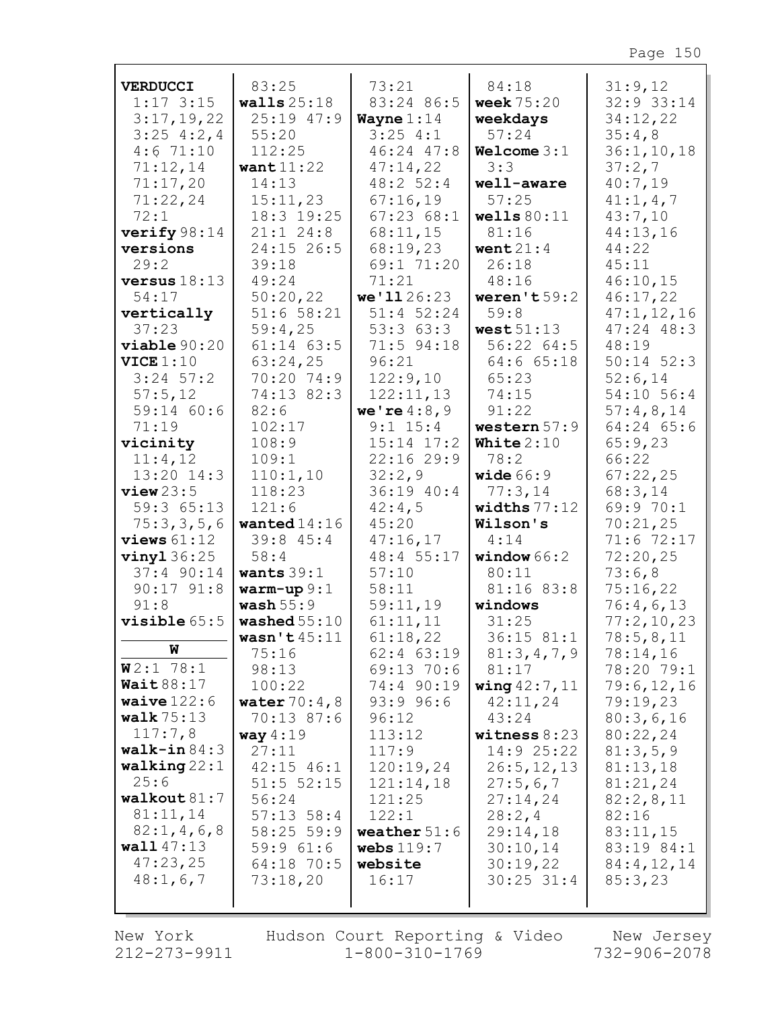| <b>VERDUCCI</b>          | 83:25                  | 73:21                      | 84:18                  | 31:9,12               |
|--------------------------|------------------------|----------------------------|------------------------|-----------------------|
| $1:17$ 3:15              | walls $25:18$          | 83:24 86:5                 | <b>week</b> 75:20      | 32:9 33:14            |
| 3:17,19,22               | 25:19 47:9             | Wayne $1:14$               | weekdays               | 34:12,22              |
| $3:25$ 4:2,4             | 55:20                  | 3:254:1                    | 57:24                  | 35:4,8                |
| 4:671:10                 | 112:25                 | 46:24 47:8                 | Welcome 3:1            | 36:1, 10, 18          |
| 71:12,14                 | want $11:22$           | 47:14,22                   | 3:3                    | 37:2,7                |
| 71:17,20                 | 14:13                  | 48:252:4                   | well-aware             | 40:7,19               |
| 71:22,24                 | 15:11,23               | 67:16,19                   | 57:25                  | 41:1, 4, 7            |
| 72:1                     | 18:3 19:25             | 67:2368:1                  | wells $80:11$          | 43:7,10               |
| verify $98:14$           | $21:1$ 24:8            | 68:11,15                   | 81:16                  | 44:13,16              |
| versions                 | 24:15 26:5             | 68:19,23                   | went $21:4$            | 44:22                 |
| 29:2                     | 39:18                  | 69:1 71:20                 | 26:18                  | 45:11                 |
| versus $18:13$           | 49:24                  | 71:21                      | 48:16                  | 46:10,15              |
| 54:17                    | 50:20,22               | we'1126:23                 | weren't $59:2$         | 46:17,22              |
| vertically               | 51:658:21              | $51:4$ 52:24               | 59:8                   | 47:1,12,16            |
| 37:23                    | 59:4,25                | 53:363:3                   | west $51:13$           | $47:24$ $48:3$        |
| viable 90:20             | $61:14$ $63:5$         | 71:5 94:18                 | 56:22 64:5             | 48:19                 |
| VICE 1:10<br>$3:24$ 57:2 | 63:24,25<br>70:20 74:9 | 96:21<br>122:9,10          | 64:6 65:18<br>65:23    | $50:14$ $52:3$        |
|                          | 74:13 82:3             |                            | 74:15                  | 52:6,14<br>54:10 56:4 |
| 57:5,12<br>59:14 60:6    | 82:6                   | 122:11,13<br>we're $4:8,9$ | 91:22                  | 57:4,8,14             |
| 71:19                    | 102:17                 | $9:1$ 15:4                 | western $57:9$         | $64:24$ $65:6$        |
| vicinity                 | 108:9                  | $15:14$ $17:2$             | White $2:10$           | 65:9,23               |
| 11:4,12                  | 109:1                  | 22:1629:9                  | 78:2                   | 66:22                 |
| $13:20$ $14:3$           | 110:1,10               | 32:2,9                     | wide $66:9$            | 67:22,25              |
| view23:5                 | 118:23                 | 36:19 40:4                 | 77:3,14                | 68:3,14               |
| 59:3 65:13               | 121:6                  | 42:4,5                     | widths $77:12$         | 69:9 70:1             |
| 75:3,3,5,6               | wanted $14:16$         | 45:20                      | Wilson's               | 70:21,25              |
| views $61:12$            | 39:845:4               | 47:16,17                   | 4:14                   | 71:6 72:17            |
| $vinyl$ 36:25            | 58:4                   | 48:4 55:17                 | window $66:2$          | 72:20,25              |
| $37:4$ 90:14             | wants $39:1$           | 57:10                      | 80:11                  | 73:6,8                |
| $90:17$ $91:8$           | $warm-up 9:1$          | 58:11                      | 81:16 83:8             | 75:16,22              |
| 91:8                     | wash $55:9$            | 59:11,19                   | windows                | 76:4,6,13             |
| $visible 65:5$           | washed $55:10$         | 61:11,11                   | 31:25                  | 77:2,10,23            |
|                          | wasn't $45:11$         | 61:18,22                   | 36:15 81:1             | 78:5,8,11             |
| W                        | 75:16                  | 62:4 63:19                 | 81:3,4,7,9             | 78:14,16              |
| $W2:1$ 78:1              | 98:13                  | 69:13 70:6                 | 81:17                  | 78:20 79:1            |
| Wait88:17                | 100:22                 | 74:4 90:19                 | <b>wing</b> $42:7, 11$ | 79:6,12,16            |
| waive $122:6$            | <b>water</b> $70:4,8$  | 93:996:6                   | 42:11,24               | 79:19,23              |
| walk $75:13$             | 70:13 87:6             | 96:12                      | 43:24                  | 80:3,6,16             |
| 117:7,8                  | way $4:19$             | 113:12                     | witness $8:23$         | 80:22,24              |
| $wall - in 84:3$         | 27:11                  | 117:9                      | 14:925:22              | 81:3,5,9              |
| walking $22:1$           | $42:15$ $46:1$         | 120:19,24                  | 26:5, 12, 13           | 81:13,18              |
| 25:6                     | $51:5$ $52:15$         | 121:14,18                  | 27:5,6,7               | 81:21,24              |
| $wall$ out $81:7$        | 56:24                  | 121:25                     | 27:14,24               | 82:2,8,11             |
| 81:11,14                 | $57:13$ $58:4$         | 122:1                      | 28:2,4                 | 82:16                 |
| 82:1, 4, 6, 8            | 58:25 59:9             | weather $51:6$             | 29:14,18               | 83:11,15              |
| wall47:13                | 59:961:6               | webs $119:7$               | 30:10,14               | 83:19 84:1            |
| 47:23,25                 | 64:18 70:5             | website                    | 30:19,22               | 84:4,12,14            |
| 48:1,6,7                 | 73:18,20               | 16:17                      | $30:25$ 31:4           | 85:3,23               |
|                          |                        |                            |                        |                       |

212-273-9911 1-800-310-1769 732-906-2078 New York Hudson Court Reporting & Video New Jersey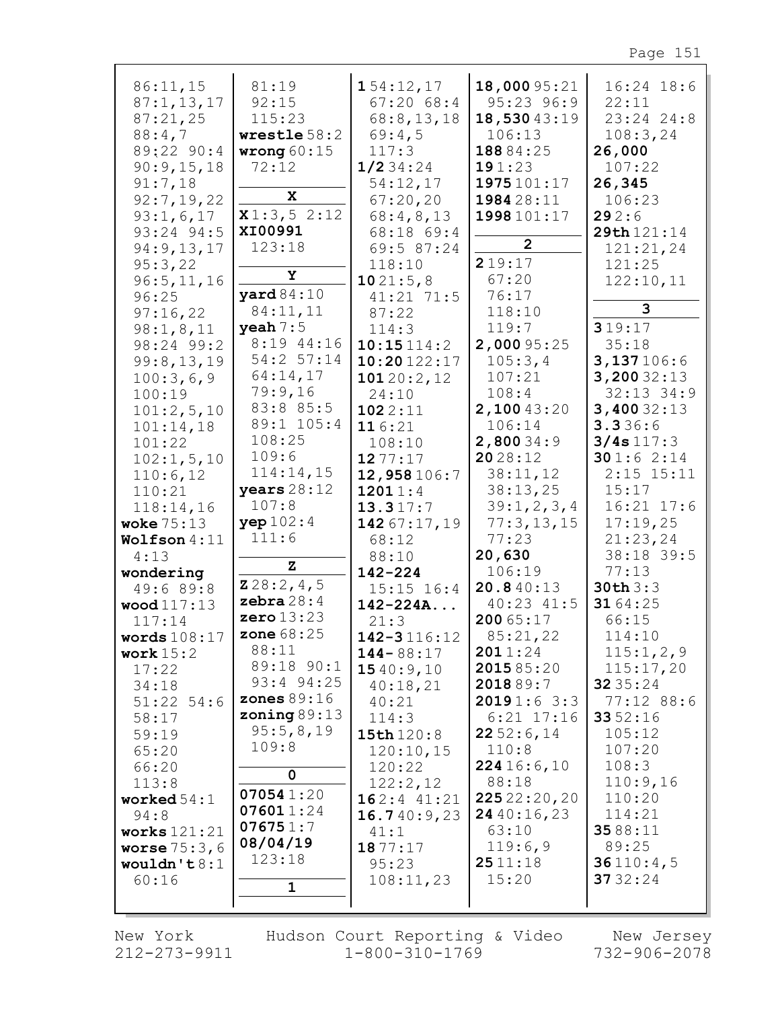| 86:11,15                  | 81:19                  | 154:12,17                  | 18,000 95:21        | $16:24$ 18:6            |
|---------------------------|------------------------|----------------------------|---------------------|-------------------------|
| 87:1, 13, 17              | 92:15<br>115:23        | 67:2068:4                  | 95:23 96:9          | 22:11<br>$23:24$ $24:8$ |
| 87:21,25                  |                        | 68:8,13,18                 | 18,53043:19         |                         |
| 88:4,7<br>89:22 90:4      | wrestle $58:2$         | 69:4,5<br>117:3            | 106:13<br>18884:25  | 108:3,24<br>26,000      |
| 90:9,15,18                | wrong $60:15$<br>72:12 | 1/234:24                   | 191:23              | 107:22                  |
| 91:7,18                   |                        | 54:12,17                   | 1975 101:17         | 26,345                  |
| 92:7,19,22                | X                      | 67:20,20                   | 1984 28:11          | 106:23                  |
| 93:1,6,17                 | x1:3,52:12             | 68:4,8,13                  | 1998 101:17         | 292:6                   |
| 93:24 94:5                | XI00991                | 68:18 69:4                 |                     | 29th 121:14             |
| 94:9,13,17                | 123:18                 | 69:5 87:24                 | $\overline{2}$      | 121:21,24               |
| 95:3,22                   |                        | 118:10                     | 219:17              | 121:25                  |
| 96:5, 11, 16              | Υ                      | 1021:5,8                   | 67:20               | 122:10,11               |
| 96:25                     | $\texttt{yard}84:10$   | $41:21$ 71:5               | 76:17               |                         |
| 97:16,22                  | 84:11,11               | 87:22                      | 118:10              | 3                       |
| 98:1,8,11                 | $\textbf{y}$ eah $7:5$ | 114:3                      | 119:7               | 319:17                  |
| 98:24 99:2                | 8:19 44:16             | 10:15114:2                 | 2,000 95:25         | 35:18                   |
| 99:8,13,19                | 54:2 57:14             | 10:20122:17                | 105:3,4             | 3,137106:6              |
| 100:3,6,9                 | 64:14,17               | 10120:2,12                 | 107:21              | 3,20032:13              |
| 100:19                    | 79:9,16                | 24:10                      | 108:4               | $32:13$ $34:9$          |
| 101:2,5,10                | 83:8 85:5              | 1022:11                    | 2,10043:20          | 3,40032:13              |
| 101:14,18                 | 89:1 105:4             | 116:21                     | 106:14              | 3.336:6                 |
| 101:22                    | 108:25                 | 108:10                     | 2,80034:9           | 3/4s117:3               |
| 102:1, 5, 10              | 109:6                  | 1277:17                    | 2028:12             | 301:62:14               |
| 110:6,12                  | 114:14,15              | 12,958106:7                | 38:11,12            | $2:15$ 15:11            |
| 110:21                    | years 28:12            | 12011:4                    | 38:13,25            | 15:17                   |
| 118:14,16                 | 107:8                  | 13.317:7                   | 39:1,2,3,4          | $16:21$ $17:6$          |
| woke $75:13$              | yep 102:4              | 142 67:17,19               | 77:3,13,15          | 17:19,25                |
| Wolfson $4:11$            | 111:6                  | 68:12                      | 77:23               | 21:23,24                |
| 4:13                      | z                      | 88:10                      | 20,630              | 38:18 39:5              |
| wondering                 | 228:2,4,5              | $142 - 224$                | 106:19              | 77:13                   |
| 49:6 89:8                 | zebra $28:4$           | $15:15$ $16:4$             | 20.840:13           | 30th3:3                 |
| wood 117:13               | zero $13:23$           | $142 - 224A$               | 40:23 41:5          | 31 64:25                |
| 117:14                    | <b>zone</b> 68:25      | 21:3                       | 200 65:17           | 66:15                   |
| words $108:17$            | 88:11                  | $142 - 3116:12$            | 85:21,22<br>2011:24 | 114:10<br>115:1,2,9     |
| work $15:2$<br>17:22      | 89:18 90:1             | $144 - 88:17$<br>1540:9,10 | 201585:20           | 115:17,20               |
| 34:18                     | 93:4 94:25             | 40:18,21                   | 201889:7            | 32 35:24                |
| $51:22$ 54:6              | zones $89:16$          | 40:21                      | 20191:63:3          | 77:12 88:6              |
| 58:17                     | zoning $89:13$         | 114:3                      | $6:21$ 17:16        | 3352:16                 |
| 59:19                     | 95:5,8,19              | 15th 120:8                 | 2252:6,14           | 105:12                  |
| 65:20                     | 109:8                  | 120:10,15                  | 110:8               | 107:20                  |
| 66:20                     |                        | 120:22                     | 224 16:6,10         | 108:3                   |
| 113:8                     | $\mathbf 0$            | 122:2,12                   | 88:18               | 110:9,16                |
| worked $54:1$             | 070541:20              | $162:4$ 41:21              | 22522:20,20         | 110:20                  |
| 94:8                      | 076011:24              | 16.740:9,23                | 2440:16,23          | 114:21                  |
| works $121:21$            | 076751:7               | 41:1                       | 63:10               | 3588:11                 |
| <b>worse</b> $75:3$ , $6$ | 08/04/19               | 1877:17                    | 119:6,9             | 89:25                   |
| wouldn't $8:1$            | 123:18                 | 95:23                      | 2511:18             | 36110:4,5               |
| 60:16                     | $\mathbf{1}$           | 108:11,23                  | 15:20               | 37 32:24                |
|                           |                        |                            |                     |                         |
|                           |                        |                            |                     |                         |

New York 212-273-9911 Hudson Court Reporting & Video  $1 - 800 - 310 - 1769$ 

New Jersey  $732 - 906 - 2078$